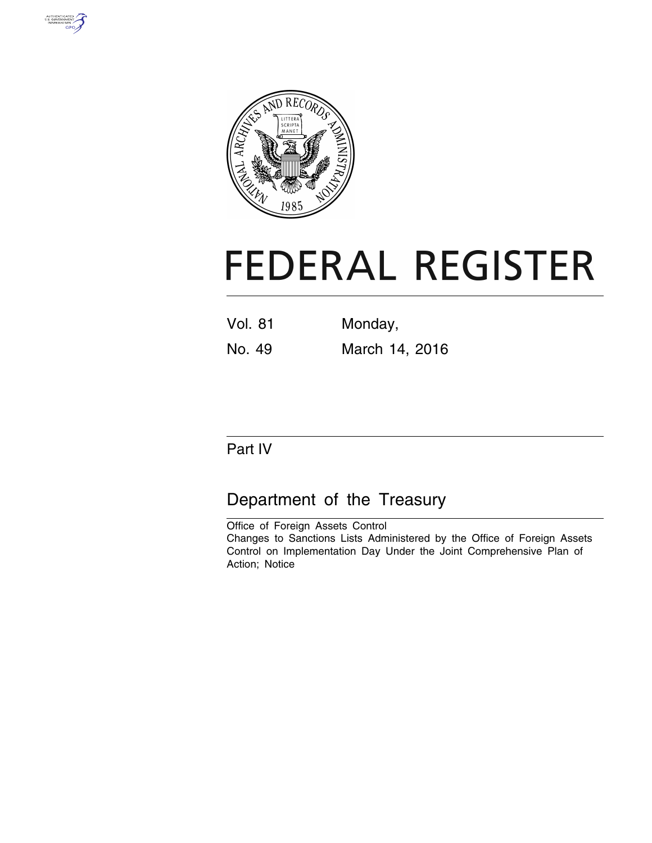



# **FEDERAL REGISTER**

| <b>Vol. 81</b> | Monday,        |
|----------------|----------------|
| No. 49         | March 14, 2016 |

## Part IV

# Department of the Treasury

Office of Foreign Assets Control Changes to Sanctions Lists Administered by the Office of Foreign Assets Control on Implementation Day Under the Joint Comprehensive Plan of Action; Notice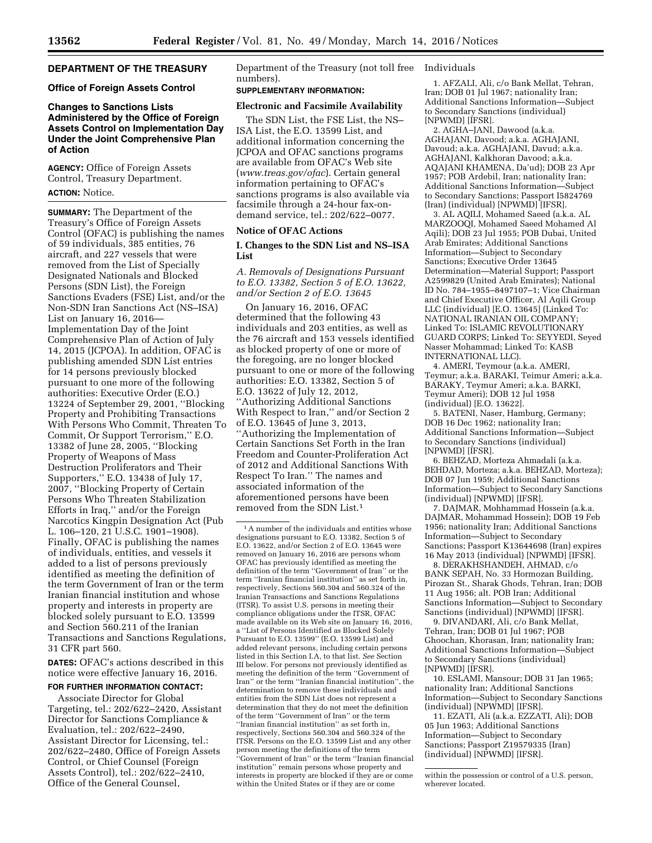### **DEPARTMENT OF THE TREASURY**

#### **Office of Foreign Assets Control**

#### **Changes to Sanctions Lists Administered by the Office of Foreign Assets Control on Implementation Day Under the Joint Comprehensive Plan of Action**

**AGENCY:** Office of Foreign Assets Control, Treasury Department. **ACTION:** Notice.

**SUMMARY:** The Department of the Treasury's Office of Foreign Assets Control (OFAC) is publishing the names of 59 individuals, 385 entities, 76 aircraft, and 227 vessels that were removed from the List of Specially Designated Nationals and Blocked Persons (SDN List), the Foreign Sanctions Evaders (FSE) List, and/or the Non-SDN Iran Sanctions Act (NS–ISA) List on January 16, 2016— Implementation Day of the Joint Comprehensive Plan of Action of July 14, 2015 (JCPOA). In addition, OFAC is publishing amended SDN List entries for 14 persons previously blocked pursuant to one more of the following authorities: Executive Order (E.O.) 13224 of September 29, 2001, ''Blocking Property and Prohibiting Transactions With Persons Who Commit, Threaten To Commit, Or Support Terrorism,'' E.O. 13382 of June 28, 2005, ''Blocking Property of Weapons of Mass Destruction Proliferators and Their Supporters,'' E.O. 13438 of July 17, 2007, ''Blocking Property of Certain Persons Who Threaten Stabilization Efforts in Iraq,'' and/or the Foreign Narcotics Kingpin Designation Act (Pub L. 106–120, 21 U.S.C. 1901–1908). Finally, OFAC is publishing the names of individuals, entities, and vessels it added to a list of persons previously identified as meeting the definition of the term Government of Iran or the term Iranian financial institution and whose property and interests in property are blocked solely pursuant to E.O. 13599 and Section 560.211 of the Iranian Transactions and Sanctions Regulations, 31 CFR part 560.

**DATES:** OFAC's actions described in this notice were effective January 16, 2016.

#### **FOR FURTHER INFORMATION CONTACT:**

Associate Director for Global Targeting, tel.: 202/622–2420, Assistant Director for Sanctions Compliance & Evaluation, tel.: 202/622–2490, Assistant Director for Licensing, tel.: 202/622–2480, Office of Foreign Assets Control, or Chief Counsel (Foreign Assets Control), tel.: 202/622–2410, Office of the General Counsel,

Department of the Treasury (not toll free Individuals numbers).

#### **SUPPLEMENTARY INFORMATION:**

#### **Electronic and Facsimile Availability**

The SDN List, the FSE List, the NS– ISA List, the E.O. 13599 List, and additional information concerning the JCPOA and OFAC sanctions programs are available from OFAC's Web site (*[www.treas.gov/ofac](http://www.treas.gov/ofac)*). Certain general information pertaining to OFAC's sanctions programs is also available via facsimile through a 24-hour fax-ondemand service, tel.: 202/622–0077.

#### **Notice of OFAC Actions**

#### **I. Changes to the SDN List and NS–ISA List**

*A. Removals of Designations Pursuant to E.O. 13382, Section 5 of E.O. 13622, and/or Section 2 of E.O. 13645* 

On January 16, 2016, OFAC determined that the following 43 individuals and 203 entities, as well as the 76 aircraft and 153 vessels identified as blocked property of one or more of the foregoing, are no longer blocked pursuant to one or more of the following authorities: E.O. 13382, Section 5 of E.O. 13622 of July 12, 2012, ''Authorizing Additional Sanctions With Respect to Iran,'' and/or Section 2 of E.O. 13645 of June 3, 2013, ''Authorizing the Implementation of Certain Sanctions Set Forth in the Iran Freedom and Counter-Proliferation Act of 2012 and Additional Sanctions With Respect To Iran.'' The names and associated information of the aforementioned persons have been removed from the SDN List.1

1. AFZALI, Ali, c/o Bank Mellat, Tehran, Iran; DOB 01 Jul 1967; nationality Iran; Additional Sanctions Information—Subject to Secondary Sanctions (individual) [NPWMD] [IFSR].

2. AGHA–JANI, Dawood (a.k.a. AGHAJANI, Davood; a.k.a. AGHAJANI, Davoud; a.k.a. AGHAJANI, Davud; a.k.a. AGHAJANI, Kalkhoran Davood; a.k.a. AQAJANI KHAMENA, Da'ud); DOB 23 Apr 1957; POB Ardebil, Iran; nationality Iran; Additional Sanctions Information—Subject to Secondary Sanctions; Passport I5824769 (Iran) (individual) [NPWMD] [IFSR].

3. AL AQILI, Mohamed Saeed (a.k.a. AL MARZOOQI, Mohamed Saeed Mohamed Al Aqili); DOB 23 Jul 1955; POB Dubai, United Arab Emirates; Additional Sanctions Information—Subject to Secondary Sanctions; Executive Order 13645 Determination—Material Support; Passport A2599829 (United Arab Emirates); National ID No. 784–1955–8497107–1; Vice Chairman and Chief Executive Officer, Al Aqili Group LLC (individual) [E.O. 13645] (Linked To: NATIONAL IRANIAN OIL COMPANY; Linked To: ISLAMIC REVOLUTIONARY GUARD CORPS; Linked To: SEYYEDI, Seyed Nasser Mohammad; Linked To: KASB INTERNATIONAL LLC).

4. AMERI, Teymour (a.k.a. AMERI, Teymur; a.k.a. BARAKI, Teimur Ameri; a.k.a. BARAKY, Teymur Ameri; a.k.a. BARKI, Teymur Ameri); DOB 12 Jul 1958 (individual) [E.O. 13622].

5. BATENI, Naser, Hamburg, Germany; DOB 16 Dec 1962; nationality Iran; Additional Sanctions Information—Subject to Secondary Sanctions (individual) [NPWMD] [IFSR].

6. BEHZAD, Morteza Ahmadali (a.k.a. BEHDAD, Morteza; a.k.a. BEHZAD, Morteza); DOB 07 Jun 1959; Additional Sanctions Information—Subject to Secondary Sanctions (individual) [NPWMD] [IFSR].

7. DAJMAR, Mohhammad Hossein (a.k.a. DAJMAR, Mohammad Hossein); DOB 19 Feb 1956; nationality Iran; Additional Sanctions Information—Subject to Secondary Sanctions; Passport K13644698 (Iran) expires 16 May 2013 (individual) [NPWMD] [IFSR].

8. DERAKHSHANDEH, AHMAD, c/o BANK SEPAH, No. 33 Hormozan Building, Pirozan St., Sharak Ghods, Tehran, Iran; DOB 11 Aug 1956; alt. POB Iran; Additional Sanctions Information—Subject to Secondary Sanctions (individual) [NPWMD] [IFSR].

9. DIVANDARI, Ali, c/o Bank Mellat, Tehran, Iran; DOB 01 Jul 1967; POB Ghoochan, Khorasan, Iran; nationality Iran; Additional Sanctions Information—Subject to Secondary Sanctions (individual) [NPWMD] [IFSR].

10. ESLAMI, Mansour; DOB 31 Jan 1965; nationality Iran; Additional Sanctions Information—Subject to Secondary Sanctions (individual) [NPWMD] [IFSR].

11. EZATI, Ali (a.k.a. EZZATI, Ali); DOB 05 Jun 1963; Additional Sanctions Information—Subject to Secondary Sanctions; Passport Z19579335 (Iran) (individual) [NPWMD] [IFSR].

<sup>&</sup>lt;sup>1</sup>A number of the individuals and entities whose designations pursuant to E.O. 13382, Section 5 of E.O. 13622, and/or Section 2 of E.O. 13645 were removed on January 16, 2016 are persons whom OFAC has previously identified as meeting the definition of the term ''Government of Iran'' or the term ''Iranian financial institution'' as set forth in, respectively, Sections 560.304 and 560.324 of the Iranian Transactions and Sanctions Regulations (ITSR). To assist U.S. persons in meeting their compliance obligations under the ITSR, OFAC made available on its Web site on January 16, 2016, a ''List of Persons Identified as Blocked Solely Pursuant to E.O. 13599'' (E.O. 13599 List) and added relevant persons, including certain persons listed in this Section I.A, to that list. *See* Section III below. For persons not previously identified as meeting the definition of the term ''Government of Iran'' or the term ''Iranian financial institution'', the determination to remove these individuals and entities from the SDN List does not represent a determination that they do not meet the definition of the term ''Government of Iran'' or the term ''Iranian financial institution'' as set forth in, respectively, Sections 560.304 and 560.324 of the ITSR. Persons on the E.O. 13599 List and any other person meeting the definitions of the term ''Government of Iran'' or the term ''Iranian financial institution'' remain persons whose property and interests in property are blocked if they are or come within the United States or if they are or come

within the possession or control of a U.S. person, wherever located.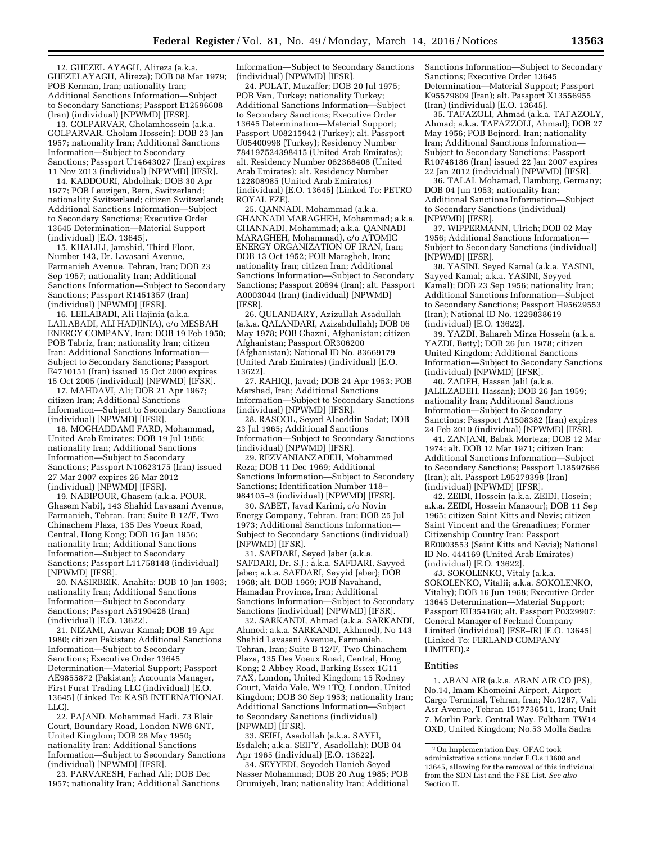12. GHEZEL AYAGH, Alireza (a.k.a. GHEZELAYAGH, Alireza); DOB 08 Mar 1979; POB Kerman, Iran; nationality Iran; Additional Sanctions Information—Subject to Secondary Sanctions; Passport E12596608 (Iran) (individual) [NPWMD] [IFSR].

13. GOLPARVAR, Gholamhossein (a.k.a. GOLPARVAR, Gholam Hossein); DOB 23 Jan 1957; nationality Iran; Additional Sanctions Information—Subject to Secondary Sanctions; Passport U14643027 (Iran) expires 11 Nov 2013 (individual) [NPWMD] [IFSR].

14. KADDOURI, Abdelhak; DOB 30 Apr 1977; POB Leuzigen, Bern, Switzerland; nationality Switzerland; citizen Switzerland; Additional Sanctions Information—Subject to Secondary Sanctions; Executive Order 13645 Determination—Material Support (individual) [E.O. 13645].

15. KHALILI, Jamshid, Third Floor, Number 143, Dr. Lavasani Avenue, Farmanieh Avenue, Tehran, Iran; DOB 23 Sep 1957; nationality Iran; Additional Sanctions Information—Subject to Secondary Sanctions; Passport R1451357 (Iran) (individual) [NPWMD] [IFSR].

16. LEILABADI, Ali Hajinia (a.k.a. LAILABADI, ALI HADJINIA), c/o MESBAH ENERGY COMPANY, Iran; DOB 19 Feb 1950; POB Tabriz, Iran; nationality Iran; citizen Iran; Additional Sanctions Information— Subject to Secondary Sanctions; Passport E4710151 (Iran) issued 15 Oct 2000 expires 15 Oct 2005 (individual) [NPWMD] [IFSR].

17. MAHDAVI, Ali; DOB 21 Apr 1967; citizen Iran; Additional Sanctions Information—Subject to Secondary Sanctions (individual) [NPWMD] [IFSR].

18. MOGHADDAMI FARD, Mohammad, United Arab Emirates; DOB 19 Jul 1956; nationality Iran; Additional Sanctions Information—Subject to Secondary Sanctions; Passport N10623175 (Iran) issued 27 Mar 2007 expires 26 Mar 2012 (individual) [NPWMD] [IFSR].

19. NABIPOUR, Ghasem (a.k.a. POUR, Ghasem Nabi), 143 Shahid Lavasani Avenue, Farmanieh, Tehran, Iran; Suite B 12/F, Two Chinachem Plaza, 135 Des Voeux Road, Central, Hong Kong; DOB 16 Jan 1956; nationality Iran; Additional Sanctions Information—Subject to Secondary Sanctions; Passport L11758148 (individual) [NPWMD] [IFSR].

20. NASIRBEIK, Anahita; DOB 10 Jan 1983; nationality Iran; Additional Sanctions Information—Subject to Secondary Sanctions; Passport A5190428 (Iran) (individual) [E.O. 13622].

21. NIZAMI, Anwar Kamal; DOB 19 Apr 1980; citizen Pakistan; Additional Sanctions Information—Subject to Secondary Sanctions; Executive Order 13645 Determination—Material Support; Passport AE9855872 (Pakistan); Accounts Manager, First Furat Trading LLC (individual) [E.O. 13645] (Linked To: KASB INTERNATIONAL LLC).

22. PAJAND, Mohammad Hadi, 73 Blair Court, Boundary Road, London NW8 6NT, United Kingdom; DOB 28 May 1950; nationality Iran; Additional Sanctions Information—Subject to Secondary Sanctions (individual) [NPWMD] [IFSR].

23. PARVARESH, Farhad Ali; DOB Dec 1957; nationality Iran; Additional Sanctions

Information—Subject to Secondary Sanctions (individual) [NPWMD] [IFSR].

24. POLAT, Muzaffer; DOB 20 Jul 1975; POB Van, Turkey; nationality Turkey; Additional Sanctions Information—Subject to Secondary Sanctions; Executive Order 13645 Determination—Material Support; Passport U08215942 (Turkey); alt. Passport U05400998 (Turkey); Residency Number 784197524398415 (United Arab Emirates); alt. Residency Number 062368408 (United Arab Emirates); alt. Residency Number 122808985 (United Arab Emirates) (individual) [E.O. 13645] (Linked To: PETRO ROYAL FZE).

25. QANNADI, Mohammad (a.k.a. GHANNADI MARAGHEH, Mohammad; a.k.a. GHANNADI, Mohammad; a.k.a. QANNADI MARAGHEH, Mohammad), c/o ATOMIC ENERGY ORGANIZATION OF IRAN, Iran; DOB 13 Oct 1952; POB Maragheh, Iran; nationality Iran; citizen Iran; Additional Sanctions Information—Subject to Secondary Sanctions; Passport 20694 (Iran); alt. Passport A0003044 (Iran) (individual) [NPWMD] [IFSR].

26. QULANDARY, Azizullah Asadullah (a.k.a. QALANDARI, Azizabdullah); DOB 06 May 1978; POB Ghazni, Afghanistan; citizen Afghanistan; Passport OR306200 (Afghanistan); National ID No. 83669179 (United Arab Emirates) (individual) [E.O. 13622].

27. RAHIQI, Javad; DOB 24 Apr 1953; POB Marshad, Iran; Additional Sanctions Information—Subject to Secondary Sanctions (individual) [NPWMD] [IFSR].

28. RASOOL, Seyed Alaeddin Sadat; DOB 23 Jul 1965; Additional Sanctions Information—Subject to Secondary Sanctions (individual) [NPWMD] [IFSR].

29. REZVANIANZADEH, Mohammed Reza; DOB 11 Dec 1969; Additional Sanctions Information—Subject to Secondary Sanctions; Identification Number 118– 984105–3 (individual) [NPWMD] [IFSR].

30. SABET, Javad Karimi, c/o Novin Energy Company, Tehran, Iran; DOB 25 Jul 1973; Additional Sanctions Information— Subject to Secondary Sanctions (individual) [NPWMD] [IFSR].

31. SAFDARI, Seyed Jaber (a.k.a. SAFDARI, Dr. S.J.; a.k.a. SAFDARI, Sayyed Jaber; a.k.a. SAFDARI, Seyyid Jaber); DOB 1968; alt. DOB 1969; POB Navahand, Hamadan Province, Iran; Additional Sanctions Information—Subject to Secondary Sanctions (individual) [NPWMD] [IFSR].

32. SARKANDI, Ahmad (a.k.a. SARKANDI, Ahmed; a.k.a. SARKANDI, Akhmed), No 143 Shahid Lavasani Avenue, Farmanieh, Tehran, Iran; Suite B 12/F, Two Chinachem Plaza, 135 Des Voeux Road, Central, Hong Kong; 2 Abbey Road, Barking Essex 1G11 7AX, London, United Kingdom; 15 Rodney Court, Maida Vale, W9 1TQ, London, United Kingdom; DOB 30 Sep 1953; nationality Iran; Additional Sanctions Information—Subject to Secondary Sanctions (individual) [NPWMD] [IFSR].

33. SEIFI, Asadollah (a.k.a. SAYFI, Esdaleh; a.k.a. SEIFY, Asadollah); DOB 04 Apr 1965 (individual) [E.O. 13622].

34. SEYYEDI, Seyedeh Hanieh Seyed Nasser Mohammad; DOB 20 Aug 1985; POB Orumiyeh, Iran; nationality Iran; Additional Sanctions Information—Subject to Secondary Sanctions; Executive Order 13645 Determination—Material Support; Passport K95579809 (Iran); alt. Passport X13556955 (Iran) (individual) [E.O. 13645].

35. TAFAZOLI, Ahmad (a.k.a. TAFAZOLY, Ahmad; a.k.a. TAFAZZOLI, Ahmad); DOB 27 May 1956; POB Bojnord, Iran; nationality Iran; Additional Sanctions Information— Subject to Secondary Sanctions; Passport R10748186 (Iran) issued 22 Jan 2007 expires 22 Jan 2012 (individual) [NPWMD] [IFSR].

36. TALAI, Mohamad, Hamburg, Germany; DOB 04 Jun 1953; nationality Iran; Additional Sanctions Information—Subject to Secondary Sanctions (individual) [NPWMD] [IFSR].

37. WIPPERMANN, Ulrich; DOB 02 May 1956; Additional Sanctions Information— Subject to Secondary Sanctions (individual) [NPWMD] [IFSR].

38. YASINI, Seyed Kamal (a.k.a. YASINI, Sayyed Kamal; a.k.a. YASINI, Seyyed Kamal); DOB 23 Sep 1956; nationality Iran; Additional Sanctions Information—Subject to Secondary Sanctions; Passport H95629553 (Iran); National ID No. 1229838619 (individual) [E.O. 13622].

39. YAZDI, Bahareh Mirza Hossein (a.k.a. YAZDI, Betty); DOB 26 Jun 1978; citizen United Kingdom; Additional Sanctions Information—Subject to Secondary Sanctions (individual) [NPWMD] [IFSR].

40. ZADEH, Hassan Jalil (a.k.a. JALILZADEH, Hassan); DOB 26 Jan 1959; nationality Iran; Additional Sanctions Information—Subject to Secondary Sanctions; Passport A1508382 (Iran) expires 24 Feb 2010 (individual) [NPWMD] [IFSR].

41. ZANJANI, Babak Morteza; DOB 12 Mar 1974; alt. DOB 12 Mar 1971; citizen Iran; Additional Sanctions Information—Subject to Secondary Sanctions; Passport L18597666 (Iran); alt. Passport L95279398 (Iran) (individual) [NPWMD] [IFSR].

42. ZEIDI, Hossein (a.k.a. ZEIDI, Hosein; a.k.a. ZEIDI, Hossein Mansour); DOB 11 Sep 1965; citizen Saint Kitts and Nevis; citizen Saint Vincent and the Grenadines; Former Citizenship Country Iran; Passport RE0003553 (Saint Kitts and Nevis); National ID No. 444169 (United Arab Emirates) (individual) [E.O. 13622].

*43.* SOKOLENKO, Vitaly (a.k.a. SOKOLENKO, Vitalii; a.k.a. SOKOLENKO, Vitaliy); DOB 16 Jun 1968; Executive Order 13645 Determination—Material Support; Passport EH354160; alt. Passport P0329907; General Manager of Ferland Company Limited (individual) [FSE–IR] [E.O. 13645] (Linked To: FERLAND COMPANY LIMITED).2

#### Entities

1. ABAN AIR (a.k.a. ABAN AIR CO JPS), No.14, Imam Khomeini Airport, Airport Cargo Terminal, Tehran, Iran; No.1267, Vali Asr Avenue, Tehran 1517736511, Iran; Unit 7, Marlin Park, Central Way, Feltham TW14 OXD, United Kingdom; No.53 Molla Sadra

<sup>2</sup>On Implementation Day, OFAC took administrative actions under E.O.s 13608 and 13645, allowing for the removal of this individual from the SDN List and the FSE List. *See also*  Section II.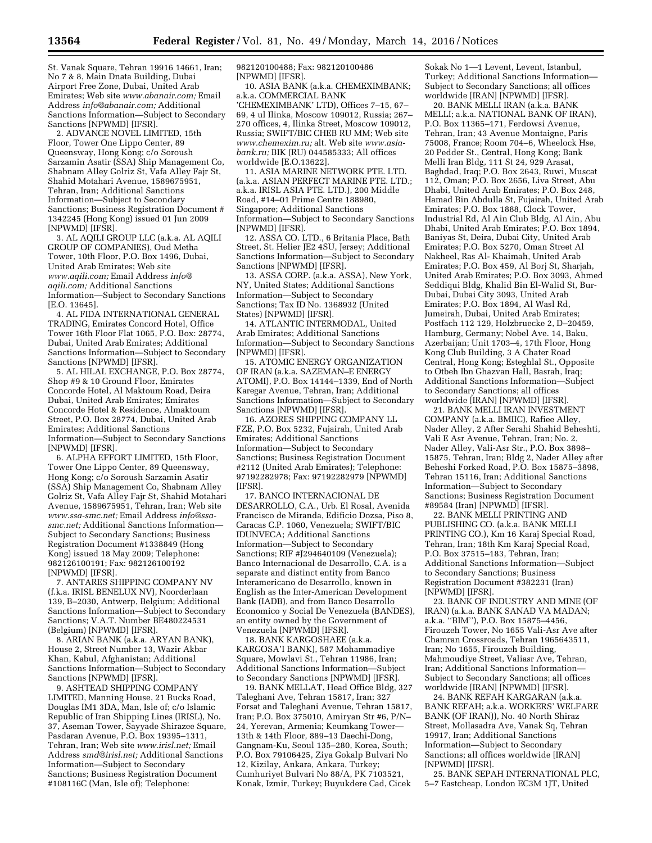St. Vanak Square, Tehran 19916 14661, Iran; No 7 & 8, Main Dnata Building, Dubai Airport Free Zone, Dubai, United Arab Emirates; Web site *[www.abanair.com;](http://www.abanair.com)* Email Address *[info@abanair.com;](mailto:info@abanair.com)* Additional Sanctions Information—Subject to Secondary Sanctions [NPWMD] [IFSR].

2. ADVANCE NOVEL LIMITED, 15th Floor, Tower One Lippo Center, 89 Queensway, Hong Kong; c/o Soroush Sarzamin Asatir (SSA) Ship Management Co, Shabnam Alley Golriz St, Vafa Alley Fajr St, Shahid Motahari Avenue, 1589675951, Tehran, Iran; Additional Sanctions Information—Subject to Secondary Sanctions; Business Registration Document # 1342245 (Hong Kong) issued 01 Jun 2009 [NPWMD] [IFSR].

3. AL AQILI GROUP LLC (a.k.a. AL AQILI GROUP OF COMPANIES), Oud Metha Tower, 10th Floor, P.O. Box 1496, Dubai, United Arab Emirates; Web site *[www.aqili.com;](http://www.aqili.com)* Email Address *[info@](mailto:info@aqili.com) [aqili.com;](mailto:info@aqili.com)* Additional Sanctions Information—Subject to Secondary Sanctions [E.O. 13645].

4. AL FIDA INTERNATIONAL GENERAL TRADING, Emirates Concord Hotel, Office Tower 16th Floor Flat 1065, P.O. Box: 28774, Dubai, United Arab Emirates; Additional Sanctions Information—Subject to Secondary Sanctions [NPWMD] [IFSR].

5. AL HILAL EXCHANGE, P.O. Box 28774, Shop #9 & 10 Ground Floor, Emirates Concorde Hotel, Al Maktoum Road, Deira Dubai, United Arab Emirates; Emirates Concorde Hotel & Residence, Almaktoum Street, P.O. Box 28774, Dubai, United Arab Emirates; Additional Sanctions Information—Subject to Secondary Sanctions [NPWMD] [IFSR].

6. ALPHA EFFORT LIMITED, 15th Floor, Tower One Lippo Center, 89 Queensway, Hong Kong; c/o Soroush Sarzamin Asatir (SSA) Ship Management Co, Shabnam Alley Golriz St, Vafa Alley Fajr St, Shahid Motahari Avenue, 1589675951, Tehran, Iran; Web site *[www.ssa-smc.net;](http://www.ssa-smc.net)* Email Address *[info@ssa](mailto:info@ssa-smc.net)[smc.net;](mailto:info@ssa-smc.net)* Additional Sanctions Information— Subject to Secondary Sanctions; Business Registration Document #1338849 (Hong Kong) issued 18 May 2009; Telephone: 982126100191; Fax: 982126100192 [NPWMD] [IFSR].

7. ANTARES SHIPPING COMPANY NV (f.k.a. IRISL BENELUX NV), Noorderlaan 139, B–2030, Antwerp, Belgium; Additional Sanctions Information—Subject to Secondary Sanctions; V.A.T. Number BE480224531 (Belgium) [NPWMD] [IFSR].

8. ARIAN BANK (a.k.a. ARYAN BANK), House 2, Street Number 13, Wazir Akbar Khan, Kabul, Afghanistan; Additional Sanctions Information—Subject to Secondary Sanctions [NPWMD] [IFSR].

9. ASHTEAD SHIPPING COMPANY LIMITED, Manning House, 21 Bucks Road, Douglas IM1 3DA, Man, Isle of; c/o Islamic Republic of Iran Shipping Lines (IRISL), No. 37, Aseman Tower, Sayyade Shirazee Square, Pasdaran Avenue, P.O. Box 19395–1311, Tehran, Iran; Web site *[www.irisl.net;](http://www.irisl.net)* Email Address *[smd@irisl.net;](mailto:smd@irisl.net)* Additional Sanctions Information—Subject to Secondary Sanctions; Business Registration Document #108116C (Man, Isle of); Telephone:

982120100488; Fax: 982120100486 [NPWMD] [IFSR].

10. ASIA BANK (a.k.a. CHEMEXIMBANK; a.k.a. COMMERCIAL BANK

'CHEMEXIMBANK' LTD), Offices 7–15, 67– 69, 4 ul Ilinka, Moscow 109012, Russia; 267– 270 offices, 4, Ilinka Street, Moscow 109012, Russia; SWIFT/BIC CHEB RU MM; Web site *[www.chemexim.ru;](http://www.chemexim.ru)* alt. Web site *[www.asia](http://www.asia-bank.ru)[bank.ru;](http://www.asia-bank.ru)* BIK (RU) 044585333; All offices worldwide [E.O.13622].

11. ASIA MARINE NETWORK PTE. LTD. (a.k.a. ASIAN PERFECT MARINE PTE. LTD.; a.k.a. IRISL ASIA PTE. LTD.), 200 Middle Road, #14–01 Prime Centre 188980, Singapore; Additional Sanctions Information—Subject to Secondary Sanctions [NPWMD] [IFSR].

12. ASSA CO. LTD., 6 Britania Place, Bath Street, St. Helier JE2 4SU, Jersey; Additional Sanctions Information—Subject to Secondary Sanctions [NPWMD] [IFSR].

13. ASSA CORP. (a.k.a. ASSA), New York, NY, United States; Additional Sanctions Information—Subject to Secondary Sanctions; Tax ID No. 1368932 (United States) [NPWMD] [IFSR].

14. ATLANTIC INTERMODAL, United Arab Emirates; Additional Sanctions Information—Subject to Secondary Sanctions [NPWMD] [IFSR].

15. ATOMIC ENERGY ORGANIZATION OF IRAN (a.k.a. SAZEMAN–E ENERGY ATOMI), P.O. Box 14144–1339, End of North Karegar Avenue, Tehran, Iran; Additional Sanctions Information—Subject to Secondary Sanctions [NPWMD] [IFSR].

16. AZORES SHIPPING COMPANY LL FZE, P.O. Box 5232, Fujairah, United Arab Emirates; Additional Sanctions Information—Subject to Secondary Sanctions; Business Registration Document #2112 (United Arab Emirates); Telephone: 97192282978; Fax: 97192282979 [NPWMD] [IFSR].

17. BANCO INTERNACIONAL DE DESARROLLO, C.A., Urb. El Rosal, Avenida Francisco de Miranda, Edificio Dozsa, Piso 8, Caracas C.P. 1060, Venezuela; SWIFT/BIC IDUNVECA; Additional Sanctions Information—Subject to Secondary Sanctions; RIF #J294640109 (Venezuela); Banco Internacional de Desarrollo, C.A. is a separate and distinct entity from Banco Interamericano de Desarrollo, known in English as the Inter-American Development Bank (IADB), and from Banco Desarrollo Economico y Social De Venezuela (BANDES), an entity owned by the Government of Venezuela [NPWMD] [IFSR].

18. BANK KARGOSHAEE (a.k.a. KARGOSA'I BANK), 587 Mohammadiye Square, Mowlavi St., Tehran 11986, Iran; Additional Sanctions Information—Subject to Secondary Sanctions [NPWMD] [IFSR].

19. BANK MELLAT, Head Office Bldg, 327 Taleghani Ave, Tehran 15817, Iran; 327 Forsat and Taleghani Avenue, Tehran 15817, Iran; P.O. Box 375010, Amiryan Str #6, P/N– 24, Yerevan, Armenia; Keumkang Tower— 13th & 14th Floor, 889–13 Daechi-Dong, Gangnam-Ku, Seoul 135–280, Korea, South; P.O. Box 79106425, Ziya Gokalp Bulvari No 12, Kizilay, Ankara, Ankara, Turkey; Cumhuriyet Bulvari No 88/A, PK 7103521, Konak, Izmir, Turkey; Buyukdere Cad, Cicek

Sokak No 1—1 Levent, Levent, Istanbul, Turkey; Additional Sanctions Information— Subject to Secondary Sanctions; all offices worldwide [IRAN] [NPWMD] [IFSR].

20. BANK MELLI IRAN (a.k.a. BANK MELLI; a.k.a. NATIONAL BANK OF IRAN), P.O. Box 11365–171, Ferdowsi Avenue, Tehran, Iran; 43 Avenue Montaigne, Paris 75008, France; Room 704–6, Wheelock Hse, 20 Pedder St., Central, Hong Kong; Bank Melli Iran Bldg, 111 St 24, 929 Arasat, Baghdad, Iraq; P.O. Box 2643, Ruwi, Muscat 112, Oman; P.O. Box 2656, Liva Street, Abu Dhabi, United Arab Emirates; P.O. Box 248, Hamad Bin Abdulla St, Fujairah, United Arab Emirates; P.O. Box 1888, Clock Tower, Industrial Rd, Al Ain Club Bldg, Al Ain, Abu Dhabi, United Arab Emirates; P.O. Box 1894, Baniyas St, Deira, Dubai City, United Arab Emirates; P.O. Box 5270, Oman Street Al Nakheel, Ras Al- Khaimah, United Arab Emirates; P.O. Box 459, Al Borj St, Sharjah, United Arab Emirates; P.O. Box 3093, Ahmed Seddiqui Bldg, Khalid Bin El-Walid St, Bur-Dubai, Dubai City 3093, United Arab Emirates; P.O. Box 1894, Al Wasl Rd, Jumeirah, Dubai, United Arab Emirates; Postfach 112 129, Holzbruecke 2, D–20459, Hamburg, Germany; Nobel Ave. 14, Baku, Azerbaijan; Unit 1703–4, 17th Floor, Hong Kong Club Building, 3 A Chater Road Central, Hong Kong; Esteghlal St., Opposite to Otbeh Ibn Ghazvan Hall, Basrah, Iraq; Additional Sanctions Information—Subject to Secondary Sanctions; all offices worldwide [IRAN] [NPWMD] [IFSR].

21. BANK MELLI IRAN INVESTMENT COMPANY (a.k.a. BMIIC), Rafiee Alley, Nader Alley, 2 After Serahi Shahid Beheshti, Vali E Asr Avenue, Tehran, Iran; No. 2, Nader Alley, Vali-Asr Str., P.O. Box 3898– 15875, Tehran, Iran; Bldg 2, Nader Alley after Beheshi Forked Road, P.O. Box 15875–3898, Tehran 15116, Iran; Additional Sanctions Information—Subject to Secondary Sanctions; Business Registration Document #89584 (Iran) [NPWMD] [IFSR].

22. BANK MELLI PRINTING AND PUBLISHING CO. (a.k.a. BANK MELLI PRINTING CO.), Km 16 Karaj Special Road, Tehran, Iran; 18th Km Karaj Special Road, P.O. Box 37515–183, Tehran, Iran; Additional Sanctions Information—Subject to Secondary Sanctions; Business Registration Document #382231 (Iran) [NPWMD] [IFSR].

23. BANK OF INDUSTRY AND MINE (OF IRAN) (a.k.a. BANK SANAD VA MADAN; a.k.a. ''BIM''), P.O. Box 15875–4456, Firouzeh Tower, No 1655 Vali-Asr Ave after Chamran Crossroads, Tehran 1965643511, Iran; No 1655, Firouzeh Building, Mahmoudiye Street, Valiasr Ave, Tehran, Iran; Additional Sanctions Information— Subject to Secondary Sanctions; all offices worldwide [IRAN] [NPWMD] [IFSR].

24. BANK REFAH KARGARAN (a.k.a. BANK REFAH; a.k.a. WORKERS' WELFARE BANK (OF IRAN)), No. 40 North Shiraz Street, Mollasadra Ave, Vanak Sq, Tehran 19917, Iran; Additional Sanctions Information—Subject to Secondary Sanctions; all offices worldwide [IRAN] [NPWMD] [IFSR].

25. BANK SEPAH INTERNATIONAL PLC, 5–7 Eastcheap, London EC3M 1JT, United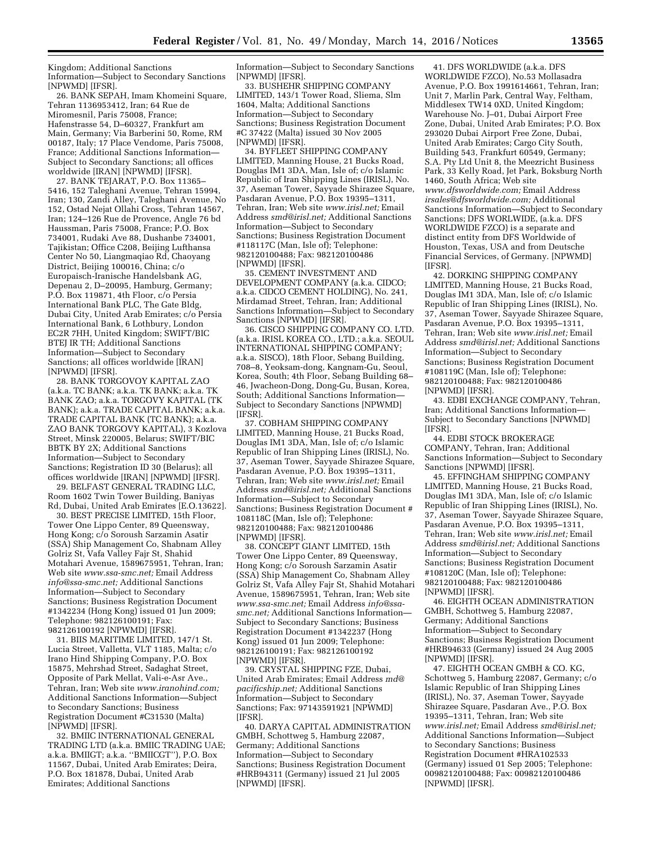Kingdom; Additional Sanctions Information—Subject to Secondary Sanctions [NPWMD] [IFSR].

26. BANK SEPAH, Imam Khomeini Square, Tehran 1136953412, Iran; 64 Rue de Miromesnil, Paris 75008, France; Hafenstrasse 54, D–60327, Frankfurt am Main, Germany; Via Barberini 50, Rome, RM 00187, Italy; 17 Place Vendome, Paris 75008, France; Additional Sanctions Information— Subject to Secondary Sanctions; all offices worldwide [IRAN] [NPWMD] [IFSR].

27. BANK TEJARAT, P.O. Box 11365– 5416, 152 Taleghani Avenue, Tehran 15994, Iran; 130, Zandi Alley, Taleghani Avenue, No 152, Ostad Nejat Ollahi Cross, Tehran 14567, Iran; 124–126 Rue de Provence, Angle 76 bd Haussman, Paris 75008, France; P.O. Box 734001, Rudaki Ave 88, Dushanbe 734001, Tajikistan; Office C208, Beijing Lufthansa Center No 50, Liangmaqiao Rd, Chaoyang District, Beijing 100016, China; c/o Europaisch-Iranische Handelsbank AG, Depenau 2, D–20095, Hamburg, Germany; P.O. Box 119871, 4th Floor, c/o Persia International Bank PLC, The Gate Bldg, Dubai City, United Arab Emirates; c/o Persia International Bank, 6 Lothbury, London EC2R 7HH, United Kingdom; SWIFT/BIC BTEJ IR TH; Additional Sanctions Information—Subject to Secondary Sanctions; all offices worldwide [IRAN] [NPWMD] [IFSR].

28. BANK TORGOVOY KAPITAL ZAO (a.k.a. TC BANK; a.k.a. TK BANK; a.k.a. TK BANK ZAO; a.k.a. TORGOVY KAPITAL (TK BANK); a.k.a. TRADE CAPITAL BANK; a.k.a. TRADE CAPITAL BANK (TC BANK); a.k.a. ZAO BANK TORGOVY KAPITAL), 3 Kozlova Street, Minsk 220005, Belarus; SWIFT/BIC BBTK BY 2X; Additional Sanctions Information—Subject to Secondary Sanctions; Registration ID 30 (Belarus); all offices worldwide [IRAN] [NPWMD] [IFSR].

29. BELFAST GENERAL TRADING LLC, Room 1602 Twin Tower Building, Baniyas Rd, Dubai, United Arab Emirates [E.O.13622].

30. BEST PRECISE LIMITED, 15th Floor, Tower One Lippo Center, 89 Queensway, Hong Kong; c/o Soroush Sarzamin Asatir (SSA) Ship Management Co, Shabnam Alley Golriz St, Vafa Valley Fajr St, Shahid Motahari Avenue, 1589675951, Tehran, Iran; Web site *[www.ssa-smc.net;](http://www.ssa-smc.net)* Email Address *[info@ssa-smc.net;](mailto:info@ssa-smc.net)* Additional Sanctions Information—Subject to Secondary Sanctions; Business Registration Document #1342234 (Hong Kong) issued 01 Jun 2009; Telephone: 982126100191; Fax: 982126100192 [NPWMD] [IFSR].

31. BIIS MARITIME LIMITED, 147/1 St. Lucia Street, Valletta, VLT 1185, Malta; c/o Irano Hind Shipping Company, P.O. Box 15875, Mehrshad Street, Sadaghat Street, Opposite of Park Mellat, Vali-e-Asr Ave., Tehran, Iran; Web site *[www.iranohind.com;](http://www.iranohind.com)*  Additional Sanctions Information—Subject to Secondary Sanctions; Business Registration Document #C31530 (Malta) [NPWMD] [IFSR].

32. BMIIC INTERNATIONAL GENERAL TRADING LTD (a.k.a. BMIIC TRADING UAE; a.k.a. BMIIGT; a.k.a. ''BMIICGT''), P.O. Box 11567, Dubai, United Arab Emirates; Deira, P.O. Box 181878, Dubai, United Arab Emirates; Additional Sanctions

Information—Subject to Secondary Sanctions [NPWMD] [IFSR].

33. BUSHEHR SHIPPING COMPANY LIMITED, 143/1 Tower Road, Sliema, Slm 1604, Malta; Additional Sanctions Information—Subject to Secondary Sanctions; Business Registration Document #C 37422 (Malta) issued 30 Nov 2005 [NPWMD] [IFSR].

34. BYFLEET SHIPPING COMPANY LIMITED, Manning House, 21 Bucks Road, Douglas IM1 3DA, Man, Isle of; c/o Islamic Republic of Iran Shipping Lines (IRISL), No. 37, Aseman Tower, Sayyade Shirazee Square, Pasdaran Avenue, P.O. Box 19395–1311, Tehran, Iran; Web site *[www.irisl.net;](http://www.irisl.net)* Email Address *[smd@irisl.net;](mailto:smd@irisl.net)* Additional Sanctions Information—Subject to Secondary Sanctions; Business Registration Document #118117C (Man, Isle of); Telephone: 982120100488; Fax: 982120100486 [NPWMD] [IFSR].

35. CEMENT INVESTMENT AND DEVELOPMENT COMPANY (a.k.a. CIDCO; a.k.a. CIDCO CEMENT HOLDING), No. 241, Mirdamad Street, Tehran, Iran; Additional Sanctions Information—Subject to Secondary Sanctions [NPWMD] [IFSR].

36. CISCO SHIPPING COMPANY CO. LTD. (a.k.a. IRISL KOREA CO., LTD.; a.k.a. SEOUL INTERNATIONAL SHIPPING COMPANY; a.k.a. SISCO), 18th Floor, Sebang Building, 708–8, Yeoksam-dong, Kangnam-Gu, Seoul, Korea, South; 4th Floor, Sebang Building 68– 46, Jwacheon-Dong, Dong-Gu, Busan, Korea, South; Additional Sanctions Information— Subject to Secondary Sanctions [NPWMD] [IFSR].

37. COBHAM SHIPPING COMPANY LIMITED, Manning House, 21 Bucks Road, Douglas IM1 3DA, Man, Isle of; c/o Islamic Republic of Iran Shipping Lines (IRISL), No. 37, Aseman Tower, Sayyade Shirazee Square, Pasdaran Avenue, P.O. Box 19395–1311, Tehran, Iran; Web site *[www.irisl.net;](http://www.irisl.net)* Email Address *[smd@irisl.net;](mailto:smd@irisl.net)* Additional Sanctions Information—Subject to Secondary Sanctions; Business Registration Document # 108118C (Man, Isle of); Telephone: 982120100488; Fax: 982120100486 [NPWMD] [IFSR].

38. CONCEPT GIANT LIMITED, 15th Tower One Lippo Center, 89 Queensway, Hong Kong; c/o Soroush Sarzamin Asatir (SSA) Ship Management Co, Shabnam Alley Golriz St, Vafa Alley Fajr St, Shahid Motahari Avenue, 1589675951, Tehran, Iran; Web site *[www.ssa-smc.net;](http://www.ssa-smc.net)* Email Address *[info@ssa](mailto:info@ssa-smc.net)[smc.net;](mailto:info@ssa-smc.net)* Additional Sanctions Information— Subject to Secondary Sanctions; Business Registration Document #1342237 (Hong Kong) issued 01 Jun 2009; Telephone: 982126100191; Fax: 982126100192 [NPWMD] [IFSR].

39. CRYSTAL SHIPPING FZE, Dubai, United Arab Emirates; Email Address *[md@](mailto:md@pacificship.net) [pacificship.net;](mailto:md@pacificship.net)* Additional Sanctions Information—Subject to Secondary Sanctions; Fax: 97143591921 [NPWMD] [IFSR].

40. DARYA CAPITAL ADMINISTRATION GMBH, Schottweg 5, Hamburg 22087, Germany; Additional Sanctions Information—Subject to Secondary Sanctions; Business Registration Document #HRB94311 (Germany) issued 21 Jul 2005 [NPWMD] [IFSR].

41. DFS WORLDWIDE (a.k.a. DFS WORLDWIDE FZCO), No.53 Mollasadra Avenue, P.O. Box 1991614661, Tehran, Iran; Unit 7, Marlin Park, Central Way, Feltham, Middlesex TW14 0XD, United Kingdom; Warehouse No. J–01, Dubai Airport Free Zone, Dubai, United Arab Emirates; P.O. Box 293020 Dubai Airport Free Zone, Dubai, United Arab Emirates; Cargo City South, Building 543, Frankfurt 60549, Germany; S.A. Pty Ltd Unit 8, the Meezricht Business Park, 33 Kelly Road, Jet Park, Boksburg North 1460, South Africa; Web site *[www.dfsworldwide.com;](http://www.dfsworldwide.com)* Email Address *[irsales@dfsworldwide.com;](mailto:irsales@dfsworldwide.com)* Additional Sanctions Information—Subject to Secondary Sanctions; DFS WORLWIDE, (a.k.a. DFS WORLDWIDE FZCO) is a separate and distinct entity from DFS Worldwide of Houston, Texas, USA and from Deutsche Financial Services, of Germany. [NPWMD] [IFSR].

42. DORKING SHIPPING COMPANY LIMITED, Manning House, 21 Bucks Road, Douglas IM1 3DA, Man, Isle of; c/o Islamic Republic of Iran Shipping Lines (IRISL), No. 37, Aseman Tower, Sayyade Shirazee Square, Pasdaran Avenue, P.O. Box 19395–1311, Tehran, Iran; Web site *[www.irisl.net;](http://www.irisl.net)* Email Address *[smd@irisl.net;](mailto:smd@irisl.net)* Additional Sanctions Information—Subject to Secondary Sanctions; Business Registration Document #108119C (Man, Isle of); Telephone: 982120100488; Fax: 982120100486 [NPWMD] [IFSR].

43. EDBI EXCHANGE COMPANY, Tehran, Iran; Additional Sanctions Information— Subject to Secondary Sanctions [NPWMD] [IFSR].

44. EDBI STOCK BROKERAGE COMPANY, Tehran, Iran; Additional Sanctions Information—Subject to Secondary Sanctions [NPWMD] [IFSR].

45. EFFINGHAM SHIPPING COMPANY LIMITED, Manning House, 21 Bucks Road, Douglas IM1 3DA, Man, Isle of; c/o Islamic Republic of Iran Shipping Lines (IRISL), No. 37, Aseman Tower, Sayyade Shirazee Square, Pasdaran Avenue, P.O. Box 19395–1311, Tehran, Iran; Web site *[www.irisl.net;](http://www.irisl.net)* Email Address *[smd@irisl.net;](mailto:smd@irisl.net)* Additional Sanctions Information—Subject to Secondary Sanctions; Business Registration Document #108120C (Man, Isle of); Telephone: 982120100488; Fax: 982120100486 [NPWMD] [IFSR].

46. EIGHTH OCEAN ADMINISTRATION GMBH, Schottweg 5, Hamburg 22087, Germany; Additional Sanctions Information—Subject to Secondary Sanctions; Business Registration Document #HRB94633 (Germany) issued 24 Aug 2005 [NPWMD] [IFSR].

47. EIGHTH OCEAN GMBH & CO. KG, Schottweg 5, Hamburg 22087, Germany; c/o Islamic Republic of Iran Shipping Lines (IRISL), No. 37, Aseman Tower, Sayyade Shirazee Square, Pasdaran Ave., P.O. Box 19395–1311, Tehran, Iran; Web site *[www.irisl.net;](http://www.irisl.net)* Email Address *[smd@irisl.net;](mailto:smd@irisl.net)*  Additional Sanctions Information—Subject to Secondary Sanctions; Business Registration Document #HRA102533 (Germany) issued 01 Sep 2005; Telephone: 00982120100488; Fax: 00982120100486 [NPWMD] [IFSR].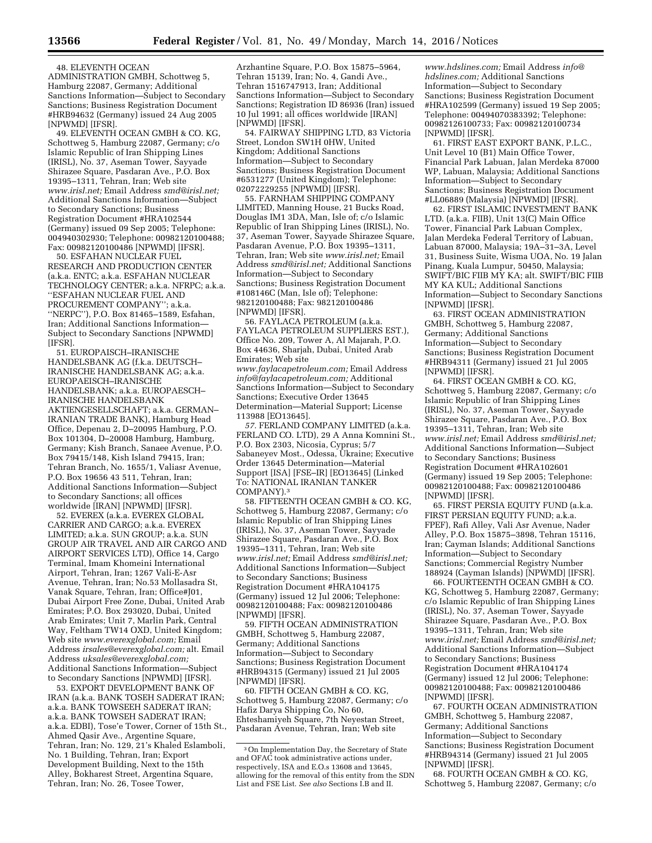## 48. ELEVENTH OCEAN

ADMINISTRATION GMBH, Schottweg 5, Hamburg 22087, Germany; Additional Sanctions Information—Subject to Secondary Sanctions; Business Registration Document #HRB94632 (Germany) issued 24 Aug 2005 [NPWMD] [IFSR].

49. ELEVENTH OCEAN GMBH & CO. KG, Schottweg 5, Hamburg 22087, Germany; c/o Islamic Republic of Iran Shipping Lines (IRISL), No. 37, Aseman Tower, Sayyade Shirazee Square, Pasdaran Ave., P.O. Box 19395–1311, Tehran, Iran; Web site *[www.irisl.net;](http://www.irisl.net)* Email Address *[smd@irisl.net;](mailto:smd@irisl.net)*  Additional Sanctions Information—Subject to Secondary Sanctions; Business Registration Document #HRA102544 (Germany) issued 09 Sep 2005; Telephone: 004940302930; Telephone: 00982120100488; Fax: 00982120100486 [NPWMD] [IFSR].

50. ESFAHAN NUCLEAR FUEL RESEARCH AND PRODUCTION CENTER (a.k.a. ENTC; a.k.a. ESFAHAN NUCLEAR TECHNOLOGY CENTER; a.k.a. NFRPC; a.k.a. ''ESFAHAN NUCLEAR FUEL AND PROCUREMENT COMPANY''; a.k.a. ''NERPC''), P.O. Box 81465–1589, Esfahan, Iran; Additional Sanctions Information— Subject to Secondary Sanctions [NPWMD] [IFSR].

51. EUROPAISCH–IRANISCHE HANDELSBANK AG (f.k.a. DEUTSCH– IRANISCHE HANDELSBANK AG; a.k.a. EUROPAEISCH–IRANISCHE HANDELSBANK; a.k.a. EUROPAESCH– IRANISCHE HANDELSBANK AKTIENGESELLSCHAFT; a.k.a. GERMAN– IRANIAN TRADE BANK), Hamburg Head Office, Depenau 2, D–20095 Hamburg, P.O. Box 101304, D–20008 Hamburg, Hamburg, Germany; Kish Branch, Sanaee Avenue, P.O. Box 79415/148, Kish Island 79415, Iran; Tehran Branch, No. 1655/1, Valiasr Avenue, P.O. Box 19656 43 511, Tehran, Iran; Additional Sanctions Information—Subject to Secondary Sanctions; all offices worldwide [IRAN] [NPWMD] [IFSR].

52. EVEREX (a.k.a. EVEREX GLOBAL CARRIER AND CARGO; a.k.a. EVEREX LIMITED; a.k.a. SUN GROUP; a.k.a. SUN GROUP AIR TRAVEL AND AIR CARGO AND AIRPORT SERVICES LTD), Office 14, Cargo Terminal, Imam Khomeini International Airport, Tehran, Iran; 1267 Vali-E-Asr Avenue, Tehran, Iran; No.53 Mollasadra St, Vanak Square, Tehran, Iran; Office#J01, Dubai Airport Free Zone, Dubai, United Arab Emirates; P.O. Box 293020, Dubai, United Arab Emirates; Unit 7, Marlin Park, Central Way, Feltham TW14 OXD, United Kingdom; Web site *[www.everexglobal.com;](http://www.everexglobal.com)* Email Address *[irsales@everexglobal.com;](mailto:irsales@everexglobal.com)* alt. Email Address *[uksales@everexglobal.com;](mailto:uksales@everexglobal.com)*  Additional Sanctions Information—Subject to Secondary Sanctions [NPWMD] [IFSR].

53. EXPORT DEVELOPMENT BANK OF IRAN (a.k.a. BANK TOSEH SADERAT IRAN; a.k.a. BANK TOWSEEH SADERAT IRAN; a.k.a. BANK TOWSEH SADERAT IRAN; a.k.a. EDBI), Tose'e Tower, Corner of 15th St., Ahmed Qasir Ave., Argentine Square, Tehran, Iran; No. 129, 21's Khaled Eslamboli, No. 1 Building, Tehran, Iran; Export Development Building, Next to the 15th Alley, Bokharest Street, Argentina Square, Tehran, Iran; No. 26, Tosee Tower,

Arzhantine Square, P.O. Box 15875–5964, Tehran 15139, Iran; No. 4, Gandi Ave., Tehran 1516747913, Iran; Additional Sanctions Information—Subject to Secondary Sanctions; Registration ID 86936 (Iran) issued 10 Jul 1991; all offices worldwide [IRAN] [NPWMD] [IFSR].

54. FAIRWAY SHIPPING LTD, 83 Victoria Street, London SW1H 0HW, United Kingdom; Additional Sanctions Information—Subject to Secondary Sanctions; Business Registration Document #6531277 (United Kingdom); Telephone: 02072229255 [NPWMD] [IFSR].

55. FARNHAM SHIPPING COMPANY LIMITED, Manning House, 21 Bucks Road, Douglas IM1 3DA, Man, Isle of; c/o Islamic Republic of Iran Shipping Lines (IRISL), No. 37, Aseman Tower, Sayyade Shirazee Square, Pasdaran Avenue, P.O. Box 19395–1311, Tehran, Iran; Web site *[www.irisl.net;](http://www.irisl.net)* Email Address *[smd@irisl.net;](mailto:smd@irisl.net)* Additional Sanctions Information—Subject to Secondary Sanctions; Business Registration Document #108146C (Man, Isle of); Telephone: 982120100488; Fax: 982120100486 [NPWMD] [IFSR].

56. FAYLACA PETROLEUM (a.k.a. FAYLACA PETROLEUM SUPPLIERS EST.), Office No. 209, Tower A, Al Majarah, P.O. Box 44636, Sharjah, Dubai, United Arab Emirates; Web site *[www.faylacapetroleum.com;](http://www.faylacapetroleum.com)* Email Address *[info@faylacapetroleum.com;](mailto:info@faylacapetroleum.com)* Additional Sanctions Information—Subject to Secondary Sanctions; Executive Order 13645 Determination—Material Support; License 113988 [EO13645].

*57.* FERLAND COMPANY LIMITED (a.k.a. FERLAND CO. LTD), 29 A Anna Komnini St., P.O. Box 2303, Nicosia, Cyprus; 5/7 Sabaneyev Most., Odessa, Ukraine; Executive Order 13645 Determination—Material Support [ISA] [FSE–IR] [EO13645] (Linked To: NATIONAL IRANIAN TANKER COMPANY).3

58. FIFTEENTH OCEAN GMBH & CO. KG, Schottweg 5, Hamburg 22087, Germany; c/o Islamic Republic of Iran Shipping Lines (IRISL), No. 37, Aseman Tower, Sayyade Shirazee Square, Pasdaran Ave., P.O. Box 19395–1311, Tehran, Iran; Web site *[www.irisl.net;](http://www.irisl.net)* Email Address *[smd@irisl.net;](mailto:smd@irisl.net)*  Additional Sanctions Information—Subject to Secondary Sanctions; Business Registration Document #HRA104175 (Germany) issued 12 Jul 2006; Telephone: 00982120100488; Fax: 00982120100486 [NPWMD] [IFSR].

59. FIFTH OCEAN ADMINISTRATION GMBH, Schottweg 5, Hamburg 22087, Germany; Additional Sanctions Information—Subject to Secondary Sanctions; Business Registration Document #HRB94315 (Germany) issued 21 Jul 2005 [NPWMD] [IFSR].

60. FIFTH OCEAN GMBH & CO. KG, Schottweg 5, Hamburg 22087, Germany; c/o Hafiz Darya Shipping Co, No 60, Ehteshamiyeh Square, 7th Neyestan Street, Pasdaran Avenue, Tehran, Iran; Web site

*[www.hdslines.com;](http://www.hdslines.com)* Email Address *[info@](mailto:info@hdslines.com) [hdslines.com;](mailto:info@hdslines.com)* Additional Sanctions Information—Subject to Secondary Sanctions; Business Registration Document #HRA102599 (Germany) issued 19 Sep 2005; Telephone: 00494070383392; Telephone: 00982126100733; Fax: 00982120100734 [NPWMD] [IFSR].

61. FIRST EAST EXPORT BANK, P.L.C., Unit Level 10 (B1) Main Office Tower, Financial Park Labuan, Jalan Merdeka 87000 WP, Labuan, Malaysia; Additional Sanctions Information—Subject to Secondary Sanctions; Business Registration Document #LL06889 (Malaysia) [NPWMD] [IFSR].

62. FIRST ISLAMIC INVESTMENT BANK LTD. (a.k.a. FIIB), Unit 13(C) Main Office Tower, Financial Park Labuan Complex, Jalan Merdeka Federal Territory of Labuan, Labuan 87000, Malaysia; 19A–31–3A, Level 31, Business Suite, Wisma UOA, No. 19 Jalan Pinang, Kuala Lumpur, 50450, Malaysia; SWIFT/BIC FIIB MY KA; alt. SWIFT/BIC FIIB MY KA KUL; Additional Sanctions Information—Subject to Secondary Sanctions [NPWMD] [IFSR].

63. FIRST OCEAN ADMINISTRATION GMBH, Schottweg 5, Hamburg 22087, Germany; Additional Sanctions Information—Subject to Secondary Sanctions; Business Registration Document #HRB94311 (Germany) issued 21 Jul 2005 [NPWMD] [IFSR].

64. FIRST OCEAN GMBH & CO. KG, Schottweg 5, Hamburg 22087, Germany; c/o Islamic Republic of Iran Shipping Lines (IRISL), No. 37, Aseman Tower, Sayyade Shirazee Square, Pasdaran Ave., P.O. Box 19395–1311, Tehran, Iran; Web site *[www.irisl.net;](http://www.irisl.net)* Email Address *[smd@irisl.net;](mailto:smd@irisl.net)*  Additional Sanctions Information—Subject to Secondary Sanctions; Business Registration Document #HRA102601 (Germany) issued 19 Sep 2005; Telephone: 00982120100488; Fax: 00982120100486 [NPWMD] [IFSR].

65. FIRST PERSIA EQUITY FUND (a.k.a. FIRST PERSIAN EQUITY FUND; a.k.a. FPEF), Rafi Alley, Vali Asr Avenue, Nader Alley, P.O. Box 15875–3898, Tehran 15116, Iran; Cayman Islands; Additional Sanctions Information—Subject to Secondary Sanctions; Commercial Registry Number 188924 (Cayman Islands) [NPWMD] [IFSR].

66. FOURTEENTH OCEAN GMBH & CO. KG, Schottweg 5, Hamburg 22087, Germany; c/o Islamic Republic of Iran Shipping Lines (IRISL), No. 37, Aseman Tower, Sayyade Shirazee Square, Pasdaran Ave., P.O. Box 19395–1311, Tehran, Iran; Web site *[www.irisl.net;](http://www.irisl.net)* Email Address *[smd@irisl.net;](mailto:smd@irisl.net)*  Additional Sanctions Information—Subject to Secondary Sanctions; Business Registration Document #HRA104174 (Germany) issued 12 Jul 2006; Telephone: 00982120100488; Fax: 00982120100486 [NPWMD] [IFSR].

67. FOURTH OCEAN ADMINISTRATION GMBH, Schottweg 5, Hamburg 22087, Germany; Additional Sanctions Information—Subject to Secondary Sanctions; Business Registration Document #HRB94314 (Germany) issued 21 Jul 2005 [NPWMD] [IFSR].

68. FOURTH OCEAN GMBH & CO. KG, Schottweg 5, Hamburg 22087, Germany; c/o

<sup>3</sup>On Implementation Day, the Secretary of State and OFAC took administrative actions under, respectively, ISA and E.O.s 13608 and 13645, allowing for the removal of this entity from the SDN List and FSE List. *See also* Sections I.B and II.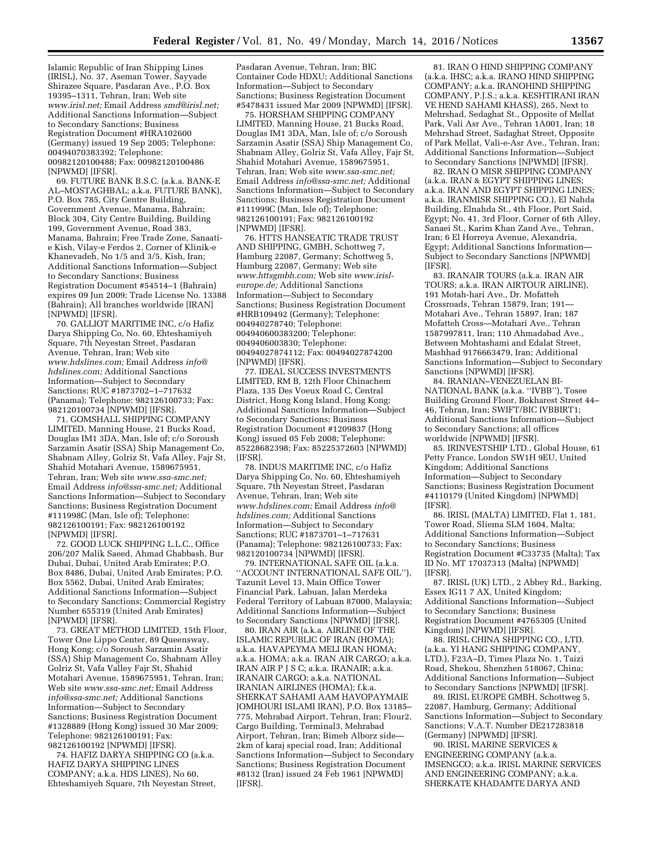Islamic Republic of Iran Shipping Lines (IRISL), No. 37, Aseman Tower, Sayyade Shirazee Square, Pasdaran Ave., P.O. Box 19395–1311, Tehran, Iran; Web site *[www.irisl.net;](http://www.irisl.net)* Email Address *[smd@irisl.net;](mailto:smd@irisl.net)*  Additional Sanctions Information—Subject to Secondary Sanctions; Business Registration Document #HRA102600 (Germany) issued 19 Sep 2005; Telephone: 00494070383392; Telephone: 00982120100488; Fax: 00982120100486 [NPWMD] [IFSR].

69. FUTURE BANK B.S.C. (a.k.a. BANK-E AL–MOSTAGHBAL; a.k.a. FUTURE BANK), P.O. Box 785, City Centre Building, Government Avenue, Manama, Bahrain; Block 304, City Centre Building, Building 199, Government Avenue, Road 383, Manama, Bahrain; Free Trade Zone, Sanaatie Kish, Vilay-e Ferdos 2, Corner of Klinik-e Khanevadeh, No 1/5 and 3/5, Kish, Iran; Additional Sanctions Information—Subject to Secondary Sanctions; Business Registration Document #54514–1 (Bahrain) expires 09 Jun 2009; Trade License No. 13388 (Bahrain); All branches worldwide [IRAN] [NPWMD] [IFSR].

70. GALLIOT MARITIME INC, c/o Hafiz Darya Shipping Co, No. 60, Ehteshamiyeh Square, 7th Neyestan Street, Pasdaran Avenue, Tehran, Iran; Web site *[www.hdslines.com;](http://www.hdslines.com)* Email Address *[info@](mailto:info@hdslines.com) [hdslines.com;](mailto:info@hdslines.com)* Additional Sanctions Information—Subject to Secondary Sanctions; RUC #1873702–1–717632 (Panama); Telephone: 982126100733; Fax: 982120100734 [NPWMD] [IFSR].

71. GOMSHALL SHIPPING COMPANY LIMITED, Manning House, 21 Bucks Road, Douglas IM1 3DA, Man, Isle of; c/o Soroush Sarzamin Asatir (SSA) Ship Management Co, Shabnam Alley, Golriz St, Vafa Alley, Fajr St, Shahid Motahari Avenue, 1589675951, Tehran, Iran; Web site *[www.ssa-smc.net;](http://www.ssa-smc.net)*  Email Address *[info@ssa-smc.net;](mailto:info@ssa-smc.net)* Additional Sanctions Information—Subject to Secondary Sanctions; Business Registration Document #111998C (Man, Isle of); Telephone: 982126100191; Fax: 982126100192 [NPWMD] [IFSR].

72. GOOD LUCK SHIPPING L.L.C., Office 206/207 Malik Saeed, Ahmad Ghabbash, Bur Dubai, Dubai, United Arab Emirates; P.O. Box 8486, Dubai, United Arab Emirates; P.O. Box 5562, Dubai, United Arab Emirates; Additional Sanctions Information—Subject to Secondary Sanctions; Commercial Registry Number 655319 (United Arab Emirates) [NPWMD] [IFSR].

73. GREAT METHOD LIMITED, 15th Floor, Tower One Lippo Center, 89 Queensway, Hong Kong; c/o Soroush Sarzamin Asatir (SSA) Ship Management Co, Shabnam Alley Golriz St, Vafa Valley Fajr St, Shahid Motahari Avenue, 1589675951, Tehran, Iran; Web site *[www.ssa-smc.net;](http://www.ssa-smc.net)* Email Address *[info@ssa-smc.net;](mailto:info@ssa-smc.net)* Additional Sanctions Information—Subject to Secondary Sanctions; Business Registration Document #1328889 (Hong Kong) issued 30 Mar 2009; Telephone: 982126100191; Fax: 982126100192 [NPWMD] [IFSR].

74. HAFIZ DARYA SHIPPING CO (a.k.a. HAFIZ DARYA SHIPPING LINES COMPANY; a.k.a. HDS LINES), No 60, Ehteshamiyeh Square, 7th Neyestan Street, Pasdaran Avenue, Tehran, Iran; BIC Container Code HDXU; Additional Sanctions Information—Subject to Secondary Sanctions; Business Registration Document #5478431 issued Mar 2009 [NPWMD] [IFSR].

75. HORSHAM SHIPPING COMPANY LIMITED, Manning House, 21 Bucks Road, Douglas IM1 3DA, Man, Isle of; c/o Soroush Sarzamin Asatir (SSA) Ship Management Co, Shabnam Alley, Golriz St, Vafa Alley, Fajr St, Shahid Motahari Avenue, 1589675951, Tehran, Iran; Web site *[www.ssa-smc.net;](http://www.ssa-smc.net)*  Email Address *[info@ssa-smc.net;](mailto:info@ssa-smc.net)* Additional Sanctions Information—Subject to Secondary Sanctions; Business Registration Document #111999C (Man, Isle of); Telephone: 982126100191; Fax: 982126100192 [NPWMD] [IFSR].

76. HTTS HANSEATIC TRADE TRUST AND SHIPPING, GMBH, Schottweg 7, Hamburg 22087, Germany; Schottweg 5, Hamburg 22087, Germany; Web site *[www.httsgmbh.com;](http://www.httsgmbh.com)* Web site *[www.irisl](http://www.irisl-europe.de)[europe.de;](http://www.irisl-europe.de)* Additional Sanctions Information—Subject to Secondary Sanctions; Business Registration Document #HRB109492 (Germany); Telephone: 004940278740; Telephone: 004940600383200; Telephone: 0049406003830; Telephone: 00494027874112; Fax: 00494027874200 [NPWMD] [IFSR].

77. IDEAL SUCCESS INVESTMENTS LIMITED, RM B, 12th Floor Chinachem Plaza, 135 Des Voeux Road C, Central District, Hong Kong Island, Hong Kong; Additional Sanctions Information—Subject to Secondary Sanctions; Business Registration Document #1209837 (Hong Kong) issued 05 Feb 2008; Telephone: 85228682398; Fax: 85225372603 [NPWMD] [IFSR].

78. INDUS MARITIME INC, c/o Hafiz Darya Shipping Co, No. 60, Ehteshamiyeh Square, 7th Neyestan Street, Pasdaran Avenue, Tehran, Iran; Web site *[www.hdslines.com;](http://www.hdslines.com)* Email Address *[info@](mailto:info@hdslines.com) [hdslines.com;](mailto:info@hdslines.com)* Additional Sanctions Information—Subject to Secondary Sanctions; RUC #1873701–1–717631 (Panama); Telephone: 982126100733; Fax: 982120100734 [NPWMD] [IFSR].

79. INTERNATIONAL SAFE OIL (a.k.a. ''ACCOUNT INTERNATIONAL SAFE OIL''), Tazunit Level 13, Main Office Tower Financial Park, Labuan, Jalan Merdeka Federal Territory of Labuan 87000, Malaysia; Additional Sanctions Information—Subject to Secondary Sanctions [NPWMD] [IFSR].

80. IRAN AIR (a.k.a. AIRLINE OF THE ISLAMIC REPUBLIC OF IRAN (HOMA); a.k.a. HAVAPEYMA MELI IRAN HOMA; a.k.a. HOMA; a.k.a. IRAN AIR CARGO; a.k.a. IRAN AIR P J S C; a.k.a. IRANAIR; a.k.a. IRANAIR CARGO; a.k.a. NATIONAL IRANIAN AIRLINES (HOMA); f.k.a. SHERKAT SAHAMI AAM HAVOPAYMAIE JOMHOURI ISLAMI IRAN), P.O. Box 13185– 775, Mehrabad Airport, Tehran, Iran; Flour2, Cargo Building, Terminal3, Mehrabad Airport, Tehran, Iran; Bimeh Alborz side— 2km of karaj special road, Iran; Additional Sanctions Information—Subject to Secondary Sanctions; Business Registration Document #8132 (Iran) issued 24 Feb 1961 [NPWMD] [IFSR].

81. IRAN O HIND SHIPPING COMPANY (a.k.a. IHSC; a.k.a. IRANO HIND SHIPPING COMPANY; a.k.a. IRANOHIND SHIPPING COMPANY, P.J.S.; a.k.a. KESHTIRANI IRAN VE HEND SAHAMI KHASS), 265, Next to Mehrshad, Sedaghat St., Opposite of Mellat Park, Vali Asr Ave., Tehran 1A001, Iran; 18 Mehrshad Street, Sadaghat Street, Opposite of Park Mellat, Vali-e-Asr Ave., Tehran, Iran; Additional Sanctions Information—Subject to Secondary Sanctions [NPWMD] [IFSR].

82. IRAN O MISR SHIPPING COMPANY (a.k.a. IRAN & EGYPT SHIPPING LINES; a.k.a. IRAN AND EGYPT SHIPPING LINES; a.k.a. IRANMISR SHIPPING CO.), El Nahda Building, Elnahda St., 4th Floor, Port Said, Egypt; No. 41, 3rd Floor, Corner of 6th Alley, Sanaei St., Karim Khan Zand Ave., Tehran, Iran; 6 El Horreya Avenue, Alexandria, Egypt; Additional Sanctions Information— Subject to Secondary Sanctions [NPWMD] [IFSR].

83. IRANAIR TOURS (a.k.a. IRAN AIR TOURS; a.k.a. IRAN AIRTOUR AIRLINE), 191 Motah-hari Ave., Dr. Mofatteh Crossroads, Tehran 15879, Iran; 191— Motahari Ave., Tehran 15897, Iran; 187 Mofatteh Cross—Motahari Ave., Tehran 1587997811, Iran; 110 Ahmadabad Ave., Between Mohtashami and Edalat Street, Mashhad 9176663479, Iran; Additional Sanctions Information—Subject to Secondary Sanctions [NPWMD] [IFSR].

84. IRANIAN–VENEZUELAN BI-NATIONAL BANK (a.k.a. ''IVBB''), Tosee Building Ground Floor, Bokharest Street 44– 46, Tehran, Iran; SWIFT/BIC IVBBIRT1; Additional Sanctions Information—Subject to Secondary Sanctions; all offices worldwide [NPWMD] [IFSR].

85. IRINVESTSHIP LTD., Global House, 61 Petty France, London SW1H 9EU, United Kingdom; Additional Sanctions Information—Subject to Secondary Sanctions; Business Registration Document #4110179 (United Kingdom) [NPWMD] [IFSR].

86. IRISL (MALTA) LIMITED, Flat 1, 181, Tower Road, Sliema SLM 1604, Malta; Additional Sanctions Information—Subject to Secondary Sanctions; Business Registration Document #C33735 (Malta); Tax ID No. MT 17037313 (Malta) [NPWMD] [IFSR]

87. IRISL (UK) LTD., 2 Abbey Rd., Barking, Essex IG11 7 AX, United Kingdom; Additional Sanctions Information—Subject to Secondary Sanctions; Business Registration Document #4765305 (United Kingdom) [NPWMD] [IFSR].

88. IRISL CHINA SHIPPING CO., LTD. (a.k.a. YI HANG SHIPPING COMPANY, LTD.), F23A–D, Times Plaza No. 1, Taizi Road, Shekou, Shenzhen 518067, China; Additional Sanctions Information—Subject to Secondary Sanctions [NPWMD] [IFSR].

89. IRISL EUROPE GMBH, Schottweg 5, 22087, Hamburg, Germany; Additional Sanctions Information—Subject to Secondary Sanctions; V.A.T. Number DE217283818 (Germany) [NPWMD] [IFSR].

90. IRISL MARINE SERVICES & ENGINEERING COMPANY (a.k.a. IMSENGCO; a.k.a. IRISL MARINE SERVICES AND ENGINEERING COMPANY; a.k.a. SHERKATE KHADAMTE DARYA AND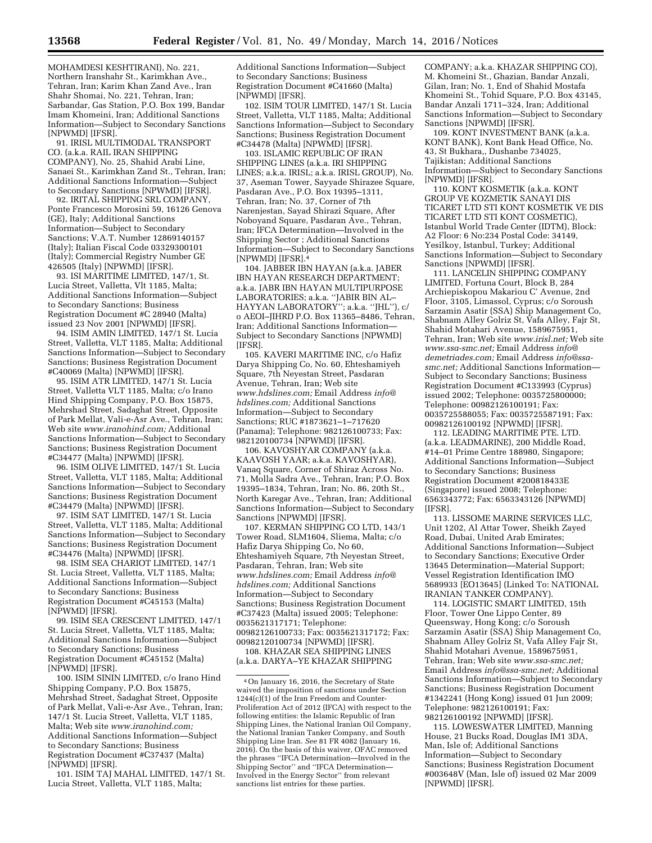MOHAMDESI KESHTIRANI), No. 221, Northern Iranshahr St., Karimkhan Ave., Tehran, Iran; Karim Khan Zand Ave., Iran Shahr Shomai, No. 221, Tehran, Iran; Sarbandar, Gas Station, P.O. Box 199, Bandar Imam Khomeini, Iran; Additional Sanctions Information—Subject to Secondary Sanctions [NPWMD] [IFSR].

91. IRISL MULTIMODAL TRANSPORT CO. (a.k.a. RAIL IRAN SHIPPING COMPANY), No. 25, Shahid Arabi Line, Sanaei St., Karimkhan Zand St., Tehran, Iran; Additional Sanctions Information—Subject to Secondary Sanctions [NPWMD] [IFSR].

92. IRITAL SHIPPING SRL COMPANY, Ponte Francesco Morosini 59, 16126 Genova (GE), Italy; Additional Sanctions Information—Subject to Secondary Sanctions; V.A.T. Number 12869140157 (Italy); Italian Fiscal Code 03329300101 (Italy); Commercial Registry Number GE 426505 (Italy) [NPWMD] [IFSR].

93. ISI MARITIME LIMITED, 147/1, St. Lucia Street, Valletta, Vlt 1185, Malta; Additional Sanctions Information—Subject to Secondary Sanctions; Business Registration Document #C 28940 (Malta) issued 23 Nov 2001 [NPWMD] [IFSR].

94. ISIM AMIN LIMITED, 147/1 St. Lucia Street, Valletta, VLT 1185, Malta; Additional Sanctions Information—Subject to Secondary Sanctions; Business Registration Document #C40069 (Malta) [NPWMD] [IFSR].

95. ISIM ATR LIMITED, 147/1 St. Lucia Street, Valletta VLT 1185, Malta; c/o Irano Hind Shipping Company, P.O. Box 15875, Mehrshad Street, Sadaghat Street, Opposite of Park Mellat, Vali-e-Asr Ave., Tehran, Iran; Web site *[www.iranohind.com;](http://www.iranohind.com)* Additional Sanctions Information—Subject to Secondary Sanctions; Business Registration Document #C34477 (Malta) [NPWMD] [IFSR].

96. ISIM OLIVE LIMITED, 147/1 St. Lucia Street, Valletta, VLT 1185, Malta; Additional Sanctions Information—Subject to Secondary Sanctions; Business Registration Document #C34479 (Malta) [NPWMD] [IFSR].

97. ISIM SAT LIMITED, 147/1 St. Lucia Street, Valletta, VLT 1185, Malta; Additional Sanctions Information—Subject to Secondary Sanctions; Business Registration Document #C34476 (Malta) [NPWMD] [IFSR].

98. ISIM SEA CHARIOT LIMITED, 147/1 St. Lucia Street, Valletta, VLT 1185, Malta; Additional Sanctions Information—Subject to Secondary Sanctions; Business Registration Document #C45153 (Malta) [NPWMD] [IFSR].

99. ISIM SEA CRESCENT LIMITED, 147/1 St. Lucia Street, Valletta, VLT 1185, Malta; Additional Sanctions Information—Subject to Secondary Sanctions; Business Registration Document #C45152 (Malta) [NPWMD] [IFSR].

100. ISIM SININ LIMITED, c/o Irano Hind Shipping Company, P.O. Box 15875, Mehrshad Street, Sadaghat Street, Opposite of Park Mellat, Vali-e-Asr Ave., Tehran, Iran; 147/1 St. Lucia Street, Valletta, VLT 1185, Malta; Web site *[www.iranohind.com;](http://www.iranohind.com)*  Additional Sanctions Information—Subject to Secondary Sanctions; Business Registration Document #C37437 (Malta) [NPWMD] [IFSR].

101. ISIM TAJ MAHAL LIMITED, 147/1 St. Lucia Street, Valletta, VLT 1185, Malta;

Additional Sanctions Information—Subject to Secondary Sanctions; Business Registration Document #C41660 (Malta) [NPWMD] [IFSR].

102. ISIM TOUR LIMITED, 147/1 St. Lucia Street, Valletta, VLT 1185, Malta; Additional Sanctions Information—Subject to Secondary Sanctions; Business Registration Document #C34478 (Malta) [NPWMD] [IFSR].

103. ISLAMIC REPUBLIC OF IRAN SHIPPING LINES (a.k.a. IRI SHIPPING LINES; a.k.a. IRISL; a.k.a. IRISL GROUP), No. 37, Aseman Tower, Sayyade Shirazee Square, Pasdaran Ave., P.O. Box 19395–1311, Tehran, Iran; No. 37, Corner of 7th Narenjestan, Sayad Shirazi Square, After Noboyand Square, Pasdaran Ave., Tehran, Iran; IFCA Determination—Involved in the Shipping Sector ; Additional Sanctions Information—Subject to Secondary Sanctions [NPWMD] [IFSR].4

104. JABBER IBN HAYAN (a.k.a. JABER IBN HAYAN RESEARCH DEPARTMENT; a.k.a. JABR IBN HAYAN MULTIPURPOSE LABORATORIES; a.k.a. ''JABIR BIN AL– HAYYAN LABORATORY''; a.k.a. ''JHL''), c/ o AEOI–JIHRD P.O. Box 11365–8486, Tehran, Iran; Additional Sanctions Information— Subject to Secondary Sanctions [NPWMD] [IFSR].

105. KAVERI MARITIME INC, c/o Hafiz Darya Shipping Co, No. 60, Ehteshamiyeh Square, 7th Neyestan Street, Pasdaran Avenue, Tehran, Iran; Web site *[www.hdslines.com;](http://www.hdslines.com)* Email Address *[info@](mailto:info@hdslines.com) [hdslines.com;](mailto:info@hdslines.com)* Additional Sanctions Information—Subject to Secondary Sanctions; RUC #1873621–1–717620 (Panama); Telephone: 982126100733; Fax: 982120100734 [NPWMD] [IFSR].

106. KAVOSHYAR COMPANY (a.k.a. KAAVOSH YAAR; a.k.a. KAVOSHYAR), Vanaq Square, Corner of Shiraz Across No. 71, Molla Sadra Ave., Tehran, Iran; P.O. Box 19395–1834, Tehran, Iran; No. 86, 20th St., North Karegar Ave., Tehran, Iran; Additional Sanctions Information—Subject to Secondary Sanctions [NPWMD] [IFSR].

107. KERMAN SHIPPING CO LTD, 143/1 Tower Road, SLM1604, Sliema, Malta; c/o Hafiz Darya Shipping Co, No 60, Ehteshamiyeh Square, 7th Neyestan Street, Pasdaran, Tehran, Iran; Web site *[www.hdslines.com;](http://www.hdslines.com)* Email Address *[info@](mailto:info@hdslines.com) [hdslines.com;](mailto:info@hdslines.com)* Additional Sanctions Information—Subject to Secondary Sanctions; Business Registration Document #C37423 (Malta) issued 2005; Telephone: 0035621317171; Telephone: 00982126100733; Fax: 0035621317172; Fax: 00982120100734 [NPWMD] [IFSR].

108. KHAZAR SEA SHIPPING LINES (a.k.a. DARYA–YE KHAZAR SHIPPING

COMPANY; a.k.a. KHAZAR SHIPPING CO), M. Khomeini St., Ghazian, Bandar Anzali, Gilan, Iran; No. 1, End of Shahid Mostafa Khomeini St., Tohid Square, P.O. Box 43145, Bandar Anzali 1711–324, Iran; Additional Sanctions Information—Subject to Secondary Sanctions [NPWMD] [IFSR].

109. KONT INVESTMENT BANK (a.k.a. KONT BANK), Kont Bank Head Office, No. 43, St Bukhara,, Dushanbe 734025, Tajikistan; Additional Sanctions Information—Subject to Secondary Sanctions [NPWMD] [IFSR].

110. KONT KOSMETIK (a.k.a. KONT GROUP VE KOZMETIK SANAYI DIS TICARET LTD STI KONT KOSMETIK VE DIS TICARET LTD STI KONT COSMETIC), Istanbul World Trade Center (IDTM), Block: A2 Floor: 6 No:234 Postal Code: 34149, Yesilkoy, Istanbul, Turkey; Additional Sanctions Information—Subject to Secondary Sanctions [NPWMD] [IFSR].

111. LANCELIN SHIPPING COMPANY LIMITED, Fortuna Court, Block B, 284 Archiepiskopou Makariou C' Avenue, 2nd Floor, 3105, Limassol, Cyprus; c/o Soroush Sarzamin Asatir (SSA) Ship Management Co, Shabnam Alley Golriz St, Vafa Alley, Fajr St, Shahid Motahari Avenue, 1589675951, Tehran, Iran; Web site *[www.irisl.net;](http://www.irisl.net)* Web site *[www.ssa-smc.net;](http://www.ssa-smc.net)* Email Address *[info@](mailto:info@demetriades.com) [demetriades.com;](mailto:info@demetriades.com)* Email Address *[info@ssa](mailto:info@ssa-smc.net)[smc.net;](mailto:info@ssa-smc.net)* Additional Sanctions Information— Subject to Secondary Sanctions; Business Registration Document #C133993 (Cyprus) issued 2002; Telephone: 0035725800000; Telephone: 00982126100191; Fax: 0035725588055; Fax: 0035725587191; Fax: 00982126100192 [NPWMD] [IFSR].

112. LEADING MARITIME PTE. LTD. (a.k.a. LEADMARINE), 200 Middle Road, #14–01 Prime Centre 188980, Singapore; Additional Sanctions Information—Subject to Secondary Sanctions; Business Registration Document #200818433E (Singapore) issued 2008; Telephone: 6563343772; Fax: 6563343126 [NPWMD] [IFSR].

113. LISSOME MARINE SERVICES LLC, Unit 1202, Al Attar Tower, Sheikh Zayed Road, Dubai, United Arab Emirates; Additional Sanctions Information—Subject to Secondary Sanctions; Executive Order 13645 Determination—Material Support; Vessel Registration Identification IMO 5689933 [EO13645] (Linked To: NATIONAL IRANIAN TANKER COMPANY).

114. LOGISTIC SMART LIMITED, 15th Floor, Tower One Lippo Center, 89 Queensway, Hong Kong; c/o Soroush Sarzamin Asatir (SSA) Ship Management Co, Shabnam Alley Golriz St, Vafa Alley Fajr St, Shahid Motahari Avenue, 1589675951, Tehran, Iran; Web site *[www.ssa-smc.net;](http://www.ssa-smc.net)*  Email Address *[info@ssa-smc.net;](mailto:info@ssa-smc.net)* Additional Sanctions Information—Subject to Secondary Sanctions; Business Registration Document #1342241 (Hong Kong) issued 01 Jun 2009; Telephone: 982126100191; Fax: 982126100192 [NPWMD] [IFSR].

115. LOWESWATER LIMITED, Manning House, 21 Bucks Road, Douglas IM1 3DA, Man, Isle of; Additional Sanctions Information—Subject to Secondary Sanctions; Business Registration Document #003648V (Man, Isle of) issued 02 Mar 2009 [NPWMD] [IFSR].

<sup>4</sup>On January 16, 2016, the Secretary of State waived the imposition of sanctions under Section 1244(c)(1) of the Iran Freedom and Counter-Proliferation Act of 2012 (IFCA) with respect to the following entities: the Islamic Republic of Iran Shipping Lines, the National Iranian Oil Company, the National Iranian Tanker Company, and South Shipping Line Iran. *See* 81 FR 4082 (January 16, 2016). On the basis of this waiver, OFAC removed the phrases ''IFCA Determination—Involved in the Shipping Sector'' and ''IFCA Determination— Involved in the Energy Sector'' from relevant sanctions list entries for these parties.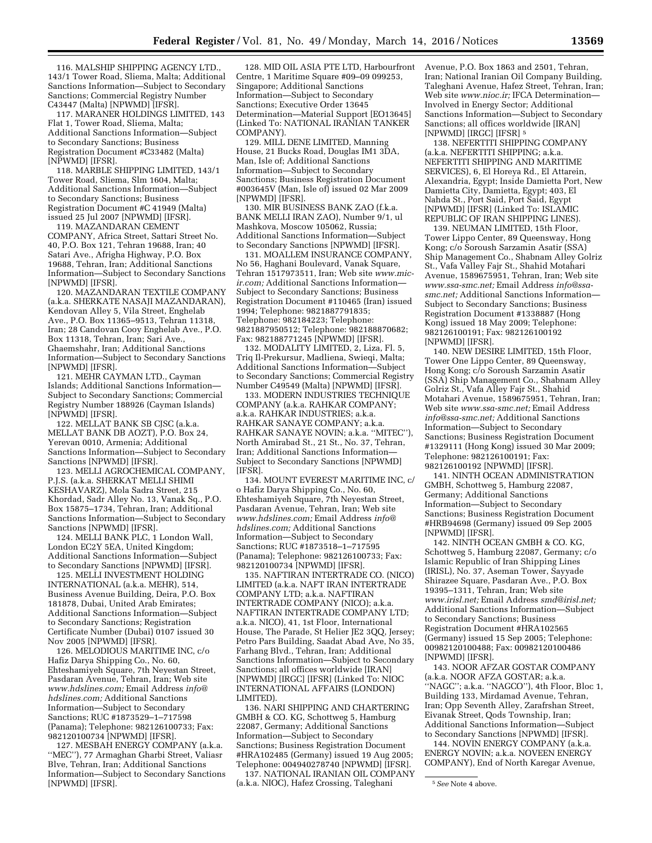116. MALSHIP SHIPPING AGENCY LTD., 143/1 Tower Road, Sliema, Malta; Additional Sanctions Information—Subject to Secondary Sanctions; Commercial Registry Number  $C43447$  (Malta) [NPWMD] [IFSR].

117. MARANER HOLDINGS LIMITED, 143 Flat 1, Tower Road, Sliema, Malta; Additional Sanctions Information—Subject to Secondary Sanctions; Business Registration Document #C33482 (Malta) [NPWMD] [IFSR].

118. MARBLE SHIPPING LIMITED, 143/1 Tower Road, Sliema, Slm 1604, Malta; Additional Sanctions Information—Subject to Secondary Sanctions; Business Registration Document #C 41949 (Malta) issued 25 Jul 2007 [NPWMD] [IFSR].

119. MAZANDARAN CEMENT COMPANY, Africa Street, Sattari Street No. 40, P.O. Box 121, Tehran 19688, Iran; 40 Satari Ave., Afrigha Highway, P.O. Box 19688, Tehran, Iran; Additional Sanctions Information—Subject to Secondary Sanctions [NPWMD] [IFSR].

120. MAZANDARAN TEXTILE COMPANY (a.k.a. SHERKATE NASAJI MAZANDARAN), Kendovan Alley 5, Vila Street, Enghelab Ave., P.O. Box 11365–9513, Tehran 11318, Iran; 28 Candovan Cooy Enghelab Ave., P.O. Box 11318, Tehran, Iran; Sari Ave., Ghaemshahr, Iran; Additional Sanctions Information—Subject to Secondary Sanctions [NPWMD] [IFSR].

121. MEHR CAYMAN LTD., Cayman Islands; Additional Sanctions Information— Subject to Secondary Sanctions; Commercial Registry Number 188926 (Cayman Islands) [NPWMD] [IFSR].

122. MELLAT BANK SB CJSC (a.k.a. MELLAT BANK DB AOZT), P.O. Box 24, Yerevan 0010, Armenia; Additional Sanctions Information—Subject to Secondary Sanctions [NPWMD] [IFSR].

123. MELLI AGROCHEMICAL COMPANY, P.J.S. (a.k.a. SHERKAT MELLI SHIMI KESHAVARZ), Mola Sadra Street, 215 Khordad, Sadr Alley No. 13, Vanak Sq., P.O. Box 15875–1734, Tehran, Iran; Additional Sanctions Information—Subject to Secondary Sanctions [NPWMD] [IFSR].

124. MELLI BANK PLC, 1 London Wall, London EC2Y 5EA, United Kingdom; Additional Sanctions Information—Subject to Secondary Sanctions [NPWMD] [IFSR].

125. MELLI INVESTMENT HOLDING INTERNATIONAL (a.k.a. MEHR), 514, Business Avenue Building, Deira, P.O. Box 181878, Dubai, United Arab Emirates; Additional Sanctions Information—Subject to Secondary Sanctions; Registration Certificate Number (Dubai) 0107 issued 30 Nov 2005 [NPWMD] [IFSR].

126. MELODIOUS MARITIME INC, c/o Hafiz Darya Shipping Co., No. 60, Ehteshamiyeh Square, 7th Neyestan Street, Pasdaran Avenue, Tehran, Iran; Web site *[www.hdslines.com;](http://www.hdslines.com)* Email Address *[info@](mailto:info@hdslines.com) [hdslines.com;](mailto:info@hdslines.com)* Additional Sanctions Information—Subject to Secondary Sanctions; RUC #1873529–1–717598 (Panama); Telephone: 982126100733; Fax: 982120100734 [NPWMD] [IFSR].

127. MESBAH ENERGY COMPANY (a.k.a. ''MEC''), 77 Armaghan Gharbi Street, Valiasr Blve, Tehran, Iran; Additional Sanctions Information—Subject to Secondary Sanctions [NPWMD] [IFSR].

128. MID OIL ASIA PTE LTD, Harbourfront Centre, 1 Maritime Square #09–09 099253, Singapore; Additional Sanctions Information—Subject to Secondary Sanctions; Executive Order 13645 Determination—Material Support [EO13645] (Linked To: NATIONAL IRANIAN TANKER COMPANY).

129. MILL DENE LIMITED, Manning House, 21 Bucks Road, Douglas IM1 3DA, Man, Isle of; Additional Sanctions Information—Subject to Secondary Sanctions; Business Registration Document #003645V (Man, Isle of) issued 02 Mar 2009 [NPWMD] [IFSR].

130. MIR BUSINESS BANK ZAO (f.k.a. BANK MELLI IRAN ZAO), Number 9/1, ul Mashkova, Moscow 105062, Russia; Additional Sanctions Information—Subject to Secondary Sanctions [NPWMD] [IFSR].

131. MOALLEM INSURANCE COMPANY, No 56, Haghani Boulevard, Vanak Square, Tehran 1517973511, Iran; Web site *[www.mic](http://www.mic-ir.com)[ir.com;](http://www.mic-ir.com)* Additional Sanctions Information— Subject to Secondary Sanctions; Business Registration Document #110465 (Iran) issued 1994; Telephone: 9821887791835; Telephone: 982184223; Telephone: 9821887950512; Telephone: 982188870682; Fax: 982188771245 [NPWMD] [IFSR].

132. MODALITY LIMITED, 2, Liza, Fl. 5, Triq Il-Prekursur, Madliena, Swieqi, Malta; Additional Sanctions Information—Subject to Secondary Sanctions; Commercial Registry Number C49549 (Malta) [NPWMD] [IFSR].

133. MODERN INDUSTRIES TECHNIQUE COMPANY (a.k.a. RAHKAR COMPANY; a.k.a. RAHKAR INDUSTRIES; a.k.a. RAHKAR SANAYE COMPANY; a.k.a. RAHKAR SANAYE NOVIN; a.k.a. ''MITEC''), North Amirabad St., 21 St., No. 37, Tehran, Iran; Additional Sanctions Information— Subject to Secondary Sanctions [NPWMD] [IFSR].

134. MOUNT EVEREST MARITIME INC, c/ o Hafiz Darya Shipping Co., No. 60, Ehteshamiyeh Square, 7th Neyestan Street, Pasdaran Avenue, Tehran, Iran; Web site *[www.hdslines.com;](http://www.hdslines.com)* Email Address *[info@](mailto:info@hdslines.com) [hdslines.com;](mailto:info@hdslines.com)* Additional Sanctions Information—Subject to Secondary Sanctions; RUC #1873518–1–717595 (Panama); Telephone: 982126100733; Fax: 982120100734 [NPWMD] [IFSR].

135. NAFTIRAN INTERTRADE CO. (NICO) LIMITED (a.k.a. NAFT IRAN INTERTRADE COMPANY LTD; a.k.a. NAFTIRAN INTERTRADE COMPANY (NICO); a.k.a. NAFTIRAN INTERTRADE COMPANY LTD; a.k.a. NICO), 41, 1st Floor, International House, The Parade, St Helier JE2 3QQ, Jersey; Petro Pars Building, Saadat Abad Ave, No 35, Farhang Blvd., Tehran, Iran; Additional Sanctions Information—Subject to Secondary Sanctions; all offices worldwide [IRAN] [NPWMD] [IRGC] [IFSR] (Linked To: NIOC INTERNATIONAL AFFAIRS (LONDON) LIMITED).

136. NARI SHIPPING AND CHARTERING GMBH & CO. KG, Schottweg 5, Hamburg 22087, Germany; Additional Sanctions Information—Subject to Secondary Sanctions; Business Registration Document #HRA102485 (Germany) issued 19 Aug 2005; Telephone: 004940278740 [NPWMD] [IFSR].

137. NATIONAL IRANIAN OIL COMPANY (a.k.a. NIOC), Hafez Crossing, Taleghani

Avenue, P.O. Box 1863 and 2501, Tehran, Iran; National Iranian Oil Company Building, Taleghani Avenue, Hafez Street, Tehran, Iran; Web site *[www.nioc.ir;](http://www.nioc.ir)* IFCA Determination— Involved in Energy Sector; Additional Sanctions Information—Subject to Secondary Sanctions; all offices worldwide [IRAN] [NPWMD] [IRGC] [IFSR] 5

138. NEFERTITI SHIPPING COMPANY (a.k.a. NEFERTITI SHIPPING; a.k.a. NEFERTITI SHIPPING AND MARITIME SERVICES), 6, El Horeya Rd., El Attarein, Alexandria, Egypt; Inside Damietta Port, New Damietta City, Damietta, Egypt; 403, El Nahda St., Port Said, Port Said, Egypt [NPWMD] [IFSR] (Linked To: ISLAMIC REPUBLIC OF IRAN SHIPPING LINES).

139. NEUMAN LIMITED, 15th Floor, Tower Lippo Center, 89 Queensway, Hong Kong; c/o Soroush Sarzamin Asatir (SSA) Ship Management Co., Shabnam Alley Golriz St., Vafa Valley Fajr St., Shahid Motahari Avenue, 1589675951, Tehran, Iran; Web site *[www.ssa-smc.net;](http://www.ssa-smc.net)* Email Address *[info@ssa](mailto:info@ssa-smc.net)[smc.net;](mailto:info@ssa-smc.net)* Additional Sanctions Information— Subject to Secondary Sanctions; Business Registration Document #1338887 (Hong Kong) issued 18 May 2009; Telephone: 982126100191; Fax: 982126100192 [NPWMD] [IFSR].

140. NEW DESIRE LIMITED, 15th Floor, Tower One Lippo Center, 89 Queensway, Hong Kong; c/o Soroush Sarzamin Asatir (SSA) Ship Management Co., Shabnam Alley Golriz St., Vafa Alley Fajr St., Shahid Motahari Avenue, 1589675951, Tehran, Iran; Web site *[www.ssa-smc.net;](http://www.ssa-smc.net)* Email Address *[info@ssa-smc.net;](mailto:info@ssa-smc.net)* Additional Sanctions Information—Subject to Secondary Sanctions; Business Registration Document #1329111 (Hong Kong) issued 30 Mar 2009; Telephone: 982126100191; Fax: 982126100192 [NPWMD] [IFSR].

141. NINTH OCEAN ADMINISTRATION GMBH, Schottweg 5, Hamburg 22087, Germany; Additional Sanctions Information—Subject to Secondary Sanctions; Business Registration Document #HRB94698 (Germany) issued 09 Sep 2005 [NPWMD] [IFSR].

142. NINTH OCEAN GMBH & CO. KG, Schottweg 5, Hamburg 22087, Germany; c/o Islamic Republic of Iran Shipping Lines (IRISL), No. 37, Aseman Tower, Sayyade Shirazee Square, Pasdaran Ave., P.O. Box 19395–1311, Tehran, Iran; Web site *[www.irisl.net;](http://www.irisl.net)* Email Address *[smd@irisl.net;](mailto:smd@irisl.net)*  Additional Sanctions Information—Subject to Secondary Sanctions; Business Registration Document #HRA102565 (Germany) issued 15 Sep 2005; Telephone: 00982120100488; Fax: 00982120100486 [NPWMD] [IFSR].

143. NOOR AFZAR GOSTAR COMPANY (a.k.a. NOOR AFZA GOSTAR; a.k.a. 'NAGC"; a.k.a. "NAGCO"), 4th Floor, Bloc 1, Building 133, Mirdamad Avenue, Tehran, Iran; Opp Seventh Alley, Zarafrshan Street, Eivanak Street, Qods Township, Iran; Additional Sanctions Information—Subject to Secondary Sanctions [NPWMD] [IFSR].

144. NOVIN ENERGY COMPANY (a.k.a. ENERGY NOVIN; a.k.a. NOVEEN ENERGY COMPANY), End of North Karegar Avenue,

<sup>5</sup>*See* Note 4 above.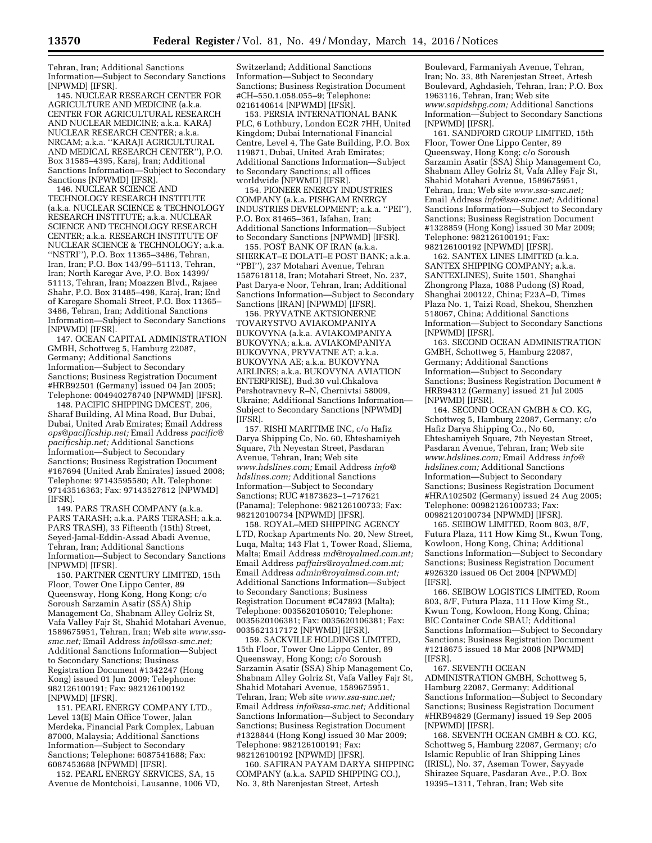Tehran, Iran; Additional Sanctions Information—Subject to Secondary Sanctions [NPWMD] [IFSR].

145. NUCLEAR RESEARCH CENTER FOR AGRICULTURE AND MEDICINE (a.k.a. CENTER FOR AGRICULTURAL RESEARCH AND NUCLEAR MEDICINE; a.k.a. KARAJ NUCLEAR RESEARCH CENTER; a.k.a. NRCAM; a.k.a. ''KARAJI AGRICULTURAL AND MEDICAL RESEARCH CENTER''), P.O. Box 31585–4395, Karaj, Iran; Additional Sanctions Information—Subject to Secondary Sanctions [NPWMD] [IFSR].

146. NUCLEAR SCIENCE AND TECHNOLOGY RESEARCH INSTITUTE (a.k.a. NUCLEAR SCIENCE & TECHNOLOGY RESEARCH INSTITUTE; a.k.a. NUCLEAR SCIENCE AND TECHNOLOGY RESEARCH CENTER; a.k.a. RESEARCH INSTITUTE OF NUCLEAR SCIENCE & TECHNOLOGY; a.k.a. ''NSTRI''), P.O. Box 11365–3486, Tehran, Iran, Iran; P.O. Box 143/99–51113, Tehran, Iran; North Karegar Ave, P.O. Box 14399/ 51113, Tehran, Iran; Moazzen Blvd., Rajaee Shahr, P.O. Box 31485–498, Karaj, Iran; End of Karegare Shomali Street, P.O. Box 11365– 3486, Tehran, Iran; Additional Sanctions Information—Subject to Secondary Sanctions [NPWMD] [IFSR].

147. OCEAN CAPITAL ADMINISTRATION GMBH, Schottweg 5, Hamburg 22087, Germany; Additional Sanctions Information—Subject to Secondary Sanctions; Business Registration Document #HRB92501 (Germany) issued 04 Jan 2005; Telephone: 004940278740 [NPWMD] [IFSR].

148. PACIFIC SHIPPING DMCEST, 206, Sharaf Building, Al Mina Road, Bur Dubai, Dubai, United Arab Emirates; Email Address *[ops@pacificship.net;](mailto:ops@pacificship.net)* Email Address *[pacific@](mailto:pacific@pacificship.net) [pacificship.net;](mailto:pacific@pacificship.net)* Additional Sanctions Information—Subject to Secondary Sanctions; Business Registration Document #167694 (United Arab Emirates) issued 2008; Telephone: 97143595580; Alt. Telephone: 97143516363; Fax: 97143527812 [NPWMD] [IFSR].

149. PARS TRASH COMPANY (a.k.a. PARS TARASH; a.k.a. PARS TERASH; a.k.a. PARS TRASH), 33 Fifteenth (15th) Street, Seyed-Jamal-Eddin-Assad Abadi Avenue, Tehran, Iran; Additional Sanctions Information—Subject to Secondary Sanctions [NPWMD] [IFSR].

150. PARTNER CENTURY LIMITED, 15th Floor, Tower One Lippo Center, 89 Queensway, Hong Kong, Hong Kong; c/o Soroush Sarzamin Asatir (SSA) Ship Management Co, Shabnam Alley Golriz St, Vafa Valley Fajr St, Shahid Motahari Avenue, 1589675951, Tehran, Iran; Web site *[www.ssa](http://www.ssa-smc.net)[smc.net;](http://www.ssa-smc.net)* Email Address *[info@ssa-smc.net;](mailto:info@ssa-smc.net)*  Additional Sanctions Information—Subject to Secondary Sanctions; Business Registration Document #1342247 (Hong Kong) issued 01 Jun 2009; Telephone: 982126100191; Fax: 982126100192 [NPWMD] [IFSR].

151. PEARL ENERGY COMPANY LTD., Level 13(E) Main Office Tower, Jalan Merdeka, Financial Park Complex, Labuan 87000, Malaysia; Additional Sanctions Information—Subject to Secondary Sanctions; Telephone: 6087541688; Fax: 6087453688 [NPWMD] [IFSR].

152. PEARL ENERGY SERVICES, SA, 15 Avenue de Montchoisi, Lausanne, 1006 VD,

Switzerland; Additional Sanctions Information—Subject to Secondary Sanctions; Business Registration Document #CH–550.1.058.055–9; Telephone: 0216140614 [NPWMD] [IFSR].

153. PERSIA INTERNATIONAL BANK PLC, 6 Lothbury, London EC2R 7HH, United Kingdom; Dubai International Financial Centre, Level 4, The Gate Building, P.O. Box 119871, Dubai, United Arab Emirates; Additional Sanctions Information—Subject to Secondary Sanctions; all offices worldwide [NPWMD] [IFSR].

154. PIONEER ENERGY INDUSTRIES COMPANY (a.k.a. PISHGAM ENERGY INDUSTRIES DEVELOPMENT; a.k.a. ''PEI''), P.O. Box 81465–361, Isfahan, Iran; Additional Sanctions Information—Subject to Secondary Sanctions [NPWMD] [IFSR].

155. POST BANK OF IRAN (a.k.a. SHERKAT–E DOLATI–E POST BANK; a.k.a. ''PBI''), 237 Motahari Avenue, Tehran 1587618118, Iran; Motahari Street, No. 237, Past Darya-e Noor, Tehran, Iran; Additional Sanctions Information—Subject to Secondary Sanctions [IRAN] [NPWMD] [IFSR].

156. PRYVATNE AKTSIONERNE TOVARYSTVO AVIAKOMPANIYA BUKOVYNA (a.k.a. AVIAKOMPANIYA BUKOVYNA; a.k.a. AVIAKOMPANIYA BUKOVYNA, PRYVATNE AT; a.k.a. BUKOVYNA AE; a.k.a. BUKOVYNA AIRLINES; a.k.a. BUKOVYNA AVIATION ENTERPRISE), Bud.30 vul.Chkalova Pershotravnevy R–N, Chernivtsi 58009, Ukraine; Additional Sanctions Information— Subject to Secondary Sanctions [NPWMD] [IFSR].

157. RISHI MARITIME INC, c/o Hafiz Darya Shipping Co, No. 60, Ehteshamiyeh Square, 7th Neyestan Street, Pasdaran Avenue, Tehran, Iran; Web site *[www.hdslines.com;](http://www.hdslines.com)* Email Address *[info@](mailto:info@hdslines.com) [hdslines.com;](mailto:info@hdslines.com)* Additional Sanctions Information—Subject to Secondary Sanctions; RUC #1873623–1–717621 (Panama); Telephone: 982126100733; Fax: 982120100734 [NPWMD] [IFSR].

158. ROYAL–MED SHIPPING AGENCY LTD, Rockap Apartments No. 20, New Street, Luqa, Malta; 143 Flat 1, Tower Road, Sliema, Malta; Email Address *[md@royalmed.com.mt;](mailto:md@royalmed.com.mt)*  Email Address *[paffairs@royalmed.com.mt;](mailto:paffairs@royalmed.com.mt)*  Email Address *[admin@royalmed.com.mt;](mailto:admin@royalmed.com.mt)*  Additional Sanctions Information—Subject to Secondary Sanctions; Business Registration Document #C47893 (Malta); Telephone: 0035620105010; Telephone: 0035620106381; Fax: 0035620106381; Fax: 0035621317172 [NPWMD] [IFSR].

159. SACKVILLE HOLDINGS LIMITED, 15th Floor, Tower One Lippo Center, 89 Queensway, Hong Kong; c/o Soroush Sarzamin Asatir (SSA) Ship Management Co, Shabnam Alley Golriz St, Vafa Valley Fajr St, Shahid Motahari Avenue, 1589675951, Tehran, Iran; Web site *[www.ssa-smc.net;](http://www.ssa-smc.net)*  Email Address *[info@ssa-smc.net;](mailto:info@ssa-smc.net)* Additional Sanctions Information—Subject to Secondary Sanctions; Business Registration Document #1328844 (Hong Kong) issued 30 Mar 2009; Telephone: 982126100191; Fax: 982126100192 [NPWMD] [IFSR].

160. SAFIRAN PAYAM DARYA SHIPPING COMPANY (a.k.a. SAPID SHIPPING CO.), No. 3, 8th Narenjestan Street, Artesh

Boulevard, Farmaniyah Avenue, Tehran, Iran; No. 33, 8th Narenjestan Street, Artesh Boulevard, Aghdasieh, Tehran, Iran; P.O. Box 1963116, Tehran, Iran; Web site *[www.sapidshpg.com;](http://www.sapidshpg.com)* Additional Sanctions Information—Subject to Secondary Sanctions [NPWMD] [IFSR].

161. SANDFORD GROUP LIMITED, 15th Floor, Tower One Lippo Center, 89 Queensway, Hong Kong; c/o Soroush Sarzamin Asatir (SSA) Ship Management Co, Shabnam Alley Golriz St, Vafa Alley Fajr St, Shahid Motahari Avenue, 1589675951, Tehran, Iran; Web site *[www.ssa-smc.net;](http://www.ssa-smc.net)*  Email Address *[info@ssa-smc.net;](mailto:info@ssa-smc.net)* Additional Sanctions Information—Subject to Secondary Sanctions; Business Registration Document #1328859 (Hong Kong) issued 30 Mar 2009; Telephone: 982126100191; Fax: 982126100192 [NPWMD] [IFSR].

162. SANTEX LINES LIMITED (a.k.a. SANTEX SHIPPING COMPANY; a.k.a. SANTEXLINES), Suite 1501, Shanghai Zhongrong Plaza, 1088 Pudong (S) Road, Shanghai 200122, China; F23A–D, Times Plaza No. 1, Taizi Road, Shekou, Shenzhen 518067, China; Additional Sanctions Information—Subject to Secondary Sanctions [NPWMD] [IFSR].

163. SECOND OCEAN ADMINISTRATION GMBH, Schottweg 5, Hamburg 22087, Germany; Additional Sanctions Information—Subject to Secondary Sanctions; Business Registration Document # HRB94312 (Germany) issued 21 Jul 2005 [NPWMD] [IFSR].

164. SECOND OCEAN GMBH & CO. KG, Schottweg 5, Hamburg 22087, Germany; c/o Hafiz Darya Shipping Co., No 60, Ehteshamiyeh Square, 7th Neyestan Street, Pasdaran Avenue, Tehran, Iran; Web site *[www.hdslines.com;](http://www.hdslines.com)* Email Address *[info@](mailto:info@hdslines.com) [hdslines.com;](mailto:info@hdslines.com)* Additional Sanctions Information—Subject to Secondary Sanctions; Business Registration Document #HRA102502 (Germany) issued 24 Aug 2005; Telephone: 00982126100733; Fax: 00982120100734 [NPWMD] [IFSR].

165. SEIBOW LIMITED, Room 803, 8/F, Futura Plaza, 111 How Kimg St., Kwun Tong, Kowloon, Hong Kong, China; Additional Sanctions Information—Subject to Secondary Sanctions; Business Registration Document #926320 issued 06 Oct 2004 [NPWMD] [IFSR].

166. SEIBOW LOGISTICS LIMITED, Room 803, 8/F, Futura Plaza, 111 How Kimg St., Kwun Tong, Kowloon, Hong Kong, China; BIC Container Code SBAU; Additional Sanctions Information—Subject to Secondary Sanctions; Business Registration Document #1218675 issued 18 Mar 2008 [NPWMD] [IFSR].

167. SEVENTH OCEAN ADMINISTRATION GMBH, Schottweg 5, Hamburg 22087, Germany; Additional Sanctions Information—Subject to Secondary Sanctions; Business Registration Document #HRB94829 (Germany) issued 19 Sep 2005 [NPWMD] [IFSR].

168. SEVENTH OCEAN GMBH & CO. KG, Schottweg 5, Hamburg 22087, Germany; c/o Islamic Republic of Iran Shipping Lines (IRISL), No. 37, Aseman Tower, Sayyade Shirazee Square, Pasdaran Ave., P.O. Box 19395–1311, Tehran, Iran; Web site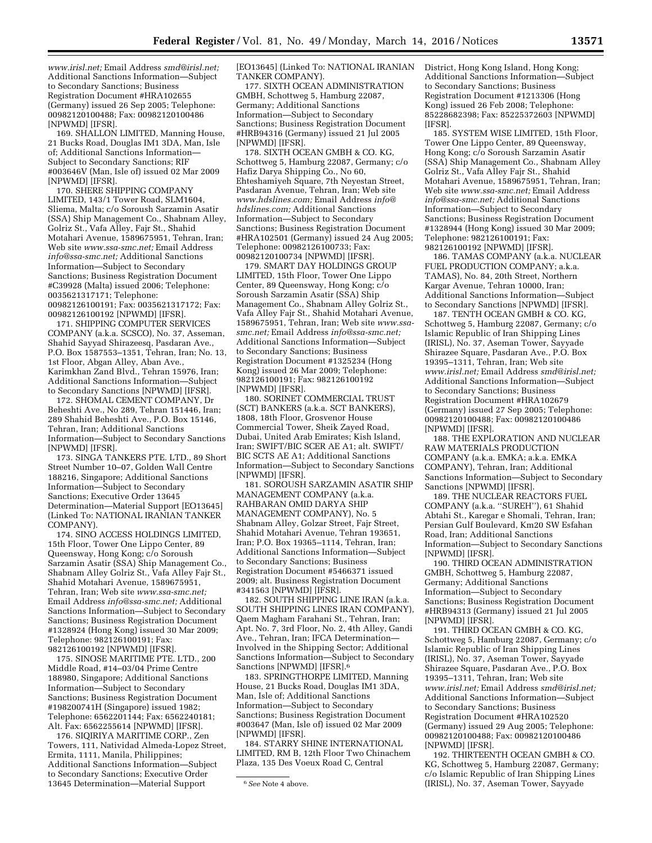*[www.irisl.net;](http://www.irisl.net)* Email Address *[smd@irisl.net;](mailto:smd@irisl.net)*  Additional Sanctions Information—Subject to Secondary Sanctions; Business Registration Document #HRA102655 (Germany) issued 26 Sep 2005; Telephone: 00982120100488; Fax: 00982120100486 [NPWMD] [IFSR].

169. SHALLON LIMITED, Manning House, 21 Bucks Road, Douglas IM1 3DA, Man, Isle of; Additional Sanctions Information— Subject to Secondary Sanctions; RIF #003646V (Man, Isle of) issued 02 Mar 2009 [NPWMD] [IFSR].

170. SHERE SHIPPING COMPANY LIMITED, 143/1 Tower Road, SLM1604, Sliema, Malta; c/o Soroush Sarzamin Asatir (SSA) Ship Management Co., Shabnam Alley, Golriz St., Vafa Alley, Fajr St., Shahid Motahari Avenue, 1589675951, Tehran, Iran; Web site *[www.ssa-smc.net;](http://www.ssa-smc.net)* Email Address *[info@ssa-smc.net;](mailto:info@ssa-smc.net)* Additional Sanctions Information—Subject to Secondary Sanctions; Business Registration Document #C39928 (Malta) issued 2006; Telephone: 0035621317171; Telephone: 00982126100191; Fax: 0035621317172; Fax: 00982126100192 [NPWMD] [IFSR].

171. SHIPPING COMPUTER SERVICES COMPANY (a.k.a. SCSCO), No. 37, Asseman, Shahid Sayyad Shirazeesq, Pasdaran Ave., P.O. Box 1587553–1351, Tehran, Iran; No. 13, 1st Floor, Abgan Alley, Aban Ave., Karimkhan Zand Blvd., Tehran 15976, Iran; Additional Sanctions Information—Subject to Secondary Sanctions [NPWMD] [IFSR].

172. SHOMAL CEMENT COMPANY, Dr Beheshti Ave., No 289, Tehran 151446, Iran; 289 Shahid Beheshti Ave., P.O. Box 15146, Tehran, Iran; Additional Sanctions Information—Subject to Secondary Sanctions [NPWMD] [IFSR].

173. SINGA TANKERS PTE. LTD., 89 Short Street Number 10–07, Golden Wall Centre 188216, Singapore; Additional Sanctions Information—Subject to Secondary Sanctions; Executive Order 13645 Determination—Material Support [EO13645] (Linked To: NATIONAL IRANIAN TANKER COMPANY).

174. SINO ACCESS HOLDINGS LIMITED, 15th Floor, Tower One Lippo Center, 89 Queensway, Hong Kong; c/o Soroush Sarzamin Asatir (SSA) Ship Management Co., Shabnam Alley Golriz St., Vafa Alley Fajr St., Shahid Motahari Avenue, 1589675951, Tehran, Iran; Web site *[www.ssa-smc.net;](http://www.ssa-smc.net)*  Email Address *[info@ssa-smc.net;](mailto:info@ssa-smc.net)* Additional Sanctions Information—Subject to Secondary Sanctions; Business Registration Document #1328924 (Hong Kong) issued 30 Mar 2009; Telephone: 982126100191; Fax: 982126100192 [NPWMD] [IFSR].

175. SINOSE MARITIME PTE. LTD., 200 Middle Road, #14–03/04 Prime Centre 188980, Singapore; Additional Sanctions Information—Subject to Secondary Sanctions; Business Registration Document #198200741H (Singapore) issued 1982; Telephone: 6562201144; Fax: 6562240181; Alt. Fax: 6562255614 [NPWMD] [IFSR].

176. SIQIRIYA MARITIME CORP., Zen Towers, 111, Natividad Almeda-Lopez Street, Ermita, 1111, Manila, Philippines; Additional Sanctions Information—Subject to Secondary Sanctions; Executive Order 13645 Determination—Material Support

[EO13645] (Linked To: NATIONAL IRANIAN TANKER COMPANY).

177. SIXTH OCEAN ADMINISTRATION GMBH, Schottweg 5, Hamburg 22087, Germany; Additional Sanctions Information—Subject to Secondary Sanctions; Business Registration Document #HRB94316 (Germany) issued 21 Jul 2005 [NPWMD] [IFSR].

178. SIXTH OCEAN GMBH & CO. KG, Schottweg 5, Hamburg 22087, Germany; c/o Hafiz Darya Shipping Co., No 60, Ehteshamiyeh Square, 7th Neyestan Street, Pasdaran Avenue, Tehran, Iran; Web site *[www.hdslines.com;](http://www.hdslines.com)* Email Address *[info@](mailto:info@hdslines.com) [hdslines.com;](mailto:info@hdslines.com)* Additional Sanctions Information—Subject to Secondary Sanctions; Business Registration Document #HRA102501 (Germany) issued 24 Aug 2005; Telephone: 00982126100733; Fax: 00982120100734 [NPWMD] [IFSR].

179. SMART DAY HOLDINGS GROUP LIMITED, 15th Floor, Tower One Lippo Center, 89 Queensway, Hong Kong; c/o Soroush Sarzamin Asatir (SSA) Ship Management Co., Shabnam Alley Golriz St., Vafa Alley Fajr St., Shahid Motahari Avenue, 1589675951, Tehran, Iran; Web site *[www.ssa](http://www.ssa-smc.net)[smc.net;](http://www.ssa-smc.net)* Email Address *[info@ssa-smc.net;](mailto:info@ssa-smc.net)*  Additional Sanctions Information—Subject to Secondary Sanctions; Business Registration Document #1325234 (Hong Kong) issued 26 Mar 2009; Telephone: 982126100191; Fax: 982126100192 [NPWMD] [IFSR].

180. SORINET COMMERCIAL TRUST (SCT) BANKERS (a.k.a. SCT BANKERS), 1808, 18th Floor, Grosvenor House Commercial Tower, Sheik Zayed Road, Dubai, United Arab Emirates; Kish Island, Iran; SWIFT/BIC SCER AE A1; alt. SWIFT/ BIC SCTS AE A1; Additional Sanctions Information—Subject to Secondary Sanctions [NPWMD] [IFSR].

181. SOROUSH SARZAMIN ASATIR SHIP MANAGEMENT COMPANY (a.k.a. RAHBARAN OMID DARYA SHIP MANAGEMENT COMPANY), No. 5 Shabnam Alley, Golzar Street, Fajr Street, Shahid Motahari Avenue, Tehran 193651, Iran; P.O. Box 19365–1114, Tehran, Iran; Additional Sanctions Information—Subject to Secondary Sanctions; Business Registration Document #5466371 issued 2009; alt. Business Registration Document #341563 [NPWMD] [IFSR].

182. SOUTH SHIPPING LINE IRAN (a.k.a. SOUTH SHIPPING LINES IRAN COMPANY), Qaem Magham Farahani St., Tehran, Iran; Apt. No. 7, 3rd Floor, No. 2, 4th Alley, Gandi Ave., Tehran, Iran; IFCA Determination— Involved in the Shipping Sector; Additional Sanctions Information—Subject to Secondary Sanctions [NPWMD] [IFSR].<sup>6</sup>

183. SPRINGTHORPE LIMITED, Manning House, 21 Bucks Road, Douglas IM1 3DA, Man, Isle of; Additional Sanctions Information—Subject to Secondary Sanctions; Business Registration Document #003647 (Man, Isle of) issued 02 Mar 2009 [NPWMD] [IFSR].

184. STARRY SHINE INTERNATIONAL LIMITED, RM B, 12th Floor Two Chinachem Plaza, 135 Des Voeux Road C, Central

District, Hong Kong Island, Hong Kong; Additional Sanctions Information—Subject to Secondary Sanctions; Business Registration Document #1213306 (Hong Kong) issued 26 Feb 2008; Telephone: 85228682398; Fax: 85225372603 [NPWMD] [IFSR].

185. SYSTEM WISE LIMITED, 15th Floor, Tower One Lippo Center, 89 Queensway, Hong Kong; c/o Soroush Sarzamin Asatir (SSA) Ship Management Co., Shabnam Alley Golriz St., Vafa Alley Fajr St., Shahid Motahari Avenue, 1589675951, Tehran, Iran; Web site *[www.ssa-smc.net;](http://www.ssa-smc.net)* Email Address *[info@ssa-smc.net;](mailto:info@ssa-smc.net)* Additional Sanctions Information—Subject to Secondary Sanctions; Business Registration Document #1328944 (Hong Kong) issued 30 Mar 2009; Telephone: 982126100191; Fax: 982126100192 [NPWMD] [IFSR].

186. TAMAS COMPANY (a.k.a. NUCLEAR FUEL PRODUCTION COMPANY; a.k.a. TAMAS), No. 84, 20th Street, Northern Kargar Avenue, Tehran 10000, Iran; Additional Sanctions Information—Subject to Secondary Sanctions [NPWMD] [IFSR].

187. TENTH OCEAN GMBH & CO. KG, Schottweg 5, Hamburg 22087, Germany; c/o Islamic Republic of Iran Shipping Lines (IRISL), No. 37, Aseman Tower, Sayyade Shirazee Square, Pasdaran Ave., P.O. Box 19395–1311, Tehran, Iran; Web site *[www.irisl.net;](http://www.irisl.net)* Email Address *[smd@irisl.net;](mailto:smd@irisl.net)*  Additional Sanctions Information—Subject to Secondary Sanctions; Business Registration Document #HRA102679 (Germany) issued 27 Sep 2005; Telephone: 00982120100488; Fax: 00982120100486 [NPWMD] [IFSR].

188. THE EXPLORATION AND NUCLEAR RAW MATERIALS PRODUCTION COMPANY (a.k.a. EMKA; a.k.a. EMKA COMPANY), Tehran, Iran; Additional Sanctions Information—Subject to Secondary Sanctions [NPWMD] [IFSR].

189. THE NUCLEAR REACTORS FUEL COMPANY (a.k.a. ''SUREH''), 61 Shahid Abtahi St., Karegar e Shomali, Tehran, Iran; Persian Gulf Boulevard, Km20 SW Esfahan Road, Iran; Additional Sanctions Information—Subject to Secondary Sanctions [NPWMD] [IFSR].

190. THIRD OCEAN ADMINISTRATION GMBH, Schottweg 5, Hamburg 22087, Germany; Additional Sanctions Information—Subject to Secondary Sanctions; Business Registration Document #HRB94313 (Germany) issued 21 Jul 2005 [NPWMD] [IFSR].

191. THIRD OCEAN GMBH & CO. KG, Schottweg 5, Hamburg 22087, Germany; c/o Islamic Republic of Iran Shipping Lines (IRISL), No. 37, Aseman Tower, Sayyade Shirazee Square, Pasdaran Ave., P.O. Box 19395–1311, Tehran, Iran; Web site *[www.irisl.net;](http://www.irisl.net)* Email Address *[smd@irisl.net;](mailto:smd@irisl.net)*  Additional Sanctions Information—Subject to Secondary Sanctions; Business Registration Document #HRA102520 (Germany) issued 29 Aug 2005; Telephone: 00982120100488; Fax: 00982120100486 [NPWMD] [IFSR].

192. THIRTEENTH OCEAN GMBH & CO. KG, Schottweg 5, Hamburg 22087, Germany; c/o Islamic Republic of Iran Shipping Lines (IRISL), No. 37, Aseman Tower, Sayyade

<sup>6</sup>*See* Note 4 above.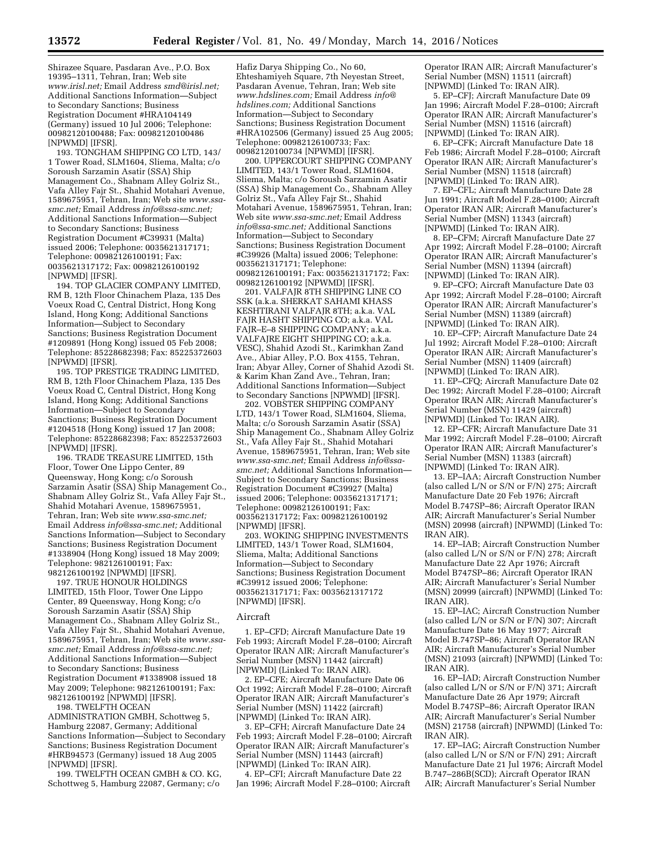Shirazee Square, Pasdaran Ave., P.O. Box 19395–1311, Tehran, Iran; Web site *[www.irisl.net;](http://www.irisl.net)* Email Address *[smd@irisl.net;](mailto:smd@irisl.net)*  Additional Sanctions Information—Subject to Secondary Sanctions; Business Registration Document #HRA104149 (Germany) issued 10 Jul 2006; Telephone: 00982120100488; Fax: 00982120100486 [NPWMD] [IFSR].

193. TONGHAM SHIPPING CO LTD, 143/ 1 Tower Road, SLM1604, Sliema, Malta; c/o Soroush Sarzamin Asatir (SSA) Ship Management Co., Shabnam Alley Golriz St., Vafa Alley Fajr St., Shahid Motahari Avenue, 1589675951, Tehran, Iran; Web site *[www.ssa](http://www.ssa-smc.net)[smc.net;](http://www.ssa-smc.net)* Email Address *[info@ssa-smc.net;](mailto:info@ssa-smc.net)*  Additional Sanctions Information—Subject to Secondary Sanctions; Business Registration Document #C39931 (Malta) issued 2006; Telephone: 0035621317171; Telephone: 00982126100191; Fax: 0035621317172; Fax: 00982126100192 [NPWMD] [IFSR].

194. TOP GLACIER COMPANY LIMITED, RM B, 12th Floor Chinachem Plaza, 135 Des Voeux Road C, Central District, Hong Kong Island, Hong Kong; Additional Sanctions Information—Subject to Secondary Sanctions; Business Registration Document #1209891 (Hong Kong) issued 05 Feb 2008; Telephone: 85228682398; Fax: 85225372603 [NPWMD] [IFSR].

195. TOP PRESTIGE TRADING LIMITED, RM B, 12th Floor Chinachem Plaza, 135 Des Voeux Road C, Central District, Hong Kong Island, Hong Kong; Additional Sanctions Information—Subject to Secondary Sanctions; Business Registration Document #1204518 (Hong Kong) issued 17 Jan 2008; Telephone: 85228682398; Fax: 85225372603 [NPWMD] [IFSR].

196. TRADE TREASURE LIMITED, 15th Floor, Tower One Lippo Center, 89 Queensway, Hong Kong; c/o Soroush Sarzamin Asatir (SSA) Ship Management Co., Shabnam Alley Golriz St., Vafa Alley Fajr St., Shahid Motahari Avenue, 1589675951, Tehran, Iran; Web site *[www.ssa-smc.net;](http://www.ssa-smc.net)*  Email Address *[info@ssa-smc.net;](mailto:info@ssa-smc.net)* Additional Sanctions Information—Subject to Secondary Sanctions; Business Registration Document #1338904 (Hong Kong) issued 18 May 2009; Telephone: 982126100191; Fax: 982126100192 [NPWMD] [IFSR].

197. TRUE HONOUR HOLDINGS LIMITED, 15th Floor, Tower One Lippo Center, 89 Queensway, Hong Kong; c/o Soroush Sarzamin Asatir (SSA) Ship Management Co., Shabnam Alley Golriz St., Vafa Alley Fajr St., Shahid Motahari Avenue, 1589675951, Tehran, Iran; Web site *[www.ssa](http://www.ssa-smc.net)[smc.net;](http://www.ssa-smc.net)* Email Address *[info@ssa-smc.net;](mailto:info@ssa-smc.net)*  Additional Sanctions Information—Subject to Secondary Sanctions; Business Registration Document #1338908 issued 18 May 2009; Telephone: 982126100191; Fax: 982126100192 [NPWMD] [IFSR]. 198. TWELFTH OCEAN

ADMINISTRATION GMBH, Schottweg 5, Hamburg 22087, Germany; Additional Sanctions Information—Subject to Secondary Sanctions; Business Registration Document #HRB94573 (Germany) issued 18 Aug 2005 [NPWMD] [IFSR].

199. TWELFTH OCEAN GMBH & CO. KG, Schottweg 5, Hamburg 22087, Germany; c/o

Hafiz Darya Shipping Co., No 60, Ehteshamiyeh Square, 7th Neyestan Street, Pasdaran Avenue, Tehran, Iran; Web site *[www.hdslines.com;](http://www.hdslines.com)* Email Address *[info@](mailto:info@hdslines.com) [hdslines.com;](mailto:info@hdslines.com)* Additional Sanctions Information—Subject to Secondary Sanctions; Business Registration Document #HRA102506 (Germany) issued 25 Aug 2005; Telephone: 00982126100733; Fax: 00982120100734 [NPWMD] [IFSR].

200. UPPERCOURT SHIPPING COMPANY LIMITED, 143/1 Tower Road, SLM1604, Sliema, Malta; c/o Soroush Sarzamin Asatir (SSA) Ship Management Co., Shabnam Alley Golriz St., Vafa Alley Fajr St., Shahid Motahari Avenue, 1589675951, Tehran, Iran; Web site *[www.ssa-smc.net;](http://www.ssa-smc.net)* Email Address *[info@ssa-smc.net;](mailto:info@ssa-smc.net)* Additional Sanctions Information—Subject to Secondary Sanctions; Business Registration Document #C39926 (Malta) issued 2006; Telephone: 0035621317171; Telephone: 00982126100191; Fax: 0035621317172; Fax: 00982126100192 [NPWMD] [IFSR].

201. VALFAJR 8TH SHIPPING LINE CO SSK (a.k.a. SHERKAT SAHAMI KHASS KESHTIRANI VALFAJR 8TH; a.k.a. VAL FAJR HASHT SHIPPING CO; a.k.a. VAL FAJR–E–8 SHIPPING COMPANY; a.k.a. VALFAJRE EIGHT SHIPPING CO; a.k.a. VESC), Shahid Azodi St., Karimkhan Zand Ave., Abiar Alley, P.O. Box 4155, Tehran, Iran; Abyar Alley, Corner of Shahid Azodi St. & Karim Khan Zand Ave., Tehran, Iran; Additional Sanctions Information—Subject to Secondary Sanctions [NPWMD] [IFSR].

202. VOBSTER SHIPPING COMPANY LTD, 143/1 Tower Road, SLM1604, Sliema, Malta; c/o Soroush Sarzamin Asatir (SSA) Ship Management Co., Shabnam Alley Golriz St., Vafa Alley Fajr St., Shahid Motahari Avenue, 1589675951, Tehran, Iran; Web site *[www.ssa-smc.net;](http://www.ssa-smc.net)* Email Address *[info@ssa](mailto:info@ssa-smc.net)[smc.net;](mailto:info@ssa-smc.net)* Additional Sanctions Information— Subject to Secondary Sanctions; Business Registration Document #C39927 (Malta) issued 2006; Telephone: 0035621317171; Telephone: 00982126100191; Fax: 0035621317172; Fax: 00982126100192 [NPWMD] [IFSR].

203. WOKING SHIPPING INVESTMENTS LIMITED, 143/1 Tower Road, SLM1604, Sliema, Malta; Additional Sanctions Information—Subject to Secondary Sanctions; Business Registration Document #C39912 issued 2006; Telephone: 0035621317171; Fax: 0035621317172 [NPWMD] [IFSR].

#### Aircraft

1. EP–CFD; Aircraft Manufacture Date 19 Feb 1993; Aircraft Model F.28–0100; Aircraft Operator IRAN AIR; Aircraft Manufacturer's Serial Number (MSN) 11442 (aircraft) [NPWMD] (Linked To: IRAN AIR).

2. EP–CFE; Aircraft Manufacture Date 06 Oct 1992; Aircraft Model F.28–0100; Aircraft Operator IRAN AIR; Aircraft Manufacturer's Serial Number (MSN) 11422 (aircraft) [NPWMD] (Linked To: IRAN AIR).

3. EP–CFH; Aircraft Manufacture Date 24 Feb 1993; Aircraft Model F.28–0100; Aircraft Operator IRAN AIR; Aircraft Manufacturer's Serial Number (MSN) 11443 (aircraft) [NPWMD] (Linked To: IRAN AIR).

4. EP–CFI; Aircraft Manufacture Date 22 Jan 1996; Aircraft Model F.28–0100; Aircraft

Operator IRAN AIR; Aircraft Manufacturer's Serial Number (MSN) 11511 (aircraft) [NPWMD] (Linked To: IRAN AIR).

5. EP–CFJ; Aircraft Manufacture Date 09 Jan 1996; Aircraft Model F.28–0100; Aircraft Operator IRAN AIR; Aircraft Manufacturer's Serial Number (MSN) 11516 (aircraft) [NPWMD] (Linked To: IRAN AIR).

6. EP–CFK; Aircraft Manufacture Date 18 Feb 1986; Aircraft Model F.28–0100; Aircraft Operator IRAN AIR; Aircraft Manufacturer's Serial Number (MSN) 11518 (aircraft) [NPWMD] (Linked To: IRAN AIR).

7. EP–CFL; Aircraft Manufacture Date 28 Jun 1991; Aircraft Model F.28–0100; Aircraft Operator IRAN AIR; Aircraft Manufacturer's Serial Number (MSN) 11343 (aircraft) [NPWMD] (Linked To: IRAN AIR).

8. EP–CFM; Aircraft Manufacture Date 27 Apr 1992; Aircraft Model F.28–0100; Aircraft Operator IRAN AIR; Aircraft Manufacturer's Serial Number (MSN) 11394 (aircraft) [NPWMD] (Linked To: IRAN AIR).

9. EP–CFO; Aircraft Manufacture Date 03 Apr 1992; Aircraft Model F.28–0100; Aircraft Operator IRAN AIR; Aircraft Manufacturer's Serial Number (MSN) 11389 (aircraft) [NPWMD] (Linked To: IRAN AIR).

10. EP–CFP; Aircraft Manufacture Date 24 Jul 1992; Aircraft Model F.28–0100; Aircraft Operator IRAN AIR; Aircraft Manufacturer's Serial Number (MSN) 11409 (aircraft) [NPWMD] (Linked To: IRAN AIR).

11. EP–CFQ; Aircraft Manufacture Date 02 Dec 1992; Aircraft Model F.28–0100; Aircraft Operator IRAN AIR; Aircraft Manufacturer's Serial Number (MSN) 11429 (aircraft) [NPWMD] (Linked To: IRAN AIR).

12. EP–CFR; Aircraft Manufacture Date 31 Mar 1992; Aircraft Model F.28–0100; Aircraft Operator IRAN AIR; Aircraft Manufacturer's Serial Number (MSN) 11383 (aircraft) [NPWMD] (Linked To: IRAN AIR).

13. EP–IAA; Aircraft Construction Number (also called L/N or S/N or F/N) 275; Aircraft Manufacture Date 20 Feb 1976; Aircraft Model B.747SP–86; Aircraft Operator IRAN AIR; Aircraft Manufacturer's Serial Number (MSN) 20998 (aircraft) [NPWMD] (Linked To: IRAN AIR).

14. EP–IAB; Aircraft Construction Number (also called L/N or S/N or F/N) 278; Aircraft Manufacture Date 22 Apr 1976; Aircraft Model B747SP–86; Aircraft Operator IRAN AIR; Aircraft Manufacturer's Serial Number (MSN) 20999 (aircraft) [NPWMD] (Linked To: IRAN AIR).

15. EP–IAC; Aircraft Construction Number (also called L/N or S/N or F/N) 307; Aircraft Manufacture Date 16 May 1977; Aircraft Model B.747SP–86; Aircraft Operator IRAN AIR; Aircraft Manufacturer's Serial Number (MSN) 21093 (aircraft) [NPWMD] (Linked To: IRAN AIR).

16. EP–IAD; Aircraft Construction Number (also called L/N or S/N or F/N) 371; Aircraft Manufacture Date 26 Apr 1979; Aircraft Model B.747SP–86; Aircraft Operator IRAN AIR; Aircraft Manufacturer's Serial Number (MSN) 21758 (aircraft) [NPWMD] (Linked To: IRAN AIR).

17. EP–IAG; Aircraft Construction Number (also called L/N or S/N or F/N) 291; Aircraft Manufacture Date 21 Jul 1976; Aircraft Model B.747–286B(SCD); Aircraft Operator IRAN AIR; Aircraft Manufacturer's Serial Number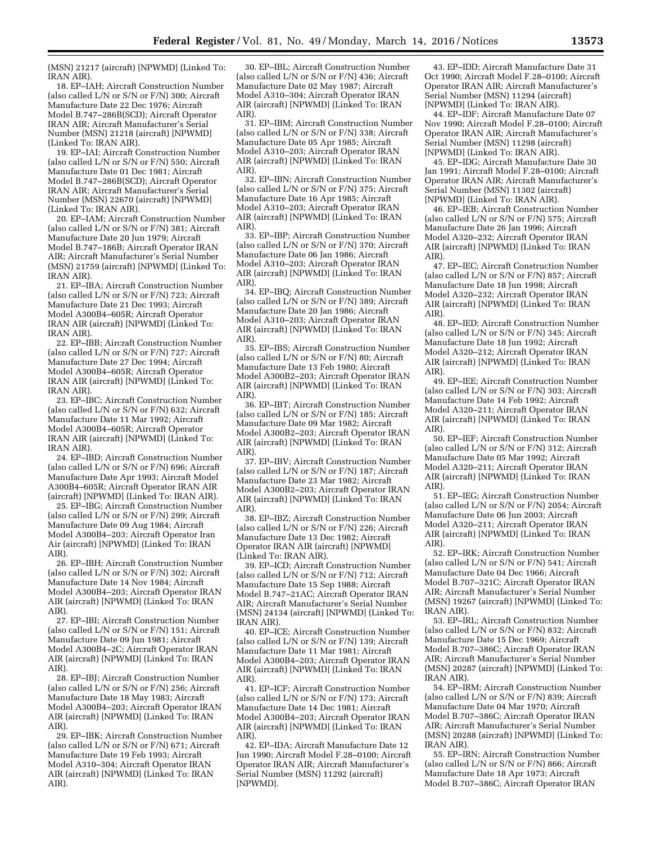(MSN) 21217 (aircraft) [NPWMD] (Linked To: IRAN AIR).

18. EP–IAH; Aircraft Construction Number (also called L/N or S/N or F/N) 300; Aircraft Manufacture Date 22 Dec 1976; Aircraft Model B.747–286B(SCD); Aircraft Operator IRAN AIR; Aircraft Manufacturer's Serial Number (MSN) 21218 (aircraft) [NPWMD] (Linked To: IRAN AIR).

19. EP–IAI; Aircraft Construction Number (also called L/N or S/N or F/N) 550; Aircraft Manufacture Date 01 Dec 1981; Aircraft Model B.747–286B(SCD); Aircraft Operator IRAN AIR; Aircraft Manufacturer's Serial Number (MSN) 22670 (aircraft) [NPWMD] (Linked To: IRAN AIR).

20. EP–IAM; Aircraft Construction Number (also called L/N or S/N or F/N) 381; Aircraft Manufacture Date 20 Jun 1979; Aircraft Model B.747–186B; Aircraft Operator IRAN AIR; Aircraft Manufacturer's Serial Number (MSN) 21759 (aircraft) [NPWMD] (Linked To: IRAN AIR).

21. EP–IBA; Aircraft Construction Number (also called L/N or S/N or F/N) 723; Aircraft Manufacture Date 21 Dec 1993; Aircraft Model A300B4–605R; Aircraft Operator IRAN AIR (aircraft) [NPWMD] (Linked To: IRAN AIR).

22. EP–IBB; Aircraft Construction Number (also called L/N or S/N or F/N) 727; Aircraft Manufacture Date 27 Dec 1994; Aircraft Model A300B4–605R; Aircraft Operator IRAN AIR (aircraft) [NPWMD] (Linked To: IRAN AIR).

23. EP–IBC; Aircraft Construction Number (also called L/N or S/N or F/N) 632; Aircraft Manufacture Date 11 Mar 1992; Aircraft Model A300B4–605R; Aircraft Operator IRAN AIR (aircraft) [NPWMD] (Linked To: IRAN AIR).

24. EP–IBD; Aircraft Construction Number (also called L/N or S/N or F/N) 696; Aircraft Manufacture Date Apr 1993; Aircraft Model A300B4–605R; Aircraft Operator IRAN AIR (aircraft) [NPWMD] (Linked To: IRAN AIR).

25. EP–IBG; Aircraft Construction Number (also called L/N or S/N or F/N) 299; Aircraft Manufacture Date 09 Aug 1984; Aircraft Model A300B4–203; Aircraft Operator Iran Air (aircraft) [NPWMD] (Linked To: IRAN AIR).

26. EP–IBH; Aircraft Construction Number (also called L/N or S/N or F/N) 302; Aircraft Manufacture Date 14 Nov 1984; Aircraft Model A300B4–203; Aircraft Operator IRAN AIR (aircraft) [NPWMD] (Linked To: IRAN AIR).

27. EP–IBI; Aircraft Construction Number (also called L/N or S/N or F/N) 151; Aircraft Manufacture Date 09 Jun 1981; Aircraft Model A300B4–2C; Aircraft Operator IRAN AIR (aircraft) [NPWMD] (Linked To: IRAN AIR).

28. EP–IBJ; Aircraft Construction Number (also called L/N or S/N or F/N) 256; Aircraft Manufacture Date 18 May 1983; Aircraft Model A300B4–203; Aircraft Operator IRAN AIR (aircraft) [NPWMD] (Linked To: IRAN AIR).

29. EP–IBK; Aircraft Construction Number (also called L/N or S/N or F/N) 671; Aircraft Manufacture Date 19 Feb 1993; Aircraft Model A310–304; Aircraft Operator IRAN AIR (aircraft) [NPWMD] (Linked To: IRAN AIR).

30. EP–IBL; Aircraft Construction Number (also called L/N or S/N or F/N) 436; Aircraft Manufacture Date 02 May 1987; Aircraft Model A310–304; Aircraft Operator IRAN AIR (aircraft) [NPWMD] (Linked To: IRAN AIR).

31. EP–IBM; Aircraft Construction Number (also called L/N or S/N or F/N) 338; Aircraft Manufacture Date 05 Apr 1985; Aircraft Model A310–203; Aircraft Operator IRAN AIR (aircraft) [NPWMD] (Linked To: IRAN AIR).

32. EP–IBN; Aircraft Construction Number (also called L/N or S/N or F/N) 375; Aircraft Manufacture Date 16 Apr 1985; Aircraft Model A310–203; Aircraft Operator IRAN AIR (aircraft) [NPWMD] (Linked To: IRAN AIR).

33. EP–IBP; Aircraft Construction Number (also called L/N or S/N or F/N) 370; Aircraft Manufacture Date 06 Jan 1986; Aircraft Model A310–203; Aircraft Operator IRAN AIR (aircraft) [NPWMD] (Linked To: IRAN AIR).

34. EP–IBQ; Aircraft Construction Number (also called L/N or S/N or F/N) 389; Aircraft Manufacture Date 20 Jan 1986; Aircraft Model A310–203; Aircraft Operator IRAN AIR (aircraft) [NPWMD] (Linked To: IRAN AIR).

35. EP–IBS; Aircraft Construction Number (also called L/N or S/N or F/N) 80; Aircraft Manufacture Date 13 Feb 1980; Aircraft Model A300B2–203; Aircraft Operator IRAN AIR (aircraft) [NPWMD] (Linked To: IRAN AIR).

36. EP–IBT; Aircraft Construction Number (also called L/N or S/N or F/N) 185; Aircraft Manufacture Date 09 Mar 1982; Aircraft Model A300B2–203; Aircraft Operator IRAN AIR (aircraft) [NPWMD] (Linked To: IRAN AIR).

37. EP–IBV; Aircraft Construction Number (also called L/N or S/N or F/N) 187; Aircraft Manufacture Date 23 Mar 1982; Aircraft Model A300B2–203; Aircraft Operator IRAN AIR (aircraft) [NPWMD] (Linked To: IRAN AIR).

38. EP–IBZ; Aircraft Construction Number (also called L/N or S/N or F/N) 226; Aircraft Manufacture Date 13 Dec 1982; Aircraft Operator IRAN AIR (aircraft) [NPWMD] (Linked To: IRAN AIR).

39. EP–ICD; Aircraft Construction Number (also called L/N or S/N or F/N) 712; Aircraft Manufacture Date 15 Sep 1988; Aircraft Model B.747–21AC; Aircraft Operator IRAN AIR; Aircraft Manufacturer's Serial Number (MSN) 24134 (aircraft) [NPWMD] (Linked To: IRAN AIR).

40. EP–ICE; Aircraft Construction Number (also called L/N or S/N or F/N) 139; Aircraft Manufacture Date 11 Mar 1981; Aircraft Model A300B4–203; Aircraft Operator IRAN AIR (aircraft) [NPWMD] (Linked To: IRAN AIR).

41. EP–ICF; Aircraft Construction Number (also called L/N or S/N or F/N) 173; Aircraft Manufacture Date 14 Dec 1981; Aircraft Model A300B4–203; Aircraft Operator IRAN AIR (aircraft) [NPWMD] (Linked To: IRAN AIR).

42. EP–IDA; Aircraft Manufacture Date 12 Jun 1990; Aircraft Model F.28–0100; Aircraft Operator IRAN AIR; Aircraft Manufacturer's Serial Number (MSN) 11292 (aircraft) [NPWMD].

43. EP–IDD; Aircraft Manufacture Date 31 Oct 1990; Aircraft Model F.28–0100; Aircraft Operator IRAN AIR; Aircraft Manufacturer's Serial Number (MSN) 11294 (aircraft) [NPWMD] (Linked To: IRAN AIR).

44. EP–IDF; Aircraft Manufacture Date 07 Nov 1990; Aircraft Model F.28–0100; Aircraft Operator IRAN AIR; Aircraft Manufacturer's Serial Number (MSN) 11298 (aircraft) [NPWMD] (Linked To: IRAN AIR).

45. EP–IDG; Aircraft Manufacture Date 30 Jan 1991; Aircraft Model F.28–0100; Aircraft Operator IRAN AIR; Aircraft Manufacturer's Serial Number (MSN) 11302 (aircraft) [NPWMD] (Linked To: IRAN AIR).

46. EP–IEB; Aircraft Construction Number (also called L/N or S/N or F/N) 575; Aircraft Manufacture Date 26 Jan 1996; Aircraft Model A320–232; Aircraft Operator IRAN AIR (aircraft) [NPWMD] (Linked To: IRAN AIR).

47. EP–IEC; Aircraft Construction Number (also called L/N or S/N or F/N) 857; Aircraft Manufacture Date 18 Jun 1998; Aircraft Model A320–232; Aircraft Operator IRAN AIR (aircraft) [NPWMD] (Linked To: IRAN AIR).

48. EP–IED; Aircraft Construction Number (also called L/N or S/N or F/N) 345; Aircraft Manufacture Date 18 Jun 1992; Aircraft Model A320–212; Aircraft Operator IRAN AIR (aircraft) [NPWMD] (Linked To: IRAN AIR).

49. EP–IEE; Aircraft Construction Number (also called L/N or S/N or F/N) 303; Aircraft Manufacture Date 14 Feb 1992; Aircraft Model A320–211; Aircraft Operator IRAN AIR (aircraft) [NPWMD] (Linked To: IRAN AIR).

50. EP–IEF; Aircraft Construction Number (also called L/N or S/N or F/N) 312; Aircraft Manufacture Date 05 Mar 1992; Aircraft Model A320–211; Aircraft Operator IRAN AIR (aircraft) [NPWMD] (Linked To: IRAN AIR).

51. EP–IEG; Aircraft Construction Number (also called L/N or S/N or F/N) 2054; Aircraft Manufacture Date 06 Jun 2003; Aircraft Model A320–211; Aircraft Operator IRAN AIR (aircraft) [NPWMD] (Linked To: IRAN AIR).

52. EP–IRK; Aircraft Construction Number (also called L/N or S/N or F/N) 541; Aircraft Manufacture Date 04 Dec 1966; Aircraft Model B.707–321C; Aircraft Operator IRAN AIR; Aircraft Manufacturer's Serial Number (MSN) 19267 (aircraft) [NPWMD] (Linked To: IRAN AIR).

53. EP–IRL; Aircraft Construction Number (also called L/N or S/N or F/N) 832; Aircraft Manufacture Date 15 Dec 1969; Aircraft Model B.707–386C; Aircraft Operator IRAN AIR; Aircraft Manufacturer's Serial Number (MSN) 20287 (aircraft) [NPWMD] (Linked To: IRAN AIR).

54. EP–IRM; Aircraft Construction Number (also called L/N or S/N or F/N) 839; Aircraft Manufacture Date 04 Mar 1970; Aircraft Model B.707–386C; Aircraft Operator IRAN AIR; Aircraft Manufacturer's Serial Number (MSN) 20288 (aircraft) [NPWMD] (Linked To: IRAN AIR).

55. EP–IRN; Aircraft Construction Number (also called L/N or S/N or F/N) 866; Aircraft Manufacture Date 18 Apr 1973; Aircraft Model B.707–386C; Aircraft Operator IRAN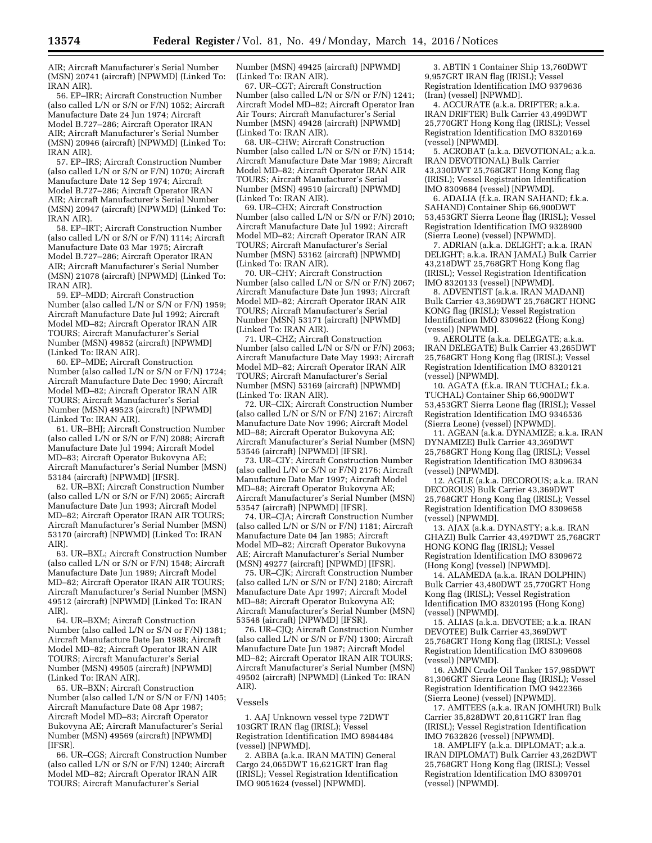AIR; Aircraft Manufacturer's Serial Number (MSN) 20741 (aircraft) [NPWMD] (Linked To: IRAN AIR).

56. EP–IRR; Aircraft Construction Number (also called L/N or S/N or F/N) 1052; Aircraft Manufacture Date 24 Jun 1974; Aircraft Model B.727–286; Aircraft Operator IRAN AIR; Aircraft Manufacturer's Serial Number (MSN) 20946 (aircraft) [NPWMD] (Linked To: IRAN AIR).

57. EP–IRS; Aircraft Construction Number (also called L/N or S/N or F/N) 1070; Aircraft Manufacture Date 12 Sep 1974; Aircraft Model B.727–286; Aircraft Operator IRAN AIR; Aircraft Manufacturer's Serial Number (MSN) 20947 (aircraft) [NPWMD] (Linked To: IRAN AIR).

58. EP–IRT; Aircraft Construction Number (also called L/N or S/N or F/N) 1114; Aircraft Manufacture Date 03 Mar 1975; Aircraft Model B.727–286; Aircraft Operator IRAN AIR; Aircraft Manufacturer's Serial Number (MSN) 21078 (aircraft) [NPWMD] (Linked To: IRAN AIR).

59. EP–MDD; Aircraft Construction Number (also called L/N or S/N or F/N) 1959; Aircraft Manufacture Date Jul 1992; Aircraft Model MD–82; Aircraft Operator IRAN AIR TOURS; Aircraft Manufacturer's Serial Number (MSN) 49852 (aircraft) [NPWMD] (Linked To: IRAN AIR).

60. EP–MDE; Aircraft Construction Number (also called L/N or S/N or F/N) 1724; Aircraft Manufacture Date Dec 1990; Aircraft Model MD–82; Aircraft Operator IRAN AIR TOURS; Aircraft Manufacturer's Serial Number (MSN) 49523 (aircraft) [NPWMD] (Linked To: IRAN AIR).

61. UR–BHJ; Aircraft Construction Number (also called L/N or S/N or F/N) 2088; Aircraft Manufacture Date Jul 1994; Aircraft Model MD–83; Aircraft Operator Bukovyna AE; Aircraft Manufacturer's Serial Number (MSN) 53184 (aircraft) [NPWMD] [IFSR].

62. UR–BXI; Aircraft Construction Number (also called L/N or S/N or F/N) 2065; Aircraft Manufacture Date Jun 1993; Aircraft Model MD–82; Aircraft Operator IRAN AIR TOURS; Aircraft Manufacturer's Serial Number (MSN) 53170 (aircraft) [NPWMD] (Linked To: IRAN AIR).

63. UR–BXL; Aircraft Construction Number (also called L/N or S/N or F/N) 1548; Aircraft Manufacture Date Jun 1989; Aircraft Model MD–82; Aircraft Operator IRAN AIR TOURS; Aircraft Manufacturer's Serial Number (MSN) 49512 (aircraft) [NPWMD] (Linked To: IRAN AIR).

64. UR–BXM; Aircraft Construction Number (also called L/N or S/N or F/N) 1381; Aircraft Manufacture Date Jan 1988; Aircraft Model MD–82; Aircraft Operator IRAN AIR TOURS; Aircraft Manufacturer's Serial Number (MSN) 49505 (aircraft) [NPWMD] (Linked To: IRAN AIR).

65. UR–BXN; Aircraft Construction Number (also called L/N or S/N or F/N) 1405; Aircraft Manufacture Date 08 Apr 1987; Aircraft Model MD–83; Aircraft Operator Bukovyna AE; Aircraft Manufacturer's Serial Number (MSN) 49569 (aircraft) [NPWMD] [IFSR].

66. UR–CGS; Aircraft Construction Number (also called L/N or S/N or F/N) 1240; Aircraft Model MD–82; Aircraft Operator IRAN AIR TOURS; Aircraft Manufacturer's Serial

Number (MSN) 49425 (aircraft) [NPWMD] (Linked To: IRAN AIR).

67. UR–CGT; Aircraft Construction Number (also called L/N or S/N or F/N) 1241; Aircraft Model MD–82; Aircraft Operator Iran Air Tours; Aircraft Manufacturer's Serial Number (MSN) 49428 (aircraft) [NPWMD] (Linked To: IRAN AIR).

68. UR–CHW; Aircraft Construction Number (also called L/N or S/N or F/N) 1514; Aircraft Manufacture Date Mar 1989; Aircraft Model MD–82; Aircraft Operator IRAN AIR TOURS; Aircraft Manufacturer's Serial Number (MSN) 49510 (aircraft) [NPWMD] (Linked To: IRAN AIR).

69. UR–CHX; Aircraft Construction Number (also called L/N or S/N or F/N) 2010; Aircraft Manufacture Date Jul 1992; Aircraft Model MD–82; Aircraft Operator IRAN AIR TOURS; Aircraft Manufacturer's Serial Number (MSN) 53162 (aircraft) [NPWMD] (Linked To: IRAN AIR).

70. UR–CHY; Aircraft Construction Number (also called L/N or S/N or F/N) 2067; Aircraft Manufacture Date Jun 1993; Aircraft Model MD–82; Aircraft Operator IRAN AIR TOURS; Aircraft Manufacturer's Serial Number (MSN) 53171 (aircraft) [NPWMD] (Linked To: IRAN AIR).

71. UR–CHZ; Aircraft Construction Number (also called L/N or S/N or F/N) 2063; Aircraft Manufacture Date May 1993; Aircraft Model MD–82; Aircraft Operator IRAN AIR TOURS; Aircraft Manufacturer's Serial Number (MSN) 53169 (aircraft) [NPWMD] (Linked To: IRAN AIR).

72. UR–CIX; Aircraft Construction Number (also called L/N or S/N or F/N) 2167; Aircraft Manufacture Date Nov 1996; Aircraft Model MD–88; Aircraft Operator Bukovyna AE; Aircraft Manufacturer's Serial Number (MSN) 53546 (aircraft) [NPWMD] [IFSR].

73. UR–CIY; Aircraft Construction Number (also called L/N or S/N or F/N) 2176; Aircraft Manufacture Date Mar 1997; Aircraft Model MD–88; Aircraft Operator Bukovyna AE; Aircraft Manufacturer's Serial Number (MSN) 53547 (aircraft) [NPWMD] [IFSR].

74. UR–CJA; Aircraft Construction Number (also called L/N or S/N or F/N) 1181; Aircraft Manufacture Date 04 Jan 1985; Aircraft Model MD–82; Aircraft Operator Bukovyna AE; Aircraft Manufacturer's Serial Number (MSN) 49277 (aircraft) [NPWMD] [IFSR].

75. UR–CJK; Aircraft Construction Number (also called L/N or S/N or F/N) 2180; Aircraft Manufacture Date Apr 1997; Aircraft Model MD–88; Aircraft Operator Bukovyna AE; Aircraft Manufacturer's Serial Number (MSN) 53548 (aircraft) [NPWMD] [IFSR].

76. UR–CJQ; Aircraft Construction Number (also called L/N or S/N or F/N) 1300; Aircraft Manufacture Date Jun 1987; Aircraft Model MD–82; Aircraft Operator IRAN AIR TOURS; Aircraft Manufacturer's Serial Number (MSN) 49502 (aircraft) [NPWMD] (Linked To: IRAN AIR).

#### Vessels

1. AAJ Unknown vessel type 72DWT 103GRT IRAN flag (IRISL); Vessel Registration Identification IMO 8984484 (vessel) [NPWMD].

2. ABBA (a.k.a. IRAN MATIN) General Cargo 24,065DWT 16,621GRT Iran flag (IRISL); Vessel Registration Identification IMO 9051624 (vessel) [NPWMD].

3. ABTIN 1 Container Ship 13,760DWT 9,957GRT IRAN flag (IRISL); Vessel Registration Identification IMO 9379636 (Iran) (vessel) [NPWMD].

4. ACCURATE (a.k.a. DRIFTER; a.k.a. IRAN DRIFTER) Bulk Carrier 43,499DWT 25,770GRT Hong Kong flag (IRISL); Vessel Registration Identification IMO 8320169 (vessel) [NPWMD].

5. ACROBAT (a.k.a. DEVOTIONAL; a.k.a. IRAN DEVOTIONAL) Bulk Carrier 43,330DWT 25,768GRT Hong Kong flag (IRISL); Vessel Registration Identification IMO 8309684 (vessel) [NPWMD].

6. ADALIA (f.k.a. IRAN SAHAND; f.k.a. SAHAND) Container Ship 66,900DWT 53,453GRT Sierra Leone flag (IRISL); Vessel Registration Identification IMO 9328900 (Sierra Leone) (vessel) [NPWMD].

7. ADRIAN (a.k.a. DELIGHT; a.k.a. IRAN DELIGHT; a.k.a. IRAN JAMAL) Bulk Carrier 43,218DWT 25,768GRT Hong Kong flag (IRISL); Vessel Registration Identification IMO 8320133 (vessel) [NPWMD].

8. ADVENTIST (a.k.a. IRAN MADANI) Bulk Carrier 43,369DWT 25,768GRT HONG KONG flag (IRISL); Vessel Registration Identification IMO 8309622 (Hong Kong) (vessel) [NPWMD].

9. AEROLITE (a.k.a. DELEGATE; a.k.a. IRAN DELEGATE) Bulk Carrier 43,265DWT 25,768GRT Hong Kong flag (IRISL); Vessel Registration Identification IMO 8320121 (vessel) [NPWMD].

10. AGATA (f.k.a. IRAN TUCHAL; f.k.a. TUCHAL) Container Ship 66,900DWT 53,453GRT Sierra Leone flag (IRISL); Vessel Registration Identification IMO 9346536 (Sierra Leone) (vessel) [NPWMD].

11. AGEAN (a.k.a. DYNAMIZE; a.k.a. IRAN DYNAMIZE) Bulk Carrier 43,369DWT 25,768GRT Hong Kong flag (IRISL); Vessel Registration Identification IMO 8309634 (vessel) [NPWMD].

12. AGILE (a.k.a. DECOROUS; a.k.a. IRAN DECOROUS) Bulk Carrier 43,369DWT 25,768GRT Hong Kong flag (IRISL); Vessel Registration Identification IMO 8309658 (vessel) [NPWMD].

13. AJAX (a.k.a. DYNASTY; a.k.a. IRAN GHAZI) Bulk Carrier 43,497DWT 25,768GRT HONG KONG flag (IRISL); Vessel Registration Identification IMO 8309672 (Hong Kong) (vessel) [NPWMD].

14. ALAMEDA (a.k.a. IRAN DOLPHIN) Bulk Carrier 43,480DWT 25,770GRT Hong Kong flag (IRISL); Vessel Registration Identification IMO 8320195 (Hong Kong) (vessel) [NPWMD].

15. ALIAS (a.k.a. DEVOTEE; a.k.a. IRAN DEVOTEE) Bulk Carrier 43,369DWT 25,768GRT Hong Kong flag (IRISL); Vessel Registration Identification IMO 8309608 (vessel) [NPWMD].

16. AMIN Crude Oil Tanker 157,985DWT 81,306GRT Sierra Leone flag (IRISL); Vessel Registration Identification IMO 9422366 (Sierra Leone) (vessel) [NPWMD].

17. AMITEES (a.k.a. IRAN JOMHURI) Bulk Carrier 35,828DWT 20,811GRT Iran flag (IRISL); Vessel Registration Identification IMO 7632826 (vessel) [NPWMD].

18. AMPLIFY (a.k.a. DIPLOMAT; a.k.a. IRAN DIPLOMAT) Bulk Carrier 43,262DWT 25,768GRT Hong Kong flag (IRISL); Vessel Registration Identification IMO 8309701 (vessel) [NPWMD].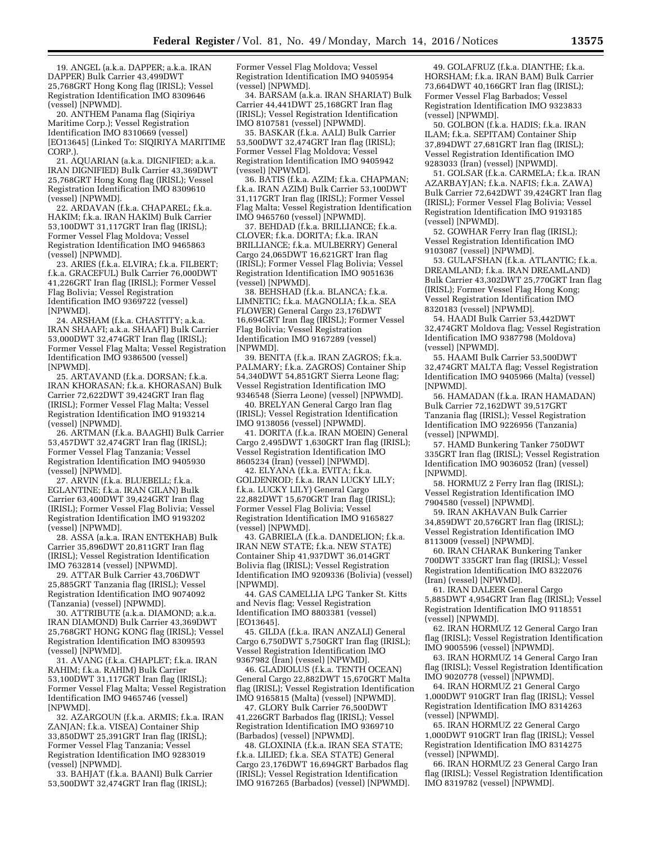19. ANGEL (a.k.a. DAPPER; a.k.a. IRAN DAPPER) Bulk Carrier 43,499DWT 25,768GRT Hong Kong flag (IRISL); Vessel Registration Identification IMO 8309646 (vessel) [NPWMD].

20. ANTHEM Panama flag (Siqiriya Maritime Corp.); Vessel Registration Identification IMO 8310669 (vessel) [EO13645] (Linked To: SIQIRIYA MARITIME CORP.).

21. AQUARIAN (a.k.a. DIGNIFIED; a.k.a. IRAN DIGNIFIED) Bulk Carrier 43,369DWT 25,768GRT Hong Kong flag (IRISL); Vessel Registration Identification IMO 8309610 (vessel) [NPWMD].

22. ARDAVAN (f.k.a. CHAPAREL; f.k.a. HAKIM; f.k.a. IRAN HAKIM) Bulk Carrier 53,100DWT 31,117GRT Iran flag (IRISL); Former Vessel Flag Moldova; Vessel Registration Identification IMO 9465863 (vessel) [NPWMD].

23. ARIES (f.k.a. ELVIRA; f.k.a. FILBERT; f.k.a. GRACEFUL) Bulk Carrier 76,000DWT 41,226GRT Iran flag (IRISL); Former Vessel Flag Bolivia; Vessel Registration Identification IMO 9369722 (vessel) [NPWMD].

24. ARSHAM (f.k.a. CHASTITY; a.k.a. IRAN SHAAFI; a.k.a. SHAAFI) Bulk Carrier 53,000DWT 32,474GRT Iran flag (IRISL); Former Vessel Flag Malta; Vessel Registration Identification IMO 9386500 (vessel) [NPWMD].

25. ARTAVAND (f.k.a. DORSAN; f.k.a. IRAN KHORASAN; f.k.a. KHORASAN) Bulk Carrier 72,622DWT 39,424GRT Iran flag (IRISL); Former Vessel Flag Malta; Vessel Registration Identification IMO 9193214 (vessel) [NPWMD].

26. ARTMAN (f.k.a. BAAGHI) Bulk Carrier 53,457DWT 32,474GRT Iran flag (IRISL); Former Vessel Flag Tanzania; Vessel Registration Identification IMO 9405930 (vessel) [NPWMD].

27. ARVIN (f.k.a. BLUEBELL; f.k.a. EGLANTINE; f.k.a. IRAN GILAN) Bulk Carrier 63,400DWT 39,424GRT Iran flag (IRISL); Former Vessel Flag Bolivia; Vessel Registration Identification IMO 9193202 (vessel) [NPWMD].

28. ASSA (a.k.a. IRAN ENTEKHAB) Bulk Carrier 35,896DWT 20,811GRT Iran flag (IRISL); Vessel Registration Identification IMO 7632814 (vessel) [NPWMD].

29. ATTAR Bulk Carrier 43,706DWT 25,885GRT Tanzania flag (IRISL); Vessel Registration Identification IMO 9074092 (Tanzania) (vessel) [NPWMD].

30. ATTRIBUTE (a.k.a. DIAMOND; a.k.a. IRAN DIAMOND) Bulk Carrier 43,369DWT 25,768GRT HONG KONG flag (IRISL); Vessel Registration Identification IMO 8309593 (vessel) [NPWMD].

31. AVANG (f.k.a. CHAPLET; f.k.a. IRAN RAHIM; f.k.a. RAHIM) Bulk Carrier 53,100DWT 31,117GRT Iran flag (IRISL); Former Vessel Flag Malta; Vessel Registration Identification IMO 9465746 (vessel) [NPWMD].

32. AZARGOUN (f.k.a. ARMIS; f.k.a. IRAN ZANJAN; f.k.a. VISEA) Container Ship 33,850DWT 25,391GRT Iran flag (IRISL); Former Vessel Flag Tanzania; Vessel Registration Identification IMO 9283019 (vessel) [NPWMD].

33. BAHJAT (f.k.a. BAANI) Bulk Carrier 53,500DWT 32,474GRT Iran flag (IRISL);

Former Vessel Flag Moldova; Vessel Registration Identification IMO 9405954 (vessel) [NPWMD].

34. BARSAM (a.k.a. IRAN SHARIAT) Bulk Carrier 44,441DWT 25,168GRT Iran flag (IRISL); Vessel Registration Identification IMO 8107581 (vessel) [NPWMD].

35. BASKAR (f.k.a. AALI) Bulk Carrier 53,500DWT 32,474GRT Iran flag (IRISL); Former Vessel Flag Moldova; Vessel Registration Identification IMO 9405942 (vessel) [NPWMD].

36. BATIS (f.k.a. AZIM; f.k.a. CHAPMAN; f.k.a. IRAN AZIM) Bulk Carrier 53,100DWT 31,117GRT Iran flag (IRISL); Former Vessel Flag Malta; Vessel Registration Identification IMO 9465760 (vessel) [NPWMD].

37. BEHDAD (f.k.a. BRILLIANCE; f.k.a. CLOVER; f.k.a. DORITA; f.k.a. IRAN BRILLIANCE; f.k.a. MULBERRY) General Cargo 24,065DWT 16,621GRT Iran flag (IRISL); Former Vessel Flag Bolivia; Vessel Registration Identification IMO 9051636 (vessel) [NPWMD].

38. BEHSHAD (f.k.a. BLANCA; f.k.a. LIMNETIC; f.k.a. MAGNOLIA; f.k.a. SEA FLOWER) General Cargo 23,176DWT 16,694GRT Iran flag (IRISL); Former Vessel Flag Bolivia; Vessel Registration Identification IMO 9167289 (vessel) [NPWMD].

39. BENITA (f.k.a. IRAN ZAGROS; f.k.a. PALMARY; f.k.a. ZAGROS) Container Ship 54,340DWT 54,851GRT Sierra Leone flag; Vessel Registration Identification IMO 9346548 (Sierra Leone) (vessel) [NPWMD].

40. BRELYAN General Cargo Iran flag (IRISL); Vessel Registration Identification IMO 9138056 (vessel) [NPWMD].

41. DORITA (f.k.a. IRAN MOEIN) General Cargo 2,495DWT 1,630GRT Iran flag (IRISL); Vessel Registration Identification IMO 8605234 (Iran) (vessel) [NPWMD].

42. ELYANA (f.k.a. EVITA; f.k.a. GOLDENROD; f.k.a. IRAN LUCKY LILY; f.k.a. LUCKY LILY) General Cargo 22,882DWT 15,670GRT Iran flag (IRISL); Former Vessel Flag Bolivia; Vessel Registration Identification IMO 9165827 (vessel) [NPWMD].

43. GABRIELA (f.k.a. DANDELION; f.k.a. IRAN NEW STATE; f.k.a. NEW STATE) Container Ship 41,937DWT 36,014GRT Bolivia flag (IRISL); Vessel Registration Identification IMO 9209336 (Bolivia) (vessel) [NPWMD].

44. GAS CAMELLIA LPG Tanker St. Kitts and Nevis flag; Vessel Registration Identification IMO 8803381 (vessel) [EO13645].

45. GILDA (f.k.a. IRAN ANZALI) General Cargo 6,750DWT 5,750GRT Iran flag (IRISL); Vessel Registration Identification IMO 9367982 (Iran) (vessel) [NPWMD].

46. GLADIOLUS (f.k.a. TENTH OCEAN) General Cargo 22,882DWT 15,670GRT Malta flag (IRISL); Vessel Registration Identification IMO 9165815 (Malta) (vessel) [NPWMD].

47. GLORY Bulk Carrier 76,500DWT 41,226GRT Barbados flag (IRISL); Vessel Registration Identification IMO 9369710 (Barbados) (vessel) [NPWMD].

48. GLOXINIA (f.k.a. IRAN SEA STATE; f.k.a. LILIED; f.k.a. SEA STATE) General Cargo 23,176DWT 16,694GRT Barbados flag (IRISL); Vessel Registration Identification IMO 9167265 (Barbados) (vessel) [NPWMD].

49. GOLAFRUZ (f.k.a. DIANTHE; f.k.a. HORSHAM; f.k.a. IRAN BAM) Bulk Carrier 73,664DWT 40,166GRT Iran flag (IRISL); Former Vessel Flag Barbados; Vessel Registration Identification IMO 9323833 (vessel) [NPWMD].

50. GOLBON (f.k.a. HADIS; f.k.a. IRAN ILAM; f.k.a. SEPITAM) Container Ship 37,894DWT 27,681GRT Iran flag (IRISL); Vessel Registration Identification IMO 9283033 (Iran) (vessel) [NPWMD].

51. GOLSAR (f.k.a. CARMELA; f.k.a. IRAN AZARBAYJAN; f.k.a. NAFIS; f.k.a. ZAWA) Bulk Carrier 72,642DWT 39,424GRT Iran flag (IRISL); Former Vessel Flag Bolivia; Vessel Registration Identification IMO 9193185 (vessel) [NPWMD].

52. GOWHAR Ferry Iran flag (IRISL); Vessel Registration Identification IMO 9103087 (vessel) [NPWMD].

53. GULAFSHAN (f.k.a. ATLANTIC; f.k.a. DREAMLAND; f.k.a. IRAN DREAMLAND) Bulk Carrier 43,302DWT 25,770GRT Iran flag (IRISL); Former Vessel Flag Hong Kong; Vessel Registration Identification IMO 8320183 (vessel) [NPWMD].

54. HAADI Bulk Carrier 53,442DWT 32,474GRT Moldova flag; Vessel Registration Identification IMO 9387798 (Moldova) (vessel) [NPWMD].

55. HAAMI Bulk Carrier 53,500DWT 32,474GRT MALTA flag; Vessel Registration Identification IMO 9405966 (Malta) (vessel) [NPWMD].

56. HAMADAN (f.k.a. IRAN HAMADAN) Bulk Carrier 72,162DWT 39,517GRT Tanzania flag (IRISL); Vessel Registration Identification IMO 9226956 (Tanzania) (vessel) [NPWMD].

57. HAMD Bunkering Tanker 750DWT 335GRT Iran flag (IRISL); Vessel Registration Identification IMO 9036052 (Iran) (vessel) [NPWMD].

58. HORMUZ 2 Ferry Iran flag (IRISL); Vessel Registration Identification IMO 7904580 (vessel) [NPWMD].

59. IRAN AKHAVAN Bulk Carrier 34,859DWT 20,576GRT Iran flag (IRISL); Vessel Registration Identification IMO 8113009 (vessel) [NPWMD].

60. IRAN CHARAK Bunkering Tanker 700DWT 335GRT Iran flag (IRISL); Vessel Registration Identification IMO 8322076 (Iran) (vessel) [NPWMD].

61. IRAN DALEER General Cargo 5,885DWT 4,954GRT Iran flag (IRISL); Vessel Registration Identification IMO 9118551 (vessel) [NPWMD].

62. IRAN HORMUZ 12 General Cargo Iran flag (IRISL); Vessel Registration Identification IMO 9005596 (vessel) [NPWMD].

63. IRAN HORMUZ 14 General Cargo Iran flag (IRISL); Vessel Registration Identification IMO 9020778 (vessel) [NPWMD].

64. IRAN HORMUZ 21 General Cargo 1,000DWT 910GRT Iran flag (IRISL); Vessel Registration Identification IMO 8314263 (vessel) [NPWMD].

65. IRAN HORMUZ 22 General Cargo 1,000DWT 910GRT Iran flag (IRISL); Vessel Registration Identification IMO 8314275 (vessel) [NPWMD].

66. IRAN HORMUZ 23 General Cargo Iran flag (IRISL); Vessel Registration Identification IMO 8319782 (vessel) [NPWMD].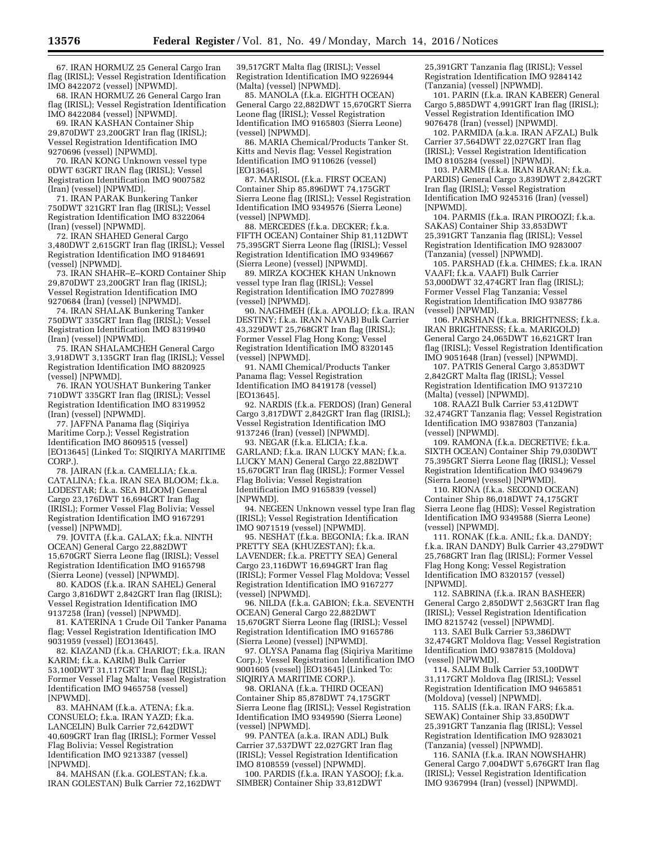67. IRAN HORMUZ 25 General Cargo Iran flag (IRISL); Vessel Registration Identification IMO 8422072 (vessel) [NPWMD].

68. IRAN HORMUZ 26 General Cargo Iran flag (IRISL); Vessel Registration Identification IMO 8422084 (vessel) [NPWMD].

69. IRAN KASHAN Container Ship 29,870DWT 23,200GRT Iran flag (IRISL); Vessel Registration Identification IMO 9270696 (vessel) [NPWMD].

70. IRAN KONG Unknown vessel type 0DWT 63GRT IRAN flag (IRISL); Vessel Registration Identification IMO 9007582 (Iran) (vessel) [NPWMD].

71. IRAN PARAK Bunkering Tanker 750DWT 321GRT Iran flag (IRISL); Vessel Registration Identification IMO 8322064 (Iran) (vessel) [NPWMD].

72. IRAN SHAHED General Cargo 3,480DWT 2,615GRT Iran flag (IRISL); Vessel Registration Identification IMO 9184691 (vessel) [NPWMD].

73. IRAN SHAHR–E–KORD Container Ship 29,870DWT 23,200GRT Iran flag (IRISL); Vessel Registration Identification IMO 9270684 (Iran) (vessel) [NPWMD].

74. IRAN SHALAK Bunkering Tanker 750DWT 335GRT Iran flag (IRISL); Vessel Registration Identification IMO 8319940 (Iran) (vessel) [NPWMD].

75. IRAN SHALAMCHEH General Cargo 3,918DWT 3,135GRT Iran flag (IRISL); Vessel Registration Identification IMO 8820925 (vessel) [NPWMD].

76. IRAN YOUSHAT Bunkering Tanker 710DWT 335GRT Iran flag (IRISL); Vessel Registration Identification IMO 8319952 (Iran) (vessel) [NPWMD].

77. JAFFNA Panama flag (Siqiriya Maritime Corp.); Vessel Registration Identification IMO 8609515 (vessel) [EO13645] (Linked To: SIQIRIYA MARITIME CORP.).

78. JAIRAN (f.k.a. CAMELLIA; f.k.a. CATALINA; f.k.a. IRAN SEA BLOOM; f.k.a. LODESTAR; f.k.a. SEA BLOOM) General Cargo 23,176DWT 16,694GRT Iran flag (IRISL); Former Vessel Flag Bolivia; Vessel Registration Identification IMO 9167291 (vessel) [NPWMD].

79. JOVITA (f.k.a. GALAX; f.k.a. NINTH OCEAN) General Cargo 22,882DWT 15,670GRT Sierra Leone flag (IRISL); Vessel Registration Identification IMO 9165798 (Sierra Leone) (vessel) [NPWMD].

80. KADOS (f.k.a. IRAN SAHEL) General Cargo 3,816DWT 2,842GRT Iran flag (IRISL); Vessel Registration Identification IMO 9137258 (Iran) (vessel) [NPWMD].

81. KATERINA 1 Crude Oil Tanker Panama flag; Vessel Registration Identification IMO 9031959 (vessel) [EO13645].

82. KIAZAND (f.k.a. CHARIOT; f.k.a. IRAN KARIM; f.k.a. KARIM) Bulk Carrier 53,100DWT 31,117GRT Iran flag (IRISL); Former Vessel Flag Malta; Vessel Registration Identification IMO 9465758 (vessel) [NPWMD].

83. MAHNAM (f.k.a. ATENA; f.k.a. CONSUELO; f.k.a. IRAN YAZD; f.k.a. LANCELIN) Bulk Carrier 72,642DWT 40,609GRT Iran flag (IRISL); Former Vessel Flag Bolivia; Vessel Registration Identification IMO 9213387 (vessel) [NPWMD].

84. MAHSAN (f.k.a. GOLESTAN; f.k.a. IRAN GOLESTAN) Bulk Carrier 72,162DWT

39,517GRT Malta flag (IRISL); Vessel Registration Identification IMO 9226944 (Malta) (vessel) [NPWMD].

85. MANOLA (f.k.a. EIGHTH OCEAN) General Cargo 22,882DWT 15,670GRT Sierra Leone flag (IRISL); Vessel Registration Identification IMO 9165803 (Sierra Leone) (vessel) [NPWMD].

86. MARIA Chemical/Products Tanker St. Kitts and Nevis flag; Vessel Registration Identification IMO 9110626 (vessel) [EO13645]

87. MARISOL (f.k.a. FIRST OCEAN) Container Ship 85,896DWT 74,175GRT Sierra Leone flag (IRISL); Vessel Registration Identification IMO 9349576 (Sierra Leone) (vessel) [NPWMD].

88. MERCEDES (f.k.a. DECKER; f.k.a. FIFTH OCEAN) Container Ship 81,112DWT 75,395GRT Sierra Leone flag (IRISL); Vessel Registration Identification IMO 9349667 (Sierra Leone) (vessel) [NPWMD].

89. MIRZA KOCHEK KHAN Unknown vessel type Iran flag (IRISL); Vessel Registration Identification IMO 7027899 (vessel) [NPWMD].

90. NAGHMEH (f.k.a. APOLLO; f.k.a. IRAN DESTINY; f.k.a. IRAN NAVAB) Bulk Carrier 43,329DWT 25,768GRT Iran flag (IRISL); Former Vessel Flag Hong Kong; Vessel Registration Identification IMO 8320145 (vessel) [NPWMD].

91. NAMI Chemical/Products Tanker Panama flag; Vessel Registration Identification IMO 8419178 (vessel) [EO13645].

92. NARDIS (f.k.a. FERDOS) (Iran) General Cargo 3,817DWT 2,842GRT Iran flag (IRISL); Vessel Registration Identification IMO 9137246 (Iran) (vessel) [NPWMD].

93. NEGAR (f.k.a. ELICIA; f.k.a. GARLAND; f.k.a. IRAN LUCKY MAN; f.k.a. LUCKY MAN) General Cargo 22,882DWT 15,670GRT Iran flag (IRISL); Former Vessel Flag Bolivia; Vessel Registration Identification IMO 9165839 (vessel) [NPWMD].

94. NEGEEN Unknown vessel type Iran flag (IRISL); Vessel Registration Identification IMO 9071519 (vessel) [NPWMD].

95. NESHAT (f.k.a. BEGONIA; f.k.a. IRAN PRETTY SEA (KHUZESTAN); f.k.a. LAVENDER; f.k.a. PRETTY SEA) General Cargo 23,116DWT 16,694GRT Iran flag (IRISL); Former Vessel Flag Moldova; Vessel Registration Identification IMO 9167277 (vessel) [NPWMD].

96. NILDA (f.k.a. GABION; f.k.a. SEVENTH OCEAN) General Cargo 22,882DWT 15,670GRT Sierra Leone flag (IRISL); Vessel Registration Identification IMO 9165786 (Sierra Leone) (vessel) [NPWMD].

97. OLYSA Panama flag (Siqiriya Maritime Corp.); Vessel Registration Identification IMO 9001605 (vessel) [EO13645] (Linked To: SIQIRIYA MARITIME CORP.).

98. ORIANA (f.k.a. THIRD OCEAN) Container Ship 85,878DWT 74,175GRT Sierra Leone flag (IRISL); Vessel Registration Identification IMO 9349590 (Sierra Leone) (vessel) [NPWMD].

99. PANTEA (a.k.a. IRAN ADL) Bulk Carrier 37,537DWT 22,027GRT Iran flag (IRISL); Vessel Registration Identification IMO 8108559 (vessel) [NPWMD].

100. PARDIS (f.k.a. IRAN YASOOJ; f.k.a. SIMBER) Container Ship 33,812DWT

25,391GRT Tanzania flag (IRISL); Vessel Registration Identification IMO 9284142 (Tanzania) (vessel) [NPWMD].

101. PARIN (f.k.a. IRAN KABEER) General Cargo 5,885DWT 4,991GRT Iran flag (IRISL); Vessel Registration Identification IMO 9076478 (Iran) (vessel) [NPWMD].

102. PARMIDA (a.k.a. IRAN AFZAL) Bulk Carrier 37,564DWT 22,027GRT Iran flag (IRISL); Vessel Registration Identification IMO 8105284 (vessel) [NPWMD].

103. PARMIS (f.k.a. IRAN BARAN; f.k.a. PARDIS) General Cargo 3,839DWT 2,842GRT Iran flag (IRISL); Vessel Registration Identification IMO 9245316 (Iran) (vessel) [NPWMD].

104. PARMIS (f.k.a. IRAN PIROOZI; f.k.a. SAKAS) Container Ship 33,853DWT 25,391GRT Tanzania flag (IRISL); Vessel Registration Identification IMO 9283007 (Tanzania) (vessel) [NPWMD].

105. PARSHAD (f.k.a. CHIMES; f.k.a. IRAN VAAFI; f.k.a. VAAFI) Bulk Carrier 53,000DWT 32,474GRT Iran flag (IRISL); Former Vessel Flag Tanzania; Vessel Registration Identification IMO 9387786 (vessel) [NPWMD].

106. PARSHAN (f.k.a. BRIGHTNESS; f.k.a. IRAN BRIGHTNESS; f.k.a. MARIGOLD) General Cargo 24,065DWT 16,621GRT Iran flag (IRISL); Vessel Registration Identification IMO 9051648 (Iran) (vessel) [NPWMD].

107. PATRIS General Cargo 3,853DWT 2,842GRT Malta flag (IRISL); Vessel Registration Identification IMO 9137210 (Malta) (vessel) [NPWMD].

108. RAAZI Bulk Carrier 53,412DWT 32,474GRT Tanzania flag; Vessel Registration Identification IMO 9387803 (Tanzania) (vessel) [NPWMD].

109. RAMONA (f.k.a. DECRETIVE; f.k.a. SIXTH OCEAN) Container Ship 79,030DWT 75,395GRT Sierra Leone flag (IRISL); Vessel Registration Identification IMO 9349679 (Sierra Leone) (vessel) [NPWMD].

110. RIONA (f.k.a. SECOND OCEAN) Container Ship 86,018DWT 74,175GRT Sierra Leone flag (HDS); Vessel Registration Identification IMO 9349588 (Sierra Leone) (vessel) [NPWMD].

111. RONAK (f.k.a. ANIL; f.k.a. DANDY; f.k.a. IRAN DANDY) Bulk Carrier 43,279DWT 25,768GRT Iran flag (IRISL); Former Vessel Flag Hong Kong; Vessel Registration Identification IMO 8320157 (vessel) [NPWMD].

112. SABRINA (f.k.a. IRAN BASHEER) General Cargo 2,850DWT 2,563GRT Iran flag (IRISL); Vessel Registration Identification IMO 8215742 (vessel) [NPWMD].

113. SAEI Bulk Carrier 53,386DWT 32,474GRT Moldova flag; Vessel Registration Identification IMO 9387815 (Moldova) (vessel) [NPWMD].

114. SALIM Bulk Carrier 53,100DWT 31,117GRT Moldova flag (IRISL); Vessel Registration Identification IMO 9465851 (Moldova) (vessel) [NPWMD].

115. SALIS (f.k.a. IRAN FARS; f.k.a. SEWAK) Container Ship 33,850DWT 25,391GRT Tanzania flag (IRISL); Vessel Registration Identification IMO 9283021 (Tanzania) (vessel) [NPWMD].

116. SANIA (f.k.a. IRAN NOWSHAHR) General Cargo 7,004DWT 5,676GRT Iran flag (IRISL); Vessel Registration Identification IMO 9367994 (Iran) (vessel) [NPWMD].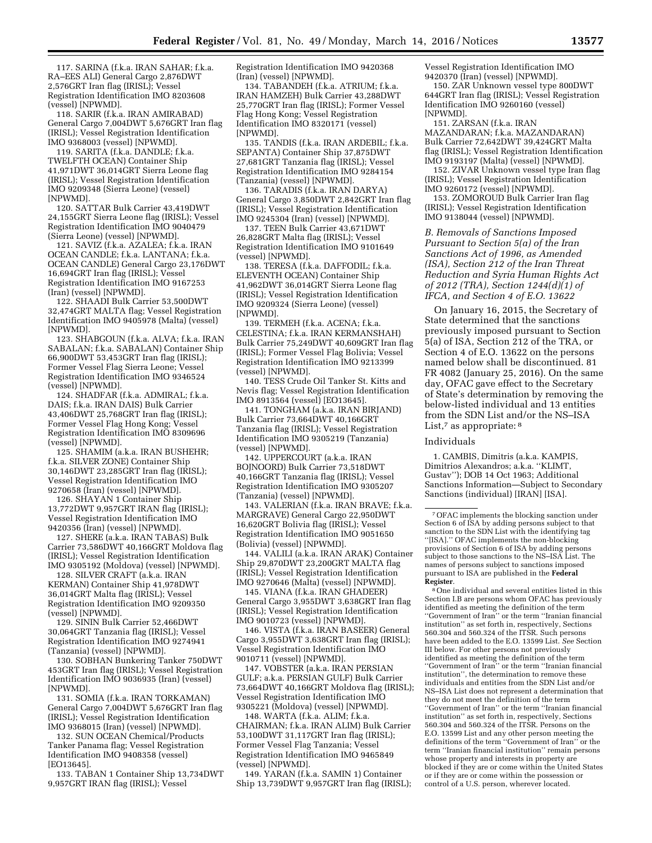117. SARINA (f.k.a. IRAN SAHAR; f.k.a. RA–EES ALI) General Cargo 2,876DWT 2,576GRT Iran flag (IRISL); Vessel Registration Identification IMO 8203608 (vessel) [NPWMD].

118. SARIR (f.k.a. IRAN AMIRABAD) General Cargo 7,004DWT 5,676GRT Iran flag (IRISL); Vessel Registration Identification IMO 9368003 (vessel) [NPWMD].

119. SARITA (f.k.a. DANDLE; f.k.a. TWELFTH OCEAN) Container Ship 41,971DWT 36,014GRT Sierra Leone flag (IRISL); Vessel Registration Identification IMO 9209348 (Sierra Leone) (vessel) [NPWMD].

120. SATTAR Bulk Carrier 43,419DWT 24,155GRT Sierra Leone flag (IRISL); Vessel Registration Identification IMO 9040479 (Sierra Leone) (vessel) [NPWMD].

121. SAVIZ (f.k.a. AZALEA; f.k.a. IRAN OCEAN CANDLE; f.k.a. LANTANA; f.k.a. OCEAN CANDLE) General Cargo 23,176DWT 16,694GRT Iran flag (IRISL); Vessel Registration Identification IMO 9167253 (Iran) (vessel) [NPWMD].

122. SHAADI Bulk Carrier 53,500DWT 32,474GRT MALTA flag; Vessel Registration Identification IMO 9405978 (Malta) (vessel) [NPWMD].

123. SHABGOUN (f.k.a. ALVA; f.k.a. IRAN SABALAN; f.k.a. SABALAN) Container Ship 66,900DWT 53,453GRT Iran flag (IRISL); Former Vessel Flag Sierra Leone; Vessel Registration Identification IMO 9346524 (vessel) [NPWMD].

124. SHADFAR (f.k.a. ADMIRAL; f.k.a. DAIS; f.k.a. IRAN DAIS) Bulk Carrier 43,406DWT 25,768GRT Iran flag (IRISL); Former Vessel Flag Hong Kong; Vessel Registration Identification IMO 8309696 (vessel) [NPWMD].

125. SHAMIM (a.k.a. IRAN BUSHEHR; f.k.a. SILVER ZONE) Container Ship 30,146DWT 23,285GRT Iran flag (IRISL); Vessel Registration Identification IMO 9270658 (Iran) (vessel) [NPWMD].

126. SHAYAN 1 Container Ship 13,772DWT 9,957GRT IRAN flag (IRISL); Vessel Registration Identification IMO 9420356 (Iran) (vessel) [NPWMD].

127. SHERE (a.k.a. IRAN TABAS) Bulk Carrier 73,586DWT 40,166GRT Moldova flag (IRISL); Vessel Registration Identification IMO 9305192 (Moldova) (vessel) [NPWMD].

128. SILVER CRAFT (a.k.a. IRAN KERMAN) Container Ship 41,978DWT 36,014GRT Malta flag (IRISL); Vessel Registration Identification IMO 9209350 (vessel) [NPWMD].

129. SININ Bulk Carrier 52,466DWT 30,064GRT Tanzania flag (IRISL); Vessel Registration Identification IMO 9274941 (Tanzania) (vessel) [NPWMD].

130. SOBHAN Bunkering Tanker 750DWT 453GRT Iran flag (IRISL); Vessel Registration Identification IMO 9036935 (Iran) (vessel) [NPWMD].

131. SOMIA (f.k.a. IRAN TORKAMAN) General Cargo 7,004DWT 5,676GRT Iran flag (IRISL); Vessel Registration Identification IMO 9368015 (Iran) (vessel) [NPWMD].

132. SUN OCEAN Chemical/Products Tanker Panama flag; Vessel Registration Identification IMO 9408358 (vessel) [EO13645].

133. TABAN 1 Container Ship 13,734DWT 9,957GRT IRAN flag (IRISL); Vessel

Registration Identification IMO 9420368 (Iran) (vessel) [NPWMD].

134. TABANDEH (f.k.a. ATRIUM; f.k.a. IRAN HAMZEH) Bulk Carrier 43,288DWT 25,770GRT Iran flag (IRISL); Former Vessel Flag Hong Kong; Vessel Registration Identification IMO 8320171 (vessel) [NPWMD].

135. TANDIS (f.k.a. IRAN ARDEBIL; f.k.a. SEPANTA) Container Ship 37,875DWT 27,681GRT Tanzania flag (IRISL); Vessel Registration Identification IMO 9284154 (Tanzania) (vessel) [NPWMD].

136. TARADIS (f.k.a. IRAN DARYA) General Cargo 3,850DWT 2,842GRT Iran flag (IRISL); Vessel Registration Identification IMO 9245304 (Iran) (vessel) [NPWMD].

137. TEEN Bulk Carrier 43,671DWT 26,828GRT Malta flag (IRISL); Vessel Registration Identification IMO 9101649 (vessel) [NPWMD].

138. TERESA (f.k.a. DAFFODIL; f.k.a. ELEVENTH OCEAN) Container Ship 41,962DWT 36,014GRT Sierra Leone flag (IRISL); Vessel Registration Identification IMO 9209324 (Sierra Leone) (vessel) [NPWMD].

139. TERMEH (f.k.a. ACENA; f.k.a. CELESTINA; f.k.a. IRAN KERMANSHAH) Bulk Carrier 75,249DWT 40,609GRT Iran flag (IRISL); Former Vessel Flag Bolivia; Vessel Registration Identification IMO 9213399 (vessel) [NPWMD].

140. TESS Crude Oil Tanker St. Kitts and Nevis flag; Vessel Registration Identification IMO 8913564 (vessel) [EO13645].

141. TONGHAM (a.k.a. IRAN BIRJAND) Bulk Carrier 73,664DWT 40,166GRT Tanzania flag (IRISL); Vessel Registration Identification IMO 9305219 (Tanzania) (vessel) [NPWMD].

142. UPPERCOURT (a.k.a. IRAN BOJNOORD) Bulk Carrier 73,518DWT 40,166GRT Tanzania flag (IRISL); Vessel Registration Identification IMO 9305207 (Tanzania) (vessel) [NPWMD].

143. VALERIAN (f.k.a. IRAN BRAVE; f.k.a. MARGRAVE) General Cargo 22,950DWT 16,620GRT Bolivia flag (IRISL); Vessel Registration Identification IMO 9051650 (Bolivia) (vessel) [NPWMD].

144. VALILI (a.k.a. IRAN ARAK) Container Ship 29,870DWT 23,200GRT MALTA flag (IRISL); Vessel Registration Identification IMO 9270646 (Malta) (vessel) [NPWMD].

145. VIANA (f.k.a. IRAN GHADEER) General Cargo 3,955DWT 3,638GRT Iran flag (IRISL); Vessel Registration Identification IMO 9010723 (vessel) [NPWMD].

146. VISTA (f.k.a. IRAN BASEER) General Cargo 3,955DWT 3,638GRT Iran flag (IRISL); Vessel Registration Identification IMO 9010711 (vessel) [NPWMD].

147. VOBSTER (a.k.a. IRAN PERSIAN GULF; a.k.a. PERSIAN GULF) Bulk Carrier 73,664DWT 40,166GRT Moldova flag (IRISL); Vessel Registration Identification IMO 9305221 (Moldova) (vessel) [NPWMD].

148. WARTA (f.k.a. ALIM; f.k.a. CHAIRMAN; f.k.a. IRAN ALIM) Bulk Carrier 53,100DWT 31,117GRT Iran flag (IRISL); Former Vessel Flag Tanzania; Vessel Registration Identification IMO 9465849 (vessel) [NPWMD].

149. YARAN (f.k.a. SAMIN 1) Container Ship 13,739DWT 9,957GRT Iran flag (IRISL); Vessel Registration Identification IMO 9420370 (Iran) (vessel) [NPWMD].

150. ZAR Unknown vessel type 800DWT 644GRT Iran flag (IRISL); Vessel Registration Identification IMO 9260160 (vessel) [NPWMD].

151. ZARSAN (f.k.a. IRAN MAZANDARAN; f.k.a. MAZANDARAN) Bulk Carrier 72,642DWT 39,424GRT Malta flag (IRISL); Vessel Registration Identification IMO 9193197 (Malta) (vessel) [NPWMD].

152. ZIVAR Unknown vessel type Iran flag (IRISL); Vessel Registration Identification IMO 9260172 (vessel) [NPWMD].

153. ZOMOROUD Bulk Carrier Iran flag (IRISL); Vessel Registration Identification IMO 9138044 (vessel) [NPWMD].

*B. Removals of Sanctions Imposed Pursuant to Section 5(a) of the Iran Sanctions Act of 1996, as Amended (ISA), Section 212 of the Iran Threat Reduction and Syria Human Rights Act of 2012 (TRA), Section 1244(d)(1) of IFCA, and Section 4 of E.O. 13622* 

On January 16, 2015, the Secretary of State determined that the sanctions previously imposed pursuant to Section 5(a) of ISA, Section 212 of the TRA, or Section 4 of E.O. 13622 on the persons named below shall be discontinued. 81 FR 4082 (January 25, 2016). On the same day, OFAC gave effect to the Secretary of State's determination by removing the below-listed individual and 13 entities from the SDN List and/or the NS–ISA List,<sup>7</sup> as appropriate: <sup>8</sup>

Individuals

1. CAMBIS, Dimitris (a.k.a. KAMPIS, Dimitrios Alexandros; a.k.a. ''KLIMT, Gustav''); DOB 14 Oct 1963; Additional Sanctions Information—Subject to Secondary Sanctions (individual) [IRAN] [ISA].

7OFAC implements the blocking sanction under Section 6 of ISA by adding persons subject to that sanction to the SDN List with the identifying tag ''[ISA].'' OFAC implements the non-blocking provisions of Section 6 of ISA by adding persons subject to those sanctions to the NS–ISA List. The names of persons subject to sanctions imposed pursuant to ISA are published in the **Federal Register**.

8One individual and several entities listed in this Section I.B are persons whom OFAC has previously identified as meeting the definition of the term ''Government of Iran'' or the term ''Iranian financial institution'' as set forth in, respectively, Sections 560.304 and 560.324 of the ITSR. Such persons have been added to the E.O. 13599 List. *See* Section III below. For other persons not previously identified as meeting the definition of the term ''Government of Iran'' or the term ''Iranian financial institution'', the determination to remove these individuals and entities from the SDN List and/or NS–ISA List does not represent a determination that they do not meet the definition of the term ''Government of Iran'' or the term ''Iranian financial institution'' as set forth in, respectively, Sections 560.304 and 560.324 of the ITSR. Persons on the E.O. 13599 List and any other person meeting the definitions of the term ''Government of Iran'' or the term ''Iranian financial institution'' remain persons whose property and interests in property are blocked if they are or come within the United States or if they are or come within the possession or control of a U.S. person, wherever located.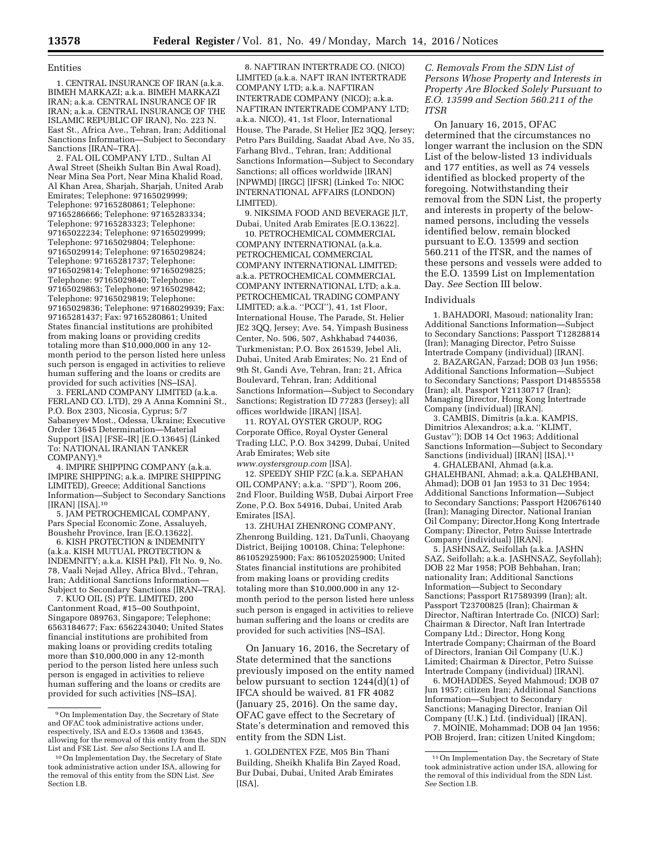#### Entities

1. CENTRAL INSURANCE OF IRAN (a.k.a. BIMEH MARKAZI; a.k.a. BIMEH MARKAZI IRAN; a.k.a. CENTRAL INSURANCE OF IR IRAN; a.k.a. CENTRAL INSURANCE OF THE ISLAMIC REPUBLIC OF IRAN), No. 223 N. East St., Africa Ave., Tehran, Iran; Additional Sanctions Information—Subject to Secondary Sanctions [IRAN–TRA].

2. FAL OIL COMPANY LTD., Sultan Al Awal Street (Sheikh Sultan Bin Awal Road), Near Mina Sea Port, Near Mina Khalid Road, Al Khan Area, Sharjah, Sharjah, United Arab Emirates; Telephone: 97165029999; Telephone: 97165280861; Telephone: 97165286666; Telephone: 97165283334; Telephone: 97165283323; Telephone: 97165022234; Telephone: 97165029999; Telephone: 97165029804; Telephone: 97165029914; Telephone: 97165029824; Telephone: 97165281737; Telephone: 97165029814; Telephone: 97165029825; Telephone: 97165029840; Telephone: 97165029863; Telephone: 97165029842; Telephone: 97165029819; Telephone: 97165029836; Telephone: 97168029939; Fax: 97165281437; Fax: 97165280861; United States financial institutions are prohibited from making loans or providing credits totaling more than \$10,000,000 in any 12 month period to the person listed here unless such person is engaged in activities to relieve human suffering and the loans or credits are provided for such activities [NS–ISA].

3. FERLAND COMPANY LIMITED (a.k.a. FERLAND CO. LTD), 29 A Anna Komnini St., P.O. Box 2303, Nicosia, Cyprus; 5/7 Sabaneyev Most., Odessa, Ukraine; Executive Order 13645 Determination—Material Support [ISA] [FSE–IR] [E.O.13645] (Linked To: NATIONAL IRANIAN TANKER COMPANY).9

4. IMPIRE SHIPPING COMPANY (a.k.a. IMPIRE SHIPPING; a.k.a. IMPIRE SHIPPING LIMITED), Greece; Additional Sanctions Information—Subject to Secondary Sanctions [IRAN] [ISA].10

5. JAM PETROCHEMICAL COMPANY, Pars Special Economic Zone, Assaluyeh, Boushehr Province, Iran [E.O.13622].

6. KISH PROTECTION & INDEMNITY (a.k.a. KISH MUTUAL PROTECTION & INDEMNITY; a.k.a. KISH P&I), Flt No. 9, No. 78, Vaali Nejad Alley, Africa Blvd., Tehran, Iran; Additional Sanctions Information— Subject to Secondary Sanctions [IRAN–TRA].

7. KUO OIL (S) PTE. LIMITED, 200 Cantonment Road, #15–00 Southpoint, Singapore 089763, Singapore; Telephone: 6563184677; Fax: 6562243040; United States financial institutions are prohibited from making loans or providing credits totaling more than \$10,000,000 in any 12-month period to the person listed here unless such person is engaged in activities to relieve human suffering and the loans or credits are provided for such activities [NS–ISA].

8. NAFTIRAN INTERTRADE CO. (NICO) LIMITED (a.k.a. NAFT IRAN INTERTRADE COMPANY LTD; a.k.a. NAFTIRAN INTERTRADE COMPANY (NICO); a.k.a. NAFTIRAN INTERTRADE COMPANY LTD; a.k.a. NICO), 41, 1st Floor, International House, The Parade, St Helier JE2 3QQ, Jersey; Petro Pars Building, Saadat Abad Ave, No 35, Farhang Blvd., Tehran, Iran; Additional Sanctions Information—Subject to Secondary Sanctions; all offices worldwide [IRAN] [NPWMD] [IRGC] [IFSR] (Linked To: NIOC INTERNATIONAL AFFAIRS (LONDON) LIMITED).

9. NIKSIMA FOOD AND BEVERAGE JLT, Dubai, United Arab Emirates [E.O.13622].

10. PETROCHEMICAL COMMERCIAL COMPANY INTERNATIONAL (a.k.a. PETROCHEMICAL COMMERCIAL COMPANY INTERNATIONAL LIMITED; a.k.a. PETROCHEMICAL COMMERCIAL COMPANY INTERNATIONAL LTD; a.k.a. PETROCHEMICAL TRADING COMPANY LIMITED; a.k.a. ''PCCI''), 41, 1st Floor, International House, The Parade, St. Helier JE2 3QQ, Jersey; Ave. 54, Yimpash Business Center, No. 506, 507, Ashkhabad 744036, Turkmenistan; P.O. Box 261539, Jebel Ali, Dubai, United Arab Emirates; No. 21 End of 9th St, Gandi Ave, Tehran, Iran; 21, Africa Boulevard, Tehran, Iran; Additional Sanctions Information—Subject to Secondary Sanctions; Registration ID 77283 (Jersey); all offices worldwide [IRAN] [ISA].

11. ROYAL OYSTER GROUP, ROG Corporate Office, Royal Oyster General Trading LLC, P.O. Box 34299, Dubai, United Arab Emirates; Web site *[www.oystersgroup.com](http://www.oystersgroup.com)* [ISA].

12. SPEEDY SHIP FZC (a.k.a. SEPAHAN OIL COMPANY; a.k.a. ''SPD''), Room 206,

2nd Floor, Building W5B, Dubai Airport Free Zone, P.O. Box 54916, Dubai, United Arab Emirates [ISA]. 13. ZHUHAI ZHENRONG COMPANY,

Zhenrong Building, 121, DaTunli, Chaoyang District, Beijing 100108, China; Telephone: 861052925900; Fax: 861052025900; United States financial institutions are prohibited from making loans or providing credits totaling more than \$10,000,000 in any 12 month period to the person listed here unless such person is engaged in activities to relieve human suffering and the loans or credits are provided for such activities [NS–ISA].

On January 16, 2016, the Secretary of State determined that the sanctions previously imposed on the entity named below pursuant to section 1244(d)(1) of IFCA should be waived. 81 FR 4082 (January 25, 2016). On the same day, OFAC gave effect to the Secretary of State's determination and removed this entity from the SDN List.

1. GOLDENTEX FZE, M05 Bin Thani Building, Sheikh Khalifa Bin Zayed Road, Bur Dubai, Dubai, United Arab Emirates [ISA].

*C. Removals From the SDN List of Persons Whose Property and Interests in Property Are Blocked Solely Pursuant to E.O. 13599 and Section 560.211 of the ITSR* 

On January 16, 2015, OFAC determined that the circumstances no longer warrant the inclusion on the SDN List of the below-listed 13 individuals and 177 entities, as well as 74 vessels identified as blocked property of the foregoing. Notwithstanding their removal from the SDN List, the property and interests in property of the belownamed persons, including the vessels identified below, remain blocked pursuant to E.O. 13599 and section 560.211 of the ITSR, and the names of these persons and vessels were added to the E.O. 13599 List on Implementation Day. *See* Section III below.

#### Individuals

1. BAHADORI, Masoud; nationality Iran; Additional Sanctions Information—Subject to Secondary Sanctions; Passport T12828814 (Iran); Managing Director, Petro Suisse Intertrade Company (individual) [IRAN].

2. BAZARGAN, Farzad; DOB 03 Jun 1956; Additional Sanctions Information—Subject to Secondary Sanctions; Passport D14855558 (Iran); alt. Passport Y21130717 (Iran); Managing Director, Hong Kong Intertrade Company (individual) [IRAN].

3. CAMBIS, Dimitris (a.k.a. KAMPIS, Dimitrios Alexandros; a.k.a. ''KLIMT, Gustav''); DOB 14 Oct 1963; Additional Sanctions Information—Subject to Secondary Sanctions (individual) [IRAN] [ISA].<sup>11</sup>

4. GHALEBANI, Ahmad (a.k.a. GHALEHBANI, Ahmad; a.k.a. QALEHBANI, Ahmad); DOB 01 Jan 1953 to 31 Dec 1954; Additional Sanctions Information—Subject to Secondary Sanctions; Passport H20676140 (Iran); Managing Director, National Iranian Oil Company; Director,Hong Kong Intertrade Company; Director, Petro Suisse Intertrade Company (individual) [IRAN].

5. JASHNSAZ, Seifollah (a.k.a. JASHN SAZ, Seifollah; a.k.a. JASHNSAZ, Seyfollah); DOB 22 Mar 1958; POB Behbahan, Iran; nationality Iran; Additional Sanctions Information—Subject to Secondary Sanctions; Passport R17589399 (Iran); alt. Passport T23700825 (Iran); Chairman & Director, Naftiran Intertrade Co. (NICO) Sarl; Chairman & Director, Naft Iran Intertrade Company Ltd.; Director, Hong Kong Intertrade Company; Chairman of the Board of Directors, Iranian Oil Company (U.K.) Limited; Chairman & Director, Petro Suisse Intertrade Company (individual) [IRAN].

6. MOHADDES, Seyed Mahmoud; DOB 07 Jun 1957; citizen Iran; Additional Sanctions Information—Subject to Secondary Sanctions; Managing Director, Iranian Oil Company (U.K.) Ltd. (individual) [IRAN].

7. MOINIE, Mohammad; DOB 04 Jan 1956; POB Brojerd, Iran; citizen United Kingdom;

<sup>9</sup>On Implementation Day, the Secretary of State and OFAC took administrative actions under, respectively, ISA and E.O.s 13608 and 13645, allowing for the removal of this entity from the SDN List and FSE List. *See also* Sections I.A and II.

<sup>10</sup>On Implementation Day, the Secretary of State took administrative action under ISA, allowing for the removal of this entity from the SDN List. *See*  Section I.B.

<sup>11</sup>On Implementation Day, the Secretary of State took administrative action under ISA, allowing for the removal of this individual from the SDN List. *See* Section I.B.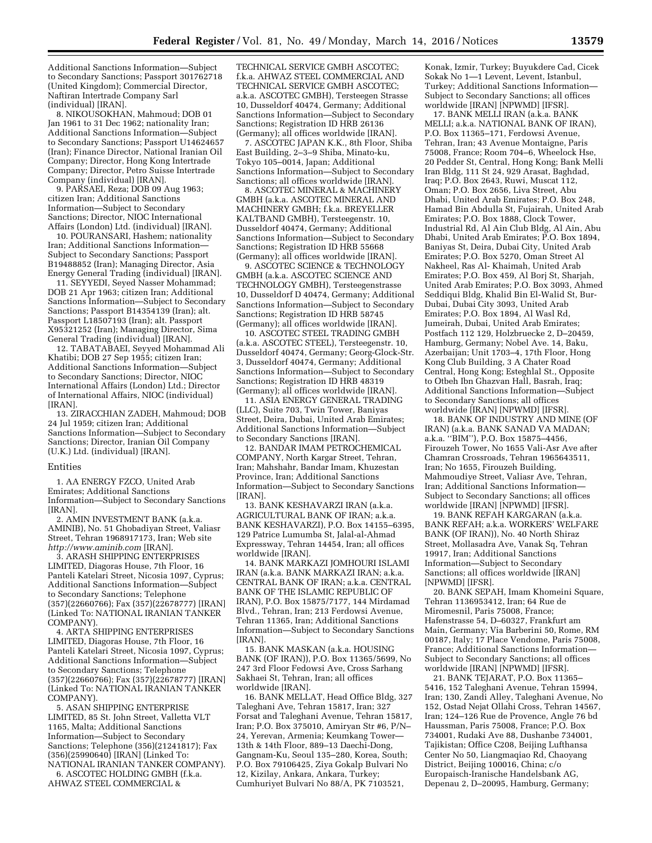Additional Sanctions Information—Subject to Secondary Sanctions; Passport 301762718 (United Kingdom); Commercial Director, Naftiran Intertrade Company Sarl (individual) [IRAN].

8. NIKOUSOKHAN, Mahmoud; DOB 01 Jan 1961 to 31 Dec 1962; nationality Iran; Additional Sanctions Information—Subject to Secondary Sanctions; Passport U14624657 (Iran); Finance Director, National Iranian Oil Company; Director, Hong Kong Intertrade Company; Director, Petro Suisse Intertrade Company (individual) [IRAN].

9. PARSAEI, Reza; DOB 09 Aug 1963; citizen Iran; Additional Sanctions Information—Subject to Secondary Sanctions; Director, NIOC International Affairs (London) Ltd. (individual) [IRAN].

10. POURANSARI, Hashem; nationality Iran; Additional Sanctions Information— Subject to Secondary Sanctions; Passport B19488852 (Iran); Managing Director, Asia Energy General Trading (individual) [IRAN].

11. SEYYEDI, Seyed Nasser Mohammad; DOB 21 Apr 1963; citizen Iran; Additional Sanctions Information—Subject to Secondary Sanctions; Passport B14354139 (Iran); alt. Passport L18507193 (Iran); alt. Passport X95321252 (Iran); Managing Director, Sima General Trading (individual) [IRAN].

12. TABATABAEI, Seyyed Mohammad Ali Khatibi; DOB 27 Sep 1955; citizen Iran; Additional Sanctions Information—Subject to Secondary Sanctions; Director, NIOC International Affairs (London) Ltd.; Director of International Affairs, NIOC (individual) [IRAN].

13. ZIRACCHIAN ZADEH, Mahmoud; DOB 24 Jul 1959; citizen Iran; Additional Sanctions Information—Subject to Secondary Sanctions; Director, Iranian Oil Company (U.K.) Ltd. (individual) [IRAN].

#### Entities

1. AA ENERGY FZCO, United Arab Emirates; Additional Sanctions Information—Subject to Secondary Sanctions [IRAN].

2. AMIN INVESTMENT BANK (a.k.a. AMINIB), No. 51 Ghobadiyan Street, Valiasr Street, Tehran 1968917173, Iran; Web site *<http://www.aminib.com>*[IRAN].

3. ARASH SHIPPING ENTERPRISES LIMITED, Diagoras House, 7th Floor, 16 Panteli Katelari Street, Nicosia 1097, Cyprus; Additional Sanctions Information—Subject to Secondary Sanctions; Telephone (357)(22660766); Fax (357)(22678777) [IRAN] (Linked To: NATIONAL IRANIAN TANKER COMPANY).

4. ARTA SHIPPING ENTERPRISES LIMITED, Diagoras House, 7th Floor, 16 Panteli Katelari Street, Nicosia 1097, Cyprus; Additional Sanctions Information—Subject to Secondary Sanctions; Telephone (357)(22660766); Fax (357)(22678777) [IRAN] (Linked To: NATIONAL IRANIAN TANKER COMPANY).

5. ASAN SHIPPING ENTERPRISE LIMITED, 85 St. John Street, Valletta VLT 1165, Malta; Additional Sanctions Information—Subject to Secondary Sanctions; Telephone (356)(21241817); Fax (356)(25990640) [IRAN] (Linked To: NATIONAL IRANIAN TANKER COMPANY). 6. ASCOTEC HOLDING GMBH (f.k.a.

AHWAZ STEEL COMMERCIAL &

TECHNICAL SERVICE GMBH ASCOTEC; f.k.a. AHWAZ STEEL COMMERCIAL AND TECHNICAL SERVICE GMBH ASCOTEC; a.k.a. ASCOTEC GMBH), Tersteegen Strasse 10, Dusseldorf 40474, Germany; Additional Sanctions Information—Subject to Secondary Sanctions; Registration ID HRB 26136 (Germany); all offices worldwide [IRAN].

7. ASCOTEC JAPAN K.K., 8th Floor, Shiba East Building, 2–3–9 Shiba, Minato-ku, Tokyo 105–0014, Japan; Additional Sanctions Information—Subject to Secondary Sanctions; all offices worldwide [IRAN].

8. ASCOTEC MINERAL & MACHINERY GMBH (a.k.a. ASCOTEC MINERAL AND MACHINERY GMBH; f.k.a. BREYELLER KALTBAND GMBH), Tersteegenstr. 10, Dusseldorf 40474, Germany; Additional Sanctions Information—Subject to Secondary Sanctions; Registration ID HRB 55668 (Germany); all offices worldwide [IRAN].

9. ASCOTEC SCIENCE & TECHNOLOGY GMBH (a.k.a. ASCOTEC SCIENCE AND TECHNOLOGY GMBH), Tersteegenstrasse 10, Dusseldorf D 40474, Germany; Additional Sanctions Information—Subject to Secondary Sanctions; Registration ID HRB 58745 (Germany); all offices worldwide [IRAN].

10. ASCOTEC STEEL TRADING GMBH (a.k.a. ASCOTEC STEEL), Tersteegenstr. 10, Dusseldorf 40474, Germany; Georg-Glock-Str. 3, Dusseldorf 40474, Germany; Additional Sanctions Information—Subject to Secondary Sanctions; Registration ID HRB 48319 (Germany); all offices worldwide [IRAN].

11. ASIA ENERGY GENERAL TRADING (LLC), Suite 703, Twin Tower, Baniyas Street, Deira, Dubai, United Arab Emirates; Additional Sanctions Information—Subject to Secondary Sanctions [IRAN].

12. BANDAR IMAM PETROCHEMICAL COMPANY, North Kargar Street, Tehran, Iran; Mahshahr, Bandar Imam, Khuzestan Province, Iran; Additional Sanctions Information—Subject to Secondary Sanctions [IRAN].

13. BANK KESHAVARZI IRAN (a.k.a. AGRICULTURAL BANK OF IRAN; a.k.a. BANK KESHAVARZI), P.O. Box 14155–6395, 129 Patrice Lumumba St, Jalal-al-Ahmad Expressway, Tehran 14454, Iran; all offices worldwide [IRAN].

14. BANK MARKAZI JOMHOURI ISLAMI IRAN (a.k.a. BANK MARKAZI IRAN; a.k.a. CENTRAL BANK OF IRAN; a.k.a. CENTRAL BANK OF THE ISLAMIC REPUBLIC OF IRAN), P.O. Box 15875/7177, 144 Mirdamad Blvd., Tehran, Iran; 213 Ferdowsi Avenue, Tehran 11365, Iran; Additional Sanctions Information—Subject to Secondary Sanctions [IRAN].

15. BANK MASKAN (a.k.a. HOUSING BANK (OF IRAN)), P.O. Box 11365/5699, No 247 3rd Floor Fedowsi Ave, Cross Sarhang Sakhaei St, Tehran, Iran; all offices worldwide [IRAN].

16. BANK MELLAT, Head Office Bldg, 327 Taleghani Ave, Tehran 15817, Iran; 327 Forsat and Taleghani Avenue, Tehran 15817, Iran; P.O. Box 375010, Amiryan Str #6, P/N– 24, Yerevan, Armenia; Keumkang Tower— 13th & 14th Floor, 889–13 Daechi-Dong, Gangnam-Ku, Seoul 135–280, Korea, South; P.O. Box 79106425, Ziya Gokalp Bulvari No 12, Kizilay, Ankara, Ankara, Turkey; Cumhuriyet Bulvari No 88/A, PK 7103521,

Konak, Izmir, Turkey; Buyukdere Cad, Cicek Sokak No 1—1 Levent, Levent, Istanbul, Turkey; Additional Sanctions Information— Subject to Secondary Sanctions; all offices worldwide [IRAN] [NPWMD] [IFSR].

17. BANK MELLI IRAN (a.k.a. BANK MELLI; a.k.a. NATIONAL BANK OF IRAN), P.O. Box 11365–171, Ferdowsi Avenue, Tehran, Iran; 43 Avenue Montaigne, Paris 75008, France; Room 704–6, Wheelock Hse, 20 Pedder St, Central, Hong Kong; Bank Melli Iran Bldg, 111 St 24, 929 Arasat, Baghdad, Iraq; P.O. Box 2643, Ruwi, Muscat 112, Oman; P.O. Box 2656, Liva Street, Abu Dhabi, United Arab Emirates; P.O. Box 248, Hamad Bin Abdulla St, Fujairah, United Arab Emirates; P.O. Box 1888, Clock Tower, Industrial Rd, Al Ain Club Bldg, Al Ain, Abu Dhabi, United Arab Emirates; P.O. Box 1894, Baniyas St, Deira, Dubai City, United Arab Emirates; P.O. Box 5270, Oman Street Al Nakheel, Ras Al- Khaimah, United Arab Emirates; P.O. Box 459, Al Borj St, Sharjah, United Arab Emirates; P.O. Box 3093, Ahmed Seddiqui Bldg, Khalid Bin El-Walid St, Bur-Dubai, Dubai City 3093, United Arab Emirates; P.O. Box 1894, Al Wasl Rd, Jumeirah, Dubai, United Arab Emirates; Postfach 112 129, Holzbruecke 2, D–20459, Hamburg, Germany; Nobel Ave. 14, Baku, Azerbaijan; Unit 1703–4, 17th Floor, Hong Kong Club Building, 3 A Chater Road Central, Hong Kong; Esteghlal St., Opposite to Otbeh Ibn Ghazvan Hall, Basrah, Iraq; Additional Sanctions Information—Subject to Secondary Sanctions; all offices worldwide [IRAN] [NPWMD] [IFSR].

18. BANK OF INDUSTRY AND MINE (OF IRAN) (a.k.a. BANK SANAD VA MADAN; a.k.a. ''BIM''), P.O. Box 15875–4456, Firouzeh Tower, No 1655 Vali-Asr Ave after Chamran Crossroads, Tehran 1965643511, Iran; No 1655, Firouzeh Building, Mahmoudiye Street, Valiasr Ave, Tehran, Iran; Additional Sanctions Information— Subject to Secondary Sanctions; all offices worldwide [IRAN] [NPWMD] [IFSR].

19. BANK REFAH KARGARAN (a.k.a. BANK REFAH; a.k.a. WORKERS' WELFARE BANK (OF IRAN)), No. 40 North Shiraz Street, Mollasadra Ave, Vanak Sq, Tehran 19917, Iran; Additional Sanctions Information—Subject to Secondary Sanctions; all offices worldwide [IRAN] [NPWMD] [IFSR].

20. BANK SEPAH, Imam Khomeini Square, Tehran 1136953412, Iran; 64 Rue de Miromesnil, Paris 75008, France; Hafenstrasse 54, D–60327, Frankfurt am Main, Germany; Via Barberini 50, Rome, RM 00187, Italy; 17 Place Vendome, Paris 75008, France; Additional Sanctions Information— Subject to Secondary Sanctions; all offices worldwide [IRAN] [NPWMD] [IFSR].

21. BANK TEJARAT, P.O. Box 11365– 5416, 152 Taleghani Avenue, Tehran 15994, Iran; 130, Zandi Alley, Taleghani Avenue, No 152, Ostad Nejat Ollahi Cross, Tehran 14567, Iran; 124–126 Rue de Provence, Angle 76 bd Haussman, Paris 75008, France; P.O. Box 734001, Rudaki Ave 88, Dushanbe 734001, Tajikistan; Office C208, Beijing Lufthansa Center No 50, Liangmaqiao Rd, Chaoyang District, Beijing 100016, China; c/o Europaisch-Iranische Handelsbank AG, Depenau 2, D–20095, Hamburg, Germany;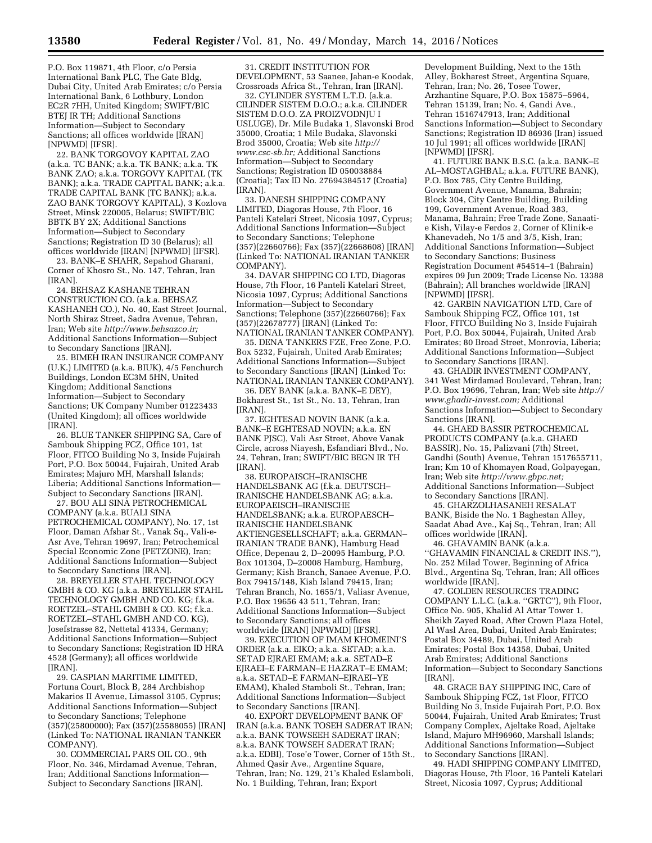P.O. Box 119871, 4th Floor, c/o Persia International Bank PLC, The Gate Bldg, Dubai City, United Arab Emirates; c/o Persia International Bank, 6 Lothbury, London EC2R 7HH, United Kingdom; SWIFT/BIC BTEJ IR TH; Additional Sanctions Information—Subject to Secondary Sanctions; all offices worldwide [IRAN] [NPWMD] [IFSR].

22. BANK TORGOVOY KAPITAL ZAO (a.k.a. TC BANK; a.k.a. TK BANK; a.k.a. TK BANK ZAO; a.k.a. TORGOVY KAPITAL (TK BANK); a.k.a. TRADE CAPITAL BANK; a.k.a. TRADE CAPITAL BANK (TC BANK); a.k.a. ZAO BANK TORGOVY KAPITAL), 3 Kozlova Street, Minsk 220005, Belarus; SWIFT/BIC BBTK BY 2X; Additional Sanctions Information—Subject to Secondary Sanctions; Registration ID 30 (Belarus); all offices worldwide [IRAN] [NPWMD] [IFSR].

23. BANK–E SHAHR, Sepahod Gharani, Corner of Khosro St., No. 147, Tehran, Iran [IRAN].

24. BEHSAZ KASHANE TEHRAN CONSTRUCTION CO. (a.k.a. BEHSAZ KASHANEH CO.), No. 40, East Street Journal, North Shiraz Street, Sadra Avenue, Tehran, Iran; Web site *[http://www.behsazco.ir;](http://www.behsazco.ir)*  Additional Sanctions Information—Subject to Secondary Sanctions [IRAN].

25. BIMEH IRAN INSURANCE COMPANY (U.K.) LIMITED (a.k.a. BIUK), 4/5 Fenchurch Buildings, London EC3M 5HN, United Kingdom; Additional Sanctions Information—Subject to Secondary Sanctions; UK Company Number 01223433 (United Kingdom); all offices worldwide [IRAN].

26. BLUE TANKER SHIPPING SA, Care of Sambouk Shipping FCZ, Office 101, 1st Floor, FITCO Building No 3, Inside Fujairah Port, P.O. Box 50044, Fujairah, United Arab Emirates; Majuro MH, Marshall Islands; Liberia; Additional Sanctions Information— Subject to Secondary Sanctions [IRAN].

27. BOU ALI SINA PETROCHEMICAL COMPANY (a.k.a. BUALI SINA PETROCHEMICAL COMPANY), No. 17, 1st Floor, Daman Afshar St., Vanak Sq., Vali-e-Asr Ave, Tehran 19697, Iran; Petrochemical Special Economic Zone (PETZONE), Iran; Additional Sanctions Information—Subject to Secondary Sanctions [IRAN].

28. BREYELLER STAHL TECHNOLOGY GMBH & CO. KG (a.k.a. BREYELLER STAHL TECHNOLOGY GMBH AND CO. KG; f.k.a. ROETZEL–STAHL GMBH & CO. KG; f.k.a. ROETZEL–STAHL GMBH AND CO. KG), Josefstrasse 82, Nettetal 41334, Germany; Additional Sanctions Information—Subject to Secondary Sanctions; Registration ID HRA 4528 (Germany); all offices worldwide [IRAN]

29. CASPIAN MARITIME LIMITED, Fortuna Court, Block B, 284 Archbishop Makarios II Avenue, Limassol 3105, Cyprus; Additional Sanctions Information—Subject to Secondary Sanctions; Telephone (357)(25800000); Fax (357)(25588055) [IRAN] (Linked To: NATIONAL IRANIAN TANKER COMPANY).

30. COMMERCIAL PARS OIL CO., 9th Floor, No. 346, Mirdamad Avenue, Tehran, Iran; Additional Sanctions Information— Subject to Secondary Sanctions [IRAN].

31. CREDIT INSTITUTION FOR DEVELOPMENT, 53 Saanee, Jahan-e Koodak, Crossroads Africa St., Tehran, Iran [IRAN].

32. CYLINDER SYSTEM L.T.D. (a.k.a. CILINDER SISTEM D.O.O.; a.k.a. CILINDER SISTEM D.O.O. ZA PROIZVODNJU I USLUGE), Dr. Mile Budaka 1, Slavonski Brod 35000, Croatia; 1 Mile Budaka, Slavonski Brod 35000, Croatia; Web site *[http://](http://www.csc-sb.hr) [www.csc-sb.hr;](http://www.csc-sb.hr)* Additional Sanctions Information—Subject to Secondary Sanctions; Registration ID 050038884 (Croatia); Tax ID No. 27694384517 (Croatia) [IRAN].

33. DANESH SHIPPING COMPANY LIMITED, Diagoras House, 7th Floor, 16 Panteli Katelari Street, Nicosia 1097, Cyprus; Additional Sanctions Information—Subject to Secondary Sanctions; Telephone (357)(22660766); Fax (357)(22668608) [IRAN] (Linked To: NATIONAL IRANIAN TANKER COMPANY).

34. DAVAR SHIPPING CO LTD, Diagoras House, 7th Floor, 16 Panteli Katelari Street, Nicosia 1097, Cyprus; Additional Sanctions Information—Subject to Secondary Sanctions; Telephone (357)(22660766); Fax (357)(22678777) [IRAN] (Linked To: NATIONAL IRANIAN TANKER COMPANY).

35. DENA TANKERS FZE, Free Zone, P.O. Box 5232, Fujairah, United Arab Emirates; Additional Sanctions Information—Subject to Secondary Sanctions [IRAN] (Linked To: NATIONAL IRANIAN TANKER COMPANY).

36. DEY BANK (a.k.a. BANK–E DEY), Bokharest St., 1st St., No. 13, Tehran, Iran [IRAN].

37. EGHTESAD NOVIN BANK (a.k.a. BANK–E EGHTESAD NOVIN; a.k.a. EN BANK PJSC), Vali Asr Street, Above Vanak Circle, across Niayesh, Esfandiari Blvd., No. 24, Tehran, Iran; SWIFT/BIC BEGN IR TH [IRAN].

38. EUROPAISCH–IRANISCHE HANDELSBANK AG (f.k.a. DEUTSCH– IRANISCHE HANDELSBANK AG; a.k.a. EUROPAEISCH–IRANISCHE HANDELSBANK; a.k.a. EUROPAESCH– IRANISCHE HANDELSBANK AKTIENGESELLSCHAFT; a.k.a. GERMAN– IRANIAN TRADE BANK), Hamburg Head Office, Depenau 2, D–20095 Hamburg, P.O. Box 101304, D–20008 Hamburg, Hamburg, Germany; Kish Branch, Sanaee Avenue, P.O. Box 79415/148, Kish Island 79415, Iran; Tehran Branch, No. 1655/1, Valiasr Avenue, P.O. Box 19656 43 511, Tehran, Iran; Additional Sanctions Information—Subject to Secondary Sanctions; all offices worldwide [IRAN] [NPWMD] [IFSR].

39. EXECUTION OF IMAM KHOMEINI'S ORDER (a.k.a. EIKO; a.k.a. SETAD; a.k.a. SETAD EJRAEI EMAM; a.k.a. SETAD–E EJRAEI–E FARMAN–E HAZRAT–E EMAM; a.k.a. SETAD–E FARMAN–EJRAEI–YE EMAM), Khaled Stamboli St., Tehran, Iran; Additional Sanctions Information—Subject to Secondary Sanctions [IRAN].

40. EXPORT DEVELOPMENT BANK OF IRAN (a.k.a. BANK TOSEH SADERAT IRAN; a.k.a. BANK TOWSEEH SADERAT IRAN; a.k.a. BANK TOWSEH SADERAT IRAN; a.k.a. EDBI), Tose'e Tower, Corner of 15th St., Ahmed Qasir Ave., Argentine Square, Tehran, Iran; No. 129, 21's Khaled Eslamboli, No. 1 Building, Tehran, Iran; Export

Development Building, Next to the 15th Alley, Bokharest Street, Argentina Square, Tehran, Iran; No. 26, Tosee Tower, Arzhantine Square, P.O. Box 15875–5964, Tehran 15139, Iran; No. 4, Gandi Ave., Tehran 1516747913, Iran; Additional Sanctions Information—Subject to Secondary Sanctions; Registration ID 86936 (Iran) issued 10 Jul 1991; all offices worldwide [IRAN] [NPWMD] [IFSR].

41. FUTURE BANK B.S.C. (a.k.a. BANK–E AL–MOSTAGHBAL; a.k.a. FUTURE BANK), P.O. Box 785, City Centre Building, Government Avenue, Manama, Bahrain; Block 304, City Centre Building, Building 199, Government Avenue, Road 383, Manama, Bahrain; Free Trade Zone, Sanaatie Kish, Vilay-e Ferdos 2, Corner of Klinik-e Khanevadeh, No 1/5 and 3/5, Kish, Iran; Additional Sanctions Information—Subject to Secondary Sanctions; Business Registration Document #54514–1 (Bahrain) expires 09 Jun 2009; Trade License No. 13388 (Bahrain); All branches worldwide [IRAN] [NPWMD] [IFSR].

42. GARBIN NAVIGATION LTD, Care of Sambouk Shipping FCZ, Office 101, 1st Floor, FITCO Building No 3, Inside Fujairah Port, P.O. Box 50044, Fujairah, United Arab Emirates; 80 Broad Street, Monrovia, Liberia; Additional Sanctions Information—Subject to Secondary Sanctions [IRAN].

43. GHADIR INVESTMENT COMPANY, 341 West Mirdamad Boulevard, Tehran, Iran; P.O. Box 19696, Tehran, Iran; Web site *[http://](http://www.ghadir-invest.com)  [www.ghadir-invest.com;](http://www.ghadir-invest.com)* Additional Sanctions Information—Subject to Secondary Sanctions [IRAN].

44. GHAED BASSIR PETROCHEMICAL PRODUCTS COMPANY (a.k.a. GHAED BASSIR), No. 15, Palizvani (7th) Street, Gandhi (South) Avenue, Tehran 1517655711, Iran; Km 10 of Khomayen Road, Golpayegan, Iran; Web site *[http://www.gbpc.net;](http://www.gbpc.net)*  Additional Sanctions Information—Subject to Secondary Sanctions [IRAN].

45. GHARZOLHASANEH RESALAT BANK, Biside the No. 1 Baghestan Alley, Saadat Abad Ave., Kaj Sq., Tehran, Iran; All offices worldwide [IRAN].

46. GHAVAMIN BANK (a.k.a. ''GHAVAMIN FINANCIAL & CREDIT INS.''), No. 252 Milad Tower, Beginning of Africa Blvd., Argentina Sq, Tehran, Iran; All offices worldwide [IRAN].

47. GOLDEN RESOURCES TRADING COMPANY L.L.C. (a.k.a. ''GRTC''), 9th Floor, Office No. 905, Khalid Al Attar Tower 1, Sheikh Zayed Road, After Crown Plaza Hotel, Al Wasl Area, Dubai, United Arab Emirates; Postal Box 34489, Dubai, United Arab Emirates; Postal Box 14358, Dubai, United Arab Emirates; Additional Sanctions Information—Subject to Secondary Sanctions [IRAN].

48. GRACE BAY SHIPPING INC, Care of Sambouk Shipping FCZ, 1st Floor, FITCO Building No 3, Inside Fujairah Port, P.O. Box 50044, Fujairah, United Arab Emirates; Trust Company Complex, Ajeltake Road, Ajeltake Island, Majuro MH96960, Marshall Islands; Additional Sanctions Information—Subject to Secondary Sanctions [IRAN].

49. HADI SHIPPING COMPANY LIMITED, Diagoras House, 7th Floor, 16 Panteli Katelari Street, Nicosia 1097, Cyprus; Additional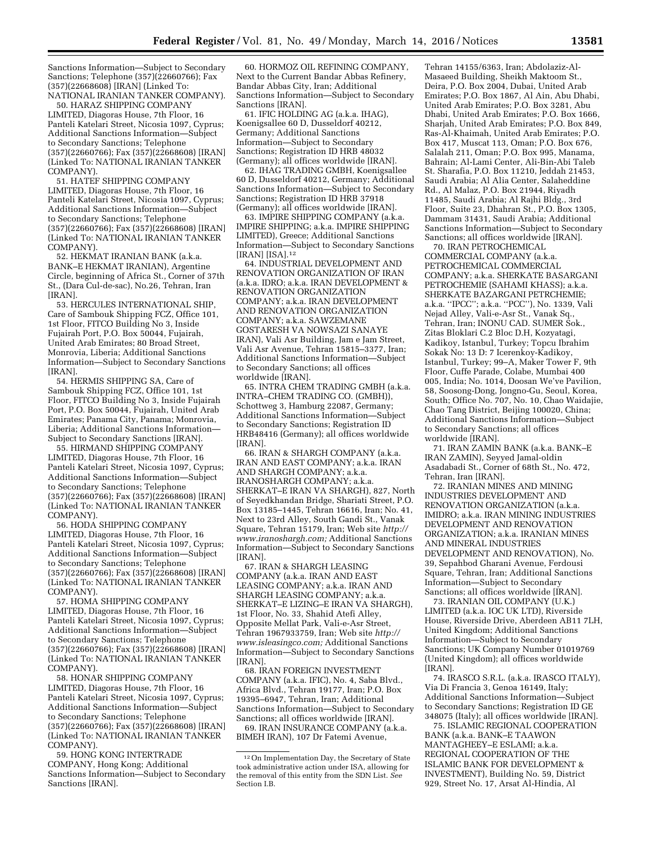Sanctions Information—Subject to Secondary Sanctions; Telephone (357)(22660766); Fax (357)(22668608) [IRAN] (Linked To: NATIONAL IRANIAN TANKER COMPANY).

50. HARAZ SHIPPING COMPANY LIMITED, Diagoras House, 7th Floor, 16 Panteli Katelari Street, Nicosia 1097, Cyprus; Additional Sanctions Information—Subject to Secondary Sanctions; Telephone (357)(22660766); Fax (357)(22668608) [IRAN] (Linked To: NATIONAL IRANIAN TANKER COMPANY).

51. HATEF SHIPPING COMPANY LIMITED, Diagoras House, 7th Floor, 16 Panteli Katelari Street, Nicosia 1097, Cyprus; Additional Sanctions Information—Subject to Secondary Sanctions; Telephone (357)(22660766); Fax (357)(22668608) [IRAN] (Linked To: NATIONAL IRANIAN TANKER COMPANY).

52. HEKMAT IRANIAN BANK (a.k.a. BANK–E HEKMAT IRANIAN), Argentine Circle, beginning of Africa St., Corner of 37th St., (Dara Cul-de-sac), No.26, Tehran, Iran [IRAN].

53. HERCULES INTERNATIONAL SHIP, Care of Sambouk Shipping FCZ, Office 101, 1st Floor, FITCO Building No 3, Inside Fujairah Port, P.O. Box 50044, Fujairah, United Arab Emirates; 80 Broad Street, Monrovia, Liberia; Additional Sanctions Information—Subject to Secondary Sanctions [IRAN].

54. HERMIS SHIPPING SA, Care of Sambouk Shipping FCZ, Office 101, 1st Floor, FITCO Building No 3, Inside Fujairah Port, P.O. Box 50044, Fujairah, United Arab Emirates; Panama City, Panama; Monrovia, Liberia; Additional Sanctions Information— Subject to Secondary Sanctions [IRAN].

55. HIRMAND SHIPPING COMPANY LIMITED, Diagoras House, 7th Floor, 16 Panteli Katelari Street, Nicosia 1097, Cyprus; Additional Sanctions Information—Subject to Secondary Sanctions; Telephone (357)(22660766); Fax (357)(22668608) [IRAN] (Linked To: NATIONAL IRANIAN TANKER COMPANY).

56. HODA SHIPPING COMPANY LIMITED, Diagoras House, 7th Floor, 16 Panteli Katelari Street, Nicosia 1097, Cyprus; Additional Sanctions Information—Subject to Secondary Sanctions; Telephone (357)(22660766); Fax (357)(22668608) [IRAN] (Linked To: NATIONAL IRANIAN TANKER COMPANY).

57. HOMA SHIPPING COMPANY LIMITED, Diagoras House, 7th Floor, 16 Panteli Katelari Street, Nicosia 1097, Cyprus; Additional Sanctions Information—Subject to Secondary Sanctions; Telephone (357)(22660766); Fax (357)(22668608) [IRAN] (Linked To: NATIONAL IRANIAN TANKER COMPANY).

58. HONAR SHIPPING COMPANY LIMITED, Diagoras House, 7th Floor, 16 Panteli Katelari Street, Nicosia 1097, Cyprus; Additional Sanctions Information—Subject to Secondary Sanctions; Telephone (357)(22660766); Fax (357)(22668608) [IRAN] (Linked To: NATIONAL IRANIAN TANKER COMPANY).

59. HONG KONG INTERTRADE COMPANY, Hong Kong; Additional Sanctions Information—Subject to Secondary Sanctions [IRAN].

60. HORMOZ OIL REFINING COMPANY, Next to the Current Bandar Abbas Refinery, Bandar Abbas City, Iran; Additional Sanctions Information—Subject to Secondary Sanctions [IRAN].

61. IFIC HOLDING AG (a.k.a. IHAG), Koenigsallee 60 D, Dusseldorf 40212, Germany; Additional Sanctions Information—Subject to Secondary Sanctions; Registration ID HRB 48032 (Germany); all offices worldwide [IRAN].

62. IHAG TRADING GMBH, Koenigsallee 60 D, Dusseldorf 40212, Germany; Additional Sanctions Information—Subject to Secondary Sanctions; Registration ID HRB 37918 (Germany); all offices worldwide [IRAN].

63. IMPIRE SHIPPING COMPANY (a.k.a. IMPIRE SHIPPING; a.k.a. IMPIRE SHIPPING LIMITED), Greece; Additional Sanctions Information—Subject to Secondary Sanctions [IRAN] [ISA].12

64. INDUSTRIAL DEVELOPMENT AND RENOVATION ORGANIZATION OF IRAN (a.k.a. IDRO; a.k.a. IRAN DEVELOPMENT & RENOVATION ORGANIZATION COMPANY; a.k.a. IRAN DEVELOPMENT AND RENOVATION ORGANIZATION COMPANY; a.k.a. SAWZEMANE GOSTARESH VA NOWSAZI SANAYE IRAN), Vali Asr Building, Jam e Jam Street, Vali Asr Avenue, Tehran 15815–3377, Iran; Additional Sanctions Information—Subject to Secondary Sanctions; all offices worldwide [IRAN].

65. INTRA CHEM TRADING GMBH (a.k.a. INTRA–CHEM TRADING CO. (GMBH)), Schottweg 3, Hamburg 22087, Germany; Additional Sanctions Information—Subject to Secondary Sanctions; Registration ID HRB48416 (Germany); all offices worldwide [IRAN].

66. IRAN & SHARGH COMPANY (a.k.a. IRAN AND EAST COMPANY; a.k.a. IRAN AND SHARGH COMPANY; a.k.a. IRANOSHARGH COMPANY; a.k.a. SHERKAT–E IRAN VA SHARGH), 827, North of Seyedkhandan Bridge, Shariati Street, P.O. Box 13185–1445, Tehran 16616, Iran; No. 41, Next to 23rd Alley, South Gandi St., Vanak Square, Tehran 15179, Iran; Web site *[http://](http://www.iranoshargh.com) [www.iranoshargh.com;](http://www.iranoshargh.com)* Additional Sanctions Information—Subject to Secondary Sanctions [IRAN].

67. IRAN & SHARGH LEASING COMPANY (a.k.a. IRAN AND EAST LEASING COMPANY; a.k.a. IRAN AND SHARGH LEASING COMPANY; a.k.a. SHERKAT–E LIZING–E IRAN VA SHARGH), 1st Floor, No. 33, Shahid Atefi Alley, Opposite Mellat Park, Vali-e-Asr Street, Tehran 1967933759, Iran; Web site *[http://](http://www.isleasingco.com) [www.isleasingco.com;](http://www.isleasingco.com)* Additional Sanctions Information—Subject to Secondary Sanctions [IRAN].

68. IRAN FOREIGN INVESTMENT COMPANY (a.k.a. IFIC), No. 4, Saba Blvd., Africa Blvd., Tehran 19177, Iran; P.O. Box 19395–6947, Tehran, Iran; Additional Sanctions Information—Subject to Secondary Sanctions; all offices worldwide [IRAN].

69. IRAN INSURANCE COMPANY (a.k.a. BIMEH IRAN), 107 Dr Fatemi Avenue,

Tehran 14155/6363, Iran; Abdolaziz-Al-Masaeed Building, Sheikh Maktoom St., Deira, P.O. Box 2004, Dubai, United Arab Emirates; P.O. Box 1867, Al Ain, Abu Dhabi, United Arab Emirates; P.O. Box 3281, Abu Dhabi, United Arab Emirates; P.O. Box 1666, Sharjah, United Arab Emirates; P.O. Box 849, Ras-Al-Khaimah, United Arab Emirates; P.O. Box 417, Muscat 113, Oman; P.O. Box 676, Salalah 211, Oman; P.O. Box 995, Manama, Bahrain; Al-Lami Center, Ali-Bin-Abi Taleb St. Sharafia, P.O. Box 11210, Jeddah 21453, Saudi Arabia; Al Alia Center, Salaheddine Rd., Al Malaz, P.O. Box 21944, Riyadh 11485, Saudi Arabia; Al Rajhi Bldg., 3rd Floor, Suite 23, Dhahran St., P.O. Box 1305, Dammam 31431, Saudi Arabia; Additional Sanctions Information—Subject to Secondary Sanctions; all offices worldwide [IRAN].

70. IRAN PETROCHEMICAL COMMERCIAL COMPANY (a.k.a. PETROCHEMICAL COMMERCIAL COMPANY; a.k.a. SHERKATE BASARGANI PETROCHEMIE (SAHAMI KHASS); a.k.a. SHERKATE BAZARGANI PETRCHEMIE; a.k.a. ''IPCC''; a.k.a. ''PCC''), No. 1339, Vali Nejad Alley, Vali-e-Asr St., Vanak Sq., Tehran, Iran; INONU CAD. SUMER Sok., Zitas Bloklari C.2 Bloc D.H, Kozyatagi, Kadikoy, Istanbul, Turkey; Topcu Ibrahim Sokak No: 13 D: 7 Icerenkoy-Kadikoy, Istanbul, Turkey; 99–A, Maker Tower F, 9th Floor, Cuffe Parade, Colabe, Mumbai 400 005, India; No. 1014, Doosan We've Pavilion, 58, Soosong-Dong, Jongno-Gu, Seoul, Korea, South; Office No. 707, No. 10, Chao Waidajie, Chao Tang District, Beijing 100020, China; Additional Sanctions Information—Subject to Secondary Sanctions; all offices worldwide [IRAN].

71. IRAN ZAMIN BANK (a.k.a. BANK–E IRAN ZAMIN), Seyyed Jamal-oldin Asadabadi St., Corner of 68th St., No. 472, Tehran, Iran [IRAN].

72. IRANIAN MINES AND MINING INDUSTRIES DEVELOPMENT AND RENOVATION ORGANIZATION (a.k.a. IMIDRO; a.k.a. IRAN MINING INDUSTRIES DEVELOPMENT AND RENOVATION ORGANIZATION; a.k.a. IRANIAN MINES AND MINERAL INDUSTRIES DEVELOPMENT AND RENOVATION), No. 39, Sepahbod Gharani Avenue, Ferdousi Square, Tehran, Iran; Additional Sanctions Information—Subject to Secondary Sanctions; all offices worldwide [IRAN].

73. IRANIAN OIL COMPANY (U.K.) LIMITED (a.k.a. IOC UK LTD), Riverside House, Riverside Drive, Aberdeen AB11 7LH, United Kingdom; Additional Sanctions Information—Subject to Secondary Sanctions; UK Company Number 01019769 (United Kingdom); all offices worldwide [IRAN].

74. IRASCO S.R.L. (a.k.a. IRASCO ITALY), Via Di Francia 3, Genoa 16149, Italy; Additional Sanctions Information—Subject to Secondary Sanctions; Registration ID GE 348075 (Italy); all offices worldwide [IRAN].

75. ISLAMIC REGIONAL COOPERATION BANK (a.k.a. BANK–E TAAWON MANTAGHEEY–E ESLAMI; a.k.a. REGIONAL COOPERATION OF THE ISLAMIC BANK FOR DEVELOPMENT & INVESTMENT), Building No. 59, District 929, Street No. 17, Arsat Al-Hindia, Al

<sup>12</sup>On Implementation Day, the Secretary of State took administrative action under ISA, allowing for the removal of this entity from the SDN List. *See*  Section I.B.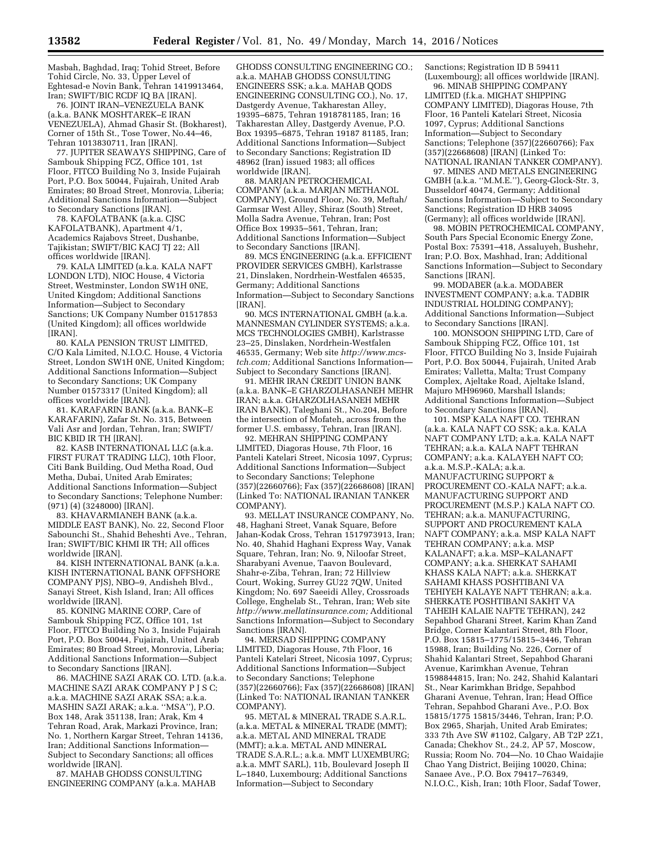Masbah, Baghdad, Iraq; Tohid Street, Before Tohid Circle, No. 33, Upper Level of Eghtesad-e Novin Bank, Tehran 1419913464, Iran; SWIFT/BIC RCDF IQ BA [IRAN].

76. JOINT IRAN–VENEZUELA BANK (a.k.a. BANK MOSHTAREK–E IRAN VENEZUELA), Ahmad Ghasir St. (Bokharest), Corner of 15th St., Tose Tower, No.44–46, Tehran 1013830711, Iran [IRAN].

77. JUPITER SEAWAYS SHIPPING, Care of Sambouk Shipping FCZ, Office 101, 1st Floor, FITCO Building No 3, Inside Fujairah Port, P.O. Box 50044, Fujairah, United Arab Emirates; 80 Broad Street, Monrovia, Liberia; Additional Sanctions Information—Subject to Secondary Sanctions [IRAN].

78. KAFOLATBANK (a.k.a. CJSC KAFOLATBANK), Apartment 4/1, Academics Rajabovs Street, Dushanbe, Tajikistan; SWIFT/BIC KACJ TJ 22; All offices worldwide [IRAN].

79. KALA LIMITED (a.k.a. KALA NAFT LONDON LTD), NIOC House, 4 Victoria Street, Westminster, London SW1H 0NE, United Kingdom; Additional Sanctions Information—Subject to Secondary Sanctions; UK Company Number 01517853 (United Kingdom); all offices worldwide [IRAN].

80. KALA PENSION TRUST LIMITED, C/O Kala Limited, N.I.O.C. House, 4 Victoria Street, London SW1H 0NE, United Kingdom; Additional Sanctions Information—Subject to Secondary Sanctions; UK Company Number 01573317 (United Kingdom); all offices worldwide [IRAN].

81. KARAFARIN BANK (a.k.a. BANK–E KARAFARIN), Zafar St. No. 315, Between Vali Asr and Jordan, Tehran, Iran; SWIFT/ BIC KBID IR TH [IRAN].

82. KASB INTERNATIONAL LLC (a.k.a. FIRST FURAT TRADING LLC), 10th Floor, Citi Bank Building, Oud Metha Road, Oud Metha, Dubai, United Arab Emirates; Additional Sanctions Information—Subject to Secondary Sanctions; Telephone Number: (971) (4) (3248000) [IRAN].

83. KHAVARMIANEH BANK (a.k.a. MIDDLE EAST BANK), No. 22, Second Floor Sabounchi St., Shahid Beheshti Ave., Tehran, Iran; SWIFT/BIC KHMI IR TH; All offices worldwide [IRAN].

84. KISH INTERNATIONAL BANK (a.k.a. KISH INTERNATIONAL BANK OFFSHORE COMPANY PIS), NBO-9, Andisheh Blvd., Sanayi Street, Kish Island, Iran; All offices worldwide [IRAN].

85. KONING MARINE CORP, Care of Sambouk Shipping FCZ, Office 101, 1st Floor, FITCO Building No 3, Inside Fujairah Port, P.O. Box 50044, Fujairah, United Arab Emirates; 80 Broad Street, Monrovia, Liberia; Additional Sanctions Information—Subject to Secondary Sanctions [IRAN].

86. MACHINE SAZI ARAK CO. LTD. (a.k.a. MACHINE SAZI ARAK COMPANY P J S C; a.k.a. MACHINE SAZI ARAK SSA; a.k.a. MASHIN SAZI ARAK; a.k.a. ''MSA''), P.O. Box 148, Arak 351138, Iran; Arak, Km 4 Tehran Road, Arak, Markazi Province, Iran; No. 1, Northern Kargar Street, Tehran 14136, Iran; Additional Sanctions Information— Subject to Secondary Sanctions; all offices worldwide [IRAN].

87. MAHAB GHODSS CONSULTING ENGINEERING COMPANY (a.k.a. MAHAB

GHODSS CONSULTING ENGINEERING CO.; a.k.a. MAHAB GHODSS CONSULTING ENGINEERS SSK; a.k.a. MAHAB QODS ENGINEERING CONSULTING CO.), No. 17, Dastgerdy Avenue, Takharestan Alley, 19395–6875, Tehran 1918781185, Iran; 16 Takharestan Alley, Dastgerdy Avenue, P.O. Box 19395–6875, Tehran 19187 81185, Iran; Additional Sanctions Information—Subject to Secondary Sanctions; Registration ID 48962 (Iran) issued 1983; all offices worldwide [IRAN].

88. MARJAN PETROCHEMICAL COMPANY (a.k.a. MARJAN METHANOL COMPANY), Ground Floor, No. 39, Meftah/ Garmsar West Alley, Shiraz (South) Street, Molla Sadra Avenue, Tehran, Iran; Post Office Box 19935–561, Tehran, Iran; Additional Sanctions Information—Subject to Secondary Sanctions [IRAN].

89. MCS ENGINEERING (a.k.a. EFFICIENT PROVIDER SERVICES GMBH), Karlstrasse 21, Dinslaken, Nordrhein-Westfalen 46535, Germany; Additional Sanctions Information—Subject to Secondary Sanctions [IRAN].

90. MCS INTERNATIONAL GMBH (a.k.a. MANNESMAN CYLINDER SYSTEMS; a.k.a. MCS TECHNOLOGIES GMBH), Karlstrasse 23–25, Dinslaken, Nordrhein-Westfalen 46535, Germany; Web site *[http://www.mcs](http://www.mcs-tch.com)[tch.com;](http://www.mcs-tch.com)* Additional Sanctions Information— Subject to Secondary Sanctions [IRAN].

91. MEHR IRAN CREDIT UNION BANK (a.k.a. BANK–E GHARZOLHASANEH MEHR IRAN; a.k.a. GHARZOLHASANEH MEHR IRAN BANK), Taleghani St., No.204, Before the intersection of Mofateh, across from the former U.S. embassy, Tehran, Iran [IRAN].

92. MEHRAN SHIPPING COMPANY LIMITED, Diagoras House, 7th Floor, 16 Panteli Katelari Street, Nicosia 1097, Cyprus; Additional Sanctions Information—Subject to Secondary Sanctions; Telephone (357)(22660766); Fax (357)(22668608) [IRAN] (Linked To: NATIONAL IRANIAN TANKER COMPANY).

93. MELLAT INSURANCE COMPANY, No. 48, Haghani Street, Vanak Square, Before Jahan-Kodak Cross, Tehran 1517973913, Iran; No. 40, Shahid Haghani Express Way, Vanak Square, Tehran, Iran; No. 9, Niloofar Street, Sharabyani Avenue, Taavon Boulevard, Shahr-e-Ziba, Tehran, Iran; 72 Hillview Court, Woking, Surrey GU22 7QW, United Kingdom; No. 697 Saeeidi Alley, Crossroads College, Enghelab St., Tehran, Iran; Web site *[http://www.mellatinsurance.com;](http://www.mellatinsurance.com)* Additional Sanctions Information—Subject to Secondary Sanctions [IRAN].

94. MERSAD SHIPPING COMPANY LIMITED, Diagoras House, 7th Floor, 16 Panteli Katelari Street, Nicosia 1097, Cyprus; Additional Sanctions Information—Subject to Secondary Sanctions; Telephone (357)(22660766); Fax (357)(22668608) [IRAN] (Linked To: NATIONAL IRANIAN TANKER COMPANY).

95. METAL & MINERAL TRADE S.A.R.L. (a.k.a. METAL & MINERAL TRADE (MMT); a.k.a. METAL AND MINERAL TRADE (MMT); a.k.a. METAL AND MINERAL TRADE S.A.R.L.; a.k.a. MMT LUXEMBURG; a.k.a. MMT SARL), 11b, Boulevard Joseph II L–1840, Luxembourg; Additional Sanctions Information—Subject to Secondary

Sanctions; Registration ID B 59411 (Luxembourg); all offices worldwide [IRAN].

96. MINAB SHIPPING COMPANY LIMITED (f.k.a. MIGHAT SHIPPING COMPANY LIMITED), Diagoras House, 7th Floor, 16 Panteli Katelari Street, Nicosia 1097, Cyprus; Additional Sanctions Information—Subject to Secondary Sanctions; Telephone (357)(22660766); Fax (357)(22668608) [IRAN] (Linked To: NATIONAL IRANIAN TANKER COMPANY).

97. MINES AND METALS ENGINEERING GMBH (a.k.a. ''M.M.E.''), Georg-Glock-Str. 3, Dusseldorf 40474, Germany; Additional Sanctions Information—Subject to Secondary Sanctions; Registration ID HRB 34095 (Germany); all offices worldwide [IRAN].

98. MOBIN PETROCHEMICAL COMPANY, South Pars Special Economic Energy Zone, Postal Box: 75391–418, Assaluyeh, Bushehr, Iran; P.O. Box, Mashhad, Iran; Additional Sanctions Information—Subject to Secondary Sanctions [IRAN].

99. MODABER (a.k.a. MODABER INVESTMENT COMPANY; a.k.a. TADBIR INDUSTRIAL HOLDING COMPANY); Additional Sanctions Information—Subject to Secondary Sanctions [IRAN].

100. MONSOON SHIPPING LTD, Care of Sambouk Shipping FCZ, Office 101, 1st Floor, FITCO Building No 3, Inside Fujairah Port, P.O. Box 50044, Fujairah, United Arab Emirates; Valletta, Malta; Trust Company Complex, Ajeltake Road, Ajeltake Island, Majuro MH96960, Marshall Islands; Additional Sanctions Information—Subject to Secondary Sanctions [IRAN].

101. MSP KALA NAFT CO. TEHRAN (a.k.a. KALA NAFT CO SSK; a.k.a. KALA NAFT COMPANY LTD; a.k.a. KALA NAFT TEHRAN; a.k.a. KALA NAFT TEHRAN COMPANY; a.k.a. KALAYEH NAFT CO; a.k.a. M.S.P.-KALA; a.k.a. MANUFACTURING SUPPORT & PROCUREMENT CO.-KALA NAFT; a.k.a. MANUFACTURING SUPPORT AND PROCUREMENT (M.S.P.) KALA NAFT CO. TEHRAN; a.k.a. MANUFACTURING, SUPPORT AND PROCUREMENT KALA NAFT COMPANY; a.k.a. MSP KALA NAFT TEHRAN COMPANY; a.k.a. MSP KALANAFT; a.k.a. MSP–KALANAFT COMPANY; a.k.a. SHERKAT SAHAMI KHASS KALA NAFT; a.k.a. SHERKAT SAHAMI KHASS POSHTIBANI VA TEHIYEH KALAYE NAFT TEHRAN; a.k.a. SHERKATE POSHTIBANI SAKHT VA TAHEIH KALAIE NAFTE TEHRAN), 242 Sepahbod Gharani Street, Karim Khan Zand Bridge, Corner Kalantari Street, 8th Floor, P.O. Box 15815–1775/15815–3446, Tehran 15988, Iran; Building No. 226, Corner of Shahid Kalantari Street, Sepahbod Gharani Avenue, Karimkhan Avenue, Tehran 1598844815, Iran; No. 242, Shahid Kalantari St., Near Karimkhan Bridge, Sepahbod Gharani Avenue, Tehran, Iran; Head Office Tehran, Sepahbod Gharani Ave., P.O. Box 15815/1775 15815/3446, Tehran, Iran; P.O. Box 2965, Sharjah, United Arab Emirates; 333 7th Ave SW #1102, Calgary, AB T2P 2Z1, Canada; Chekhov St., 24.2, AP 57, Moscow, Russia; Room No. 704—No. 10 Chao Waidajie Chao Yang District, Beijing 10020, China; Sanaee Ave., P.O. Box 79417–76349, N.I.O.C., Kish, Iran; 10th Floor, Sadaf Tower,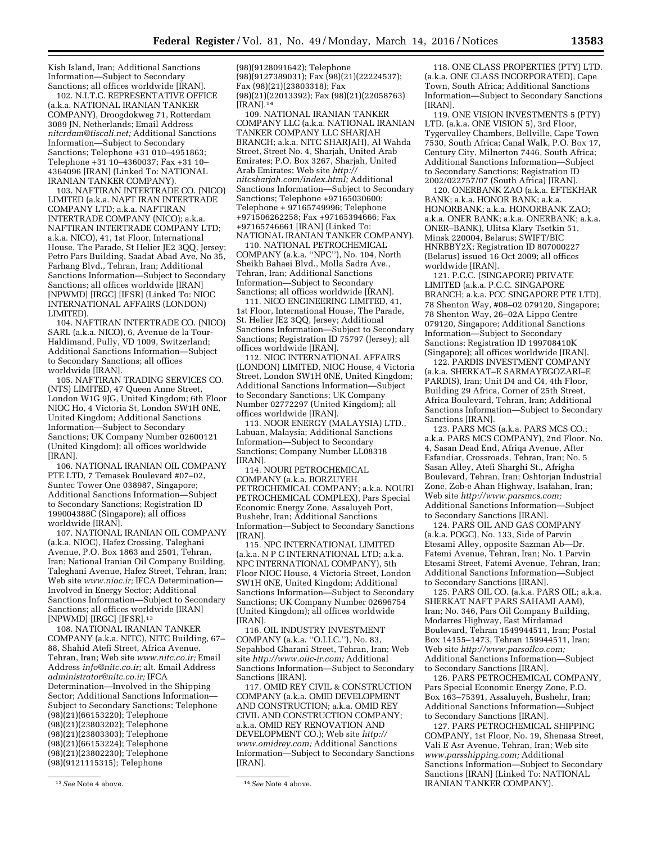Kish Island, Iran; Additional Sanctions Information—Subject to Secondary Sanctions; all offices worldwide [IRAN].

102. N.I.T.C. REPRESENTATIVE OFFICE (a.k.a. NATIONAL IRANIAN TANKER COMPANY), Droogdokweg 71, Rotterdam 3089 JN, Netherlands; Email Address *[nitcrdam@tiscali.net;](mailto:nitcrdam@tiscali.net)* Additional Sanctions Information—Subject to Secondary Sanctions; Telephone +31 010–4951863; Telephone +31 10–4360037; Fax +31 10– 4364096 [IRAN] (Linked To: NATIONAL IRANIAN TANKER COMPANY).

103. NAFTIRAN INTERTRADE CO. (NICO) LIMITED (a.k.a. NAFT IRAN INTERTRADE COMPANY LTD; a.k.a. NAFTIRAN INTERTRADE COMPANY (NICO); a.k.a. NAFTIRAN INTERTRADE COMPANY LTD; a.k.a. NICO), 41, 1st Floor, International House, The Parade, St Helier JE2 3QQ, Jersey; Petro Pars Building, Saadat Abad Ave, No 35, Farhang Blvd., Tehran, Iran; Additional Sanctions Information—Subject to Secondary Sanctions; all offices worldwide [IRAN] [NPWMD] [IRGC] [IFSR] (Linked To: NIOC INTERNATIONAL AFFAIRS (LONDON) LIMITED).

104. NAFTIRAN INTERTRADE CO. (NICO) SARL (a.k.a. NICO), 6, Avenue de la Tour-Haldimand, Pully, VD 1009, Switzerland; Additional Sanctions Information—Subject to Secondary Sanctions; all offices worldwide [IRAN].

105. NAFTIRAN TRADING SERVICES CO. (NTS) LIMITED, 47 Queen Anne Street, London W1G 9JG, United Kingdom; 6th Floor NIOC Ho, 4 Victoria St, London SW1H 0NE, United Kingdom; Additional Sanctions Information—Subject to Secondary Sanctions; UK Company Number 02600121 (United Kingdom); all offices worldwide [IRAN].

106. NATIONAL IRANIAN OIL COMPANY PTE LTD, 7 Temasek Boulevard #07–02, Suntec Tower One 038987, Singapore; Additional Sanctions Information—Subject to Secondary Sanctions; Registration ID 199004388C (Singapore); all offices worldwide [IRAN].

107. NATIONAL IRANIAN OIL COMPANY (a.k.a. NIOC), Hafez Crossing, Taleghani Avenue, P.O. Box 1863 and 2501, Tehran, Iran; National Iranian Oil Company Building, Taleghani Avenue, Hafez Street, Tehran, Iran; Web site *[www.nioc.ir;](http://www.nioc.ir)* IFCA Determination— Involved in Energy Sector; Additional Sanctions Information—Subject to Secondary Sanctions; all offices worldwide [IRAN] [NPWMD] [IRGC] [IFSR].13

108. NATIONAL IRANIAN TANKER COMPANY (a.k.a. NITC), NITC Building, 67– 88, Shahid Atefi Street, Africa Avenue, Tehran, Iran; Web site *[www.nitc.co.ir;](http://www.nitc.co.ir)* Email Address *[info@nitc.co.ir;](mailto:info@nitc.co.ir)* alt. Email Address *[administrator@nitc.co.ir;](mailto:administrator@nitc.co.ir)* IFCA Determination—Involved in the Shipping Sector; Additional Sanctions Information— Subject to Secondary Sanctions; Telephone (98)(21)(66153220); Telephone (98)(21)(23803202); Telephone (98)(21)(23803303); Telephone (98)(21)(66153224); Telephone (98)(21)(23802230); Telephone (98)(9121115315); Telephone

(98)(9128091642); Telephone (98)(9127389031); Fax (98)(21)(22224537); Fax (98)(21)(23803318); Fax (98)(21)(22013392); Fax (98)(21)(22058763) [IRAN].14

109. NATIONAL IRANIAN TANKER COMPANY LLC (a.k.a. NATIONAL IRANIAN TANKER COMPANY LLC SHARJAH BRANCH; a.k.a. NITC SHARJAH), Al Wahda Street, Street No. 4, Sharjah, United Arab Emirates; P.O. Box 3267, Sharjah, United Arab Emirates; Web site *[http://](http://nitcsharjah.com/index.html) [nitcsharjah.com/index.html;](http://nitcsharjah.com/index.html)* Additional Sanctions Information—Subject to Secondary Sanctions; Telephone +97165030600; Telephone + 97165749996; Telephone +971506262258; Fax +97165394666; Fax +97165746661 [IRAN] (Linked To: NATIONAL IRANIAN TANKER COMPANY).

110. NATIONAL PETROCHEMICAL COMPANY (a.k.a. ''NPC''), No. 104, North Sheikh Bahaei Blvd., Molla Sadra Ave., Tehran, Iran; Additional Sanctions Information—Subject to Secondary Sanctions; all offices worldwide [IRAN].

111. NICO ENGINEERING LIMITED, 41, 1st Floor, International House, The Parade, St. Helier JE2 3QQ, Jersey; Additional Sanctions Information—Subject to Secondary Sanctions; Registration ID 75797 (Jersey); all offices worldwide [IRAN].

112. NIOC INTERNATIONAL AFFAIRS (LONDON) LIMITED, NIOC House, 4 Victoria Street, London SW1H 0NE, United Kingdom; Additional Sanctions Information—Subject to Secondary Sanctions; UK Company Number 02772297 (United Kingdom); all offices worldwide [IRAN].

113. NOOR ENERGY (MALAYSIA) LTD., Labuan, Malaysia; Additional Sanctions Information—Subject to Secondary Sanctions; Company Number LL08318 [IRAN].

114. NOURI PETROCHEMICAL COMPANY (a.k.a. BORZUYEH PETROCHEMICAL COMPANY; a.k.a. NOURI PETROCHEMICAL COMPLEX), Pars Special Economic Energy Zone, Assaluyeh Port, Bushehr, Iran; Additional Sanctions Information—Subject to Secondary Sanctions [IRAN].

115. NPC INTERNATIONAL LIMITED (a.k.a. N P C INTERNATIONAL LTD; a.k.a. NPC INTERNATIONAL COMPANY), 5th Floor NIOC House, 4 Victoria Street, London SW1H 0NE, United Kingdom; Additional Sanctions Information—Subject to Secondary Sanctions; UK Company Number 02696754 (United Kingdom); all offices worldwide [IRAN].

116. OIL INDUSTRY INVESTMENT COMPANY (a.k.a. ''O.I.I.C.''), No. 83, Sepahbod Gharani Street, Tehran, Iran; Web site *[http://www.oiic-ir.com;](http://www.oiic-ir.com)* Additional Sanctions Information—Subject to Secondary Sanctions [IRAN].

117. OMID REY CIVIL & CONSTRUCTION COMPANY (a.k.a. OMID DEVELOPMENT AND CONSTRUCTION; a.k.a. OMID REY CIVIL AND CONSTRUCTION COMPANY; a.k.a. OMID REY RENOVATION AND DEVELOPMENT CO.); Web site *[http://](http://www.omidrey.com) [www.omidrey.com;](http://www.omidrey.com)* Additional Sanctions Information—Subject to Secondary Sanctions [IRAN].

118. ONE CLASS PROPERTIES (PTY) LTD. (a.k.a. ONE CLASS INCORPORATED), Cape Town, South Africa; Additional Sanctions Information—Subject to Secondary Sanctions [IRAN].

119. ONE VISION INVESTMENTS 5 (PTY) LTD. (a.k.a. ONE VISION 5), 3rd Floor, Tygervalley Chambers, Bellville, Cape Town 7530, South Africa; Canal Walk, P.O. Box 17, Century City, Milnerton 7446, South Africa; Additional Sanctions Information—Subject to Secondary Sanctions; Registration ID 2002/022757/07 (South Africa) [IRAN].

120. ONERBANK ZAO (a.k.a. EFTEKHAR BANK; a.k.a. HONOR BANK; a.k.a. HONORBANK; a.k.a. HONORBANK ZAO; a.k.a. ONER BANK; a.k.a. ONERBANK; a.k.a. ONER–BANK), Ulitsa Klary Tsetkin 51, Minsk 220004, Belarus; SWIFT/BIC HNRBBY2X; Registration ID 807000227 (Belarus) issued 16 Oct 2009; all offices worldwide [IRAN].

121. P.C.C. (SINGAPORE) PRIVATE LIMITED (a.k.a. P.C.C. SINGAPORE BRANCH; a.k.a. PCC SINGAPORE PTE LTD), 78 Shenton Way, #08–02 079120, Singapore; 78 Shenton Way, 26–02A Lippo Centre 079120, Singapore; Additional Sanctions Information—Subject to Secondary Sanctions; Registration ID 199708410K (Singapore); all offices worldwide [IRAN].

122. PARDIS INVESTMENT COMPANY (a.k.a. SHERKAT–E SARMAYEGOZARI–E PARDIS), Iran; Unit D4 and C4, 4th Floor, Building 29 Africa, Corner of 25th Street, Africa Boulevard, Tehran, Iran; Additional Sanctions Information—Subject to Secondary Sanctions [IRAN].

123. PARS MCS (a.k.a. PARS MCS CO.; a.k.a. PARS MCS COMPANY), 2nd Floor, No. 4, Sasan Dead End, Afriqa Avenue, After Esfandiar, Crossroads, Tehran, Iran; No. 5 Sasan Alley, Atefi Sharghi St., Afrigha Boulevard, Tehran, Iran; Oshtorjan Industrial Zone, Zob-e Ahan Highway, Isafahan, Iran; Web site *[http://www.parsmcs.com;](http://www.parsmcs.com)*  Additional Sanctions Information—Subject to Secondary Sanctions [IRAN].

124. PARS OIL AND GAS COMPANY (a.k.a. POGC), No. 133, Side of Parvin Etesami Alley, opposite Sazman Ab—Dr. Fatemi Avenue, Tehran, Iran; No. 1 Parvin Etesami Street, Fatemi Avenue, Tehran, Iran; Additional Sanctions Information—Subject to Secondary Sanctions [IRAN].

125. PARS OIL CO. (a.k.a. PARS OIL; a.k.a. SHERKAT NAFT PARS SAHAMI AAM), Iran; No. 346, Pars Oil Company Building, Modarres Highway, East Mirdamad Boulevard, Tehran 1549944511, Iran; Postal Box 14155–1473, Tehran 159944511, Iran; Web site *[http://www.parsoilco.com;](http://www.parsoilco.com)*  Additional Sanctions Information—Subject to Secondary Sanctions [IRAN].

126. PARS PETROCHEMICAL COMPANY, Pars Special Economic Energy Zone, P.O. Box 163–75391, Assaluyeh, Bushehr, Iran; Additional Sanctions Information—Subject to Secondary Sanctions [IRAN].

127. PARS PETROCHEMICAL SHIPPING COMPANY, 1st Floor, No. 19, Shenasa Street, Vali E Asr Avenue, Tehran, Iran; Web site *[www.parsshipping.com;](http://www.parsshipping.com)* Additional Sanctions Information—Subject to Secondary Sanctions [IRAN] (Linked To: NATIONAL IRANIAN TANKER COMPANY).

<sup>13</sup>*See* Note 4 above. 14*See* Note 4 above.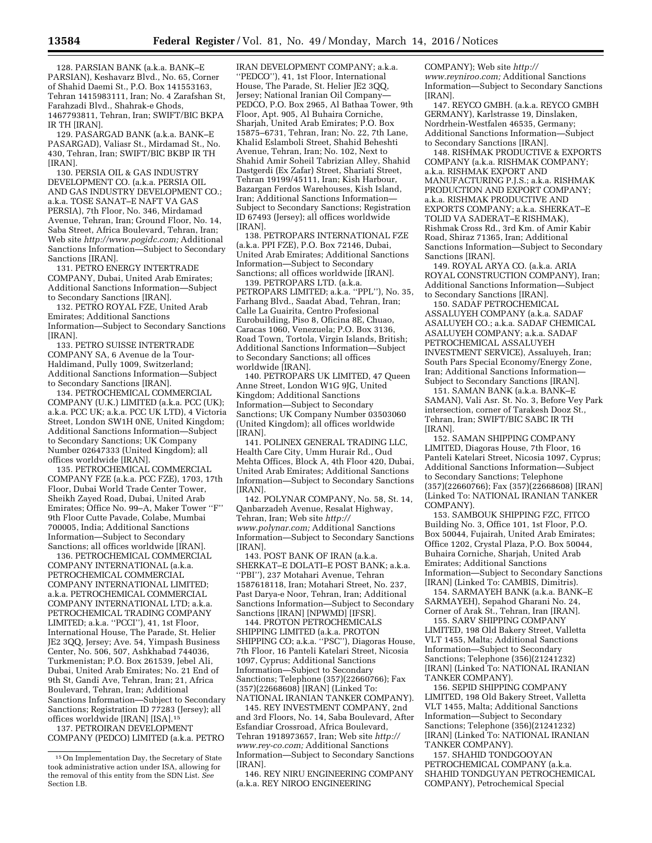128. PARSIAN BANK (a.k.a. BANK–E PARSIAN), Keshavarz Blvd., No. 65, Corner of Shahid Daemi St., P.O. Box 141553163, Tehran 1415983111, Iran; No. 4 Zarafshan St, Farahzadi Blvd., Shahrak-e Ghods, 1467793811, Tehran, Iran; SWIFT/BIC BKPA IR TH [IRAN].

129. PASARGAD BANK (a.k.a. BANK–E PASARGAD), Valiasr St., Mirdamad St., No. 430, Tehran, Iran; SWIFT/BIC BKBP IR TH [IRAN].

130. PERSIA OIL & GAS INDUSTRY DEVELOPMENT CO. (a.k.a. PERSIA OIL AND GAS INDUSTRY DEVELOPMENT CO.; a.k.a. TOSE SANAT–E NAFT VA GAS PERSIA), 7th Floor, No. 346, Mirdamad Avenue, Tehran, Iran; Ground Floor, No. 14, Saba Street, Africa Boulevard, Tehran, Iran; Web site *[http://www.pogidc.com;](http://www.pogidc.com)* Additional Sanctions Information—Subject to Secondary Sanctions [IRAN].

131. PETRO ENERGY INTERTRADE COMPANY, Dubai, United Arab Emirates; Additional Sanctions Information—Subject to Secondary Sanctions [IRAN].

132. PETRO ROYAL FZE, United Arab Emirates; Additional Sanctions Information—Subject to Secondary Sanctions [IRAN].

133. PETRO SUISSE INTERTRADE COMPANY SA, 6 Avenue de la Tour-Haldimand, Pully 1009, Switzerland; Additional Sanctions Information—Subject to Secondary Sanctions [IRAN].

134. PETROCHEMICAL COMMERCIAL COMPANY (U.K.) LIMITED (a.k.a. PCC (UK); a.k.a. PCC UK; a.k.a. PCC UK LTD), 4 Victoria Street, London SW1H 0NE, United Kingdom; Additional Sanctions Information—Subject to Secondary Sanctions; UK Company Number 02647333 (United Kingdom); all offices worldwide [IRAN].

135. PETROCHEMICAL COMMERCIAL COMPANY FZE (a.k.a. PCC FZE), 1703, 17th Floor, Dubai World Trade Center Tower, Sheikh Zayed Road, Dubai, United Arab Emirates; Office No. 99–A, Maker Tower ''F'' 9th Floor Cutte Pavade, Colabe, Mumbai 700005, India; Additional Sanctions Information—Subject to Secondary Sanctions; all offices worldwide [IRAN].

136. PETROCHEMICAL COMMERCIAL COMPANY INTERNATIONAL (a.k.a. PETROCHEMICAL COMMERCIAL COMPANY INTERNATIONAL LIMITED; a.k.a. PETROCHEMICAL COMMERCIAL COMPANY INTERNATIONAL LTD; a.k.a. PETROCHEMICAL TRADING COMPANY LIMITED; a.k.a. ''PCCI''), 41, 1st Floor, International House, The Parade, St. Helier JE2 3QQ, Jersey; Ave. 54, Yimpash Business Center, No. 506, 507, Ashkhabad 744036, Turkmenistan; P.O. Box 261539, Jebel Ali, Dubai, United Arab Emirates; No. 21 End of 9th St, Gandi Ave, Tehran, Iran; 21, Africa Boulevard, Tehran, Iran; Additional Sanctions Information—Subject to Secondary Sanctions; Registration ID 77283 (Jersey); all offices worldwide [IRAN] [ISA].15

137. PETROIRAN DEVELOPMENT COMPANY (PEDCO) LIMITED (a.k.a. PETRO

IRAN DEVELOPMENT COMPANY; a.k.a. ''PEDCO''), 41, 1st Floor, International House, The Parade, St. Helier JE2 3QQ, Jersey; National Iranian Oil Company— PEDCO, P.O. Box 2965, Al Bathaa Tower, 9th Floor, Apt. 905, Al Buhaira Corniche, Sharjah, United Arab Emirates; P.O. Box 15875–6731, Tehran, Iran; No. 22, 7th Lane, Khalid Eslamboli Street, Shahid Beheshti Avenue, Tehran, Iran; No. 102, Next to Shahid Amir Soheil Tabrizian Alley, Shahid Dastgerdi (Ex Zafar) Street, Shariati Street, Tehran 19199/45111, Iran; Kish Harbour, Bazargan Ferdos Warehouses, Kish Island, Iran; Additional Sanctions Information— Subject to Secondary Sanctions; Registration ID 67493 (Jersey); all offices worldwide [IRAN].

138. PETROPARS INTERNATIONAL FZE (a.k.a. PPI FZE), P.O. Box 72146, Dubai, United Arab Emirates; Additional Sanctions Information—Subject to Secondary Sanctions; all offices worldwide [IRAN].

139. PETROPARS LTD. (a.k.a. PETROPARS LIMITED; a.k.a. "PPL"), No. 35, Farhang Blvd., Saadat Abad, Tehran, Iran; Calle La Guairita, Centro Profesional Eurobuilding, Piso 8, Oficina 8E, Chuao, Caracas 1060, Venezuela; P.O. Box 3136, Road Town, Tortola, Virgin Islands, British; Additional Sanctions Information—Subject to Secondary Sanctions; all offices worldwide [IRAN].

140. PETROPARS UK LIMITED, 47 Queen Anne Street, London W1G 9JG, United Kingdom; Additional Sanctions Information—Subject to Secondary Sanctions; UK Company Number 03503060 (United Kingdom); all offices worldwide [IRAN].

141. POLINEX GENERAL TRADING LLC, Health Care City, Umm Hurair Rd., Oud Mehta Offices, Block A, 4th Floor 420, Dubai, United Arab Emirates; Additional Sanctions Information—Subject to Secondary Sanctions [IRAN].

142. POLYNAR COMPANY, No. 58, St. 14, Qanbarzadeh Avenue, Resalat Highway, Tehran, Iran; Web site *[http://](http://www.polynar.com) [www.polynar.com;](http://www.polynar.com)* Additional Sanctions Information—Subject to Secondary Sanctions [IRAN].

143. POST BANK OF IRAN (a.k.a. SHERKAT–E DOLATI–E POST BANK; a.k.a. ''PBI''), 237 Motahari Avenue, Tehran 1587618118, Iran; Motahari Street, No. 237, Past Darya-e Noor, Tehran, Iran; Additional Sanctions Information—Subject to Secondary Sanctions [IRAN] [NPWMD] [IFSR].

144. PROTON PETROCHEMICALS SHIPPING LIMITED (a.k.a. PROTON SHIPPING CO; a.k.a. ''PSC''), Diagoras House, 7th Floor, 16 Panteli Katelari Street, Nicosia 1097, Cyprus; Additional Sanctions Information—Subject to Secondary Sanctions; Telephone (357)(22660766); Fax (357)(22668608) [IRAN] (Linked To: NATIONAL IRANIAN TANKER COMPANY).

145. REY INVESTMENT COMPANY, 2nd and 3rd Floors, No. 14, Saba Boulevard, After Esfandiar Crossroad, Africa Boulevard, Tehran 1918973657, Iran; Web site *[http://](http://www.rey-co.com) [www.rey-co.com;](http://www.rey-co.com)* Additional Sanctions Information—Subject to Secondary Sanctions [IRAN].

146. REY NIRU ENGINEERING COMPANY (a.k.a. REY NIROO ENGINEERING

COMPANY); Web site *[http://](http://www.reyniroo.com) [www.reyniroo.com;](http://www.reyniroo.com)* Additional Sanctions Information—Subject to Secondary Sanctions [IRAN].

147. REYCO GMBH. (a.k.a. REYCO GMBH GERMANY), Karlstrasse 19, Dinslaken, Nordrhein-Westfalen 46535, Germany; Additional Sanctions Information—Subject to Secondary Sanctions [IRAN].

148. RISHMAK PRODUCTIVE & EXPORTS COMPANY (a.k.a. RISHMAK COMPANY; a.k.a. RISHMAK EXPORT AND MANUFACTURING P.J.S.; a.k.a. RISHMAK PRODUCTION AND EXPORT COMPANY; a.k.a. RISHMAK PRODUCTIVE AND EXPORTS COMPANY; a.k.a. SHERKAT–E TOLID VA SADERAT–E RISHMAK), Rishmak Cross Rd., 3rd Km. of Amir Kabir Road, Shiraz 71365, Iran; Additional Sanctions Information—Subject to Secondary Sanctions [IRAN].

149. ROYAL ARYA CO. (a.k.a. ARIA ROYAL CONSTRUCTION COMPANY), Iran; Additional Sanctions Information—Subject to Secondary Sanctions [IRAN].

150. SADAF PETROCHEMICAL ASSALUYEH COMPANY (a.k.a. SADAF ASALUYEH CO.; a.k.a. SADAF CHEMICAL ASALUYEH COMPANY; a.k.a. SADAF PETROCHEMICAL ASSALUYEH INVESTMENT SERVICE), Assaluyeh, Iran; South Pars Special Economy/Energy Zone, Iran; Additional Sanctions Information— Subject to Secondary Sanctions [IRAN].

151. SAMAN BANK (a.k.a. BANK–E SAMAN), Vali Asr. St. No. 3, Before Vey Park intersection, corner of Tarakesh Dooz St., Tehran, Iran; SWIFT/BIC SABC IR TH [IRAN].

152. SAMAN SHIPPING COMPANY LIMITED, Diagoras House, 7th Floor, 16 Panteli Katelari Street, Nicosia 1097, Cyprus; Additional Sanctions Information—Subject to Secondary Sanctions; Telephone (357)(22660766); Fax (357)(22668608) [IRAN] (Linked To: NATIONAL IRANIAN TANKER COMPANY).

153. SAMBOUK SHIPPING FZC, FITCO Building No. 3, Office 101, 1st Floor, P.O. Box 50044, Fujairah, United Arab Emirates; Office 1202, Crystal Plaza, P.O. Box 50044, Buhaira Corniche, Sharjah, United Arab Emirates; Additional Sanctions Information—Subject to Secondary Sanctions [IRAN] (Linked To: CAMBIS, Dimitris).

154. SARMAYEH BANK (a.k.a. BANK–E SARMAYEH), Sepahod Gharani No. 24, Corner of Arak St., Tehran, Iran [IRAN].

155. SARV SHIPPING COMPANY LIMITED, 198 Old Bakery Street, Valletta VLT 1455, Malta; Additional Sanctions Information—Subject to Secondary Sanctions; Telephone (356)(21241232) [IRAN] (Linked To: NATIONAL IRANIAN TANKER COMPANY).

156. SEPID SHIPPING COMPANY LIMITED, 198 Old Bakery Street, Valletta VLT 1455, Malta; Additional Sanctions Information—Subject to Secondary Sanctions; Telephone (356)(21241232) [IRAN] (Linked To: NATIONAL IRANIAN TANKER COMPANY).

157. SHAHID TONDGOOYAN PETROCHEMICAL COMPANY (a.k.a. SHAHID TONDGUYAN PETROCHEMICAL COMPANY), Petrochemical Special

<sup>15</sup>On Implementation Day, the Secretary of State took administrative action under ISA, allowing for the removal of this entity from the SDN List. *See*  Section I.B.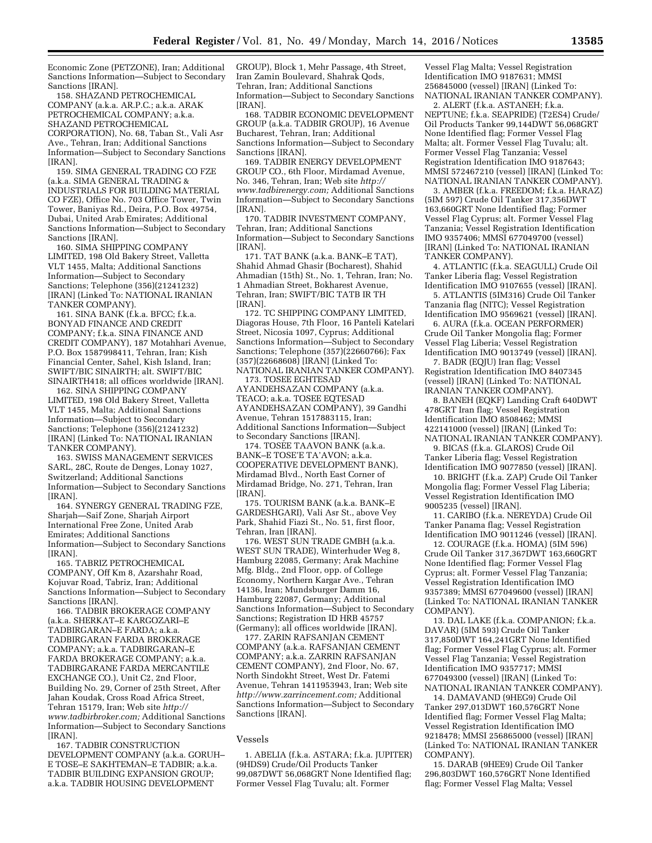Economic Zone (PETZONE), Iran; Additional Sanctions Information—Subject to Secondary Sanctions [IRAN].

158. SHAZAND PETROCHEMICAL COMPANY (a.k.a. AR.P.C.; a.k.a. ARAK PETROCHEMICAL COMPANY; a.k.a. SHAZAND PETROCHEMICAL CORPORATION), No. 68, Taban St., Vali Asr Ave., Tehran, Iran; Additional Sanctions Information—Subject to Secondary Sanctions [IRAN].

159. SIMA GENERAL TRADING CO FZE (a.k.a. SIMA GENERAL TRADING & INDUSTRIALS FOR BUILDING MATERIAL CO FZE), Office No. 703 Office Tower, Twin Tower, Baniyas Rd., Deira, P.O. Box 49754, Dubai, United Arab Emirates; Additional Sanctions Information—Subject to Secondary Sanctions [IRAN].

160. SIMA SHIPPING COMPANY LIMITED, 198 Old Bakery Street, Valletta VLT 1455, Malta; Additional Sanctions Information—Subject to Secondary Sanctions; Telephone (356)(21241232) [IRAN] (Linked To: NATIONAL IRANIAN TANKER COMPANY).

161. SINA BANK (f.k.a. BFCC; f.k.a. BONYAD FINANCE AND CREDIT COMPANY; f.k.a. SINA FINANCE AND CREDIT COMPANY), 187 Motahhari Avenue, P.O. Box 1587998411, Tehran, Iran; Kish Financial Center, Sahel, Kish Island, Iran; SWIFT/BIC SINAIRTH; alt. SWIFT/BIC SINAIRTH418; all offices worldwide [IRAN].

162. SINA SHIPPING COMPANY LIMITED, 198 Old Bakery Street, Valletta VLT 1455, Malta; Additional Sanctions Information—Subject to Secondary Sanctions; Telephone (356)(21241232) [IRAN] (Linked To: NATIONAL IRANIAN TANKER COMPANY).

163. SWISS MANAGEMENT SERVICES SARL, 28C, Route de Denges, Lonay 1027, Switzerland; Additional Sanctions Information—Subject to Secondary Sanctions [IRAN].

164. SYNERGY GENERAL TRADING FZE, Sharjah—Saif Zone, Sharjah Airport International Free Zone, United Arab Emirates; Additional Sanctions Information—Subject to Secondary Sanctions [IRAN].

165. TABRIZ PETROCHEMICAL COMPANY, Off Km 8, Azarshahr Road, Kojuvar Road, Tabriz, Iran; Additional Sanctions Information—Subject to Secondary Sanctions [IRAN].

166. TADBIR BROKERAGE COMPANY (a.k.a. SHERKAT–E KARGOZARI–E TADBIRGARAN–E FARDA; a.k.a. TADBIRGARAN FARDA BROKERAGE COMPANY; a.k.a. TADBIRGARAN–E FARDA BROKERAGE COMPANY; a.k.a. TADBIRGARANE FARDA MERCANTILE EXCHANGE CO.), Unit C2, 2nd Floor, Building No. 29, Corner of 25th Street, After Jahan Koudak, Cross Road Africa Street, Tehran 15179, Iran; Web site *[http://](http://www.tadbirbroker.com) [www.tadbirbroker.com;](http://www.tadbirbroker.com)* Additional Sanctions Information—Subject to Secondary Sanctions [IRAN].

167. TADBIR CONSTRUCTION DEVELOPMENT COMPANY (a.k.a. GORUH– E TOSE–E SAKHTEMAN–E TADBIR; a.k.a. TADBIR BUILDING EXPANSION GROUP; a.k.a. TADBIR HOUSING DEVELOPMENT

GROUP), Block 1, Mehr Passage, 4th Street, Iran Zamin Boulevard, Shahrak Qods, Tehran, Iran; Additional Sanctions Information—Subject to Secondary Sanctions [IRAN].

168. TADBIR ECONOMIC DEVELOPMENT GROUP (a.k.a. TADBIR GROUP), 16 Avenue Bucharest, Tehran, Iran; Additional Sanctions Information—Subject to Secondary Sanctions [IRAN].

169. TADBIR ENERGY DEVELOPMENT GROUP CO., 6th Floor, Mirdamad Avenue, No. 346, Tehran, Iran; Web site *[http://](http://www.tadbirenergy.com) [www.tadbirenergy.com;](http://www.tadbirenergy.com)* Additional Sanctions Information—Subject to Secondary Sanctions [IRAN].

170. TADBIR INVESTMENT COMPANY, Tehran, Iran; Additional Sanctions Information—Subject to Secondary Sanctions [IRAN].

171. TAT BANK (a.k.a. BANK–E TAT), Shahid Ahmad Ghasir (Bocharest), Shahid Ahmadian (15th) St., No. 1, Tehran, Iran; No. 1 Ahmadian Street, Bokharest Avenue, Tehran, Iran; SWIFT/BIC TATB IR TH [IRAN].

172. TC SHIPPING COMPANY LIMITED, Diagoras House, 7th Floor, 16 Panteli Katelari Street, Nicosia 1097, Cyprus; Additional Sanctions Information—Subject to Secondary Sanctions; Telephone (357)(22660766); Fax (357)(22668608) [IRAN] (Linked To: NATIONAL IRANIAN TANKER COMPANY).

173. TOSEE EGHTESAD AYANDEHSAZAN COMPANY (a.k.a. TEACO; a.k.a. TOSEE EQTESAD AYANDEHSAZAN COMPANY), 39 Gandhi Avenue, Tehran 1517883115, Iran; Additional Sanctions Information—Subject to Secondary Sanctions [IRAN].

174. TOSEE TAAVON BANK (a.k.a. BANK–E TOSE'E TA'AVON; a.k.a. COOPERATIVE DEVELOPMENT BANK), Mirdamad Blvd., North East Corner of Mirdamad Bridge, No. 271, Tehran, Iran [IRAN].

175. TOURISM BANK (a.k.a. BANK–E GARDESHGARI), Vali Asr St., above Vey Park, Shahid Fiazi St., No. 51, first floor, Tehran, Iran [IRAN].

176. WEST SUN TRADE GMBH (a.k.a. WEST SUN TRADE), Winterhuder Weg 8, Hamburg 22085, Germany; Arak Machine Mfg. Bldg., 2nd Floor, opp. of College Economy, Northern Kargar Ave., Tehran 14136, Iran; Mundsburger Damm 16, Hamburg 22087, Germany; Additional Sanctions Information—Subject to Secondary Sanctions; Registration ID HRB 45757 (Germany); all offices worldwide [IRAN].

177. ZARIN RAFSANJAN CEMENT COMPANY (a.k.a. RAFSANJAN CEMENT COMPANY; a.k.a. ZARRIN RAFSANJAN CEMENT COMPANY), 2nd Floor, No. 67, North Sindokht Street, West Dr. Fatemi Avenue, Tehran 1411953943, Iran; Web site *[http://www.zarrincement.com;](http://www.zarrincement.com)* Additional Sanctions Information—Subject to Secondary Sanctions [IRAN].

#### Vessels

1. ABELIA (f.k.a. ASTARA; f.k.a. JUPITER) (9HDS9) Crude/Oil Products Tanker 99,087DWT 56,068GRT None Identified flag; Former Vessel Flag Tuvalu; alt. Former

Vessel Flag Malta; Vessel Registration Identification IMO 9187631; MMSI 256845000 (vessel) [IRAN] (Linked To: NATIONAL IRANIAN TANKER COMPANY).

2. ALERT (f.k.a. ASTANEH; f.k.a. NEPTUNE; f.k.a. SEAPRIDE) (T2ES4) Crude/ Oil Products Tanker 99,144DWT 56,068GRT None Identified flag; Former Vessel Flag Malta; alt. Former Vessel Flag Tuvalu; alt. Former Vessel Flag Tanzania; Vessel Registration Identification IMO 9187643; MMSI 572467210 (vessel) [IRAN] (Linked To: NATIONAL IRANIAN TANKER COMPANY).

3. AMBER (f.k.a. FREEDOM; f.k.a. HARAZ) (5IM 597) Crude Oil Tanker 317,356DWT 163,660GRT None Identified flag; Former Vessel Flag Cyprus; alt. Former Vessel Flag Tanzania; Vessel Registration Identification IMO 9357406; MMSI 677049700 (vessel) [IRAN] (Linked To: NATIONAL IRANIAN TANKER COMPANY).

4. ATLANTIC (f.k.a. SEAGULL) Crude Oil Tanker Liberia flag; Vessel Registration Identification IMO 9107655 (vessel) [IRAN].

5. ATLANTIS (5IM316) Crude Oil Tanker Tanzania flag (NITC); Vessel Registration Identification IMO 9569621 (vessel) [IRAN].

6. AURA (f.k.a. OCEAN PERFORMER) Crude Oil Tanker Mongolia flag; Former Vessel Flag Liberia; Vessel Registration Identification IMO 9013749 (vessel) [IRAN].

7. BADR (EQJU) Iran flag; Vessel Registration Identification IMO 8407345 (vessel) [IRAN] (Linked To: NATIONAL IRANIAN TANKER COMPANY).

8. BANEH (EQKF) Landing Craft 640DWT 478GRT Iran flag; Vessel Registration Identification IMO 8508462; MMSI 422141000 (vessel) [IRAN] (Linked To: NATIONAL IRANIAN TANKER COMPANY).

9. BICAS (f.k.a. GLAROS) Crude Oil Tanker Liberia flag; Vessel Registration Identification IMO 9077850 (vessel) [IRAN].

10. BRIGHT (f.k.a. ZAP) Crude Oil Tanker Mongolia flag; Former Vessel Flag Liberia; Vessel Registration Identification IMO 9005235 (vessel) [IRAN].

11. CARIBO (f.k.a. NEREYDA) Crude Oil Tanker Panama flag; Vessel Registration Identification IMO 9011246 (vessel) [IRAN].

12. COURAGE (f.k.a. HOMA) (5IM 596) Crude Oil Tanker 317,367DWT 163,660GRT None Identified flag; Former Vessel Flag Cyprus; alt. Former Vessel Flag Tanzania; Vessel Registration Identification IMO 9357389; MMSI 677049600 (vessel) [IRAN] (Linked To: NATIONAL IRANIAN TANKER COMPANY).

13. DAL LAKE (f.k.a. COMPANION; f.k.a. DAVAR) (5IM 593) Crude Oil Tanker 317,850DWT 164,241GRT None Identified flag; Former Vessel Flag Cyprus; alt. Former Vessel Flag Tanzania; Vessel Registration Identification IMO 9357717; MMSI 677049300 (vessel) [IRAN] (Linked To: NATIONAL IRANIAN TANKER COMPANY).

14. DAMAVAND (9HEG9) Crude Oil Tanker 297,013DWT 160,576GRT None Identified flag; Former Vessel Flag Malta; Vessel Registration Identification IMO 9218478; MMSI 256865000 (vessel) [IRAN] (Linked To: NATIONAL IRANIAN TANKER COMPANY).

15. DARAB (9HEE9) Crude Oil Tanker 296,803DWT 160,576GRT None Identified flag; Former Vessel Flag Malta; Vessel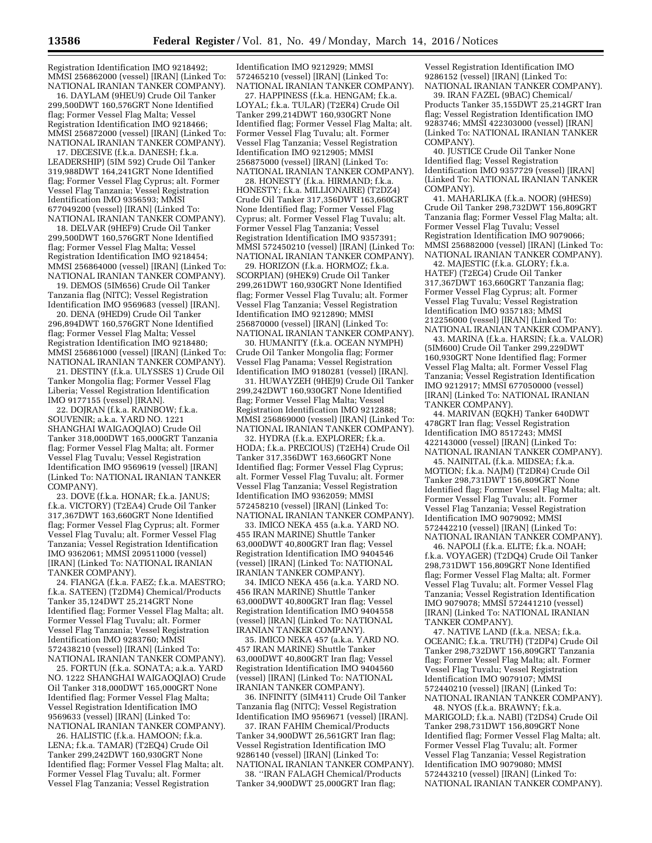Registration Identification IMO 9218492; MMSI 256862000 (vessel) [IRAN] (Linked To: NATIONAL IRANIAN TANKER COMPANY).

16. DAYLAM (9HEU9) Crude Oil Tanker 299,500DWT 160,576GRT None Identified flag; Former Vessel Flag Malta; Vessel Registration Identification IMO 9218466; MMSI 256872000 (vessel) [IRAN] (Linked To: NATIONAL IRANIAN TANKER COMPANY).

17. DECESIVE (f.k.a. DANESH; f.k.a. LEADERSHIP) (5IM 592) Crude Oil Tanker 319,988DWT 164,241GRT None Identified flag; Former Vessel Flag Cyprus; alt. Former Vessel Flag Tanzania; Vessel Registration Identification IMO 9356593; MMSI 677049200 (vessel) [IRAN] (Linked To: NATIONAL IRANIAN TANKER COMPANY).

18. DELVAR (9HEF9) Crude Oil Tanker 299,500DWT 160,576GRT None Identified flag; Former Vessel Flag Malta; Vessel Registration Identification IMO 9218454; MMSI 256864000 (vessel) [IRAN] (Linked To: NATIONAL IRANIAN TANKER COMPANY).

19. DEMOS (5IM656) Crude Oil Tanker Tanzania flag (NITC); Vessel Registration Identification IMO 9569683 (vessel) [IRAN].

20. DENA (9HED9) Crude Oil Tanker 296,894DWT 160,576GRT None Identified flag; Former Vessel Flag Malta; Vessel Registration Identification IMO 9218480; MMSI 256861000 (vessel) [IRAN] (Linked To: NATIONAL IRANIAN TANKER COMPANY).

21. DESTINY (f.k.a. ULYSSES 1) Crude Oil Tanker Mongolia flag; Former Vessel Flag Liberia; Vessel Registration Identification IMO 9177155 (vessel) [IRAN].

22. DOJRAN (f.k.a. RAINBOW; f.k.a. SOUVENIR; a.k.a. YARD NO. 1221 SHANGHAI WAIGAOQIAO) Crude Oil Tanker 318,000DWT 165,000GRT Tanzania flag; Former Vessel Flag Malta; alt. Former Vessel Flag Tuvalu; Vessel Registration Identification IMO 9569619 (vessel) [IRAN] (Linked To: NATIONAL IRANIAN TANKER COMPANY).

23. DOVE (f.k.a. HONAR; f.k.a. JANUS; f.k.a. VICTORY) (T2EA4) Crude Oil Tanker 317,367DWT 163,660GRT None Identified flag; Former Vessel Flag Cyprus; alt. Former Vessel Flag Tuvalu; alt. Former Vessel Flag Tanzania; Vessel Registration Identification IMO 9362061; MMSI 209511000 (vessel) [IRAN] (Linked To: NATIONAL IRANIAN TANKER COMPANY).

24. FIANGA (f.k.a. FAEZ; f.k.a. MAESTRO; f.k.a. SATEEN) (T2DM4) Chemical/Products Tanker 35,124DWT 25,214GRT None Identified flag; Former Vessel Flag Malta; alt. Former Vessel Flag Tuvalu; alt. Former Vessel Flag Tanzania; Vessel Registration Identification IMO 9283760; MMSI 572438210 (vessel) [IRAN] (Linked To: NATIONAL IRANIAN TANKER COMPANY).

25. FORTUN (f.k.a. SONATA; a.k.a. YARD NO. 1222 SHANGHAI WAIGAOQIAO) Crude Oil Tanker 318,000DWT 165,000GRT None Identified flag; Former Vessel Flag Malta; Vessel Registration Identification IMO 9569633 (vessel) [IRAN] (Linked To: NATIONAL IRANIAN TANKER COMPANY).

26. HALISTIC (f.k.a. HAMOON; f.k.a. LENA; f.k.a. TAMAR) (T2EQ4) Crude Oil Tanker 299,242DWT 160,930GRT None Identified flag; Former Vessel Flag Malta; alt. Former Vessel Flag Tuvalu; alt. Former Vessel Flag Tanzania; Vessel Registration

Identification IMO 9212929; MMSI 572465210 (vessel) [IRAN] (Linked To: NATIONAL IRANIAN TANKER COMPANY).

27. HAPPINESS (f.k.a. HENGAM; f.k.a. LOYAL; f.k.a. TULAR) (T2ER4) Crude Oil Tanker 299,214DWT 160,930GRT None Identified flag; Former Vessel Flag Malta; alt. Former Vessel Flag Tuvalu; alt. Former Vessel Flag Tanzania; Vessel Registration Identification IMO 9212905; MMSI 256875000 (vessel) [IRAN] (Linked To: NATIONAL IRANIAN TANKER COMPANY).

28. HONESTY (f.k.a. HIRMAND; f.k.a. HONESTY; f.k.a. MILLIONAIRE) (T2DZ4) Crude Oil Tanker 317,356DWT 163,660GRT None Identified flag; Former Vessel Flag Cyprus; alt. Former Vessel Flag Tuvalu; alt. Former Vessel Flag Tanzania; Vessel Registration Identification IMO 9357391; MMSI 572450210 (vessel) [IRAN] (Linked To: NATIONAL IRANIAN TANKER COMPANY).

29. HORIZON (f.k.a. HORMOZ; f.k.a. SCORPIAN) (9HEK9) Crude Oil Tanker 299,261DWT 160,930GRT None Identified flag; Former Vessel Flag Tuvalu; alt. Former Vessel Flag Tanzania; Vessel Registration Identification IMO 9212890; MMSI 256870000 (vessel) [IRAN] (Linked To: NATIONAL IRANIAN TANKER COMPANY).

30. HUMANITY (f.k.a. OCEAN NYMPH) Crude Oil Tanker Mongolia flag; Former Vessel Flag Panama; Vessel Registration Identification IMO 9180281 (vessel) [IRAN].

31. HUWAYZEH (9HEJ9) Crude Oil Tanker 299,242DWT 160,930GRT None Identified flag; Former Vessel Flag Malta; Vessel Registration Identification IMO 9212888; MMSI 256869000 (vessel) [IRAN] (Linked To: NATIONAL IRANIAN TANKER COMPANY).

32. HYDRA (f.k.a. EXPLORER; f.k.a. HODA; f.k.a. PRECIOUS) (T2EH4) Crude Oil Tanker 317,356DWT 163,660GRT None Identified flag; Former Vessel Flag Cyprus; alt. Former Vessel Flag Tuvalu; alt. Former Vessel Flag Tanzania; Vessel Registration Identification IMO 9362059; MMSI 572458210 (vessel) [IRAN] (Linked To: NATIONAL IRANIAN TANKER COMPANY).

33. IMICO NEKA 455 (a.k.a. YARD NO. 455 IRAN MARINE) Shuttle Tanker 63,000DWT 40,800GRT Iran flag; Vessel Registration Identification IMO 9404546 (vessel) [IRAN] (Linked To: NATIONAL IRANIAN TANKER COMPANY).

34. IMICO NEKA 456 (a.k.a. YARD NO. 456 IRAN MARINE) Shuttle Tanker 63,000DWT 40,800GRT Iran flag; Vessel Registration Identification IMO 9404558 (vessel) [IRAN] (Linked To: NATIONAL IRANIAN TANKER COMPANY).

35. IMICO NEKA 457 (a.k.a. YARD NO. 457 IRAN MARINE) Shuttle Tanker 63,000DWT 40,800GRT Iran flag; Vessel Registration Identification IMO 9404560 (vessel) [IRAN] (Linked To: NATIONAL IRANIAN TANKER COMPANY).

36. INFINITY (5IM411) Crude Oil Tanker Tanzania flag (NITC); Vessel Registration Identification IMO 9569671 (vessel) [IRAN].

37. IRAN FAHIM Chemical/Products Tanker 34,900DWT 26,561GRT Iran flag; Vessel Registration Identification IMO 9286140 (vessel) [IRAN] (Linked To: NATIONAL IRANIAN TANKER COMPANY).

38. ''IRAN FALAGH Chemical/Products Tanker 34,900DWT 25,000GRT Iran flag;

Vessel Registration Identification IMO 9286152 (vessel) [IRAN] (Linked To: NATIONAL IRANIAN TANKER COMPANY).

39. IRAN FAZEL (9BAC) Chemical/ Products Tanker 35,155DWT 25,214GRT Iran flag; Vessel Registration Identification IMO 9283746; MMSI 422303000 (vessel) [IRAN] (Linked To: NATIONAL IRANIAN TANKER COMPANY).

40. JUSTICE Crude Oil Tanker None Identified flag; Vessel Registration Identification IMO 9357729 (vessel) [IRAN] (Linked To: NATIONAL IRANIAN TANKER COMPANY).

41. MAHARLIKA (f.k.a. NOOR) (9HES9) Crude Oil Tanker 298,732DWT 156,809GRT Tanzania flag; Former Vessel Flag Malta; alt. Former Vessel Flag Tuvalu; Vessel Registration Identification IMO 9079066; MMSI 256882000 (vessel) [IRAN] (Linked To: NATIONAL IRANIAN TANKER COMPANY).

42. MAJESTIC (f.k.a. GLORY; f.k.a. HATEF) (T2EG4) Crude Oil Tanker 317,367DWT 163,660GRT Tanzania flag; Former Vessel Flag Cyprus; alt. Former Vessel Flag Tuvalu; Vessel Registration Identification IMO 9357183; MMSI 212256000 (vessel) [IRAN] (Linked To: NATIONAL IRANIAN TANKER COMPANY).

43. MARINA (f.k.a. HARSIN; f.k.a. VALOR) (5IM600) Crude Oil Tanker 299,229DWT 160,930GRT None Identified flag; Former Vessel Flag Malta; alt. Former Vessel Flag Tanzania; Vessel Registration Identification IMO 9212917; MMSI 677050000 (vessel) [IRAN] (Linked To: NATIONAL IRANIAN TANKER COMPANY).

44. MARIVAN (EQKH) Tanker 640DWT 478GRT Iran flag; Vessel Registration Identification IMO 8517243; MMSI 422143000 (vessel) [IRAN] (Linked To: NATIONAL IRANIAN TANKER COMPANY).

45. NAINITAL (f.k.a. MIDSEA; f.k.a. MOTION; f.k.a. NAJM) (T2DR4) Crude Oil Tanker 298,731DWT 156,809GRT None Identified flag; Former Vessel Flag Malta; alt. Former Vessel Flag Tuvalu; alt. Former Vessel Flag Tanzania; Vessel Registration Identification IMO 9079092; MMSI 572442210 (vessel) [IRAN] (Linked To: NATIONAL IRANIAN TANKER COMPANY).

46. NAPOLI (f.k.a. ELITE; f.k.a. NOAH; f.k.a. VOYAGER) (T2DQ4) Crude Oil Tanker 298,731DWT 156,809GRT None Identified flag; Former Vessel Flag Malta; alt. Former Vessel Flag Tuvalu; alt. Former Vessel Flag Tanzania; Vessel Registration Identification IMO 9079078; MMSI 572441210 (vessel) [IRAN] (Linked To: NATIONAL IRANIAN TANKER COMPANY).

47. NATIVE LAND (f.k.a. NESA; f.k.a. OCEANIC; f.k.a. TRUTH) (T2DP4) Crude Oil Tanker 298,732DWT 156,809GRT Tanzania flag; Former Vessel Flag Malta; alt. Former Vessel Flag Tuvalu; Vessel Registration Identification IMO 9079107; MMSI 572440210 (vessel) [IRAN] (Linked To: NATIONAL IRANIAN TANKER COMPANY).

48. NYOS (f.k.a. BRAWNY; f.k.a. MARIGOLD; f.k.a. NABI) (T2DS4) Crude Oil Tanker 298,731DWT 156,809GRT None Identified flag; Former Vessel Flag Malta; alt. Former Vessel Flag Tuvalu; alt. Former Vessel Flag Tanzania; Vessel Registration Identification IMO 9079080; MMSI 572443210 (vessel) [IRAN] (Linked To: NATIONAL IRANIAN TANKER COMPANY).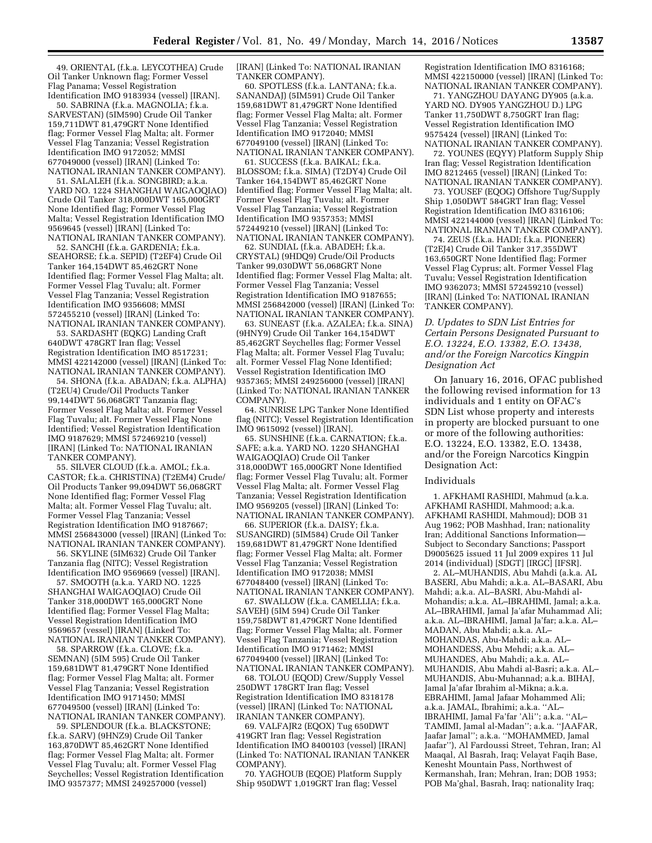49. ORIENTAL (f.k.a. LEYCOTHEA) Crude Oil Tanker Unknown flag; Former Vessel Flag Panama; Vessel Registration Identification IMO 9183934 (vessel) [IRAN].

50. SABRINA (f.k.a. MAGNOLIA; f.k.a. SARVESTAN) (5IM590) Crude Oil Tanker 159,711DWT 81,479GRT None Identified flag; Former Vessel Flag Malta; alt. Former Vessel Flag Tanzania; Vessel Registration Identification IMO 9172052; MMSI 677049000 (vessel) [IRAN] (Linked To: NATIONAL IRANIAN TANKER COMPANY).

51. SALALEH (f.k.a. SONGBIRD; a.k.a. YARD NO. 1224 SHANGHAI WAIGAOQIAO) Crude Oil Tanker 318,000DWT 165,000GRT None Identified flag; Former Vessel Flag Malta; Vessel Registration Identification IMO 9569645 (vessel) [IRAN] (Linked To: NATIONAL IRANIAN TANKER COMPANY).

52. SANCHI (f.k.a. GARDENIA; f.k.a. SEAHORSE; f.k.a. SEPID) (T2EF4) Crude Oil Tanker 164,154DWT 85,462GRT None Identified flag; Former Vessel Flag Malta; alt. Former Vessel Flag Tuvalu; alt. Former Vessel Flag Tanzania; Vessel Registration Identification IMO 9356608; MMSI 572455210 (vessel) [IRAN] (Linked To: NATIONAL IRANIAN TANKER COMPANY).

53. SARDASHT (EQKG) Landing Craft 640DWT 478GRT Iran flag; Vessel Registration Identification IMO 8517231; MMSI 422142000 (vessel) [IRAN] (Linked To: NATIONAL IRANIAN TANKER COMPANY).

54. SHONA (f.k.a. ABADAN; f.k.a. ALPHA) (T2EU4) Crude/Oil Products Tanker 99,144DWT 56,068GRT Tanzania flag; Former Vessel Flag Malta; alt. Former Vessel Flag Tuvalu; alt. Former Vessel Flag None Identified; Vessel Registration Identification IMO 9187629; MMSI 572469210 (vessel) [IRAN] (Linked To: NATIONAL IRANIAN TANKER COMPANY).

55. SILVER CLOUD (f.k.a. AMOL; f.k.a. CASTOR; f.k.a. CHRISTINA) (T2EM4) Crude/ Oil Products Tanker 99,094DWT 56,068GRT None Identified flag; Former Vessel Flag Malta; alt. Former Vessel Flag Tuvalu; alt. Former Vessel Flag Tanzania; Vessel Registration Identification IMO 9187667; MMSI 256843000 (vessel) [IRAN] (Linked To: NATIONAL IRANIAN TANKER COMPANY).

56. SKYLINE (5IM632) Crude Oil Tanker Tanzania flag (NITC); Vessel Registration Identification IMO 9569669 (vessel) [IRAN].

57. SMOOTH (a.k.a. YARD NO. 1225 SHANGHAI WAIGAOQIAO) Crude Oil Tanker 318,000DWT 165,000GRT None Identified flag; Former Vessel Flag Malta; Vessel Registration Identification IMO 9569657 (vessel) [IRAN] (Linked To: NATIONAL IRANIAN TANKER COMPANY).

58. SPARROW (f.k.a. CLOVE; f.k.a. SEMNAN) (5IM 595) Crude Oil Tanker 159,681DWT 81,479GRT None Identified flag; Former Vessel Flag Malta; alt. Former Vessel Flag Tanzania; Vessel Registration Identification IMO 9171450; MMSI 677049500 (vessel) [IRAN] (Linked To: NATIONAL IRANIAN TANKER COMPANY).

59. SPLENDOUR (f.k.a. BLACKSTONE; f.k.a. SARV) (9HNZ9) Crude Oil Tanker 163,870DWT 85,462GRT None Identified flag; Former Vessel Flag Malta; alt. Former Vessel Flag Tuvalu; alt. Former Vessel Flag Seychelles; Vessel Registration Identification IMO 9357377; MMSI 249257000 (vessel)

[IRAN] (Linked To: NATIONAL IRANIAN TANKER COMPANY).

60. SPOTLESS (f.k.a. LANTANA; f.k.a. SANANDAJ) (5IM591) Crude Oil Tanker 159,681DWT 81,479GRT None Identified flag; Former Vessel Flag Malta; alt. Former Vessel Flag Tanzania; Vessel Registration Identification IMO 9172040; MMSI 677049100 (vessel) [IRAN] (Linked To: NATIONAL IRANIAN TANKER COMPANY).

61. SUCCESS (f.k.a. BAIKAL; f.k.a. BLOSSOM; f.k.a. SIMA) (T2DY4) Crude Oil Tanker 164,154DWT 85,462GRT None Identified flag; Former Vessel Flag Malta; alt. Former Vessel Flag Tuvalu; alt. Former Vessel Flag Tanzania; Vessel Registration Identification IMO 9357353; MMSI 572449210 (vessel) [IRAN] (Linked To: NATIONAL IRANIAN TANKER COMPANY).

62. SUNDIAL (f.k.a. ABADEH; f.k.a. CRYSTAL) (9HDQ9) Crude/Oil Products Tanker 99,030DWT 56,068GRT None Identified flag; Former Vessel Flag Malta; alt. Former Vessel Flag Tanzania; Vessel Registration Identification IMO 9187655; MMSI 256842000 (vessel) [IRAN] (Linked To: NATIONAL IRANIAN TANKER COMPANY).

63. SUNEAST (f.k.a. AZALEA; f.k.a. SINA) (9HNY9) Crude Oil Tanker 164,154DWT 85,462GRT Seychelles flag; Former Vessel Flag Malta; alt. Former Vessel Flag Tuvalu; alt. Former Vessel Flag None Identified; Vessel Registration Identification IMO 9357365; MMSI 249256000 (vessel) [IRAN] (Linked To: NATIONAL IRANIAN TANKER COMPANY).

64. SUNRISE LPG Tanker None Identified flag (NITC); Vessel Registration Identification IMO 9615092 (vessel) [IRAN].

65. SUNSHINE (f.k.a. CARNATION; f.k.a. SAFE; a.k.a. YARD NO. 1220 SHANGHAI WAIGAOQIAO) Crude Oil Tanker 318,000DWT 165,000GRT None Identified flag; Former Vessel Flag Tuvalu; alt. Former Vessel Flag Malta; alt. Former Vessel Flag Tanzania; Vessel Registration Identification IMO 9569205 (vessel) [IRAN] (Linked To: NATIONAL IRANIAN TANKER COMPANY).

66. SUPERIOR (f.k.a. DAISY; f.k.a. SUSANGIRD) (5IM584) Crude Oil Tanker 159,681DWT 81,479GRT None Identified flag; Former Vessel Flag Malta; alt. Former Vessel Flag Tanzania; Vessel Registration Identification IMO 9172038; MMSI 677048400 (vessel) [IRAN] (Linked To: NATIONAL IRANIAN TANKER COMPANY).

67. SWALLOW (f.k.a. CAMELLIA; f.k.a. SAVEH) (5IM 594) Crude Oil Tanker 159,758DWT 81,479GRT None Identified flag; Former Vessel Flag Malta; alt. Former Vessel Flag Tanzania; Vessel Registration Identification IMO 9171462; MMSI 677049400 (vessel) [IRAN] (Linked To: NATIONAL IRANIAN TANKER COMPANY).

68. TOLOU (EQOD) Crew/Supply Vessel 250DWT 178GRT Iran flag; Vessel Registration Identification IMO 8318178 (vessel) [IRAN] (Linked To: NATIONAL IRANIAN TANKER COMPANY).

69. VALFAJR2 (EQOX) Tug 650DWT 419GRT Iran flag; Vessel Registration Identification IMO 8400103 (vessel) [IRAN] (Linked To: NATIONAL IRANIAN TANKER COMPANY).

70. YAGHOUB (EQOE) Platform Supply Ship 950DWT 1,019GRT Iran flag; Vessel

Registration Identification IMO 8316168; MMSI 422150000 (vessel) [IRAN] (Linked To: NATIONAL IRANIAN TANKER COMPANY).

71. YANGZHOU DAYANG DY905 (a.k.a. YARD NO. DY905 YANGZHOU D.) LPG Tanker 11,750DWT 8,750GRT Iran flag; Vessel Registration Identification IMO 9575424 (vessel) [IRAN] (Linked To: NATIONAL IRANIAN TANKER COMPANY).

72. YOUNES (EQYY) Platform Supply Ship Iran flag; Vessel Registration Identification IMO 8212465 (vessel) [IRAN] (Linked To: NATIONAL IRANIAN TANKER COMPANY).

73. YOUSEF (EQOG) Offshore Tug/Supply Ship 1,050DWT 584GRT Iran flag; Vessel Registration Identification IMO 8316106; MMSI 422144000 (vessel) [IRAN] (Linked To: NATIONAL IRANIAN TANKER COMPANY).

74. ZEUS (f.k.a. HADI; f.k.a. PIONEER) (T2EJ4) Crude Oil Tanker 317,355DWT 163,650GRT None Identified flag; Former Vessel Flag Cyprus; alt. Former Vessel Flag Tuvalu; Vessel Registration Identification IMO 9362073; MMSI 572459210 (vessel) [IRAN] (Linked To: NATIONAL IRANIAN TANKER COMPANY).

*D. Updates to SDN List Entries for Certain Persons Designated Pursuant to E.O. 13224, E.O. 13382, E.O. 13438, and/or the Foreign Narcotics Kingpin Designation Act* 

On January 16, 2016, OFAC published the following revised information for 13 individuals and 1 entity on OFAC's SDN List whose property and interests in property are blocked pursuant to one or more of the following authorities: E.O. 13224, E.O. 13382, E.O. 13438, and/or the Foreign Narcotics Kingpin Designation Act:

#### Individuals

1. AFKHAMI RASHIDI, Mahmud (a.k.a. AFKHAMI RASHIDI, Mahmood; a.k.a. AFKHAMI RASHIDI, Mahmoud); DOB 31 Aug 1962; POB Mashhad, Iran; nationality Iran; Additional Sanctions Information— Subject to Secondary Sanctions; Passport D9005625 issued 11 Jul 2009 expires 11 Jul 2014 (individual) [SDGT] [IRGC] [IFSR].

2. AL–MUHANDIS, Abu Mahdi (a.k.a. AL BASERI, Abu Mahdi; a.k.a. AL–BASARI, Abu Mahdi; a.k.a. AL–BASRI, Abu-Mahdi al-Mohandis; a.k.a. AL–IBRAHIMI, Jamal; a.k.a. AL–IBRAHIMI, Jamal Ja'afar Muhammad Ali; a.k.a. AL–IBRAHIMI, Jamal Ja'far; a.k.a. AL– MADAN, Abu Mahdi; a.k.a. AL– MOHANDAS, Abu-Mahdi; a.k.a. AL– MOHANDESS, Abu Mehdi; a.k.a. AL– MUHANDES, Abu Mahdi; a.k.a. AL– MUHANDIS, Abu Mahdi al-Basri; a.k.a. AL– MUHANDIS, Abu-Muhannad; a.k.a. BIHAJ, Jamal Ja'afar Ibrahim al-Mikna; a.k.a. EBRAHIMI, Jamal Jafaar Mohammed Ali; a.k.a. JAMAL, Ibrahimi; a.k.a. ''AL– IBRAHIMI, Jamal Fa'far 'Ali''; a.k.a. ''AL– TAMIMI, Jamal al-Madan''; a.k.a. ''JAAFAR, Jaafar Jamal''; a.k.a. ''MOHAMMED, Jamal Jaafar''), Al Fardoussi Street, Tehran, Iran; Al Maaqal, Al Basrah, Iraq; Velayat Faqih Base, Kenesht Mountain Pass, Northwest of Kermanshah, Iran; Mehran, Iran; DOB 1953; POB Ma'ghal, Basrah, Iraq; nationality Iraq;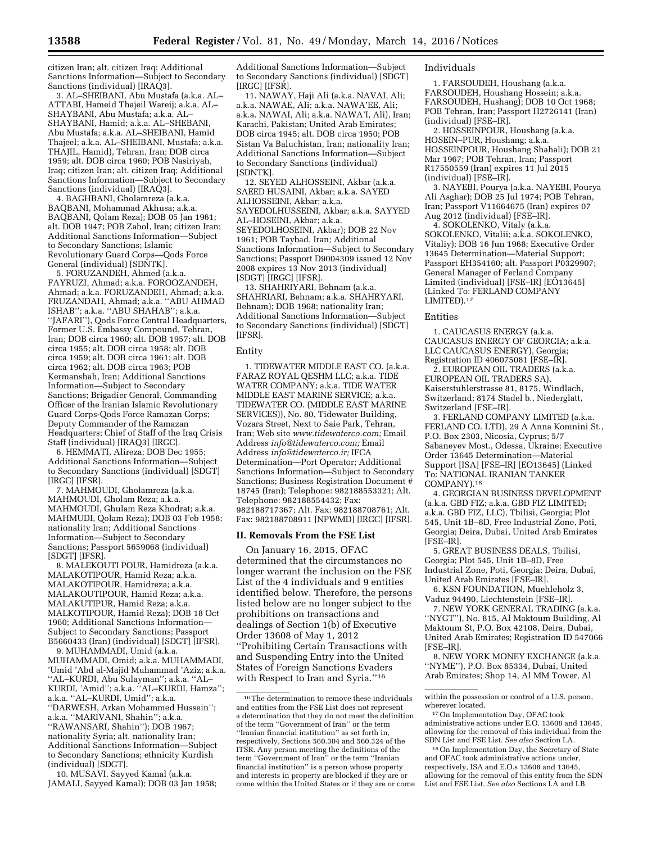citizen Iran; alt. citizen Iraq; Additional Sanctions Information—Subject to Secondary Sanctions (individual) [IRAQ3].

3. AL–SHEIBANI, Abu Mustafa (a.k.a. AL– ATTABI, Hameid Thajeil Wareij; a.k.a. AL– SHAYBANI, Abu Mustafa; a.k.a. AL– SHAYBANI, Hamid; a.k.a. AL–SHEBANI, Abu Mustafa; a.k.a. AL–SHEIBANI, Hamid Thajeel; a.k.a. AL–SHEIBANI, Mustafa; a.k.a. THAJIL, Hamid), Tehran, Iran; DOB circa 1959; alt. DOB circa 1960; POB Nasiriyah, Iraq; citizen Iran; alt. citizen Iraq; Additional Sanctions Information—Subject to Secondary Sanctions (individual) [IRAQ3].

4. BAGHBANI, Gholamreza (a.k.a. BAQBANI, Mohammad Akhusa; a.k.a. BAQBANI, Qolam Reza); DOB 05 Jan 1961; alt. DOB 1947; POB Zabol, Iran; citizen Iran; Additional Sanctions Information—Subject to Secondary Sanctions; Islamic Revolutionary Guard Corps—Qods Force General (individual) [SDNTK].

5. FORUZANDEH, Ahmed (a.k.a. FAYRUZI, Ahmad; a.k.a. FOROOZANDEH, Ahmad; a.k.a. FORUZANDEH, Ahmad; a.k.a. FRUZANDAH, Ahmad; a.k.a. ''ABU AHMAD ISHAB''; a.k.a. ''ABU SHAHAB''; a.k.a. ''JAFARI''), Qods Force Central Headquarters, Former U.S. Embassy Compound, Tehran, Iran; DOB circa 1960; alt. DOB 1957; alt. DOB circa 1955; alt. DOB circa 1958; alt. DOB circa 1959; alt. DOB circa 1961; alt. DOB circa 1962; alt. DOB circa 1963; POB Kermanshah, Iran; Additional Sanctions Information—Subject to Secondary Sanctions; Brigadier General, Commanding Officer of the Iranian Islamic Revolutionary Guard Corps-Qods Force Ramazan Corps; Deputy Commander of the Ramazan Headquarters; Chief of Staff of the Iraq Crisis Staff (individual) [IRAQ3] [IRGC].

6. HEMMATI, Alireza; DOB Dec 1955; Additional Sanctions Information—Subject to Secondary Sanctions (individual) [SDGT] [IRGC] [IFSR].

7. MAHMOUDI, Gholamreza (a.k.a. MAHMOUDI, Gholam Reza; a.k.a. MAHMOUDI, Ghulam Reza Khodrat; a.k.a. MAHMUDI, Qolam Reza); DOB 03 Feb 1958; nationality Iran; Additional Sanctions Information—Subject to Secondary Sanctions; Passport 5659068 (individual) [SDGT] [IFSR].

8. MALEKOUTI POUR, Hamidreza (a.k.a. MALAKOTIPOUR, Hamid Reza; a.k.a. MALAKOTIPOUR, Hamidreza; a.k.a. MALAKOUTIPOUR, Hamid Reza; a.k.a. MALAKUTIPUR, Hamid Reza; a.k.a. MALKOTIPOUR, Hamid Reza); DOB 18 Oct 1960; Additional Sanctions Information— Subject to Secondary Sanctions; Passport B5660433 (Iran) (individual) [SDGT] [IFSR].

9. MUHAMMADI, Umid (a.k.a. MUHAMMADI, Omid; a.k.a. MUHAMMADI, 'Umid 'Abd al-Majid Muhammad 'Aziz; a.k.a. ''AL–KURDI, Abu Sulayman''; a.k.a. ''AL– KURDI, 'Amid''; a.k.a. ''AL–KURDI, Hamza''; a.k.a. ''AL–KURDI, Umid''; a.k.a. ''DARWESH, Arkan Mohammed Hussein''; a.k.a. ''MARIVANI, Shahin''; a.k.a. ''RAWANSARI, Shahin''); DOB 1967; nationality Syria; alt. nationality Iran; Additional Sanctions Information—Subject to Secondary Sanctions; ethnicity Kurdish (individual) [SDGT].

10. MUSAVI, Sayyed Kamal (a.k.a. JAMALI, Sayyed Kamal); DOB 03 Jan 1958;

Additional Sanctions Information—Subject to Secondary Sanctions (individual) [SDGT] [IRGC] [IFSR].

11. NAWAY, Haji Ali (a.k.a. NAVAI, Ali; a.k.a. NAWAE, Ali; a.k.a. NAWA'EE, Ali; a.k.a. NAWAI, Ali; a.k.a. NAWA'I, Ali), Iran; Karachi, Pakistan; United Arab Emirates; DOB circa 1945; alt. DOB circa 1950; POB Sistan Va Baluchistan, Iran; nationality Iran; Additional Sanctions Information—Subject to Secondary Sanctions (individual) [SDNTK].

12. SEYED ALHOSSEINI, Akbar (a.k.a. SAEED HUSAINI, Akbar; a.k.a. SAYED ALHOSSEINI, Akbar; a.k.a. SAYEDOLHUSSEINI, Akbar; a.k.a. SAYYED AL–HOSEINI, Akbar; a.k.a. SEYEDOLHOSEINI, Akbar); DOB 22 Nov 1961; POB Taybad, Iran; Additional Sanctions Information—Subject to Secondary Sanctions; Passport D9004309 issued 12 Nov 2008 expires 13 Nov 2013 (individual) [SDGT] [IRGC] [IFSR].

13. SHAHRIYARI, Behnam (a.k.a. SHAHRIARI, Behnam; a.k.a. SHAHRYARI, Behnam); DOB 1968; nationality Iran; Additional Sanctions Information—Subject to Secondary Sanctions (individual) [SDGT] [IFSR].

#### Entity

1. TIDEWATER MIDDLE EAST CO. (a.k.a. FARAZ ROYAL QESHM LLC; a.k.a. TIDE WATER COMPANY; a.k.a. TIDE WATER MIDDLE EAST MARINE SERVICE; a.k.a. TIDEWATER CO. (MIDDLE EAST MARINE SERVICES)), No. 80, Tidewater Building, Vozara Street, Next to Saie Park, Tehran, Iran; Web site *[www.tidewaterco.com;](http://www.tidewaterco.com)* Email Address *[info@tidewaterco.com;](mailto:info@tidewaterco.com)* Email Address *[info@tidewaterco.ir;](mailto:info@tidewaterco.ir)* IFCA Determination—Port Operator; Additional Sanctions Information—Subject to Secondary Sanctions; Business Registration Document # 18745 (Iran); Telephone: 982188553321; Alt. Telephone: 982188554432; Fax: 982188717367; Alt. Fax: 982188708761; Alt. Fax: 982188708911 [NPWMD] [IRGC] [IFSR].

#### **II. Removals From the FSE List**

On January 16, 2015, OFAC determined that the circumstances no longer warrant the inclusion on the FSE List of the 4 individuals and 9 entities identified below. Therefore, the persons listed below are no longer subject to the prohibitions on transactions and dealings of Section 1(b) of Executive Order 13608 of May 1, 2012 ''Prohibiting Certain Transactions with and Suspending Entry into the United States of Foreign Sanctions Evaders with Respect to Iran and Syria.''16

#### Individuals

1. FARSOUDEH, Houshang (a.k.a. FARSOUDEH, Houshang Hossein; a.k.a. FARSOUDEH, Hushang); DOB 10 Oct 1968; POB Tehran, Iran; Passport H2726141 (Iran) (individual) [FSE–IR].

2. HOSSEINPOUR, Houshang (a.k.a. HOSEIN–PUR, Houshang; a.k.a. HOSSEINPOUR, Houshang Shahali); DOB 21 Mar 1967; POB Tehran, Iran; Passport R17550559 (Iran) expires 11 Jul 2015 (individual) [FSE–IR].

3. NAYEBI, Pourya (a.k.a. NAYEBI, Pourya Ali Asghar); DOB 25 Jul 1974; POB Tehran, Iran; Passport V11664675 (Iran) expires 07 Aug 2012 (individual) [FSE–IR].

4. SOKOLENKO, Vitaly (a.k.a. SOKOLENKO, Vitalii; a.k.a. SOKOLENKO, Vitaliy); DOB 16 Jun 1968; Executive Order 13645 Determination—Material Support; Passport EH354160; alt. Passport P0329907; General Manager of Ferland Company Limited (individual) [FSE–IR] [EO13645] (Linked To: FERLAND COMPANY LIMITED).17

#### Entities

1. CAUCASUS ENERGY (a.k.a. CAUCASUS ENERGY OF GEORGIA; a.k.a. LLC CAUCASUS ENERGY), Georgia; Registration ID 406075081 [FSE–IR].

2. EUROPEAN OIL TRADERS (a.k.a. EUROPEAN OIL TRADERS SA), Kaiserstuhlerstrasse 81, 8175, Windlach, Switzerland; 8174 Stadel b., Niederglatt, Switzerland [FSE–IR].

3. FERLAND COMPANY LIMITED (a.k.a. FERLAND CO. LTD), 29 A Anna Komnini St., P.O. Box 2303, Nicosia, Cyprus; 5/7 Sabaneyev Most., Odessa, Ukraine; Executive Order 13645 Determination—Material Support [ISA] [FSE–IR] [EO13645] (Linked To: NATIONAL IRANIAN TANKER COMPANY).18

4. GEORGIAN BUSINESS DEVELOPMENT (a.k.a. GBD FIZ; a.k.a. GBD FIZ LIMITED; a.k.a. GBD FIZ, LLC), Tbilisi, Georgia; Plot 545, Unit 1B–8D, Free Industrial Zone, Poti, Georgia; Deira, Dubai, United Arab Emirates [FSE–IR].

5. GREAT BUSINESS DEALS, Tbilisi, Georgia; Plot 545, Unit 1B–8D, Free Industrial Zone, Poti, Georgia; Deira, Dubai, United Arab Emirates [FSE–IR].

6. KSN FOUNDATION, Muehleholz 3, Vaduz 94490, Liechtenstein [FSE–IR].

7. NEW YORK GENERAL TRADING (a.k.a. ''NYGT''), No. 815, Al Maktoum Building, Al Maktoum St, P.O. Box 42108, Deira, Dubai, United Arab Emirates; Registration ID 547066 [FSE–IR].

8. NEW YORK MONEY EXCHANGE (a.k.a. ''NYME''), P.O. Box 85334, Dubai, United Arab Emirates; Shop 14, Al MM Tower, Al

<sup>16</sup>The determination to remove these individuals and entities from the FSE List does not represent a determination that they do not meet the definition of the term ''Government of Iran'' or the term ''Iranian financial institution'' as set forth in, respectively, Sections 560.304 and 560.324 of the ITSR. Any person meeting the definitions of the term ''Government of Iran'' or the term ''Iranian financial institution'' is a person whose property and interests in property are blocked if they are or come within the United States or if they are or come

within the possession or control of a U.S. person, wherever located.

<sup>17</sup>On Implementation Day, OFAC took administrative actions under E.O. 13608 and 13645, allowing for the removal of this individual from the SDN List and FSE List. *See also* Section I.A.

<sup>18</sup>On Implementation Day, the Secretary of State and OFAC took administrative actions under, respectively, ISA and E.O.s 13608 and 13645, allowing for the removal of this entity from the SDN List and FSE List. *See also* Sections I.A and I.B.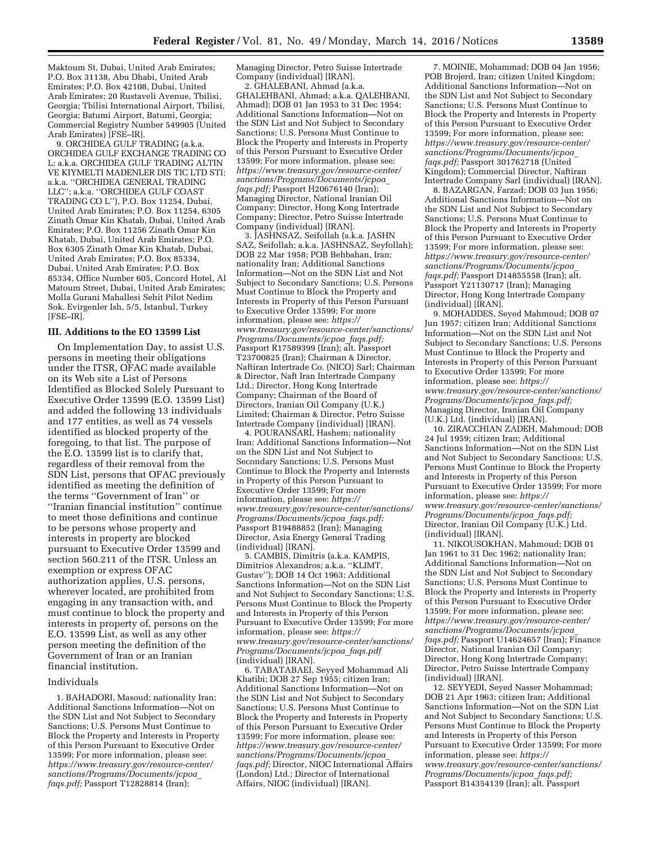Maktoum St, Dubai, United Arab Emirates; P.O. Box 31138, Abu Dhabi, United Arab Emirates; P.O. Box 42108, Dubai, United Arab Emirates; 20 Rustaveli Avenue, Tbilisi, Georgia; Tbilisi International Airport, Tbilisi, Georgia; Batumi Airport, Batumi, Georgia; Commercial Registry Number 549905 (United Arab Emirates) [FSE–IR].

9. ORCHIDEA GULF TRADING (a.k.a. ORCHIDEA GULF EXCHANGE TRADING CO L; a.k.a. ORCHIDEA GULF TRADING ALTIN VE KIYMELTI MADENLER DIS TIC LTD STI; a.k.a. ''ORCHIDEA GENERAL TRADING LLC''; a.k.a. ''ORCHIDEA GULF COAST TRADING CO L''), P.O. Box 11254, Dubai, United Arab Emirates; P.O. Box 11254, 6305 Zinath Omar Kin Khatab, Dubai, United Arab Emirates; P.O. Box 11256 Zinath Omar Kin Khatab, Dubai, United Arab Emirates; P.O. Box 6305 Zinath Omar Kin Khatab, Dubai, United Arab Emirates; P.O. Box 85334, Dubai, United Arab Emirates; P.O. Box 85334, Office Number 605, Concord Hotel, Al Matoum Street, Dubai, United Arab Emirates; Molla Gurani Mahallesi Sehit Pilot Nedim Sok. Evirgenler Ish, 5/5, Istanbul, Turkey [FSE–IR].

#### **III. Additions to the EO 13599 List**

On Implementation Day, to assist U.S. persons in meeting their obligations under the ITSR, OFAC made available on its Web site a List of Persons Identified as Blocked Solely Pursuant to Executive Order 13599 (E.O. 13599 List) and added the following 13 individuals and 177 entities, as well as 74 vessels identified as blocked property of the foregoing, to that list. The purpose of the E.O. 13599 list is to clarify that, regardless of their removal from the SDN List, persons that OFAC previously identified as meeting the definition of the terms ''Government of Iran'' or ''Iranian financial institution'' continue to meet those definitions and continue to be persons whose property and interests in property are blocked pursuant to Executive Order 13599 and section 560.211 of the ITSR. Unless an exemption or express OFAC authorization applies, U.S. persons, wherever located, are prohibited from engaging in any transaction with, and must continue to block the property and interests in property of, persons on the E.O. 13599 List, as well as any other person meeting the definition of the Government of Iran or an Iranian financial institution.

#### Individuals

1. BAHADORI, Masoud; nationality Iran; Additional Sanctions Information—Not on the SDN List and Not Subject to Secondary Sanctions; U.S. Persons Must Continue to Block the Property and Interests in Property of this Person Pursuant to Executive Order 13599; For more information, please see: *[https://www.treasury.gov/resource-center/](https://www.treasury.gov/resource-center/sanctions/Programs/Documents/jcpoa_faqs.pdf) [sanctions/Programs/Documents/jcpoa](https://www.treasury.gov/resource-center/sanctions/Programs/Documents/jcpoa_faqs.pdf)*\_ *[faqs.pdf;](https://www.treasury.gov/resource-center/sanctions/Programs/Documents/jcpoa_faqs.pdf)* Passport T12828814 (Iran);

Managing Director, Petro Suisse Intertrade Company (individual) [IRAN].

2. GHALEBANI, Ahmad (a.k.a. GHALEHBANI, Ahmad; a.k.a. QALEHBANI, Ahmad); DOB 01 Jan 1953 to 31 Dec 1954; Additional Sanctions Information—Not on the SDN List and Not Subject to Secondary Sanctions; U.S. Persons Must Continue to Block the Property and Interests in Property of this Person Pursuant to Executive Order 13599; For more information, please see: *[https://www.treasury.gov/resource-center/](https://www.treasury.gov/resource-center/sanctions/Programs/Documents/jcpoa_faqs.pdf) [sanctions/Programs/Documents/jcpoa](https://www.treasury.gov/resource-center/sanctions/Programs/Documents/jcpoa_faqs.pdf)*\_ *[faqs.pdf;](https://www.treasury.gov/resource-center/sanctions/Programs/Documents/jcpoa_faqs.pdf)* Passport H20676140 (Iran); Managing Director, National Iranian Oil Company; Director, Hong Kong Intertrade Company; Director, Petro Suisse Intertrade Company (individual) [IRAN].

3. JASHNSAZ, Seifollah (a.k.a. JASHN SAZ, Seifollah; a.k.a. JASHNSAZ, Seyfollah); DOB 22 Mar 1958; POB Behbahan, Iran; nationality Iran; Additional Sanctions Information—Not on the SDN List and Not Subject to Secondary Sanctions; U.S. Persons Must Continue to Block the Property and Interests in Property of this Person Pursuant to Executive Order 13599; For more information, please see: *[https://](https://www.treasury.gov/resource-center/sanctions/Programs/Documents/jcpoa_faqs.pdf) [www.treasury.gov/resource-center/sanctions/](https://www.treasury.gov/resource-center/sanctions/Programs/Documents/jcpoa_faqs.pdf) [Programs/Documents/jcpoa](https://www.treasury.gov/resource-center/sanctions/Programs/Documents/jcpoa_faqs.pdf)*\_*faqs.pdf;*  Passport R17589399 (Iran); alt. Passport T23700825 (Iran); Chairman & Director, Naftiran Intertrade Co. (NICO) Sarl; Chairman & Director, Naft Iran Intertrade Company Ltd.; Director, Hong Kong Intertrade Company; Chairman of the Board of Directors, Iranian Oil Company (U.K.) Limited; Chairman & Director, Petro Suisse Intertrade Company (individual) [IRAN].

4. POURANSARI, Hashem; nationality Iran; Additional Sanctions Information—Not on the SDN List and Not Subject to Secondary Sanctions; U.S. Persons Must Continue to Block the Property and Interests in Property of this Person Pursuant to Executive Order 13599; For more information, please see: *[https://](https://www.treasury.gov/resource-center/sanctions/Programs/Documents/jcpoa_faqs.pdf) [www.treasury.gov/resource-center/sanctions/](https://www.treasury.gov/resource-center/sanctions/Programs/Documents/jcpoa_faqs.pdf) [Programs/Documents/jcpoa](https://www.treasury.gov/resource-center/sanctions/Programs/Documents/jcpoa_faqs.pdf)*\_*faqs.pdf;*  Passport B19488852 (Iran); Managing Director, Asia Energy General Trading (individual) [IRAN].

5. CAMBIS, Dimitris (a.k.a. KAMPIS, Dimitrios Alexandros; a.k.a. "KLIMT, Gustav''); DOB 14 Oct 1963; Additional Sanctions Information—Not on the SDN List and Not Subject to Secondary Sanctions; U.S. Persons Must Continue to Block the Property and Interests in Property of this Person Pursuant to Executive Order 13599; For more information, please see: *[https://](https://www.treasury.gov/resource-center/sanctions/Programs/Documents/jcpoa_faqs.pdf) [www.treasury.gov/resource-center/sanctions/](https://www.treasury.gov/resource-center/sanctions/Programs/Documents/jcpoa_faqs.pdf) [Programs/Documents/jcpoa](https://www.treasury.gov/resource-center/sanctions/Programs/Documents/jcpoa_faqs.pdf)*\_*faqs.pdf*  (individual) [IRAN].

6. TABATABAEI, Seyyed Mohammad Ali Khatibi; DOB 27 Sep 1955; citizen Iran; Additional Sanctions Information—Not on the SDN List and Not Subject to Secondary Sanctions; U.S. Persons Must Continue to Block the Property and Interests in Property of this Person Pursuant to Executive Order 13599; For more information, please see: *[https://www.treasury.gov/resource-center/](https://www.treasury.gov/resource-center/sanctions/Programs/Documents/jcpoa_faqs.pdf) [sanctions/Programs/Documents/jcpoa](https://www.treasury.gov/resource-center/sanctions/Programs/Documents/jcpoa_faqs.pdf)*\_ *[faqs.pdf;](https://www.treasury.gov/resource-center/sanctions/Programs/Documents/jcpoa_faqs.pdf)* Director, NIOC International Affairs (London) Ltd.; Director of International Affairs, NIOC (individual) [IRAN].

7. MOINIE, Mohammad; DOB 04 Jan 1956; POB Brojerd, Iran; citizen United Kingdom; Additional Sanctions Information—Not on the SDN List and Not Subject to Secondary Sanctions; U.S. Persons Must Continue to Block the Property and Interests in Property of this Person Pursuant to Executive Order 13599; For more information, please see: *[https://www.treasury.gov/resource-center/](https://www.treasury.gov/resource-center/sanctions/Programs/Documents/jcpoa_faqs.pdf) [sanctions/Programs/Documents/jcpoa](https://www.treasury.gov/resource-center/sanctions/Programs/Documents/jcpoa_faqs.pdf)*\_ *[faqs.pdf;](https://www.treasury.gov/resource-center/sanctions/Programs/Documents/jcpoa_faqs.pdf)* Passport 301762718 (United Kingdom); Commercial Director, Naftiran Intertrade Company Sarl (individual) [IRAN].

8. BAZARGAN, Farzad; DOB 03 Jun 1956; Additional Sanctions Information—Not on the SDN List and Not Subject to Secondary Sanctions; U.S. Persons Must Continue to Block the Property and Interests in Property of this Person Pursuant to Executive Order 13599; For more information, please see: *[https://www.treasury.gov/resource-center/](https://www.treasury.gov/resource-center/sanctions/Programs/Documents/jcpoa_faqs.pdf) [sanctions/Programs/Documents/jcpoa](https://www.treasury.gov/resource-center/sanctions/Programs/Documents/jcpoa_faqs.pdf)*\_ *[faqs.pdf;](https://www.treasury.gov/resource-center/sanctions/Programs/Documents/jcpoa_faqs.pdf)* Passport D14855558 (Iran); alt. Passport Y21130717 (Iran); Managing Director, Hong Kong Intertrade Company (individual) [IRAN].

9. MOHADDES, Seyed Mahmoud; DOB 07 Jun 1957; citizen Iran; Additional Sanctions Information—Not on the SDN List and Not Subject to Secondary Sanctions; U.S. Persons Must Continue to Block the Property and Interests in Property of this Person Pursuant to Executive Order 13599; For more information, please see: *[https://](https://www.treasury.gov/resource-center/sanctions/Programs/Documents/jcpoa_faqs.pdf) [www.treasury.gov/resource-center/sanctions/](https://www.treasury.gov/resource-center/sanctions/Programs/Documents/jcpoa_faqs.pdf) [Programs/Documents/jcpoa](https://www.treasury.gov/resource-center/sanctions/Programs/Documents/jcpoa_faqs.pdf)*\_*faqs.pdf;*  Managing Director, Iranian Oil Company (U.K.) Ltd. (individual) [IRAN].

10. ZIRACCHIAN ZADEH, Mahmoud; DOB 24 Jul 1959; citizen Iran; Additional Sanctions Information—Not on the SDN List and Not Subject to Secondary Sanctions; U.S. Persons Must Continue to Block the Property and Interests in Property of this Person Pursuant to Executive Order 13599; For more information, please see: *[https://](https://www.treasury.gov/resource-center/sanctions/Programs/Documents/jcpoa_faqs.pdf) [www.treasury.gov/resource-center/sanctions/](https://www.treasury.gov/resource-center/sanctions/Programs/Documents/jcpoa_faqs.pdf) [Programs/Documents/jcpoa](https://www.treasury.gov/resource-center/sanctions/Programs/Documents/jcpoa_faqs.pdf)*\_*faqs.pdf;*  Director, Iranian Oil Company (U.K.) Ltd. (individual) [IRAN].

11. NIKOUSOKHAN, Mahmoud; DOB 01 Jan 1961 to 31 Dec 1962; nationality Iran; Additional Sanctions Information—Not on the SDN List and Not Subject to Secondary Sanctions; U.S. Persons Must Continue to Block the Property and Interests in Property of this Person Pursuant to Executive Order 13599; For more information, please see: *[https://www.treasury.gov/resource-center/](https://www.treasury.gov/resource-center/sanctions/Programs/Documents/jcpoa_faqs.pdf) [sanctions/Programs/Documents/jcpoa](https://www.treasury.gov/resource-center/sanctions/Programs/Documents/jcpoa_faqs.pdf)*\_ *[faqs.pdf;](https://www.treasury.gov/resource-center/sanctions/Programs/Documents/jcpoa_faqs.pdf)* Passport U14624657 (Iran); Finance Director, National Iranian Oil Company; Director, Hong Kong Intertrade Company; Director, Petro Suisse Intertrade Company (individual) [IRAN].

12. SEYYEDI, Seyed Nasser Mohammad; DOB 21 Apr 1963; citizen Iran; Additional Sanctions Information—Not on the SDN List and Not Subject to Secondary Sanctions; U.S. Persons Must Continue to Block the Property and Interests in Property of this Person Pursuant to Executive Order 13599; For more information, please see: *[https://](https://www.treasury.gov/resource-center/sanctions/Programs/Documents/jcpoa_faqs.pdf) [www.treasury.gov/resource-center/sanctions/](https://www.treasury.gov/resource-center/sanctions/Programs/Documents/jcpoa_faqs.pdf) [Programs/Documents/jcpoa](https://www.treasury.gov/resource-center/sanctions/Programs/Documents/jcpoa_faqs.pdf)*\_*faqs.pdf;*  Passport B14354139 (Iran); alt. Passport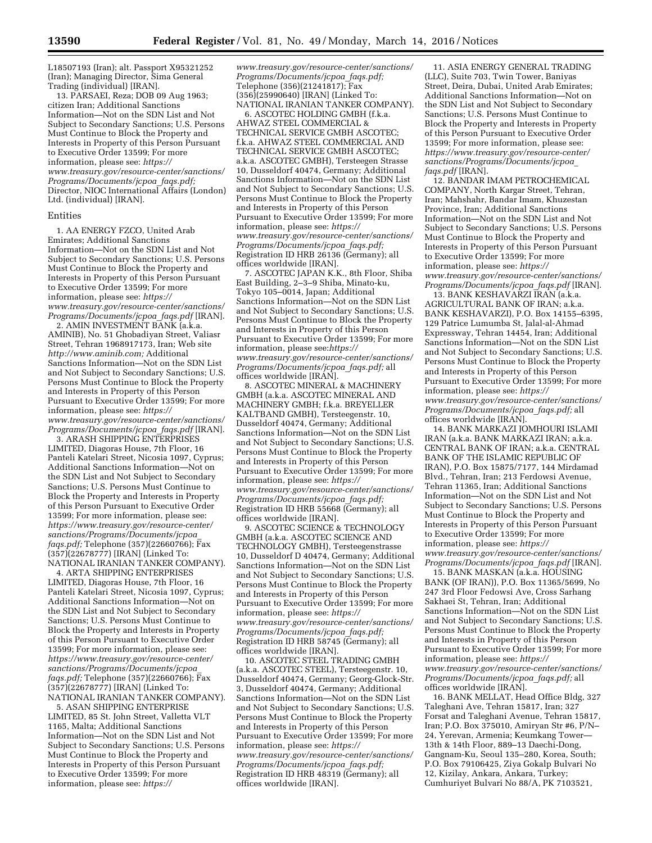L18507193 (Iran); alt. Passport X95321252 (Iran); Managing Director, Sima General Trading (individual) [IRAN].

13. PARSAEI, Reza; DOB 09 Aug 1963; citizen Iran; Additional Sanctions Information—Not on the SDN List and Not Subject to Secondary Sanctions; U.S. Persons Must Continue to Block the Property and Interests in Property of this Person Pursuant to Executive Order 13599; For more information, please see: *[https://](https://www.treasury.gov/resource-center/sanctions/Programs/Documents/jcpoa_faqs.pdf) [www.treasury.gov/resource-center/sanctions/](https://www.treasury.gov/resource-center/sanctions/Programs/Documents/jcpoa_faqs.pdf) [Programs/Documents/jcpoa](https://www.treasury.gov/resource-center/sanctions/Programs/Documents/jcpoa_faqs.pdf)*\_*faqs.pdf;*  Director, NIOC International Affairs (London) Ltd. (individual) [IRAN].

#### Entities

1. AA ENERGY FZCO, United Arab Emirates; Additional Sanctions Information—Not on the SDN List and Not Subject to Secondary Sanctions; U.S. Persons Must Continue to Block the Property and Interests in Property of this Person Pursuant to Executive Order 13599; For more information, please see: *[https://](https://www.treasury.gov/resource-center/sanctions/Programs/Documents/jcpoa_faqs.pdf) [www.treasury.gov/resource-center/sanctions/](https://www.treasury.gov/resource-center/sanctions/Programs/Documents/jcpoa_faqs.pdf) [Programs/Documents/jcpoa](https://www.treasury.gov/resource-center/sanctions/Programs/Documents/jcpoa_faqs.pdf)*\_*faqs.pdf* [IRAN].

2. AMIN INVESTMENT BANK (a.k.a. AMINIB), No. 51 Ghobadiyan Street, Valiasr Street, Tehran 1968917173, Iran; Web site *[http://www.aminib.com;](http://www.aminib.com)* Additional Sanctions Information—Not on the SDN List and Not Subject to Secondary Sanctions; U.S. Persons Must Continue to Block the Property and Interests in Property of this Person Pursuant to Executive Order 13599; For more information, please see: *[https://](https://www.treasury.gov/resource-center/sanctions/Programs/Documents/jcpoa_faqs.pdf) [www.treasury.gov/resource-center/sanctions/](https://www.treasury.gov/resource-center/sanctions/Programs/Documents/jcpoa_faqs.pdf) [Programs/Documents/jcpoa](https://www.treasury.gov/resource-center/sanctions/Programs/Documents/jcpoa_faqs.pdf)*\_*faqs.pdf* [IRAN].

3. ARASH SHIPPING ENTERPRISES LIMITED, Diagoras House, 7th Floor, 16 Panteli Katelari Street, Nicosia 1097, Cyprus; Additional Sanctions Information—Not on the SDN List and Not Subject to Secondary Sanctions; U.S. Persons Must Continue to Block the Property and Interests in Property of this Person Pursuant to Executive Order 13599; For more information, please see: *[https://www.treasury.gov/resource-center/](https://www.treasury.gov/resource-center/sanctions/Programs/Documents/jcpoa_faqs.pdf) [sanctions/Programs/Documents/jcpoa](https://www.treasury.gov/resource-center/sanctions/Programs/Documents/jcpoa_faqs.pdf)*\_ *[faqs.pdf;](https://www.treasury.gov/resource-center/sanctions/Programs/Documents/jcpoa_faqs.pdf)* Telephone (357)(22660766); Fax (357)(22678777) [IRAN] (Linked To: NATIONAL IRANIAN TANKER COMPANY).

4. ARTA SHIPPING ENTERPRISES LIMITED, Diagoras House, 7th Floor, 16 Panteli Katelari Street, Nicosia 1097, Cyprus; Additional Sanctions Information—Not on the SDN List and Not Subject to Secondary Sanctions; U.S. Persons Must Continue to Block the Property and Interests in Property of this Person Pursuant to Executive Order 13599; For more information, please see: *[https://www.treasury.gov/resource-center/](https://www.treasury.gov/resource-center/sanctions/Programs/Documents/jcpoa_faqs.pdf) [sanctions/Programs/Documents/jcpoa](https://www.treasury.gov/resource-center/sanctions/Programs/Documents/jcpoa_faqs.pdf)*\_ *[faqs.pdf;](https://www.treasury.gov/resource-center/sanctions/Programs/Documents/jcpoa_faqs.pdf)* Telephone (357)(22660766); Fax (357)(22678777) [IRAN] (Linked To: NATIONAL IRANIAN TANKER COMPANY).

5. ASAN SHIPPING ENTERPRISE LIMITED, 85 St. John Street, Valletta VLT 1165, Malta; Additional Sanctions Information—Not on the SDN List and Not Subject to Secondary Sanctions; U.S. Persons Must Continue to Block the Property and Interests in Property of this Person Pursuant to Executive Order 13599; For more information, please see: *[https://](https://www.treasury.gov/resource-center/sanctions/Programs/Documents/jcpoa_faqs.pdf)*

*[www.treasury.gov/resource-center/sanctions/](https://www.treasury.gov/resource-center/sanctions/Programs/Documents/jcpoa_faqs.pdf) [Programs/Documents/jcpoa](https://www.treasury.gov/resource-center/sanctions/Programs/Documents/jcpoa_faqs.pdf)*\_*faqs.pdf;*  Telephone (356)(21241817); Fax (356)(25990640) [IRAN] (Linked To: NATIONAL IRANIAN TANKER COMPANY).

6. ASCOTEC HOLDING GMBH (f.k.a. AHWAZ STEEL COMMERCIAL & TECHNICAL SERVICE GMBH ASCOTEC; f.k.a. AHWAZ STEEL COMMERCIAL AND TECHNICAL SERVICE GMBH ASCOTEC; a.k.a. ASCOTEC GMBH), Tersteegen Strasse 10, Dusseldorf 40474, Germany; Additional Sanctions Information—Not on the SDN List and Not Subject to Secondary Sanctions; U.S. Persons Must Continue to Block the Property and Interests in Property of this Person Pursuant to Executive Order 13599; For more information, please see: *[https://](https://www.treasury.gov/resource-center/sanctions/Programs/Documents/jcpoa_faqs.pdf) [www.treasury.gov/resource-center/sanctions/](https://www.treasury.gov/resource-center/sanctions/Programs/Documents/jcpoa_faqs.pdf) [Programs/Documents/jcpoa](https://www.treasury.gov/resource-center/sanctions/Programs/Documents/jcpoa_faqs.pdf)*\_*faqs.pdf;*  Registration ID HRB 26136 (Germany); all offices worldwide [IRAN].

7. ASCOTEC JAPAN K.K., 8th Floor, Shiba East Building, 2–3–9 Shiba, Minato-ku, Tokyo 105–0014, Japan; Additional Sanctions Information—Not on the SDN List and Not Subject to Secondary Sanctions; U.S. Persons Must Continue to Block the Property and Interests in Property of this Person Pursuant to Executive Order 13599; For more information, please see:*[https://](https://www.treasury.gov/resource-center/sanctions/Programs/Documents/jcpoa_faqs.pdf) [www.treasury.gov/resource-center/sanctions/](https://www.treasury.gov/resource-center/sanctions/Programs/Documents/jcpoa_faqs.pdf) [Programs/Documents/jcpoa](https://www.treasury.gov/resource-center/sanctions/Programs/Documents/jcpoa_faqs.pdf)*\_*faqs.pdf;* all offices worldwide [IRAN].

8. ASCOTEC MINERAL & MACHINERY GMBH (a.k.a. ASCOTEC MINERAL AND MACHINERY GMBH; f.k.a. BREYELLER KALTBAND GMBH), Tersteegenstr. 10, Dusseldorf 40474, Germany; Additional Sanctions Information—Not on the SDN List and Not Subject to Secondary Sanctions; U.S. Persons Must Continue to Block the Property and Interests in Property of this Person Pursuant to Executive Order 13599; For more information, please see: *[https://](https://www.treasury.gov/resource-center/sanctions/Programs/Documents/jcpoa_faqs.pdf) [www.treasury.gov/resource-center/sanctions/](https://www.treasury.gov/resource-center/sanctions/Programs/Documents/jcpoa_faqs.pdf) [Programs/Documents/jcpoa](https://www.treasury.gov/resource-center/sanctions/Programs/Documents/jcpoa_faqs.pdf)*\_*faqs.pdf;*  Registration ID HRB 55668 (Germany); all offices worldwide [IRAN].

9. ASCOTEC SCIENCE & TECHNOLOGY GMBH (a.k.a. ASCOTEC SCIENCE AND TECHNOLOGY GMBH), Tersteegenstrasse 10, Dusseldorf D 40474, Germany; Additional Sanctions Information—Not on the SDN List and Not Subject to Secondary Sanctions; U.S. Persons Must Continue to Block the Property and Interests in Property of this Person Pursuant to Executive Order 13599; For more information, please see: *[https://](https://www.treasury.gov/resource-center/sanctions/Programs/Documents/jcpoa_faqs.pdf) [www.treasury.gov/resource-center/sanctions/](https://www.treasury.gov/resource-center/sanctions/Programs/Documents/jcpoa_faqs.pdf) [Programs/Documents/jcpoa](https://www.treasury.gov/resource-center/sanctions/Programs/Documents/jcpoa_faqs.pdf)*\_*faqs.pdf;*  Registration ID HRB 58745 (Germany); all offices worldwide [IRAN].

10. ASCOTEC STEEL TRADING GMBH (a.k.a. ASCOTEC STEEL), Tersteegenstr. 10, Dusseldorf 40474, Germany; Georg-Glock-Str. 3, Dusseldorf 40474, Germany; Additional Sanctions Information—Not on the SDN List and Not Subject to Secondary Sanctions; U.S. Persons Must Continue to Block the Property and Interests in Property of this Person Pursuant to Executive Order 13599; For more information, please see: *[https://](https://www.treasury.gov/resource-center/sanctions/Programs/Documents/jcpoa_faqs.pdf) [www.treasury.gov/resource-center/sanctions/](https://www.treasury.gov/resource-center/sanctions/Programs/Documents/jcpoa_faqs.pdf) [Programs/Documents/jcpoa](https://www.treasury.gov/resource-center/sanctions/Programs/Documents/jcpoa_faqs.pdf)*\_*faqs.pdf;*  Registration ID HRB 48319 (Germany); all offices worldwide [IRAN].

11. ASIA ENERGY GENERAL TRADING (LLC), Suite 703, Twin Tower, Baniyas Street, Deira, Dubai, United Arab Emirates; Additional Sanctions Information—Not on the SDN List and Not Subject to Secondary Sanctions; U.S. Persons Must Continue to Block the Property and Interests in Property of this Person Pursuant to Executive Order 13599; For more information, please see: *[https://www.treasury.gov/resource-center/](https://www.treasury.gov/resource-center/sanctions/Programs/Documents/jcpoa_faqs.pdf) [sanctions/Programs/Documents/jcpoa](https://www.treasury.gov/resource-center/sanctions/Programs/Documents/jcpoa_faqs.pdf)*\_ *[faqs.pdf](https://www.treasury.gov/resource-center/sanctions/Programs/Documents/jcpoa_faqs.pdf)* [IRAN].

12. BANDAR IMAM PETROCHEMICAL COMPANY, North Kargar Street, Tehran, Iran; Mahshahr, Bandar Imam, Khuzestan Province, Iran; Additional Sanctions Information—Not on the SDN List and Not Subject to Secondary Sanctions; U.S. Persons Must Continue to Block the Property and Interests in Property of this Person Pursuant to Executive Order 13599; For more information, please see: *[https://](https://www.treasury.gov/resource-center/sanctions/Programs/Documents/jcpoa_faqs.pdf) [www.treasury.gov/resource-center/sanctions/](https://www.treasury.gov/resource-center/sanctions/Programs/Documents/jcpoa_faqs.pdf) [Programs/Documents/jcpoa](https://www.treasury.gov/resource-center/sanctions/Programs/Documents/jcpoa_faqs.pdf)*\_*faqs.pdf* [IRAN].

13. BANK KESHAVARZI IRAN (a.k.a. AGRICULTURAL BANK OF IRAN; a.k.a. BANK KESHAVARZI), P.O. Box 14155–6395, 129 Patrice Lumumba St, Jalal-al-Ahmad Expressway, Tehran 14454, Iran; Additional Sanctions Information—Not on the SDN List and Not Subject to Secondary Sanctions; U.S. Persons Must Continue to Block the Property and Interests in Property of this Person Pursuant to Executive Order 13599; For more information, please see: *[https://](https://www.treasury.gov/resource-center/sanctions/Programs/Documents/jcpoa_faqs.pdf) [www.treasury.gov/resource-center/sanctions/](https://www.treasury.gov/resource-center/sanctions/Programs/Documents/jcpoa_faqs.pdf) [Programs/Documents/jcpoa](https://www.treasury.gov/resource-center/sanctions/Programs/Documents/jcpoa_faqs.pdf)*\_*faqs.pdf;* all offices worldwide [IRAN].

14. BANK MARKAZI JOMHOURI ISLAMI IRAN (a.k.a. BANK MARKAZI IRAN; a.k.a. CENTRAL BANK OF IRAN; a.k.a. CENTRAL BANK OF THE ISLAMIC REPUBLIC OF IRAN), P.O. Box 15875/7177, 144 Mirdamad Blvd., Tehran, Iran; 213 Ferdowsi Avenue, Tehran 11365, Iran; Additional Sanctions Information—Not on the SDN List and Not Subject to Secondary Sanctions; U.S. Persons Must Continue to Block the Property and Interests in Property of this Person Pursuant to Executive Order 13599; For more information, please see: *[https://](https://www.treasury.gov/resource-center/sanctions/Programs/Documents/jcpoa_faqs.pdf) [www.treasury.gov/resource-center/sanctions/](https://www.treasury.gov/resource-center/sanctions/Programs/Documents/jcpoa_faqs.pdf) [Programs/Documents/jcpoa](https://www.treasury.gov/resource-center/sanctions/Programs/Documents/jcpoa_faqs.pdf)*\_*faqs.pdf* [IRAN].

15. BANK MASKAN (a.k.a. HOUSING BANK (OF IRAN)), P.O. Box 11365/5699, No 247 3rd Floor Fedowsi Ave, Cross Sarhang Sakhaei St, Tehran, Iran; Additional Sanctions Information—Not on the SDN List and Not Subject to Secondary Sanctions; U.S. Persons Must Continue to Block the Property and Interests in Property of this Person Pursuant to Executive Order 13599; For more information, please see: *[https://](https://www.treasury.gov/resource-center/sanctions/Programs/Documents/jcpoa_faqs.pdf) [www.treasury.gov/resource-center/sanctions/](https://www.treasury.gov/resource-center/sanctions/Programs/Documents/jcpoa_faqs.pdf) [Programs/Documents/jcpoa](https://www.treasury.gov/resource-center/sanctions/Programs/Documents/jcpoa_faqs.pdf)*\_*faqs.pdf;* all offices worldwide [IRAN].

16. BANK MELLAT, Head Office Bldg, 327 Taleghani Ave, Tehran 15817, Iran; 327 Forsat and Taleghani Avenue, Tehran 15817, Iran; P.O. Box 375010, Amiryan Str #6, P/N– 24, Yerevan, Armenia; Keumkang Tower— 13th & 14th Floor, 889–13 Daechi-Dong, Gangnam-Ku, Seoul 135–280, Korea, South; P.O. Box 79106425, Ziya Gokalp Bulvari No 12, Kizilay, Ankara, Ankara, Turkey; Cumhuriyet Bulvari No 88/A, PK 7103521,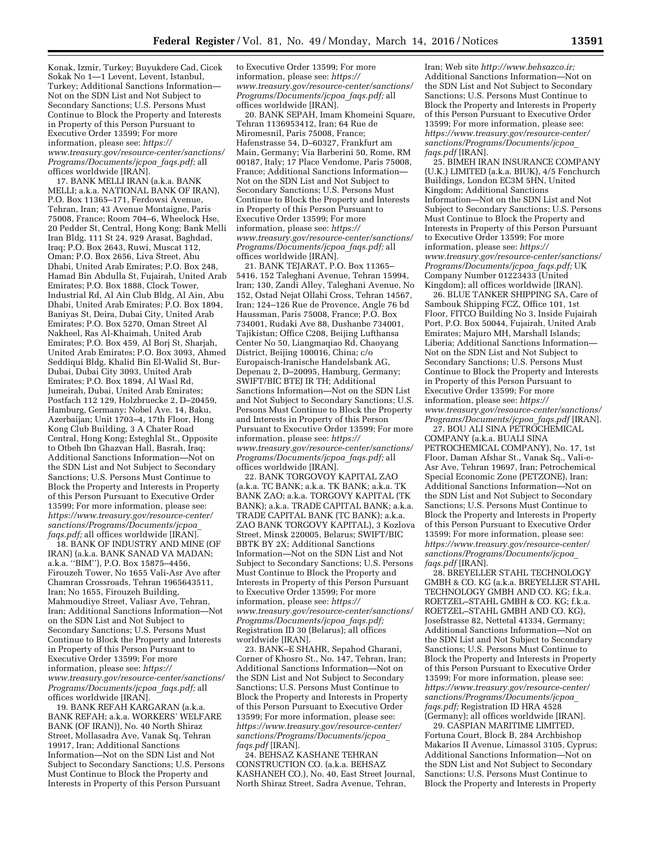Konak, Izmir, Turkey; Buyukdere Cad, Cicek Sokak No 1—1 Levent, Levent, Istanbul, Turkey; Additional Sanctions Information— Not on the SDN List and Not Subject to Secondary Sanctions; U.S. Persons Must Continue to Block the Property and Interests in Property of this Person Pursuant to Executive Order 13599; For more information, please see: *[https://](https://www.treasury.gov/resource-center/sanctions/Programs/Documents/jcpoa_faqs.pdf) [www.treasury.gov/resource-center/sanctions/](https://www.treasury.gov/resource-center/sanctions/Programs/Documents/jcpoa_faqs.pdf) [Programs/Documents/jcpoa](https://www.treasury.gov/resource-center/sanctions/Programs/Documents/jcpoa_faqs.pdf)*\_*faqs.pdf;* all offices worldwide [IRAN].

17. BANK MELLI IRAN (a.k.a. BANK MELLI; a.k.a. NATIONAL BANK OF IRAN), P.O. Box 11365–171, Ferdowsi Avenue, Tehran, Iran; 43 Avenue Montaigne, Paris 75008, France; Room 704–6, Wheelock Hse, 20 Pedder St, Central, Hong Kong; Bank Melli Iran Bldg, 111 St 24, 929 Arasat, Baghdad, Iraq; P.O. Box 2643, Ruwi, Muscat 112, Oman; P.O. Box 2656, Liva Street, Abu Dhabi, United Arab Emirates; P.O. Box 248, Hamad Bin Abdulla St, Fujairah, United Arab Emirates; P.O. Box 1888, Clock Tower, Industrial Rd, Al Ain Club Bldg, Al Ain, Abu Dhabi, United Arab Emirates; P.O. Box 1894, Baniyas St, Deira, Dubai City, United Arab Emirates; P.O. Box 5270, Oman Street Al Nakheel, Ras Al-Khaimah, United Arab Emirates; P.O. Box 459, Al Borj St, Sharjah, United Arab Emirates; P.O. Box 3093, Ahmed Seddiqui Bldg, Khalid Bin El-Walid St, Bur-Dubai, Dubai City 3093, United Arab Emirates; P.O. Box 1894, Al Wasl Rd, Jumeirah, Dubai, United Arab Emirates; Postfach 112 129, Holzbruecke 2, D–20459, Hamburg, Germany; Nobel Ave. 14, Baku, Azerbaijan; Unit 1703–4, 17th Floor, Hong Kong Club Building, 3 A Chater Road Central, Hong Kong; Esteghlal St., Opposite to Otbeh Ibn Ghazvan Hall, Basrah, Iraq; Additional Sanctions Information—Not on the SDN List and Not Subject to Secondary Sanctions; U.S. Persons Must Continue to Block the Property and Interests in Property of this Person Pursuant to Executive Order 13599; For more information, please see: *[https://www.treasury.gov/resource-center/](https://www.treasury.gov/resource-center/sanctions/Programs/Documents/jcpoa_faqs.pdf) [sanctions/Programs/Documents/jcpoa](https://www.treasury.gov/resource-center/sanctions/Programs/Documents/jcpoa_faqs.pdf)*\_ *faqs.pdf;* all offices worldwide [IRAN].

18. BANK OF INDUSTRY AND MINE (OF IRAN) (a.k.a. BANK SANAD VA MADAN; a.k.a. ''BIM''), P.O. Box 15875–4456, Firouzeh Tower, No 1655 Vali-Asr Ave after Chamran Crossroads, Tehran 1965643511, Iran; No 1655, Firouzeh Building, Mahmoudiye Street, Valiasr Ave, Tehran, Iran; Additional Sanctions Information—Not on the SDN List and Not Subject to Secondary Sanctions; U.S. Persons Must Continue to Block the Property and Interests in Property of this Person Pursuant to Executive Order 13599; For more information, please see: *[https://](https://www.treasury.gov/resource-center/sanctions/Programs/Documents/jcpoa_faqs.pdf) [www.treasury.gov/resource-center/sanctions/](https://www.treasury.gov/resource-center/sanctions/Programs/Documents/jcpoa_faqs.pdf) [Programs/Documents/jcpoa](https://www.treasury.gov/resource-center/sanctions/Programs/Documents/jcpoa_faqs.pdf)*\_*faqs.pdf;* all offices worldwide [IRAN].

19. BANK REFAH KARGARAN (a.k.a. BANK REFAH; a.k.a. WORKERS' WELFARE BANK (OF IRAN)), No. 40 North Shiraz Street, Mollasadra Ave, Vanak Sq, Tehran 19917, Iran; Additional Sanctions Information—Not on the SDN List and Not Subject to Secondary Sanctions; U.S. Persons Must Continue to Block the Property and Interests in Property of this Person Pursuant

to Executive Order 13599; For more information, please see: *[https://](https://www.treasury.gov/resource-center/sanctions/Programs/Documents/jcpoa_faqs.pdf) [www.treasury.gov/resource-center/sanctions/](https://www.treasury.gov/resource-center/sanctions/Programs/Documents/jcpoa_faqs.pdf) [Programs/Documents/jcpoa](https://www.treasury.gov/resource-center/sanctions/Programs/Documents/jcpoa_faqs.pdf)*\_*faqs.pdf;* all offices worldwide [IRAN].

20. BANK SEPAH, Imam Khomeini Square, Tehran 1136953412, Iran; 64 Rue de Miromesnil, Paris 75008, France; Hafenstrasse 54, D–60327, Frankfurt am Main, Germany; Via Barberini 50, Rome, RM 00187, Italy; 17 Place Vendome, Paris 75008, France; Additional Sanctions Information— Not on the SDN List and Not Subject to Secondary Sanctions; U.S. Persons Must Continue to Block the Property and Interests in Property of this Person Pursuant to Executive Order 13599; For more information, please see: *[https://](https://www.treasury.gov/resource-center/sanctions/Programs/Documents/jcpoa_faqs.pdf) [www.treasury.gov/resource-center/sanctions/](https://www.treasury.gov/resource-center/sanctions/Programs/Documents/jcpoa_faqs.pdf) [Programs/Documents/jcpoa](https://www.treasury.gov/resource-center/sanctions/Programs/Documents/jcpoa_faqs.pdf)*\_*faqs.pdf;* all offices worldwide [IRAN].

21. BANK TEJARAT, P.O. Box 11365– 5416, 152 Taleghani Avenue, Tehran 15994, Iran; 130, Zandi Alley, Taleghani Avenue, No 152, Ostad Nejat Ollahi Cross, Tehran 14567, Iran; 124–126 Rue de Provence, Angle 76 bd Haussman, Paris 75008, France; P.O. Box 734001, Rudaki Ave 88, Dushanbe 734001, Tajikistan; Office C208, Beijing Lufthansa Center No 50, Liangmaqiao Rd, Chaoyang District, Beijing 100016, China; c/o Europaisch-Iranische Handelsbank AG, Depenau 2, D–20095, Hamburg, Germany; SWIFT/BIC BTEJ IR TH; Additional Sanctions Information—Not on the SDN List and Not Subject to Secondary Sanctions; U.S. Persons Must Continue to Block the Property and Interests in Property of this Person Pursuant to Executive Order 13599; For more information, please see: *[https://](https://www.treasury.gov/resource-center/sanctions/Programs/Documents/jcpoa_faqs.pdf) [www.treasury.gov/resource-center/sanctions/](https://www.treasury.gov/resource-center/sanctions/Programs/Documents/jcpoa_faqs.pdf) [Programs/Documents/jcpoa](https://www.treasury.gov/resource-center/sanctions/Programs/Documents/jcpoa_faqs.pdf)*\_*faqs.pdf;* all offices worldwide [IRAN].

22. BANK TORGOVOY KAPITAL ZAO (a.k.a. TC BANK; a.k.a. TK BANK; a.k.a. TK BANK ZAO; a.k.a. TORGOVY KAPITAL (TK BANK); a.k.a. TRADE CAPITAL BANK; a.k.a. TRADE CAPITAL BANK (TC BANK); a.k.a. ZAO BANK TORGOVY KAPITAL), 3 Kozlova Street, Minsk 220005, Belarus; SWIFT/BIC BBTK BY 2X; Additional Sanctions Information—Not on the SDN List and Not Subject to Secondary Sanctions; U.S. Persons Must Continue to Block the Property and Interests in Property of this Person Pursuant to Executive Order 13599; For more information, please see: *[https://](https://www.treasury.gov/resource-center/sanctions/Programs/Documents/jcpoa_faqs.pdf) [www.treasury.gov/resource-center/sanctions/](https://www.treasury.gov/resource-center/sanctions/Programs/Documents/jcpoa_faqs.pdf) [Programs/Documents/jcpoa](https://www.treasury.gov/resource-center/sanctions/Programs/Documents/jcpoa_faqs.pdf)*\_*faqs.pdf;*  Registration ID 30 (Belarus); all offices worldwide [IRAN].

23. BANK–E SHAHR, Sepahod Gharani, Corner of Khosro St., No. 147, Tehran, Iran; Additional Sanctions Information—Not on the SDN List and Not Subject to Secondary Sanctions; U.S. Persons Must Continue to Block the Property and Interests in Property of this Person Pursuant to Executive Order 13599; For more information, please see: *[https://www.treasury.gov/resource-center/](https://www.treasury.gov/resource-center/sanctions/Programs/Documents/jcpoa_faqs.pdf) [sanctions/Programs/Documents/jcpoa](https://www.treasury.gov/resource-center/sanctions/Programs/Documents/jcpoa_faqs.pdf)*\_ *[faqs.pdf](https://www.treasury.gov/resource-center/sanctions/Programs/Documents/jcpoa_faqs.pdf)* [IRAN].

24. BEHSAZ KASHANE TEHRAN CONSTRUCTION CO. (a.k.a. BEHSAZ KASHANEH CO.), No. 40, East Street Journal, North Shiraz Street, Sadra Avenue, Tehran,

Iran; Web site *[http://www.behsazco.ir;](http://www.behsazco.ir)*  Additional Sanctions Information—Not on the SDN List and Not Subject to Secondary Sanctions; U.S. Persons Must Continue to Block the Property and Interests in Property of this Person Pursuant to Executive Order 13599; For more information, please see: *[https://www.treasury.gov/resource-center/](https://www.treasury.gov/resource-center/sanctions/Programs/Documents/jcpoa_faqs.pdf) [sanctions/Programs/Documents/jcpoa](https://www.treasury.gov/resource-center/sanctions/Programs/Documents/jcpoa_faqs.pdf)*\_ *[faqs.pdf](https://www.treasury.gov/resource-center/sanctions/Programs/Documents/jcpoa_faqs.pdf)* [IRAN].

25. BIMEH IRAN INSURANCE COMPANY (U.K.) LIMITED (a.k.a. BIUK), 4/5 Fenchurch Buildings, London EC3M 5HN, United Kingdom; Additional Sanctions Information—Not on the SDN List and Not Subject to Secondary Sanctions; U.S. Persons Must Continue to Block the Property and Interests in Property of this Person Pursuant to Executive Order 13599; For more information, please see: *[https://](https://www.treasury.gov/resource-center/sanctions/Programs/Documents/jcpoa_faqs.pdf) [www.treasury.gov/resource-center/sanctions/](https://www.treasury.gov/resource-center/sanctions/Programs/Documents/jcpoa_faqs.pdf) [Programs/Documents/jcpoa](https://www.treasury.gov/resource-center/sanctions/Programs/Documents/jcpoa_faqs.pdf)*\_*faqs.pdf;* UK Company Number 01223433 (United Kingdom); all offices worldwide [IRAN].

26. BLUE TANKER SHIPPING SA, Care of Sambouk Shipping FCZ, Office 101, 1st Floor, FITCO Building No 3, Inside Fujairah Port, P.O. Box 50044, Fujairah, United Arab Emirates; Majuro MH, Marshall Islands; Liberia; Additional Sanctions Information— Not on the SDN List and Not Subject to Secondary Sanctions; U.S. Persons Must Continue to Block the Property and Interests in Property of this Person Pursuant to Executive Order 13599; For more information, please see: *[https://](https://www.treasury.gov/resource-center/sanctions/Programs/Documents/jcpoa_faqs.pdf) [www.treasury.gov/resource-center/sanctions/](https://www.treasury.gov/resource-center/sanctions/Programs/Documents/jcpoa_faqs.pdf) [Programs/Documents/jcpoa](https://www.treasury.gov/resource-center/sanctions/Programs/Documents/jcpoa_faqs.pdf)*\_*faqs.pdf* [IRAN].

27. BOU ALI SINA PETROCHEMICAL COMPANY (a.k.a. BUALI SINA PETROCHEMICAL COMPANY), No. 17, 1st Floor, Daman Afshar St., Vanak Sq., Vali-e-Asr Ave, Tehran 19697, Iran; Petrochemical Special Economic Zone (PETZONE), Iran; Additional Sanctions Information—Not on the SDN List and Not Subject to Secondary Sanctions; U.S. Persons Must Continue to Block the Property and Interests in Property of this Person Pursuant to Executive Order 13599; For more information, please see: *[https://www.treasury.gov/resource-center/](https://www.treasury.gov/resource-center/sanctions/Programs/Documents/jcpoa_faqs.pdf) [sanctions/Programs/Documents/jcpoa](https://www.treasury.gov/resource-center/sanctions/Programs/Documents/jcpoa_faqs.pdf)*\_ *[faqs.pdf](https://www.treasury.gov/resource-center/sanctions/Programs/Documents/jcpoa_faqs.pdf)* [IRAN].

28. BREYELLER STAHL TECHNOLOGY GMBH & CO. KG (a.k.a. BREYELLER STAHL TECHNOLOGY GMBH AND CO. KG; f.k.a. ROETZEL–STAHL GMBH & CO. KG; f.k.a. ROETZEL–STAHL GMBH AND CO. KG), Josefstrasse 82, Nettetal 41334, Germany; Additional Sanctions Information—Not on the SDN List and Not Subject to Secondary Sanctions; U.S. Persons Must Continue to Block the Property and Interests in Property of this Person Pursuant to Executive Order 13599; For more information, please see: *[https://www.treasury.gov/resource-center/](https://www.treasury.gov/resource-center/sanctions/Programs/Documents/jcpoa_faqs.pdf) [sanctions/Programs/Documents/jcpoa](https://www.treasury.gov/resource-center/sanctions/Programs/Documents/jcpoa_faqs.pdf)*\_ *[faqs.pdf;](https://www.treasury.gov/resource-center/sanctions/Programs/Documents/jcpoa_faqs.pdf)* Registration ID HRA 4528 (Germany); all offices worldwide [IRAN].

29. CASPIAN MARITIME LIMITED, Fortuna Court, Block B, 284 Archbishop Makarios II Avenue, Limassol 3105, Cyprus; Additional Sanctions Information—Not on the SDN List and Not Subject to Secondary Sanctions; U.S. Persons Must Continue to Block the Property and Interests in Property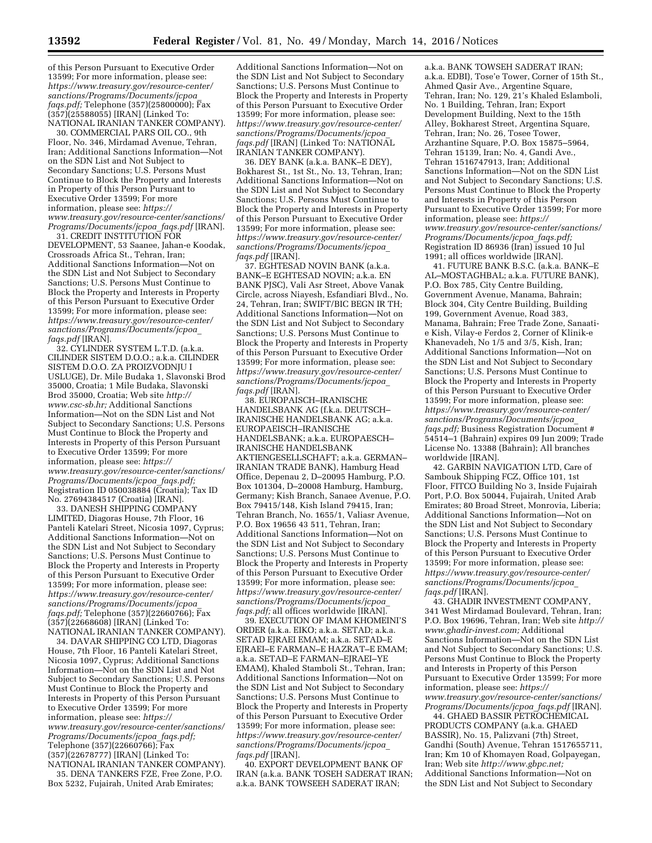of this Person Pursuant to Executive Order 13599; For more information, please see: *[https://www.treasury.gov/resource-center/](https://www.treasury.gov/resource-center/sanctions/Programs/Documents/jcpoa_faqs.pdf) [sanctions/Programs/Documents/jcpoa](https://www.treasury.gov/resource-center/sanctions/Programs/Documents/jcpoa_faqs.pdf)*\_ *[faqs.pdf;](https://www.treasury.gov/resource-center/sanctions/Programs/Documents/jcpoa_faqs.pdf)* Telephone (357)(25800000); Fax (357)(25588055) [IRAN] (Linked To: NATIONAL IRANIAN TANKER COMPANY).

30. COMMERCIAL PARS OIL CO., 9th Floor, No. 346, Mirdamad Avenue, Tehran, Iran; Additional Sanctions Information—Not on the SDN List and Not Subject to Secondary Sanctions; U.S. Persons Must Continue to Block the Property and Interests in Property of this Person Pursuant to Executive Order 13599; For more information, please see: *[https://](https://www.treasury.gov/resource-center/sanctions/Programs/Documents/jcpoa_faqs.pdf) [www.treasury.gov/resource-center/sanctions/](https://www.treasury.gov/resource-center/sanctions/Programs/Documents/jcpoa_faqs.pdf) [Programs/Documents/jcpoa](https://www.treasury.gov/resource-center/sanctions/Programs/Documents/jcpoa_faqs.pdf)*\_*faqs.pdf* [IRAN].

31. CREDIT INSTITUTION FOR DEVELOPMENT, 53 Saanee, Jahan-e Koodak, Crossroads Africa St., Tehran, Iran; Additional Sanctions Information—Not on the SDN List and Not Subject to Secondary Sanctions; U.S. Persons Must Continue to Block the Property and Interests in Property of this Person Pursuant to Executive Order 13599; For more information, please see: *[https://www.treasury.gov/resource-center/](https://www.treasury.gov/resource-center/sanctions/Programs/Documents/jcpoa_faqs.pdf) [sanctions/Programs/Documents/jcpoa](https://www.treasury.gov/resource-center/sanctions/Programs/Documents/jcpoa_faqs.pdf)*\_ *[faqs.pdf](https://www.treasury.gov/resource-center/sanctions/Programs/Documents/jcpoa_faqs.pdf)* [IRAN].

32. CYLINDER SYSTEM L.T.D. (a.k.a. CILINDER SISTEM D.O.O.; a.k.a. CILINDER SISTEM D.O.O. ZA PROIZVODNJU I USLUGE), Dr. Mile Budaka 1, Slavonski Brod 35000, Croatia; 1 Mile Budaka, Slavonski Brod 35000, Croatia; Web site *[http://](http://www.csc-sb.hr) [www.csc-sb.hr;](http://www.csc-sb.hr)* Additional Sanctions Information—Not on the SDN List and Not Subject to Secondary Sanctions; U.S. Persons Must Continue to Block the Property and Interests in Property of this Person Pursuant to Executive Order 13599; For more information, please see: *[https://](https://www.treasury.gov/resource-center/sanctions/Programs/Documents/jcpoa_faqs.pdf) [www.treasury.gov/resource-center/sanctions/](https://www.treasury.gov/resource-center/sanctions/Programs/Documents/jcpoa_faqs.pdf) [Programs/Documents/jcpoa](https://www.treasury.gov/resource-center/sanctions/Programs/Documents/jcpoa_faqs.pdf)*\_*faqs.pdf;*  Registration ID 050038884 (Croatia); Tax ID No. 27694384517 (Croatia) [IRAN].

33. DANESH SHIPPING COMPANY LIMITED, Diagoras House, 7th Floor, 16 Panteli Katelari Street, Nicosia 1097, Cyprus; Additional Sanctions Information—Not on the SDN List and Not Subject to Secondary Sanctions; U.S. Persons Must Continue to Block the Property and Interests in Property of this Person Pursuant to Executive Order 13599; For more information, please see: *[https://www.treasury.gov/resource-center/](https://www.treasury.gov/resource-center/sanctions/Programs/Documents/jcpoa_faqs.pdf) [sanctions/Programs/Documents/jcpoa](https://www.treasury.gov/resource-center/sanctions/Programs/Documents/jcpoa_faqs.pdf)*\_ *[faqs.pdf;](https://www.treasury.gov/resource-center/sanctions/Programs/Documents/jcpoa_faqs.pdf)* Telephone (357)(22660766); Fax (357)(22668608) [IRAN] (Linked To: NATIONAL IRANIAN TANKER COMPANY).

34. DAVAR SHIPPING CO LTD, Diagoras House, 7th Floor, 16 Panteli Katelari Street, Nicosia 1097, Cyprus; Additional Sanctions Information—Not on the SDN List and Not Subject to Secondary Sanctions; U.S. Persons Must Continue to Block the Property and Interests in Property of this Person Pursuant to Executive Order 13599; For more information, please see: *[https://](https://www.treasury.gov/resource-center/sanctions/Programs/Documents/jcpoa_faqs.pdf) [www.treasury.gov/resource-center/sanctions/](https://www.treasury.gov/resource-center/sanctions/Programs/Documents/jcpoa_faqs.pdf) [Programs/Documents/jcpoa](https://www.treasury.gov/resource-center/sanctions/Programs/Documents/jcpoa_faqs.pdf)*\_*faqs.pdf;*  Telephone (357)(22660766); Fax (357)(22678777) [IRAN] (Linked To: NATIONAL IRANIAN TANKER COMPANY).

35. DENA TANKERS FZE, Free Zone, P.O. Box 5232, Fujairah, United Arab Emirates;

Additional Sanctions Information—Not on the SDN List and Not Subject to Secondary Sanctions; U.S. Persons Must Continue to Block the Property and Interests in Property of this Person Pursuant to Executive Order 13599; For more information, please see: *[https://www.treasury.gov/resource-center/](https://www.treasury.gov/resource-center/sanctions/Programs/Documents/jcpoa_faqs.pdf) [sanctions/Programs/Documents/jcpoa](https://www.treasury.gov/resource-center/sanctions/Programs/Documents/jcpoa_faqs.pdf)*\_ *[faqs.pdf](https://www.treasury.gov/resource-center/sanctions/Programs/Documents/jcpoa_faqs.pdf)* [IRAN] (Linked To: NATIONAL IRANIAN TANKER COMPANY).

36. DEY BANK (a.k.a. BANK–E DEY), Bokharest St., 1st St., No. 13, Tehran, Iran; Additional Sanctions Information—Not on the SDN List and Not Subject to Secondary Sanctions; U.S. Persons Must Continue to Block the Property and Interests in Property of this Person Pursuant to Executive Order 13599; For more information, please see: *[https://www.treasury.gov/resource-center/](https://www.treasury.gov/resource-center/sanctions/Programs/Documents/jcpoa_faqs.pdf) [sanctions/Programs/Documents/jcpoa](https://www.treasury.gov/resource-center/sanctions/Programs/Documents/jcpoa_faqs.pdf)*\_ *[faqs.pdf](https://www.treasury.gov/resource-center/sanctions/Programs/Documents/jcpoa_faqs.pdf)* [IRAN].

37. EGHTESAD NOVIN BANK (a.k.a. BANK–E EGHTESAD NOVIN; a.k.a. EN BANK PJSC), Vali Asr Street, Above Vanak Circle, across Niayesh, Esfandiari Blvd., No. 24, Tehran, Iran; SWIFT/BIC BEGN IR TH; Additional Sanctions Information—Not on the SDN List and Not Subject to Secondary Sanctions; U.S. Persons Must Continue to Block the Property and Interests in Property of this Person Pursuant to Executive Order 13599; For more information, please see: *[https://www.treasury.gov/resource-center/](https://www.treasury.gov/resource-center/sanctions/Programs/Documents/jcpoa_faqs.pdf) [sanctions/Programs/Documents/jcpoa](https://www.treasury.gov/resource-center/sanctions/Programs/Documents/jcpoa_faqs.pdf)*\_ *[faqs.pdf](https://www.treasury.gov/resource-center/sanctions/Programs/Documents/jcpoa_faqs.pdf)* [IRAN].

38. EUROPAISCH–IRANISCHE HANDELSBANK AG (f.k.a. DEUTSCH– IRANISCHE HANDELSBANK AG; a.k.a. EUROPAEISCH–IRANISCHE HANDELSBANK; a.k.a. EUROPAESCH– IRANISCHE HANDELSBANK AKTIENGESELLSCHAFT; a.k.a. GERMAN– IRANIAN TRADE BANK), Hamburg Head Office, Depenau 2, D–20095 Hamburg, P.O. Box 101304, D–20008 Hamburg, Hamburg, Germany; Kish Branch, Sanaee Avenue, P.O. Box 79415/148, Kish Island 79415, Iran; Tehran Branch, No. 1655/1, Valiasr Avenue, P.O. Box 19656 43 511, Tehran, Iran; Additional Sanctions Information—Not on the SDN List and Not Subject to Secondary Sanctions; U.S. Persons Must Continue to Block the Property and Interests in Property of this Person Pursuant to Executive Order 13599; For more information, please see: *[https://www.treasury.gov/resource-center/](https://www.treasury.gov/resource-center/sanctions/Programs/Documents/jcpoa_faqs.pdf) [sanctions/Programs/Documents/jcpoa](https://www.treasury.gov/resource-center/sanctions/Programs/Documents/jcpoa_faqs.pdf)*\_ *[faqs.pdf;](https://www.treasury.gov/resource-center/sanctions/Programs/Documents/jcpoa_faqs.pdf)* all offices worldwide [IRAN].

39. EXECUTION OF IMAM KHOMEINI'S ORDER (a.k.a. EIKO; a.k.a. SETAD; a.k.a. SETAD EJRAEI EMAM; a.k.a. SETAD–E EJRAEI–E FARMAN–E HAZRAT–E EMAM; a.k.a. SETAD–E FARMAN–EJRAEI–YE EMAM), Khaled Stamboli St., Tehran, Iran; Additional Sanctions Information—Not on the SDN List and Not Subject to Secondary Sanctions; U.S. Persons Must Continue to Block the Property and Interests in Property of this Person Pursuant to Executive Order 13599; For more information, please see: *[https://www.treasury.gov/resource-center/](https://www.treasury.gov/resource-center/sanctions/Programs/Documents/jcpoa_faqs.pdf) [sanctions/Programs/Documents/jcpoa](https://www.treasury.gov/resource-center/sanctions/Programs/Documents/jcpoa_faqs.pdf)*\_ *[faqs.pdf](https://www.treasury.gov/resource-center/sanctions/Programs/Documents/jcpoa_faqs.pdf)* [IRAN].

40. EXPORT DEVELOPMENT BANK OF IRAN (a.k.a. BANK TOSEH SADERAT IRAN; a.k.a. BANK TOWSEEH SADERAT IRAN;

a.k.a. BANK TOWSEH SADERAT IRAN; a.k.a. EDBI), Tose'e Tower, Corner of 15th St., Ahmed Qasir Ave., Argentine Square, Tehran, Iran; No. 129, 21's Khaled Eslamboli, No. 1 Building, Tehran, Iran; Export Development Building, Next to the 15th Alley, Bokharest Street, Argentina Square, Tehran, Iran; No. 26, Tosee Tower, Arzhantine Square, P.O. Box 15875–5964, Tehran 15139, Iran; No. 4, Gandi Ave., Tehran 1516747913, Iran; Additional Sanctions Information—Not on the SDN List and Not Subject to Secondary Sanctions; U.S. Persons Must Continue to Block the Property and Interests in Property of this Person Pursuant to Executive Order 13599; For more information, please see: *[https://](https://www.treasury.gov/resource-center/sanctions/Programs/Documents/jcpoa_faqs.pdf) [www.treasury.gov/resource-center/sanctions/](https://www.treasury.gov/resource-center/sanctions/Programs/Documents/jcpoa_faqs.pdf) [Programs/Documents/jcpoa](https://www.treasury.gov/resource-center/sanctions/Programs/Documents/jcpoa_faqs.pdf)*\_*faqs.pdf;*  Registration ID 86936 (Iran) issued 10 Jul 1991; all offices worldwide [IRAN].

41. FUTURE BANK B.S.C. (a.k.a. BANK–E AL–MOSTAGHBAL; a.k.a. FUTURE BANK), P.O. Box 785, City Centre Building, Government Avenue, Manama, Bahrain; Block 304, City Centre Building, Building 199, Government Avenue, Road 383, Manama, Bahrain; Free Trade Zone, Sanaatie Kish, Vilay-e Ferdos 2, Corner of Klinik-e Khanevadeh, No 1/5 and 3/5, Kish, Iran; Additional Sanctions Information—Not on the SDN List and Not Subject to Secondary Sanctions; U.S. Persons Must Continue to Block the Property and Interests in Property of this Person Pursuant to Executive Order 13599; For more information, please see: *[https://www.treasury.gov/resource-center/](https://www.treasury.gov/resource-center/sanctions/Programs/Documents/jcpoa_faqs.pdf) [sanctions/Programs/Documents/jcpoa](https://www.treasury.gov/resource-center/sanctions/Programs/Documents/jcpoa_faqs.pdf)*\_ *[faqs.pdf;](https://www.treasury.gov/resource-center/sanctions/Programs/Documents/jcpoa_faqs.pdf)* Business Registration Document # 54514–1 (Bahrain) expires 09 Jun 2009; Trade License No. 13388 (Bahrain); All branches worldwide [IRAN].

42. GARBIN NAVIGATION LTD, Care of Sambouk Shipping FCZ, Office 101, 1st Floor, FITCO Building No 3, Inside Fujairah Port, P.O. Box 50044, Fujairah, United Arab Emirates; 80 Broad Street, Monrovia, Liberia; Additional Sanctions Information—Not on the SDN List and Not Subject to Secondary Sanctions; U.S. Persons Must Continue to Block the Property and Interests in Property of this Person Pursuant to Executive Order 13599; For more information, please see: *[https://www.treasury.gov/resource-center/](https://www.treasury.gov/resource-center/sanctions/Programs/Documents/jcpoa_faqs.pdf) [sanctions/Programs/Documents/jcpoa](https://www.treasury.gov/resource-center/sanctions/Programs/Documents/jcpoa_faqs.pdf)*\_ *[faqs.pdf](https://www.treasury.gov/resource-center/sanctions/Programs/Documents/jcpoa_faqs.pdf)* [IRAN].

43. GHADIR INVESTMENT COMPANY, 341 West Mirdamad Boulevard, Tehran, Iran; P.O. Box 19696, Tehran, Iran; Web site *[http://](http://www.ghadir-invest.com)  [www.ghadir-invest.com;](http://www.ghadir-invest.com)* Additional Sanctions Information—Not on the SDN List and Not Subject to Secondary Sanctions; U.S. Persons Must Continue to Block the Property and Interests in Property of this Person Pursuant to Executive Order 13599; For more information, please see: *[https://](https://www.treasury.gov/resource-center/sanctions/Programs/Documents/jcpoa_faqs.pdf) [www.treasury.gov/resource-center/sanctions/](https://www.treasury.gov/resource-center/sanctions/Programs/Documents/jcpoa_faqs.pdf) [Programs/Documents/jcpoa](https://www.treasury.gov/resource-center/sanctions/Programs/Documents/jcpoa_faqs.pdf)*\_*faqs.pdf* [IRAN].

44. GHAED BASSIR PETROCHEMICAL PRODUCTS COMPANY (a.k.a. GHAED BASSIR), No. 15, Palizvani (7th) Street, Gandhi (South) Avenue, Tehran 1517655711, Iran; Km 10 of Khomayen Road, Golpayegan, Iran; Web site *[http://www.gbpc.net;](http://www.gbpc.net)*  Additional Sanctions Information—Not on the SDN List and Not Subject to Secondary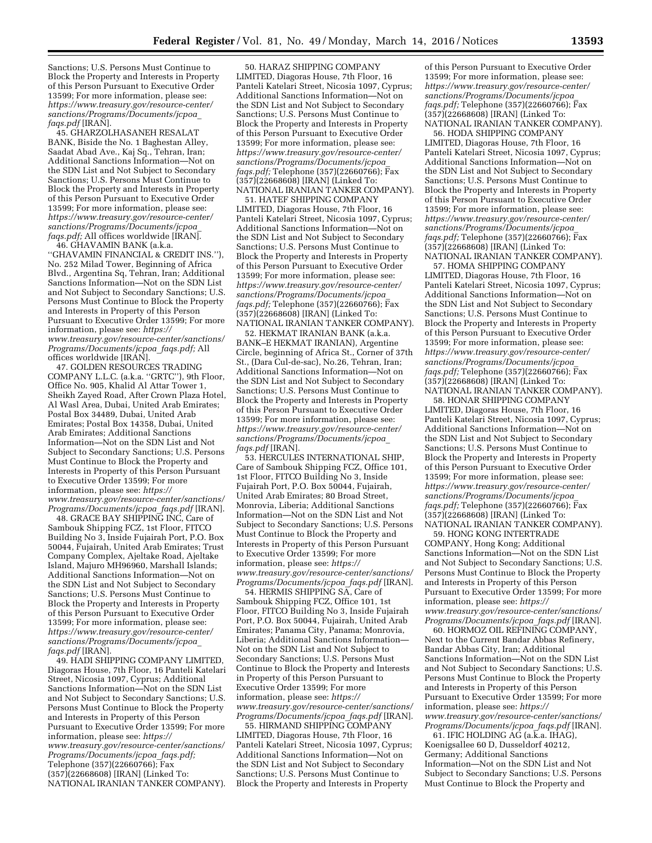Sanctions; U.S. Persons Must Continue to Block the Property and Interests in Property of this Person Pursuant to Executive Order 13599; For more information, please see: *[https://www.treasury.gov/resource-center/](https://www.treasury.gov/resource-center/sanctions/Programs/Documents/jcpoa_faqs.pdf) [sanctions/Programs/Documents/jcpoa](https://www.treasury.gov/resource-center/sanctions/Programs/Documents/jcpoa_faqs.pdf)*\_ *[faqs.pdf](https://www.treasury.gov/resource-center/sanctions/Programs/Documents/jcpoa_faqs.pdf)* [IRAN].

45. GHARZOLHASANEH RESALAT BANK, Biside the No. 1 Baghestan Alley, Saadat Abad Ave., Kaj Sq., Tehran, Iran; Additional Sanctions Information—Not on the SDN List and Not Subject to Secondary Sanctions; U.S. Persons Must Continue to Block the Property and Interests in Property of this Person Pursuant to Executive Order 13599; For more information, please see: *[https://www.treasury.gov/resource-center/](https://www.treasury.gov/resource-center/sanctions/Programs/Documents/jcpoa_faqs.pdf) [sanctions/Programs/Documents/jcpoa](https://www.treasury.gov/resource-center/sanctions/Programs/Documents/jcpoa_faqs.pdf)*\_ *[faqs.pdf;](https://www.treasury.gov/resource-center/sanctions/Programs/Documents/jcpoa_faqs.pdf)* All offices worldwide [IRAN].

46. GHAVAMIN BANK (a.k.a. ''GHAVAMIN FINANCIAL & CREDIT INS.''), No. 252 Milad Tower, Beginning of Africa Blvd., Argentina Sq, Tehran, Iran; Additional Sanctions Information—Not on the SDN List and Not Subject to Secondary Sanctions; U.S. Persons Must Continue to Block the Property and Interests in Property of this Person Pursuant to Executive Order 13599; For more information, please see: *[https://](https://www.treasury.gov/resource-center/sanctions/Programs/Documents/jcpoa_faqs.pdf) [www.treasury.gov/resource-center/sanctions/](https://www.treasury.gov/resource-center/sanctions/Programs/Documents/jcpoa_faqs.pdf) [Programs/Documents/jcpoa](https://www.treasury.gov/resource-center/sanctions/Programs/Documents/jcpoa_faqs.pdf)*\_*faqs.pdf;* All offices worldwide [IRAN].

47. GOLDEN RESOURCES TRADING COMPANY L.L.C. (a.k.a. ''GRTC''), 9th Floor, Office No. 905, Khalid Al Attar Tower 1, Sheikh Zayed Road, After Crown Plaza Hotel, Al Wasl Area, Dubai, United Arab Emirates; Postal Box 34489, Dubai, United Arab Emirates; Postal Box 14358, Dubai, United Arab Emirates; Additional Sanctions Information—Not on the SDN List and Not Subject to Secondary Sanctions; U.S. Persons Must Continue to Block the Property and Interests in Property of this Person Pursuant to Executive Order 13599; For more information, please see: *[https://](https://www.treasury.gov/resource-center/sanctions/Programs/Documents/jcpoa_faqs.pdf) [www.treasury.gov/resource-center/sanctions/](https://www.treasury.gov/resource-center/sanctions/Programs/Documents/jcpoa_faqs.pdf) [Programs/Documents/jcpoa](https://www.treasury.gov/resource-center/sanctions/Programs/Documents/jcpoa_faqs.pdf)*\_*faqs.pdf* [IRAN].

48. GRACE BAY SHIPPING INC, Care of Sambouk Shipping FCZ, 1st Floor, FITCO Building No 3, Inside Fujairah Port, P.O. Box 50044, Fujairah, United Arab Emirates; Trust Company Complex, Ajeltake Road, Ajeltake Island, Majuro MH96960, Marshall Islands; Additional Sanctions Information—Not on the SDN List and Not Subject to Secondary Sanctions; U.S. Persons Must Continue to Block the Property and Interests in Property of this Person Pursuant to Executive Order 13599; For more information, please see: *[https://www.treasury.gov/resource-center/](https://www.treasury.gov/resource-center/sanctions/Programs/Documents/jcpoa_faqs.pdf) [sanctions/Programs/Documents/jcpoa](https://www.treasury.gov/resource-center/sanctions/Programs/Documents/jcpoa_faqs.pdf)*\_ *[faqs.pdf](https://www.treasury.gov/resource-center/sanctions/Programs/Documents/jcpoa_faqs.pdf)* [IRAN].

49. HADI SHIPPING COMPANY LIMITED, Diagoras House, 7th Floor, 16 Panteli Katelari Street, Nicosia 1097, Cyprus; Additional Sanctions Information—Not on the SDN List and Not Subject to Secondary Sanctions; U.S. Persons Must Continue to Block the Property and Interests in Property of this Person Pursuant to Executive Order 13599; For more information, please see: *[https://](https://www.treasury.gov/resource-center/sanctions/Programs/Documents/jcpoa_faqs.pdf) [www.treasury.gov/resource-center/sanctions/](https://www.treasury.gov/resource-center/sanctions/Programs/Documents/jcpoa_faqs.pdf) [Programs/Documents/jcpoa](https://www.treasury.gov/resource-center/sanctions/Programs/Documents/jcpoa_faqs.pdf)*\_*faqs.pdf;*  Telephone (357)(22660766); Fax (357)(22668608) [IRAN] (Linked To: NATIONAL IRANIAN TANKER COMPANY).

50. HARAZ SHIPPING COMPANY LIMITED, Diagoras House, 7th Floor, 16 Panteli Katelari Street, Nicosia 1097, Cyprus; Additional Sanctions Information—Not on the SDN List and Not Subject to Secondary Sanctions; U.S. Persons Must Continue to Block the Property and Interests in Property of this Person Pursuant to Executive Order 13599; For more information, please see: *[https://www.treasury.gov/resource-center/](https://www.treasury.gov/resource-center/sanctions/Programs/Documents/jcpoa_faqs.pdf) [sanctions/Programs/Documents/jcpoa](https://www.treasury.gov/resource-center/sanctions/Programs/Documents/jcpoa_faqs.pdf)*\_ *[faqs.pdf;](https://www.treasury.gov/resource-center/sanctions/Programs/Documents/jcpoa_faqs.pdf)* Telephone (357)(22660766); Fax (357)(22668608) [IRAN] (Linked To: NATIONAL IRANIAN TANKER COMPANY).

51. HATEF SHIPPING COMPANY LIMITED, Diagoras House, 7th Floor, 16 Panteli Katelari Street, Nicosia 1097, Cyprus; Additional Sanctions Information—Not on the SDN List and Not Subject to Secondary Sanctions; U.S. Persons Must Continue to Block the Property and Interests in Property of this Person Pursuant to Executive Order 13599; For more information, please see: *[https://www.treasury.gov/resource-center/](https://www.treasury.gov/resource-center/sanctions/Programs/Documents/jcpoa_faqs.pdf) [sanctions/Programs/Documents/jcpoa](https://www.treasury.gov/resource-center/sanctions/Programs/Documents/jcpoa_faqs.pdf)*\_ *[faqs.pdf;](https://www.treasury.gov/resource-center/sanctions/Programs/Documents/jcpoa_faqs.pdf)* Telephone (357)(22660766); Fax (357)(22668608) [IRAN] (Linked To: NATIONAL IRANIAN TANKER COMPANY).

52. HEKMAT IRANIAN BANK (a.k.a. BANK–E HEKMAT IRANIAN), Argentine Circle, beginning of Africa St., Corner of 37th St., (Dara Cul-de-sac), No.26, Tehran, Iran; Additional Sanctions Information—Not on the SDN List and Not Subject to Secondary Sanctions; U.S. Persons Must Continue to Block the Property and Interests in Property of this Person Pursuant to Executive Order 13599; For more information, please see: *[https://www.treasury.gov/resource-center/](https://www.treasury.gov/resource-center/sanctions/Programs/Documents/jcpoa_faqs.pdf) [sanctions/Programs/Documents/jcpoa](https://www.treasury.gov/resource-center/sanctions/Programs/Documents/jcpoa_faqs.pdf)*\_ *[faqs.pdf](https://www.treasury.gov/resource-center/sanctions/Programs/Documents/jcpoa_faqs.pdf)* [IRAN].

53. HERCULES INTERNATIONAL SHIP, Care of Sambouk Shipping FCZ, Office 101, 1st Floor, FITCO Building No 3, Inside Fujairah Port, P.O. Box 50044, Fujairah, United Arab Emirates; 80 Broad Street, Monrovia, Liberia; Additional Sanctions Information—Not on the SDN List and Not Subject to Secondary Sanctions; U.S. Persons Must Continue to Block the Property and Interests in Property of this Person Pursuant to Executive Order 13599; For more information, please see: *[https://](https://www.treasury.gov/resource-center/sanctions/Programs/Documents/jcpoa_faqs.pdf) [www.treasury.gov/resource-center/sanctions/](https://www.treasury.gov/resource-center/sanctions/Programs/Documents/jcpoa_faqs.pdf) [Programs/Documents/jcpoa](https://www.treasury.gov/resource-center/sanctions/Programs/Documents/jcpoa_faqs.pdf)*\_*faqs.pdf* [IRAN].

54. HERMIS SHIPPING SA, Care of Sambouk Shipping FCZ, Office 101, 1st Floor, FITCO Building No 3, Inside Fujairah Port, P.O. Box 50044, Fujairah, United Arab Emirates; Panama City, Panama; Monrovia, Liberia; Additional Sanctions Information— Not on the SDN List and Not Subject to Secondary Sanctions; U.S. Persons Must Continue to Block the Property and Interests in Property of this Person Pursuant to Executive Order 13599; For more information, please see: *[https://](https://www.treasury.gov/resource-center/sanctions/Programs/Documents/jcpoa_faqs.pdf) [www.treasury.gov/resource-center/sanctions/](https://www.treasury.gov/resource-center/sanctions/Programs/Documents/jcpoa_faqs.pdf) [Programs/Documents/jcpoa](https://www.treasury.gov/resource-center/sanctions/Programs/Documents/jcpoa_faqs.pdf)*\_*faqs.pdf* [IRAN].

55. HIRMAND SHIPPING COMPANY LIMITED, Diagoras House, 7th Floor, 16 Panteli Katelari Street, Nicosia 1097, Cyprus; Additional Sanctions Information—Not on the SDN List and Not Subject to Secondary Sanctions; U.S. Persons Must Continue to Block the Property and Interests in Property

of this Person Pursuant to Executive Order 13599; For more information, please see: *[https://www.treasury.gov/resource-center/](https://www.treasury.gov/resource-center/sanctions/Programs/Documents/jcpoa_faqs.pdf) [sanctions/Programs/Documents/jcpoa](https://www.treasury.gov/resource-center/sanctions/Programs/Documents/jcpoa_faqs.pdf)*\_ *[faqs.pdf;](https://www.treasury.gov/resource-center/sanctions/Programs/Documents/jcpoa_faqs.pdf)* Telephone (357)(22660766); Fax (357)(22668608) [IRAN] (Linked To: NATIONAL IRANIAN TANKER COMPANY).

56. HODA SHIPPING COMPANY LIMITED, Diagoras House, 7th Floor, 16 Panteli Katelari Street, Nicosia 1097, Cyprus; Additional Sanctions Information—Not on the SDN List and Not Subject to Secondary Sanctions; U.S. Persons Must Continue to Block the Property and Interests in Property of this Person Pursuant to Executive Order 13599; For more information, please see: *[https://www.treasury.gov/resource-center/](https://www.treasury.gov/resource-center/sanctions/Programs/Documents/jcpoa_faqs.pdf) [sanctions/Programs/Documents/jcpoa](https://www.treasury.gov/resource-center/sanctions/Programs/Documents/jcpoa_faqs.pdf)*\_ *[faqs.pdf;](https://www.treasury.gov/resource-center/sanctions/Programs/Documents/jcpoa_faqs.pdf)* Telephone (357)(22660766); Fax (357)(22668608) [IRAN] (Linked To: NATIONAL IRANIAN TANKER COMPANY).

57. HOMA SHIPPING COMPANY LIMITED, Diagoras House, 7th Floor, 16 Panteli Katelari Street, Nicosia 1097, Cyprus; Additional Sanctions Information—Not on the SDN List and Not Subject to Secondary Sanctions; U.S. Persons Must Continue to Block the Property and Interests in Property of this Person Pursuant to Executive Order 13599; For more information, please see: *[https://www.treasury.gov/resource-center/](https://www.treasury.gov/resource-center/sanctions/Programs/Documents/jcpoa_faqs.pdf) [sanctions/Programs/Documents/jcpoa](https://www.treasury.gov/resource-center/sanctions/Programs/Documents/jcpoa_faqs.pdf)*\_ *[faqs.pdf;](https://www.treasury.gov/resource-center/sanctions/Programs/Documents/jcpoa_faqs.pdf)* Telephone (357)(22660766); Fax (357)(22668608) [IRAN] (Linked To: NATIONAL IRANIAN TANKER COMPANY).

58. HONAR SHIPPING COMPANY LIMITED, Diagoras House, 7th Floor, 16 Panteli Katelari Street, Nicosia 1097, Cyprus; Additional Sanctions Information—Not on the SDN List and Not Subject to Secondary Sanctions; U.S. Persons Must Continue to Block the Property and Interests in Property of this Person Pursuant to Executive Order 13599; For more information, please see: *[https://www.treasury.gov/resource-center/](https://www.treasury.gov/resource-center/sanctions/Programs/Documents/jcpoa_faqs.pdf) [sanctions/Programs/Documents/jcpoa](https://www.treasury.gov/resource-center/sanctions/Programs/Documents/jcpoa_faqs.pdf)*\_ *[faqs.pdf;](https://www.treasury.gov/resource-center/sanctions/Programs/Documents/jcpoa_faqs.pdf)* Telephone (357)(22660766); Fax (357)(22668608) [IRAN] (Linked To: NATIONAL IRANIAN TANKER COMPANY).

59. HONG KONG INTERTRADE COMPANY, Hong Kong; Additional Sanctions Information—Not on the SDN List and Not Subject to Secondary Sanctions; U.S. Persons Must Continue to Block the Property and Interests in Property of this Person Pursuant to Executive Order 13599; For more information, please see: *[https://](https://www.treasury.gov/resource-center/sanctions/Programs/Documents/jcpoa_faqs.pdf) [www.treasury.gov/resource-center/sanctions/](https://www.treasury.gov/resource-center/sanctions/Programs/Documents/jcpoa_faqs.pdf) [Programs/Documents/jcpoa](https://www.treasury.gov/resource-center/sanctions/Programs/Documents/jcpoa_faqs.pdf)*\_*faqs.pdf* [IRAN].

60. HORMOZ OIL REFINING COMPANY, Next to the Current Bandar Abbas Refinery, Bandar Abbas City, Iran; Additional Sanctions Information—Not on the SDN List and Not Subject to Secondary Sanctions; U.S. Persons Must Continue to Block the Property and Interests in Property of this Person Pursuant to Executive Order 13599; For more information, please see: *[https://](https://www.treasury.gov/resource-center/sanctions/Programs/Documents/jcpoa_faqs.pdf) [www.treasury.gov/resource-center/sanctions/](https://www.treasury.gov/resource-center/sanctions/Programs/Documents/jcpoa_faqs.pdf) [Programs/Documents/jcpoa](https://www.treasury.gov/resource-center/sanctions/Programs/Documents/jcpoa_faqs.pdf)*\_*faqs.pdf* [IRAN].

 $61.$  IFIC HOLDING AG (a. $\overline{k}$ .a. IHAG), Koenigsallee 60 D, Dusseldorf 40212, Germany; Additional Sanctions Information—Not on the SDN List and Not Subject to Secondary Sanctions; U.S. Persons Must Continue to Block the Property and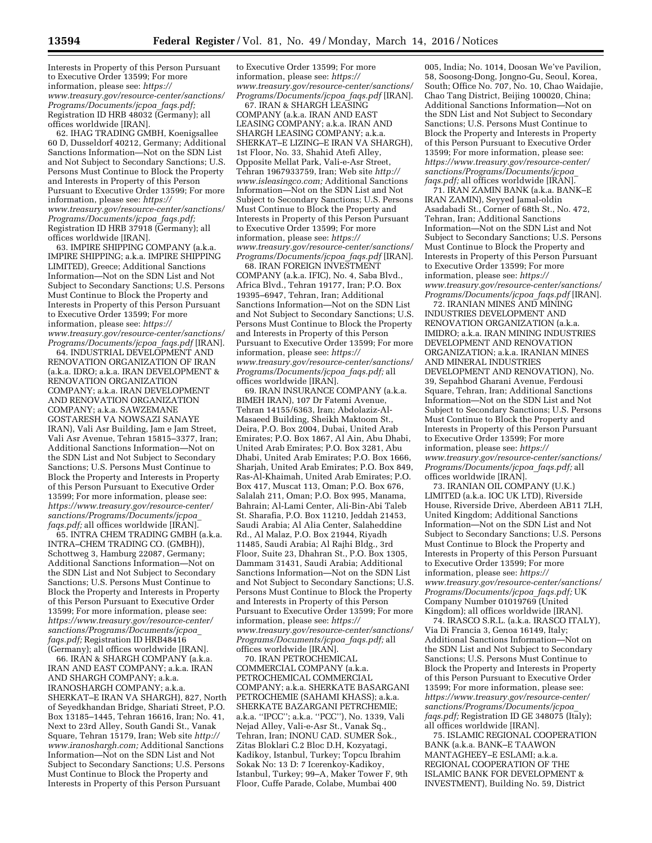Interests in Property of this Person Pursuant to Executive Order 13599; For more information, please see: *[https://](https://www.treasury.gov/resource-center/sanctions/Programs/Documents/jcpoa_faqs.pdf) [www.treasury.gov/resource-center/sanctions/](https://www.treasury.gov/resource-center/sanctions/Programs/Documents/jcpoa_faqs.pdf) [Programs/Documents/jcpoa](https://www.treasury.gov/resource-center/sanctions/Programs/Documents/jcpoa_faqs.pdf)*\_*faqs.pdf;*  Registration ID HRB 48032 (Germany); all offices worldwide [IRAN].

62. IHAG TRADING GMBH, Koenigsallee 60 D, Dusseldorf 40212, Germany; Additional Sanctions Information—Not on the SDN List and Not Subject to Secondary Sanctions; U.S. Persons Must Continue to Block the Property and Interests in Property of this Person Pursuant to Executive Order 13599; For more information, please see: *[https://](https://www.treasury.gov/resource-center/sanctions/Programs/Documents/jcpoa_faqs.pdf) [www.treasury.gov/resource-center/sanctions/](https://www.treasury.gov/resource-center/sanctions/Programs/Documents/jcpoa_faqs.pdf) [Programs/Documents/jcpoa](https://www.treasury.gov/resource-center/sanctions/Programs/Documents/jcpoa_faqs.pdf)*\_*faqs.pdf;*  Registration ID HRB 37918 (Germany); all offices worldwide [IRAN].

63. IMPIRE SHIPPING COMPANY (a.k.a. IMPIRE SHIPPING; a.k.a. IMPIRE SHIPPING LIMITED), Greece; Additional Sanctions Information—Not on the SDN List and Not Subject to Secondary Sanctions; U.S. Persons Must Continue to Block the Property and Interests in Property of this Person Pursuant to Executive Order 13599; For more information, please see: *[https://](https://www.treasury.gov/resource-center/sanctions/Programs/Documents/jcpoa_faqs.pdf) [www.treasury.gov/resource-center/sanctions/](https://www.treasury.gov/resource-center/sanctions/Programs/Documents/jcpoa_faqs.pdf) [Programs/Documents/jcpoa](https://www.treasury.gov/resource-center/sanctions/Programs/Documents/jcpoa_faqs.pdf)*\_*faqs.pdf* [IRAN].

64. INDUSTRIAL DEVELOPMENT AND RENOVATION ORGANIZATION OF IRAN (a.k.a. IDRO; a.k.a. IRAN DEVELOPMENT & RENOVATION ORGANIZATION COMPANY; a.k.a. IRAN DEVELOPMENT AND RENOVATION ORGANIZATION COMPANY; a.k.a. SAWZEMANE GOSTARESH VA NOWSAZI SANAYE IRAN), Vali Asr Building, Jam e Jam Street, Vali Asr Avenue, Tehran 15815–3377, Iran; Additional Sanctions Information—Not on the SDN List and Not Subject to Secondary Sanctions; U.S. Persons Must Continue to Block the Property and Interests in Property of this Person Pursuant to Executive Order 13599; For more information, please see: *[https://www.treasury.gov/resource-center/](https://www.treasury.gov/resource-center/sanctions/Programs/Documents/jcpoa_faqs.pdf) [sanctions/Programs/Documents/jcpoa](https://www.treasury.gov/resource-center/sanctions/Programs/Documents/jcpoa_faqs.pdf)*\_ *[faqs.pdf;](https://www.treasury.gov/resource-center/sanctions/Programs/Documents/jcpoa_faqs.pdf)* all offices worldwide [IRAN].

65. INTRA CHEM TRADING GMBH (a.k.a. INTRA–CHEM TRADING CO. (GMBH)), Schottweg 3, Hamburg 22087, Germany; Additional Sanctions Information—Not on the SDN List and Not Subject to Secondary Sanctions; U.S. Persons Must Continue to Block the Property and Interests in Property of this Person Pursuant to Executive Order 13599; For more information, please see: *[https://www.treasury.gov/resource-center/](https://www.treasury.gov/resource-center/sanctions/Programs/Documents/jcpoa_faqs.pdf) [sanctions/Programs/Documents/jcpoa](https://www.treasury.gov/resource-center/sanctions/Programs/Documents/jcpoa_faqs.pdf)*\_ *[faqs.pdf;](https://www.treasury.gov/resource-center/sanctions/Programs/Documents/jcpoa_faqs.pdf)* Registration ID HRB48416 (Germany); all offices worldwide [IRAN].

66. IRAN & SHARGH COMPANY (a.k.a. IRAN AND EAST COMPANY; a.k.a. IRAN AND SHARGH COMPANY; a.k.a. IRANOSHARGH COMPANY; a.k.a. SHERKAT–E IRAN VA SHARGH), 827, North of Seyedkhandan Bridge, Shariati Street, P.O. Box 13185–1445, Tehran 16616, Iran; No. 41, Next to 23rd Alley, South Gandi St., Vanak Square, Tehran 15179, Iran; Web site *[http://](http://www.iranoshargh.com) [www.iranoshargh.com;](http://www.iranoshargh.com)* Additional Sanctions Information—Not on the SDN List and Not Subject to Secondary Sanctions; U.S. Persons Must Continue to Block the Property and Interests in Property of this Person Pursuant

to Executive Order 13599; For more information, please see: *[https://](https://www.treasury.gov/resource-center/sanctions/Programs/Documents/jcpoa_faqs.pdf) [www.treasury.gov/resource-center/sanctions/](https://www.treasury.gov/resource-center/sanctions/Programs/Documents/jcpoa_faqs.pdf) [Programs/Documents/jcpoa](https://www.treasury.gov/resource-center/sanctions/Programs/Documents/jcpoa_faqs.pdf)*\_*faqs.pdf* [IRAN].

67. IRAN & SHARGH LEASING COMPANY (a.k.a. IRAN AND EAST LEASING COMPANY; a.k.a. IRAN AND SHARGH LEASING COMPANY; a.k.a. SHERKAT–E LIZING–E IRAN VA SHARGH), 1st Floor, No. 33, Shahid Atefi Alley, Opposite Mellat Park, Vali-e-Asr Street, Tehran 1967933759, Iran; Web site *[http://](http://www.isleasingco.com) [www.isleasingco.com;](http://www.isleasingco.com)* Additional Sanctions Information—Not on the SDN List and Not Subject to Secondary Sanctions; U.S. Persons Must Continue to Block the Property and Interests in Property of this Person Pursuant to Executive Order 13599; For more information, please see: *[https://](https://www.treasury.gov/resource-center/sanctions/Programs/Documents/jcpoa_faqs.pdf) [www.treasury.gov/resource-center/sanctions/](https://www.treasury.gov/resource-center/sanctions/Programs/Documents/jcpoa_faqs.pdf) [Programs/Documents/jcpoa](https://www.treasury.gov/resource-center/sanctions/Programs/Documents/jcpoa_faqs.pdf)*\_*faqs.pdf* [IRAN].

68. IRAN FOREIGN INVESTMENT COMPANY (a.k.a. IFIC), No. 4, Saba Blvd., Africa Blvd., Tehran 19177, Iran; P.O. Box 19395–6947, Tehran, Iran; Additional Sanctions Information—Not on the SDN List and Not Subject to Secondary Sanctions; U.S. Persons Must Continue to Block the Property and Interests in Property of this Person Pursuant to Executive Order 13599; For more information, please see: *[https://](https://www.treasury.gov/resource-center/sanctions/Programs/Documents/jcpoa_faqs.pdf) [www.treasury.gov/resource-center/sanctions/](https://www.treasury.gov/resource-center/sanctions/Programs/Documents/jcpoa_faqs.pdf) [Programs/Documents/jcpoa](https://www.treasury.gov/resource-center/sanctions/Programs/Documents/jcpoa_faqs.pdf)*\_*faqs.pdf;* all offices worldwide [IRAN].

69. IRAN INSURANCE COMPANY (a.k.a. BIMEH IRAN), 107 Dr Fatemi Avenue, Tehran 14155/6363, Iran; Abdolaziz-Al-Masaeed Building, Sheikh Maktoom St., Deira, P.O. Box 2004, Dubai, United Arab Emirates; P.O. Box 1867, Al Ain, Abu Dhabi, United Arab Emirates; P.O. Box 3281, Abu Dhabi, United Arab Emirates; P.O. Box 1666, Sharjah, United Arab Emirates; P.O. Box 849, Ras-Al-Khaimah, United Arab Emirates; P.O. Box 417, Muscat 113, Oman; P.O. Box 676, Salalah 211, Oman; P.O. Box 995, Manama, Bahrain; Al-Lami Center, Ali-Bin-Abi Taleb St. Sharafia, P.O. Box 11210, Jeddah 21453, Saudi Arabia; Al Alia Center, Salaheddine Rd., Al Malaz, P.O. Box 21944, Riyadh 11485, Saudi Arabia; Al Rajhi Bldg., 3rd Floor, Suite 23, Dhahran St., P.O. Box 1305, Dammam 31431, Saudi Arabia; Additional Sanctions Information—Not on the SDN List and Not Subject to Secondary Sanctions; U.S. Persons Must Continue to Block the Property and Interests in Property of this Person Pursuant to Executive Order 13599; For more information, please see: *[https://](https://www.treasury.gov/resource-center/sanctions/Programs/Documents/jcpoa_faqs.pdf) [www.treasury.gov/resource-center/sanctions/](https://www.treasury.gov/resource-center/sanctions/Programs/Documents/jcpoa_faqs.pdf) [Programs/Documents/jcpoa](https://www.treasury.gov/resource-center/sanctions/Programs/Documents/jcpoa_faqs.pdf)*\_*faqs.pdf;* all offices worldwide [IRAN].

70. IRAN PETROCHEMICAL COMMERCIAL COMPANY (a.k.a. PETROCHEMICAL COMMERCIAL COMPANY; a.k.a. SHERKATE BASARGANI PETROCHEMIE (SAHAMI KHASS); a.k.a. SHERKATE BAZARGANI PETRCHEMIE; a.k.a. ''IPCC''; a.k.a. ''PCC''), No. 1339, Vali Nejad Alley, Vali-e-Asr St., Vanak Sq., Tehran, Iran; INONU CAD. SUMER Sok., Zitas Bloklari C.2 Bloc D.H, Kozyatagi, Kadikoy, Istanbul, Turkey; Topcu Ibrahim Sokak No: 13 D: 7 Icerenkoy-Kadikoy, Istanbul, Turkey; 99–A, Maker Tower F, 9th Floor, Cuffe Parade, Colabe, Mumbai 400

005, India; No. 1014, Doosan We've Pavilion, 58, Soosong-Dong, Jongno-Gu, Seoul, Korea, South; Office No. 707, No. 10, Chao Waidajie, Chao Tang District, Beijing 100020, China; Additional Sanctions Information—Not on the SDN List and Not Subject to Secondary Sanctions; U.S. Persons Must Continue to Block the Property and Interests in Property of this Person Pursuant to Executive Order 13599; For more information, please see: *[https://www.treasury.gov/resource-center/](https://www.treasury.gov/resource-center/sanctions/Programs/Documents/jcpoa_faqs.pdf) [sanctions/Programs/Documents/jcpoa](https://www.treasury.gov/resource-center/sanctions/Programs/Documents/jcpoa_faqs.pdf)*\_ *faqs.pdf;* all offices worldwide [IRAN].

71. IRAN ZAMIN BANK (a.k.a. BANK–E IRAN ZAMIN), Seyyed Jamal-oldin Asadabadi St., Corner of 68th St., No. 472, Tehran, Iran; Additional Sanctions Information—Not on the SDN List and Not Subject to Secondary Sanctions; U.S. Persons Must Continue to Block the Property and Interests in Property of this Person Pursuant to Executive Order 13599; For more information, please see: *[https://](https://www.treasury.gov/resource-center/sanctions/Programs/Documents/jcpoa_faqs.pdf) [www.treasury.gov/resource-center/sanctions/](https://www.treasury.gov/resource-center/sanctions/Programs/Documents/jcpoa_faqs.pdf) [Programs/Documents/jcpoa](https://www.treasury.gov/resource-center/sanctions/Programs/Documents/jcpoa_faqs.pdf)*\_*faqs.pdf* [IRAN].

72. IRANIAN MINES AND MINING INDUSTRIES DEVELOPMENT AND RENOVATION ORGANIZATION (a.k.a. IMIDRO; a.k.a. IRAN MINING INDUSTRIES DEVELOPMENT AND RENOVATION ORGANIZATION; a.k.a. IRANIAN MINES AND MINERAL INDUSTRIES DEVELOPMENT AND RENOVATION), No. 39, Sepahbod Gharani Avenue, Ferdousi Square, Tehran, Iran; Additional Sanctions Information—Not on the SDN List and Not Subject to Secondary Sanctions; U.S. Persons Must Continue to Block the Property and Interests in Property of this Person Pursuant to Executive Order 13599; For more information, please see: *[https://](https://www.treasury.gov/resource-center/sanctions/Programs/Documents/jcpoa_faqs.pdf) [www.treasury.gov/resource-center/sanctions/](https://www.treasury.gov/resource-center/sanctions/Programs/Documents/jcpoa_faqs.pdf) [Programs/Documents/jcpoa](https://www.treasury.gov/resource-center/sanctions/Programs/Documents/jcpoa_faqs.pdf)*\_*faqs.pdf;* all offices worldwide [IRAN].

73. IRANIAN OIL COMPANY (U.K.) LIMITED (a.k.a. IOC UK LTD), Riverside House, Riverside Drive, Aberdeen AB11 7LH, United Kingdom; Additional Sanctions Information—Not on the SDN List and Not Subject to Secondary Sanctions; U.S. Persons Must Continue to Block the Property and Interests in Property of this Person Pursuant to Executive Order 13599; For more information, please see: *[https://](https://www.treasury.gov/resource-center/sanctions/Programs/Documents/jcpoa_faqs.pdf) [www.treasury.gov/resource-center/sanctions/](https://www.treasury.gov/resource-center/sanctions/Programs/Documents/jcpoa_faqs.pdf) [Programs/Documents/jcpoa](https://www.treasury.gov/resource-center/sanctions/Programs/Documents/jcpoa_faqs.pdf)*\_*faqs.pdf;* UK Company Number 01019769 (United Kingdom); all offices worldwide [IRAN].

74. IRASCO S.R.L. (a.k.a. IRASCO ITALY), Via Di Francia 3, Genoa 16149, Italy; Additional Sanctions Information—Not on the SDN List and Not Subject to Secondary Sanctions; U.S. Persons Must Continue to Block the Property and Interests in Property of this Person Pursuant to Executive Order 13599; For more information, please see: *[https://www.treasury.gov/resource-center/](https://www.treasury.gov/resource-center/sanctions/Programs/Documents/jcpoa_faqs.pdf) [sanctions/Programs/Documents/jcpoa](https://www.treasury.gov/resource-center/sanctions/Programs/Documents/jcpoa_faqs.pdf)*\_ *[faqs.pdf;](https://www.treasury.gov/resource-center/sanctions/Programs/Documents/jcpoa_faqs.pdf)* Registration ID GE 348075 (Italy); all offices worldwide [IRAN].

75. ISLAMIC REGIONAL COOPERATION BANK (a.k.a. BANK–E TAAWON MANTAGHEEY–E ESLAMI; a.k.a. REGIONAL COOPERATION OF THE ISLAMIC BANK FOR DEVELOPMENT & INVESTMENT), Building No. 59, District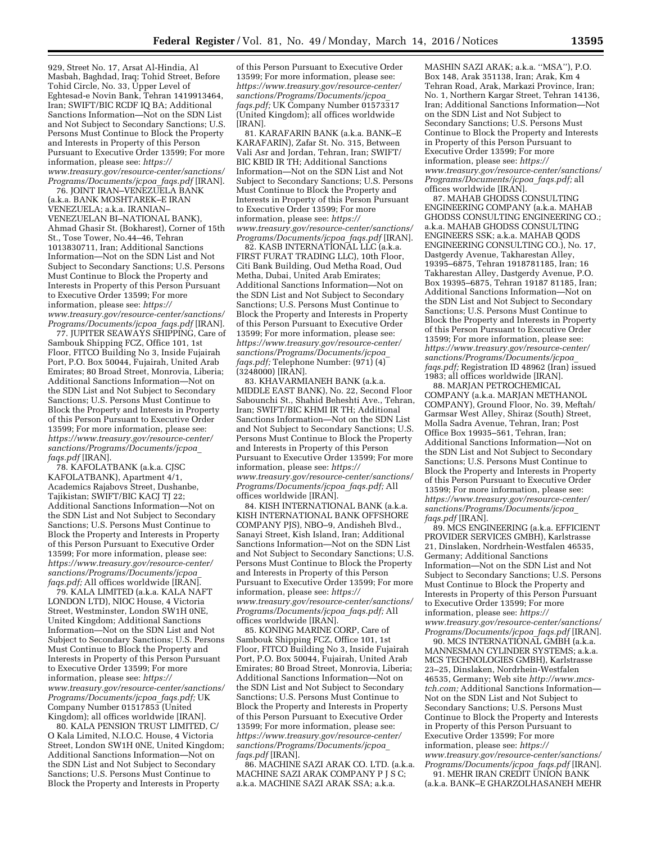929, Street No. 17, Arsat Al-Hindia, Al Masbah, Baghdad, Iraq; Tohid Street, Before Tohid Circle, No. 33, Upper Level of Eghtesad-e Novin Bank, Tehran 1419913464, Iran; SWIFT/BIC RCDF IQ BA; Additional Sanctions Information—Not on the SDN List and Not Subject to Secondary Sanctions; U.S. Persons Must Continue to Block the Property and Interests in Property of this Person Pursuant to Executive Order 13599; For more information, please see: *[https://](https://www.treasury.gov/resource-center/sanctions/Programs/Documents/jcpoa_faqs.pdf) [www.treasury.gov/resource-center/sanctions/](https://www.treasury.gov/resource-center/sanctions/Programs/Documents/jcpoa_faqs.pdf) [Programs/Documents/jcpoa](https://www.treasury.gov/resource-center/sanctions/Programs/Documents/jcpoa_faqs.pdf)*\_*faqs.pdf* [IRAN].

76. JOINT IRAN–VENEZUELA BANK (a.k.a. BANK MOSHTAREK–E IRAN VENEZUELA; a.k.a. IRANIAN– VENEZUELAN BI–NATIONAL BANK), Ahmad Ghasir St. (Bokharest), Corner of 15th St., Tose Tower, No.44–46, Tehran 1013830711, Iran; Additional Sanctions Information—Not on the SDN List and Not Subject to Secondary Sanctions; U.S. Persons Must Continue to Block the Property and Interests in Property of this Person Pursuant to Executive Order 13599; For more information, please see: *[https://](https://www.treasury.gov/resource-center/sanctions/Programs/Documents/jcpoa_faqs.pdf) [www.treasury.gov/resource-center/sanctions/](https://www.treasury.gov/resource-center/sanctions/Programs/Documents/jcpoa_faqs.pdf) [Programs/Documents/jcpoa](https://www.treasury.gov/resource-center/sanctions/Programs/Documents/jcpoa_faqs.pdf)*\_*faqs.pdf* [IRAN].

77. JUPITER SEAWAYS SHIPPING, Care of Sambouk Shipping FCZ, Office 101, 1st Floor, FITCO Building No 3, Inside Fujairah Port, P.O. Box 50044, Fujairah, United Arab Emirates; 80 Broad Street, Monrovia, Liberia; Additional Sanctions Information—Not on the SDN List and Not Subject to Secondary Sanctions; U.S. Persons Must Continue to Block the Property and Interests in Property of this Person Pursuant to Executive Order 13599; For more information, please see: *[https://www.treasury.gov/resource-center/](https://www.treasury.gov/resource-center/sanctions/Programs/Documents/jcpoa_faqs.pdf) [sanctions/Programs/Documents/jcpoa](https://www.treasury.gov/resource-center/sanctions/Programs/Documents/jcpoa_faqs.pdf)*\_ *[faqs.pdf](https://www.treasury.gov/resource-center/sanctions/Programs/Documents/jcpoa_faqs.pdf)* [IRAN].

78. KAFOLATBANK (a.k.a. CJSC KAFOLATBANK), Apartment 4/1, Academics Rajabovs Street, Dushanbe, Tajikistan; SWIFT/BIC KACJ TJ 22; Additional Sanctions Information—Not on the SDN List and Not Subject to Secondary Sanctions; U.S. Persons Must Continue to Block the Property and Interests in Property of this Person Pursuant to Executive Order 13599; For more information, please see: *[https://www.treasury.gov/resource-center/](https://www.treasury.gov/resource-center/sanctions/Programs/Documents/jcpoa_faqs.pdf) [sanctions/Programs/Documents/jcpoa](https://www.treasury.gov/resource-center/sanctions/Programs/Documents/jcpoa_faqs.pdf)*\_ [faqs.pdf;](https://www.treasury.gov/resource-center/sanctions/Programs/Documents/jcpoa_faqs.pdf) All offices worldwide [IRAN].

79. KALA LIMITED (a.k.a. KALA NAFT LONDON LTD), NIOC House, 4 Victoria Street, Westminster, London SW1H 0NE, United Kingdom; Additional Sanctions Information—Not on the SDN List and Not Subject to Secondary Sanctions; U.S. Persons Must Continue to Block the Property and Interests in Property of this Person Pursuant to Executive Order 13599; For more information, please see: *[https://](https://www.treasury.gov/resource-center/sanctions/Programs/Documents/jcpoa_faqs.pdf) [www.treasury.gov/resource-center/sanctions/](https://www.treasury.gov/resource-center/sanctions/Programs/Documents/jcpoa_faqs.pdf) [Programs/Documents/jcpoa](https://www.treasury.gov/resource-center/sanctions/Programs/Documents/jcpoa_faqs.pdf)*\_*faqs.pdf;* UK Company Number 01517853 (United Kingdom); all offices worldwide [IRAN].

80. KALA PENSION TRUST LIMITED, C/ O Kala Limited, N.I.O.C. House, 4 Victoria Street, London SW1H 0NE, United Kingdom; Additional Sanctions Information—Not on the SDN List and Not Subject to Secondary Sanctions; U.S. Persons Must Continue to Block the Property and Interests in Property

of this Person Pursuant to Executive Order 13599; For more information, please see: *[https://www.treasury.gov/resource-center/](https://www.treasury.gov/resource-center/sanctions/Programs/Documents/jcpoa_faqs.pdf) [sanctions/Programs/Documents/jcpoa](https://www.treasury.gov/resource-center/sanctions/Programs/Documents/jcpoa_faqs.pdf)*\_ *[faqs.pdf;](https://www.treasury.gov/resource-center/sanctions/Programs/Documents/jcpoa_faqs.pdf)* UK Company Number 01573317 (United Kingdom); all offices worldwide [IRAN].

81. KARAFARIN BANK (a.k.a. BANK–E KARAFARIN), Zafar St. No. 315, Between Vali Asr and Jordan, Tehran, Iran; SWIFT/ BIC KBID IR TH; Additional Sanctions Information—Not on the SDN List and Not Subject to Secondary Sanctions; U.S. Persons Must Continue to Block the Property and Interests in Property of this Person Pursuant to Executive Order 13599; For more information, please see: *[https://](https://www.treasury.gov/resource-center/sanctions/Programs/Documents/jcpoa_faqs.pdf) [www.treasury.gov/resource-center/sanctions/](https://www.treasury.gov/resource-center/sanctions/Programs/Documents/jcpoa_faqs.pdf) [Programs/Documents/jcpoa](https://www.treasury.gov/resource-center/sanctions/Programs/Documents/jcpoa_faqs.pdf)*\_*faqs.pdf* [IRAN].

82. KASB INTERNATIONAL LLC (a.k.a. FIRST FURAT TRADING LLC), 10th Floor, Citi Bank Building, Oud Metha Road, Oud Metha, Dubai, United Arab Emirates; Additional Sanctions Information—Not on the SDN List and Not Subject to Secondary Sanctions; U.S. Persons Must Continue to Block the Property and Interests in Property of this Person Pursuant to Executive Order 13599; For more information, please see: *[https://www.treasury.gov/resource-center/](https://www.treasury.gov/resource-center/sanctions/Programs/Documents/jcpoa_faqs.pdf) [sanctions/Programs/Documents/jcpoa](https://www.treasury.gov/resource-center/sanctions/Programs/Documents/jcpoa_faqs.pdf)*\_ *[faqs.pdf;](https://www.treasury.gov/resource-center/sanctions/Programs/Documents/jcpoa_faqs.pdf)* Telephone Number: (971) (4) (3248000) [IRAN].

83. KHAVARMIANEH BANK (a.k.a. MIDDLE EAST BANK), No. 22, Second Floor Sabounchi St., Shahid Beheshti Ave., Tehran, Iran; SWIFT/BIC KHMI IR TH; Additional Sanctions Information—Not on the SDN List and Not Subject to Secondary Sanctions; U.S. Persons Must Continue to Block the Property and Interests in Property of this Person Pursuant to Executive Order 13599; For more information, please see: *[https://](https://www.treasury.gov/resource-center/sanctions/Programs/Documents/jcpoa_faqs.pdf) [www.treasury.gov/resource-center/sanctions/](https://www.treasury.gov/resource-center/sanctions/Programs/Documents/jcpoa_faqs.pdf) [Programs/Documents/jcpoa](https://www.treasury.gov/resource-center/sanctions/Programs/Documents/jcpoa_faqs.pdf)*\_*faqs.pdf;* All offices worldwide [IRAN].

84. KISH INTERNATIONAL BANK (a.k.a. KISH INTERNATIONAL BANK OFFSHORE COMPANY PJS), NBO–9, Andisheh Blvd., Sanayi Street, Kish Island, Iran; Additional Sanctions Information—Not on the SDN List and Not Subject to Secondary Sanctions; U.S. Persons Must Continue to Block the Property and Interests in Property of this Person Pursuant to Executive Order 13599; For more information, please see: *[https://](https://www.treasury.gov/resource-center/sanctions/Programs/Documents/jcpoa_faqs.pdf) [www.treasury.gov/resource-center/sanctions/](https://www.treasury.gov/resource-center/sanctions/Programs/Documents/jcpoa_faqs.pdf) [Programs/Documents/jcpoa](https://www.treasury.gov/resource-center/sanctions/Programs/Documents/jcpoa_faqs.pdf)*\_*faqs.pdf;* All offices worldwide [IRAN].

85. KONING MARINE CORP, Care of Sambouk Shipping FCZ, Office 101, 1st Floor, FITCO Building No 3, Inside Fujairah Port, P.O. Box 50044, Fujairah, United Arab Emirates; 80 Broad Street, Monrovia, Liberia; Additional Sanctions Information—Not on the SDN List and Not Subject to Secondary Sanctions; U.S. Persons Must Continue to Block the Property and Interests in Property of this Person Pursuant to Executive Order 13599; For more information, please see: *[https://www.treasury.gov/resource-center/](https://www.treasury.gov/resource-center/sanctions/Programs/Documents/jcpoa_faqs.pdf) [sanctions/Programs/Documents/jcpoa](https://www.treasury.gov/resource-center/sanctions/Programs/Documents/jcpoa_faqs.pdf)*\_ *[faqs.pdf](https://www.treasury.gov/resource-center/sanctions/Programs/Documents/jcpoa_faqs.pdf)* [IRAN].

86. MACHINE SAZI ARAK CO. LTD. (a.k.a. MACHINE SAZI ARAK COMPANY P J S C; a.k.a. MACHINE SAZI ARAK SSA; a.k.a.

MASHIN SAZI ARAK; a.k.a. ''MSA''), P.O. Box 148, Arak 351138, Iran; Arak, Km 4 Tehran Road, Arak, Markazi Province, Iran; No. 1, Northern Kargar Street, Tehran 14136, Iran; Additional Sanctions Information—Not on the SDN List and Not Subject to Secondary Sanctions; U.S. Persons Must Continue to Block the Property and Interests in Property of this Person Pursuant to Executive Order 13599; For more information, please see: *[https://](https://www.treasury.gov/resource-center/sanctions/Programs/Documents/jcpoa_faqs.pdf) [www.treasury.gov/resource-center/sanctions/](https://www.treasury.gov/resource-center/sanctions/Programs/Documents/jcpoa_faqs.pdf) [Programs/Documents/jcpoa](https://www.treasury.gov/resource-center/sanctions/Programs/Documents/jcpoa_faqs.pdf)*\_*faqs.pdf;* all offices worldwide [IRAN].

87. MAHAB GHODSS CONSULTING ENGINEERING COMPANY (a.k.a. MAHAB GHODSS CONSULTING ENGINEERING CO.; a.k.a. MAHAB GHODSS CONSULTING ENGINEERS SSK; a.k.a. MAHAB QODS ENGINEERING CONSULTING CO.), No. 17, Dastgerdy Avenue, Takharestan Alley, 19395–6875, Tehran 1918781185, Iran; 16 Takharestan Alley, Dastgerdy Avenue, P.O. Box 19395–6875, Tehran 19187 81185, Iran; Additional Sanctions Information—Not on the SDN List and Not Subject to Secondary Sanctions; U.S. Persons Must Continue to Block the Property and Interests in Property of this Person Pursuant to Executive Order 13599; For more information, please see: *[https://www.treasury.gov/resource-center/](https://www.treasury.gov/resource-center/sanctions/Programs/Documents/jcpoa_faqs.pdf) [sanctions/Programs/Documents/jcpoa](https://www.treasury.gov/resource-center/sanctions/Programs/Documents/jcpoa_faqs.pdf)*\_ *[faqs.pdf;](https://www.treasury.gov/resource-center/sanctions/Programs/Documents/jcpoa_faqs.pdf)* Registration ID 48962 (Iran) issued 1983; all offices worldwide [IRAN].

88. MARJAN PETROCHEMICAL COMPANY (a.k.a. MARJAN METHANOL COMPANY), Ground Floor, No. 39, Meftah/ Garmsar West Alley, Shiraz (South) Street, Molla Sadra Avenue, Tehran, Iran; Post Office Box 19935–561, Tehran, Iran; Additional Sanctions Information—Not on the SDN List and Not Subject to Secondary Sanctions; U.S. Persons Must Continue to Block the Property and Interests in Property of this Person Pursuant to Executive Order 13599; For more information, please see: *[https://www.treasury.gov/resource-center/](https://www.treasury.gov/resource-center/sanctions/Programs/Documents/jcpoa_faqs.pdf) [sanctions/Programs/Documents/jcpoa](https://www.treasury.gov/resource-center/sanctions/Programs/Documents/jcpoa_faqs.pdf)*\_ *[faqs.pdf](https://www.treasury.gov/resource-center/sanctions/Programs/Documents/jcpoa_faqs.pdf)* [IRAN].

89. MCS ENGINEERING (a.k.a. EFFICIENT PROVIDER SERVICES GMBH), Karlstrasse 21, Dinslaken, Nordrhein-Westfalen 46535, Germany; Additional Sanctions Information—Not on the SDN List and Not Subject to Secondary Sanctions; U.S. Persons Must Continue to Block the Property and Interests in Property of this Person Pursuant to Executive Order 13599; For more information, please see: *[https://](https://www.treasury.gov/resource-center/sanctions/Programs/Documents/jcpoa_faqs.pdf) [www.treasury.gov/resource-center/sanctions/](https://www.treasury.gov/resource-center/sanctions/Programs/Documents/jcpoa_faqs.pdf) [Programs/Documents/jcpoa](https://www.treasury.gov/resource-center/sanctions/Programs/Documents/jcpoa_faqs.pdf)*\_*faqs.pdf* [IRAN].

90. MCS INTERNATIONAL GMBH (a.k.a. MANNESMAN CYLINDER SYSTEMS; a.k.a. MCS TECHNOLOGIES GMBH), Karlstrasse 23–25, Dinslaken, Nordrhein-Westfalen 46535, Germany; Web site *[http://www.mcs](http://www.mcs-tch.com)[tch.com;](http://www.mcs-tch.com)* Additional Sanctions Information— Not on the SDN List and Not Subject to Secondary Sanctions; U.S. Persons Must Continue to Block the Property and Interests in Property of this Person Pursuant to Executive Order 13599; For more information, please see: *[https://](https://www.treasury.gov/resource-center/sanctions/Programs/Documents/jcpoa_faqs.pdf) [www.treasury.gov/resource-center/sanctions/](https://www.treasury.gov/resource-center/sanctions/Programs/Documents/jcpoa_faqs.pdf) [Programs/Documents/jcpoa](https://www.treasury.gov/resource-center/sanctions/Programs/Documents/jcpoa_faqs.pdf)*\_*faqs.pdf* [IRAN]. 91. MEHR IRAN CRÉDIT UNION BANK

(a.k.a. BANK–E GHARZOLHASANEH MEHR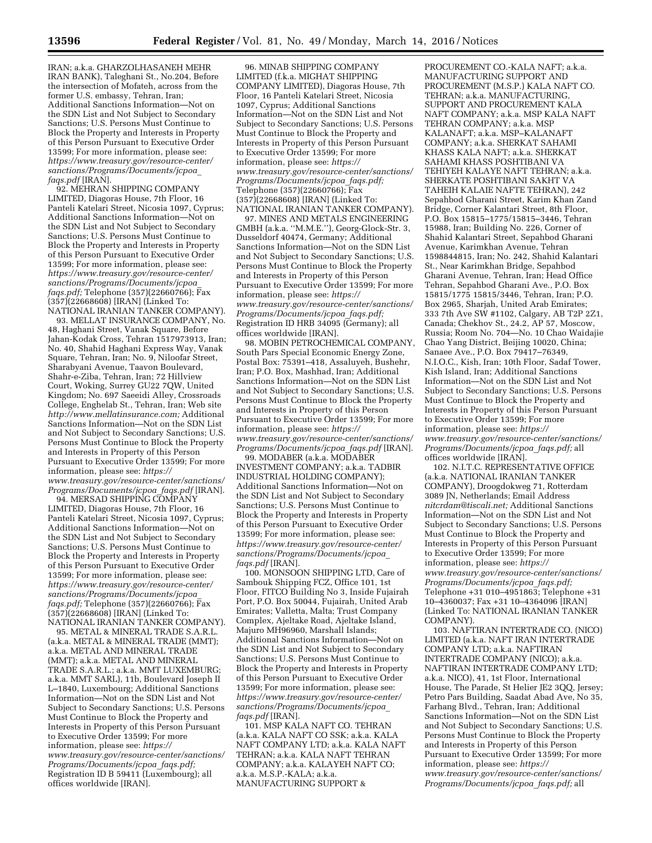IRAN; a.k.a. GHARZOLHASANEH MEHR IRAN BANK), Taleghani St., No.204, Before the intersection of Mofateh, across from the former U.S. embassy, Tehran, Iran; Additional Sanctions Information—Not on the SDN List and Not Subject to Secondary Sanctions; U.S. Persons Must Continue to Block the Property and Interests in Property of this Person Pursuant to Executive Order 13599; For more information, please see: *[https://www.treasury.gov/resource-center/](https://www.treasury.gov/resource-center/sanctions/Programs/Documents/jcpoa_faqs.pdf) [sanctions/Programs/Documents/jcpoa](https://www.treasury.gov/resource-center/sanctions/Programs/Documents/jcpoa_faqs.pdf)*\_ *[faqs.pdf](https://www.treasury.gov/resource-center/sanctions/Programs/Documents/jcpoa_faqs.pdf)* [IRAN].

92. MEHRAN SHIPPING COMPANY LIMITED, Diagoras House, 7th Floor, 16 Panteli Katelari Street, Nicosia 1097, Cyprus; Additional Sanctions Information—Not on the SDN List and Not Subject to Secondary Sanctions; U.S. Persons Must Continue to Block the Property and Interests in Property of this Person Pursuant to Executive Order 13599; For more information, please see: *[https://www.treasury.gov/resource-center/](https://www.treasury.gov/resource-center/sanctions/Programs/Documents/jcpoa_faqs.pdf) [sanctions/Programs/Documents/jcpoa](https://www.treasury.gov/resource-center/sanctions/Programs/Documents/jcpoa_faqs.pdf)*\_ *[faqs.pdf;](https://www.treasury.gov/resource-center/sanctions/Programs/Documents/jcpoa_faqs.pdf)* Telephone (357)(22660766); Fax (357)(22668608) [IRAN] (Linked To: NATIONAL IRANIAN TANKER COMPANY).

93. MELLAT INSURANCE COMPANY, No. 48, Haghani Street, Vanak Square, Before Jahan-Kodak Cross, Tehran 1517973913, Iran; No. 40, Shahid Haghani Express Way, Vanak Square, Tehran, Iran; No. 9, Niloofar Street, Sharabyani Avenue, Taavon Boulevard, Shahr-e-Ziba, Tehran, Iran; 72 Hillview Court, Woking, Surrey GU22 7QW, United Kingdom; No. 697 Saeeidi Alley, Crossroads College, Enghelab St., Tehran, Iran; Web site *[http://www.mellatinsurance.com;](http://www.mellatinsurance.com)* Additional Sanctions Information—Not on the SDN List and Not Subject to Secondary Sanctions; U.S. Persons Must Continue to Block the Property and Interests in Property of this Person Pursuant to Executive Order 13599; For more information, please see: *[https://](https://www.treasury.gov/resource-center/sanctions/Programs/Documents/jcpoa_faqs.pdf) [www.treasury.gov/resource-center/sanctions/](https://www.treasury.gov/resource-center/sanctions/Programs/Documents/jcpoa_faqs.pdf) [Programs/Documents/jcpoa](https://www.treasury.gov/resource-center/sanctions/Programs/Documents/jcpoa_faqs.pdf)*\_*faqs.pdf* [IRAN].

94. MERSAD SHIPPING COMPANY LIMITED, Diagoras House, 7th Floor, 16 Panteli Katelari Street, Nicosia 1097, Cyprus; Additional Sanctions Information—Not on the SDN List and Not Subject to Secondary Sanctions; U.S. Persons Must Continue to Block the Property and Interests in Property of this Person Pursuant to Executive Order 13599; For more information, please see: *[https://www.treasury.gov/resource-center/](https://www.treasury.gov/resource-center/sanctions/Programs/Documents/jcpoa_faqs.pdf) [sanctions/Programs/Documents/jcpoa](https://www.treasury.gov/resource-center/sanctions/Programs/Documents/jcpoa_faqs.pdf)*\_ *[faqs.pdf;](https://www.treasury.gov/resource-center/sanctions/Programs/Documents/jcpoa_faqs.pdf)* Telephone (357)(22660766); Fax (357)(22668608) [IRAN] (Linked To: NATIONAL IRANIAN TANKER COMPANY).

95. METAL & MINERAL TRADE S.A.R.L. (a.k.a. METAL & MINERAL TRADE (MMT); a.k.a. METAL AND MINERAL TRADE (MMT); a.k.a. METAL AND MINERAL TRADE S.A.R.L.; a.k.a. MMT LUXEMBURG; a.k.a. MMT SARL), 11b, Boulevard Joseph II L–1840, Luxembourg; Additional Sanctions Information—Not on the SDN List and Not Subject to Secondary Sanctions; U.S. Persons Must Continue to Block the Property and Interests in Property of this Person Pursuant to Executive Order 13599; For more information, please see: *[https://](https://www.treasury.gov/resource-center/sanctions/Programs/Documents/jcpoa_faqs.pdf) [www.treasury.gov/resource-center/sanctions/](https://www.treasury.gov/resource-center/sanctions/Programs/Documents/jcpoa_faqs.pdf) [Programs/Documents/jcpoa](https://www.treasury.gov/resource-center/sanctions/Programs/Documents/jcpoa_faqs.pdf)*\_*faqs.pdf;*  Registration ID B 59411 (Luxembourg); all offices worldwide [IRAN].

96. MINAB SHIPPING COMPANY LIMITED (f.k.a. MIGHAT SHIPPING COMPANY LIMITED), Diagoras House, 7th Floor, 16 Panteli Katelari Street, Nicosia 1097, Cyprus; Additional Sanctions Information—Not on the SDN List and Not Subject to Secondary Sanctions; U.S. Persons Must Continue to Block the Property and Interests in Property of this Person Pursuant to Executive Order 13599; For more information, please see: *[https://](https://www.treasury.gov/resource-center/sanctions/Programs/Documents/jcpoa_faqs.pdf) [www.treasury.gov/resource-center/sanctions/](https://www.treasury.gov/resource-center/sanctions/Programs/Documents/jcpoa_faqs.pdf) [Programs/Documents/jcpoa](https://www.treasury.gov/resource-center/sanctions/Programs/Documents/jcpoa_faqs.pdf)*\_*faqs.pdf;*  Telephone (357)(22660766); Fax (357)(22668608) [IRAN] (Linked To: NATIONAL IRANIAN TANKER COMPANY).

97. MINES AND METALS ENGINEERING GMBH (a.k.a. ''M.M.E.''), Georg-Glock-Str. 3, Dusseldorf 40474, Germany; Additional Sanctions Information—Not on the SDN List and Not Subject to Secondary Sanctions; U.S. Persons Must Continue to Block the Property and Interests in Property of this Person Pursuant to Executive Order 13599; For more information, please see: *[https://](https://www.treasury.gov/resource-center/sanctions/Programs/Documents/jcpoa_faqs.pdf) [www.treasury.gov/resource-center/sanctions/](https://www.treasury.gov/resource-center/sanctions/Programs/Documents/jcpoa_faqs.pdf) [Programs/Documents/jcpoa](https://www.treasury.gov/resource-center/sanctions/Programs/Documents/jcpoa_faqs.pdf)*\_*faqs.pdf;*  Registration ID HRB 34095 (Germany); all offices worldwide [IRAN].

98. MOBIN PETROCHEMICAL COMPANY, South Pars Special Economic Energy Zone, Postal Box: 75391–418, Assaluyeh, Bushehr, Iran; P.O. Box, Mashhad, Iran; Additional Sanctions Information—Not on the SDN List and Not Subject to Secondary Sanctions; U.S. Persons Must Continue to Block the Property and Interests in Property of this Person Pursuant to Executive Order 13599; For more information, please see: *[https://](https://www.treasury.gov/resource-center/sanctions/Programs/Documents/jcpoa_faqs.pdf) [www.treasury.gov/resource-center/sanctions/](https://www.treasury.gov/resource-center/sanctions/Programs/Documents/jcpoa_faqs.pdf) [Programs/Documents/jcpoa](https://www.treasury.gov/resource-center/sanctions/Programs/Documents/jcpoa_faqs.pdf)*\_*faqs.pdf* [IRAN].

99. MODABER (a.k.a. MODABER INVESTMENT COMPANY; a.k.a. TADBIR INDUSTRIAL HOLDING COMPANY); Additional Sanctions Information—Not on the SDN List and Not Subject to Secondary Sanctions; U.S. Persons Must Continue to Block the Property and Interests in Property of this Person Pursuant to Executive Order 13599; For more information, please see: *[https://www.treasury.gov/resource-center/](https://www.treasury.gov/resource-center/sanctions/Programs/Documents/jcpoa_faqs.pdf) [sanctions/Programs/Documents/jcpoa](https://www.treasury.gov/resource-center/sanctions/Programs/Documents/jcpoa_faqs.pdf)*\_ *[faqs.pdf](https://www.treasury.gov/resource-center/sanctions/Programs/Documents/jcpoa_faqs.pdf)* [IRAN].

100. MONSOON SHIPPING LTD, Care of Sambouk Shipping FCZ, Office 101, 1st Floor, FITCO Building No 3, Inside Fujairah Port, P.O. Box 50044, Fujairah, United Arab Emirates; Valletta, Malta; Trust Company Complex, Ajeltake Road, Ajeltake Island, Majuro MH96960, Marshall Islands; Additional Sanctions Information—Not on the SDN List and Not Subject to Secondary Sanctions; U.S. Persons Must Continue to Block the Property and Interests in Property of this Person Pursuant to Executive Order 13599; For more information, please see: *[https://www.treasury.gov/resource-center/](https://www.treasury.gov/resource-center/sanctions/Programs/Documents/jcpoa_faqs.pdf) [sanctions/Programs/Documents/jcpoa](https://www.treasury.gov/resource-center/sanctions/Programs/Documents/jcpoa_faqs.pdf)*\_ *[faqs.pdf](https://www.treasury.gov/resource-center/sanctions/Programs/Documents/jcpoa_faqs.pdf)* [IRAN].

101. MSP KALA NAFT CO. TEHRAN (a.k.a. KALA NAFT CO SSK; a.k.a. KALA NAFT COMPANY LTD; a.k.a. KALA NAFT TEHRAN; a.k.a. KALA NAFT TEHRAN COMPANY; a.k.a. KALAYEH NAFT CO; a.k.a. M.S.P.-KALA; a.k.a. MANUFACTURING SUPPORT &

PROCUREMENT CO.-KALA NAFT; a.k.a. MANUFACTURING SUPPORT AND PROCUREMENT (M.S.P.) KALA NAFT CO. TEHRAN; a.k.a. MANUFACTURING, SUPPORT AND PROCUREMENT KALA NAFT COMPANY; a.k.a. MSP KALA NAFT TEHRAN COMPANY; a.k.a. MSP KALANAFT; a.k.a. MSP–KALANAFT COMPANY; a.k.a. SHERKAT SAHAMI KHASS KALA NAFT; a.k.a. SHERKAT SAHAMI KHASS POSHTIBANI VA TEHIYEH KALAYE NAFT TEHRAN; a.k.a. SHERKATE POSHTIBANI SAKHT VA TAHEIH KALAIE NAFTE TEHRAN), 242 Sepahbod Gharani Street, Karim Khan Zand Bridge, Corner Kalantari Street, 8th Floor, P.O. Box 15815–1775/15815–3446, Tehran 15988, Iran; Building No. 226, Corner of Shahid Kalantari Street, Sepahbod Gharani Avenue, Karimkhan Avenue, Tehran 1598844815, Iran; No. 242, Shahid Kalantari St., Near Karimkhan Bridge, Sepahbod Gharani Avenue, Tehran, Iran; Head Office Tehran, Sepahbod Gharani Ave., P.O. Box 15815/1775 15815/3446, Tehran, Iran; P.O. Box 2965, Sharjah, United Arab Emirates; 333 7th Ave SW #1102, Calgary, AB T2P 2Z1, Canada; Chekhov St., 24.2, AP 57, Moscow, Russia; Room No. 704—No. 10 Chao Waidajie Chao Yang District, Beijing 10020, China; Sanaee Ave., P.O. Box 79417–76349, N.I.O.C., Kish, Iran; 10th Floor, Sadaf Tower, Kish Island, Iran; Additional Sanctions Information—Not on the SDN List and Not Subject to Secondary Sanctions; U.S. Persons Must Continue to Block the Property and Interests in Property of this Person Pursuant to Executive Order 13599; For more information, please see: *[https://](https://www.treasury.gov/resource-center/sanctions/Programs/Documents/jcpoa_faqs.pdf) [www.treasury.gov/resource-center/sanctions/](https://www.treasury.gov/resource-center/sanctions/Programs/Documents/jcpoa_faqs.pdf) [Programs/Documents/jcpoa](https://www.treasury.gov/resource-center/sanctions/Programs/Documents/jcpoa_faqs.pdf)*\_*faqs.pdf;* all offices worldwide [IRAN].

102. N.I.T.C. REPRESENTATIVE OFFICE (a.k.a. NATIONAL IRANIAN TANKER COMPANY), Droogdokweg 71, Rotterdam 3089 JN, Netherlands; Email Address *[nitcrdam@tiscali.net;](mailto:nitcrdam@tiscali.net)* Additional Sanctions Information—Not on the SDN List and Not Subject to Secondary Sanctions; U.S. Persons Must Continue to Block the Property and Interests in Property of this Person Pursuant to Executive Order 13599; For more information, please see: *[https://](https://www.treasury.gov/resource-center/sanctions/Programs/Documents/jcpoa_faqs.pdf) [www.treasury.gov/resource-center/sanctions/](https://www.treasury.gov/resource-center/sanctions/Programs/Documents/jcpoa_faqs.pdf) [Programs/Documents/jcpoa](https://www.treasury.gov/resource-center/sanctions/Programs/Documents/jcpoa_faqs.pdf)*\_*faqs.pdf;*  Telephone +31 010–4951863; Telephone +31 10–4360037; Fax +31 10–4364096 [IRAN] (Linked To: NATIONAL IRANIAN TANKER COMPANY).

103. NAFTIRAN INTERTRADE CO. (NICO) LIMITED (a.k.a. NAFT IRAN INTERTRADE COMPANY LTD; a.k.a. NAFTIRAN INTERTRADE COMPANY (NICO); a.k.a. NAFTIRAN INTERTRADE COMPANY LTD; a.k.a. NICO), 41, 1st Floor, International House, The Parade, St Helier JE2 3QQ, Jersey; Petro Pars Building, Saadat Abad Ave, No 35, Farhang Blvd., Tehran, Iran; Additional Sanctions Information—Not on the SDN List and Not Subject to Secondary Sanctions; U.S. Persons Must Continue to Block the Property and Interests in Property of this Person Pursuant to Executive Order 13599; For more information, please see: *[https://](https://www.treasury.gov/resource-center/sanctions/Programs/Documents/jcpoa_faqs.pdf) [www.treasury.gov/resource-center/sanctions/](https://www.treasury.gov/resource-center/sanctions/Programs/Documents/jcpoa_faqs.pdf) [Programs/Documents/jcpoa](https://www.treasury.gov/resource-center/sanctions/Programs/Documents/jcpoa_faqs.pdf)*\_*faqs.pdf;* all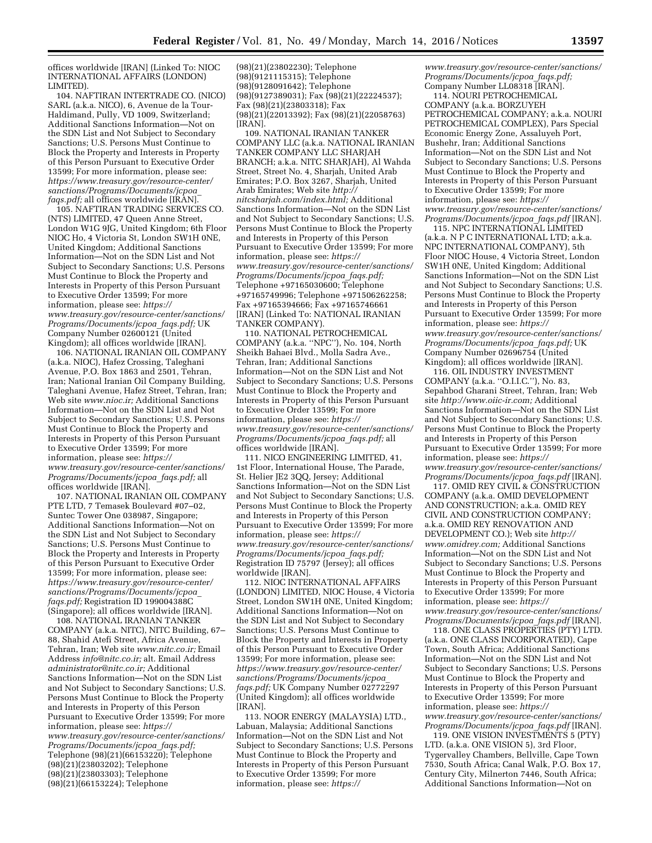offices worldwide [IRAN] (Linked To: NIOC INTERNATIONAL AFFAIRS (LONDON) LIMITED).

104. NAFTIRAN INTERTRADE CO. (NICO) SARL (a.k.a. NICO), 6, Avenue de la Tour-Haldimand, Pully, VD 1009, Switzerland; Additional Sanctions Information—Not on the SDN List and Not Subject to Secondary Sanctions; U.S. Persons Must Continue to Block the Property and Interests in Property of this Person Pursuant to Executive Order 13599; For more information, please see: *[https://www.treasury.gov/resource-center/](https://www.treasury.gov/resource-center/sanctions/Programs/Documents/jcpoa_faqs.pdf) [sanctions/Programs/Documents/jcpoa](https://www.treasury.gov/resource-center/sanctions/Programs/Documents/jcpoa_faqs.pdf)*\_ *[faqs.pdf;](https://www.treasury.gov/resource-center/sanctions/Programs/Documents/jcpoa_faqs.pdf)* all offices worldwide [IRAN].

105. NAFTIRAN TRADING SERVICES CO. (NTS) LIMITED, 47 Queen Anne Street, London W1G 9JG, United Kingdom; 6th Floor NIOC Ho, 4 Victoria St, London SW1H 0NE, United Kingdom; Additional Sanctions Information—Not on the SDN List and Not Subject to Secondary Sanctions; U.S. Persons Must Continue to Block the Property and Interests in Property of this Person Pursuant to Executive Order 13599; For more information, please see: *[https://](https://www.treasury.gov/resource-center/sanctions/Programs/Documents/jcpoa_faqs.pdf) [www.treasury.gov/resource-center/sanctions/](https://www.treasury.gov/resource-center/sanctions/Programs/Documents/jcpoa_faqs.pdf) [Programs/Documents/jcpoa](https://www.treasury.gov/resource-center/sanctions/Programs/Documents/jcpoa_faqs.pdf)*\_*faqs.pdf;* UK Company Number 02600121 (United Kingdom); all offices worldwide [IRAN].

106. NATIONAL IRANIAN OIL COMPANY (a.k.a. NIOC), Hafez Crossing, Taleghani Avenue, P.O. Box 1863 and 2501, Tehran, Iran; National Iranian Oil Company Building, Taleghani Avenue, Hafez Street, Tehran, Iran; Web site *[www.nioc.ir;](http://www.nioc.ir)* Additional Sanctions Information—Not on the SDN List and Not Subject to Secondary Sanctions; U.S. Persons Must Continue to Block the Property and Interests in Property of this Person Pursuant to Executive Order 13599; For more information, please see: *[https://](https://www.treasury.gov/resource-center/sanctions/Programs/Documents/jcpoa_faqs.pdf) [www.treasury.gov/resource-center/sanctions/](https://www.treasury.gov/resource-center/sanctions/Programs/Documents/jcpoa_faqs.pdf) [Programs/Documents/jcpoa](https://www.treasury.gov/resource-center/sanctions/Programs/Documents/jcpoa_faqs.pdf)*\_*faqs.pdf;* all offices worldwide [IRAN].

107. NATIONAL IRANIAN OIL COMPANY PTE LTD, 7 Temasek Boulevard #07–02, Suntec Tower One 038987, Singapore; Additional Sanctions Information—Not on the SDN List and Not Subject to Secondary Sanctions; U.S. Persons Must Continue to Block the Property and Interests in Property of this Person Pursuant to Executive Order 13599; For more information, please see: *[https://www.treasury.gov/resource-center/](https://www.treasury.gov/resource-center/sanctions/Programs/Documents/jcpoa_faqs.pdf) [sanctions/Programs/Documents/jcpoa](https://www.treasury.gov/resource-center/sanctions/Programs/Documents/jcpoa_faqs.pdf)*\_ *[faqs.pdf;](https://www.treasury.gov/resource-center/sanctions/Programs/Documents/jcpoa_faqs.pdf)* Registration ID 199004388C (Singapore); all offices worldwide [IRAN].

108. NATIONAL IRANIAN TANKER COMPANY (a.k.a. NITC), NITC Building, 67– 88, Shahid Atefi Street, Africa Avenue, Tehran, Iran; Web site *[www.nitc.co.ir;](http://www.nitc.co.ir)* Email Address *[info@nitc.co.ir;](mailto:info@nitc.co.ir)* alt. Email Address *[administrator@nitc.co.ir;](mailto:administrator@nitc.co.ir)* Additional Sanctions Information—Not on the SDN List and Not Subject to Secondary Sanctions; U.S. Persons Must Continue to Block the Property and Interests in Property of this Person Pursuant to Executive Order 13599; For more information, please see: *[https://](https://www.treasury.gov/resource-center/sanctions/Programs/Documents/jcpoa_faqs.pdf) [www.treasury.gov/resource-center/sanctions/](https://www.treasury.gov/resource-center/sanctions/Programs/Documents/jcpoa_faqs.pdf) [Programs/Documents/jcpoa](https://www.treasury.gov/resource-center/sanctions/Programs/Documents/jcpoa_faqs.pdf)*\_*faqs.pdf;*  Telephone (98)(21)(66153220); Telephone (98)(21)(23803202); Telephone (98)(21)(23803303); Telephone (98)(21)(66153224); Telephone

(98)(21)(23802230); Telephone (98)(9121115315); Telephone (98)(9128091642); Telephone (98)(9127389031); Fax (98)(21)(22224537); Fax (98)(21)(23803318); Fax (98)(21)(22013392); Fax (98)(21)(22058763) [IRAN].

109. NATIONAL IRANIAN TANKER COMPANY LLC (a.k.a. NATIONAL IRANIAN TANKER COMPANY LLC SHARJAH BRANCH; a.k.a. NITC SHARJAH), Al Wahda Street, Street No. 4, Sharjah, United Arab Emirates; P.O. Box 3267, Sharjah, United Arab Emirates; Web site *[http://](http://nitcsharjah.com/index.html) [nitcsharjah.com/index.html;](http://nitcsharjah.com/index.html)* Additional Sanctions Information—Not on the SDN List and Not Subject to Secondary Sanctions; U.S. Persons Must Continue to Block the Property and Interests in Property of this Person Pursuant to Executive Order 13599; For more information, please see: *[https://](https://www.treasury.gov/resource-center/sanctions/Programs/Documents/jcpoa_faqs.pdf) [www.treasury.gov/resource-center/sanctions/](https://www.treasury.gov/resource-center/sanctions/Programs/Documents/jcpoa_faqs.pdf) [Programs/Documents/jcpoa](https://www.treasury.gov/resource-center/sanctions/Programs/Documents/jcpoa_faqs.pdf)*\_*faqs.pdf;*  Telephone +97165030600; Telephone +97165749996; Telephone +971506262258; Fax +97165394666; Fax +97165746661 [IRAN] (Linked To: NATIONAL IRANIAN TANKER COMPANY).

110. NATIONAL PETROCHEMICAL COMPANY (a.k.a. ''NPC''), No. 104, North Sheikh Bahaei Blvd., Molla Sadra Ave., Tehran, Iran; Additional Sanctions Information—Not on the SDN List and Not Subject to Secondary Sanctions; U.S. Persons Must Continue to Block the Property and Interests in Property of this Person Pursuant to Executive Order 13599; For more information, please see: *[https://](https://www.treasury.gov/resource-center/sanctions/Programs/Documents/jcpoa_faqs.pdf) [www.treasury.gov/resource-center/sanctions/](https://www.treasury.gov/resource-center/sanctions/Programs/Documents/jcpoa_faqs.pdf) [Programs/Documents/jcpoa](https://www.treasury.gov/resource-center/sanctions/Programs/Documents/jcpoa_faqs.pdf)*\_*faqs.pdf;* all offices worldwide [IRAN].

111. NICO ENGINEERING LIMITED, 41, 1st Floor, International House, The Parade, St. Helier JE2 3QQ, Jersey; Additional Sanctions Information—Not on the SDN List and Not Subject to Secondary Sanctions; U.S. Persons Must Continue to Block the Property and Interests in Property of this Person Pursuant to Executive Order 13599; For more information, please see: *[https://](https://www.treasury.gov/resource-center/sanctions/Programs/Documents/jcpoa_faqs.pdf) [www.treasury.gov/resource-center/sanctions/](https://www.treasury.gov/resource-center/sanctions/Programs/Documents/jcpoa_faqs.pdf) [Programs/Documents/jcpoa](https://www.treasury.gov/resource-center/sanctions/Programs/Documents/jcpoa_faqs.pdf)*\_*faqs.pdf;*  Registration ID 75797 (Jersey); all offices worldwide [IRAN].

112. NIOC INTERNATIONAL AFFAIRS (LONDON) LIMITED, NIOC House, 4 Victoria Street, London SW1H 0NE, United Kingdom; Additional Sanctions Information—Not on the SDN List and Not Subject to Secondary Sanctions; U.S. Persons Must Continue to Block the Property and Interests in Property of this Person Pursuant to Executive Order 13599; For more information, please see: *[https://www.treasury.gov/resource-center/](https://www.treasury.gov/resource-center/sanctions/Programs/Documents/jcpoa_faqs.pdf) [sanctions/Programs/Documents/jcpoa](https://www.treasury.gov/resource-center/sanctions/Programs/Documents/jcpoa_faqs.pdf)*\_ *[faqs.pdf;](https://www.treasury.gov/resource-center/sanctions/Programs/Documents/jcpoa_faqs.pdf)* UK Company Number 02772297 (United Kingdom); all offices worldwide [IRAN].

113. NOOR ENERGY (MALAYSIA) LTD., Labuan, Malaysia; Additional Sanctions Information—Not on the SDN List and Not Subject to Secondary Sanctions; U.S. Persons Must Continue to Block the Property and Interests in Property of this Person Pursuant to Executive Order 13599; For more information, please see: *[https://](https://www.treasury.gov/resource-center/sanctions/Programs/Documents/jcpoa_faqs.pdf)*

*[www.treasury.gov/resource-center/sanctions/](https://www.treasury.gov/resource-center/sanctions/Programs/Documents/jcpoa_faqs.pdf) [Programs/Documents/jcpoa](https://www.treasury.gov/resource-center/sanctions/Programs/Documents/jcpoa_faqs.pdf)*\_*faqs.pdf;*  Company Number LL08318 [IRAN].

114. NOURI PETROCHEMICAL COMPANY (a.k.a. BORZUYEH PETROCHEMICAL COMPANY; a.k.a. NOURI PETROCHEMICAL COMPLEX), Pars Special Economic Energy Zone, Assaluyeh Port, Bushehr, Iran; Additional Sanctions Information—Not on the SDN List and Not Subject to Secondary Sanctions; U.S. Persons Must Continue to Block the Property and Interests in Property of this Person Pursuant to Executive Order 13599; For more information, please see: *[https://](https://www.treasury.gov/resource-center/sanctions/Programs/Documents/jcpoa_faqs.pdf) [www.treasury.gov/resource-center/sanctions/](https://www.treasury.gov/resource-center/sanctions/Programs/Documents/jcpoa_faqs.pdf) [Programs/Documents/jcpoa](https://www.treasury.gov/resource-center/sanctions/Programs/Documents/jcpoa_faqs.pdf)*\_*faqs.pdf* [IRAN].

115. NPC INTERNATIONAL LIMITED (a.k.a. N P C INTERNATIONAL LTD; a.k.a. NPC INTERNATIONAL COMPANY), 5th Floor NIOC House, 4 Victoria Street, London SW1H 0NE, United Kingdom; Additional Sanctions Information—Not on the SDN List and Not Subject to Secondary Sanctions; U.S. Persons Must Continue to Block the Property and Interests in Property of this Person Pursuant to Executive Order 13599; For more information, please see: *[https://](https://www.treasury.gov/resource-center/sanctions/Programs/Documents/jcpoa_faqs.pdf) [www.treasury.gov/resource-center/sanctions/](https://www.treasury.gov/resource-center/sanctions/Programs/Documents/jcpoa_faqs.pdf) [Programs/Documents/jcpoa](https://www.treasury.gov/resource-center/sanctions/Programs/Documents/jcpoa_faqs.pdf)*\_*faqs.pdf;* UK Company Number 02696754 (United Kingdom); all offices worldwide [IRAN].

116. OIL INDUSTRY INVESTMENT COMPANY (a.k.a. ''O.I.I.C.''), No. 83, Sepahbod Gharani Street, Tehran, Iran; Web site *[http://www.oiic-ir.com;](http://www.oiic-ir.com)* Additional Sanctions Information—Not on the SDN List and Not Subject to Secondary Sanctions; U.S. Persons Must Continue to Block the Property and Interests in Property of this Person Pursuant to Executive Order 13599; For more information, please see: *[https://](https://www.treasury.gov/resource-center/sanctions/Programs/Documents/jcpoa_faqs.pdf) [www.treasury.gov/resource-center/sanctions/](https://www.treasury.gov/resource-center/sanctions/Programs/Documents/jcpoa_faqs.pdf) [Programs/Documents/jcpoa](https://www.treasury.gov/resource-center/sanctions/Programs/Documents/jcpoa_faqs.pdf)*\_*faqs.pdf* [IRAN].

117. OMID REY CIVIL & CONSTRUCTION COMPANY (a.k.a. OMID DEVELOPMENT AND CONSTRUCTION; a.k.a. OMID REY CIVIL AND CONSTRUCTION COMPANY; a.k.a. OMID REY RENOVATION AND DEVELOPMENT CO.); Web site *[http://](http://www.omidrey.com) [www.omidrey.com;](http://www.omidrey.com)* Additional Sanctions Information—Not on the SDN List and Not Subject to Secondary Sanctions; U.S. Persons Must Continue to Block the Property and Interests in Property of this Person Pursuant to Executive Order 13599; For more information, please see: *[https://](https://www.treasury.gov/resource-center/sanctions/Programs/Documents/jcpoa_faqs.pdf) [www.treasury.gov/resource-center/sanctions/](https://www.treasury.gov/resource-center/sanctions/Programs/Documents/jcpoa_faqs.pdf) [Programs/Documents/jcpoa](https://www.treasury.gov/resource-center/sanctions/Programs/Documents/jcpoa_faqs.pdf)*\_*faqs.pdf* [IRAN].

118. ONE CLASS PROPERTIES (PTY) LTD. (a.k.a. ONE CLASS INCORPORATED), Cape Town, South Africa; Additional Sanctions Information—Not on the SDN List and Not Subject to Secondary Sanctions; U.S. Persons Must Continue to Block the Property and Interests in Property of this Person Pursuant to Executive Order 13599; For more information, please see: *[https://](https://www.treasury.gov/resource-center/sanctions/Programs/Documents/jcpoa_faqs.pdf) [www.treasury.gov/resource-center/sanctions/](https://www.treasury.gov/resource-center/sanctions/Programs/Documents/jcpoa_faqs.pdf) [Programs/Documents/jcpoa](https://www.treasury.gov/resource-center/sanctions/Programs/Documents/jcpoa_faqs.pdf)*\_*faqs.pdf* [IRAN].

119. ONE VISION INVESTMENTS 5 (PTY) LTD. (a.k.a. ONE VISION 5), 3rd Floor, Tygervalley Chambers, Bellville, Cape Town 7530, South Africa; Canal Walk, P.O. Box 17, Century City, Milnerton 7446, South Africa; Additional Sanctions Information—Not on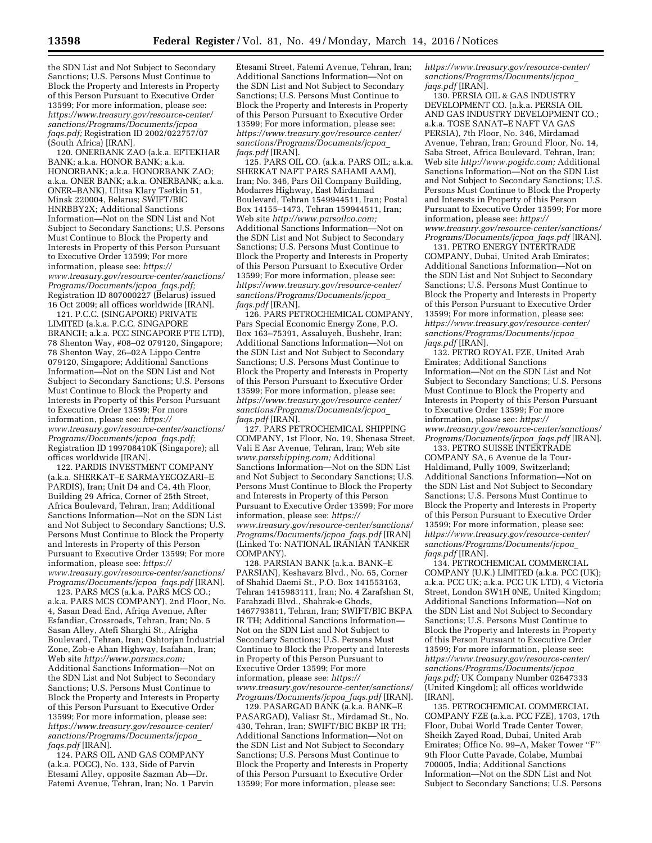the SDN List and Not Subject to Secondary Sanctions; U.S. Persons Must Continue to Block the Property and Interests in Property of this Person Pursuant to Executive Order 13599; For more information, please see: *[https://www.treasury.gov/resource-center/](https://www.treasury.gov/resource-center/sanctions/Programs/Documents/jcpoa_faqs.pdf) [sanctions/Programs/Documents/jcpoa](https://www.treasury.gov/resource-center/sanctions/Programs/Documents/jcpoa_faqs.pdf)*\_ *[faqs.pdf;](https://www.treasury.gov/resource-center/sanctions/Programs/Documents/jcpoa_faqs.pdf)* Registration ID 2002/022757/07 (South Africa) [IRAN].

120. ONERBANK ZAO (a.k.a. EFTEKHAR BANK; a.k.a. HONOR BANK; a.k.a. HONORBANK; a.k.a. HONORBANK ZAO; a.k.a. ONER BANK; a.k.a. ONERBANK; a.k.a. ONER–BANK), Ulitsa Klary Tsetkin 51, Minsk 220004, Belarus; SWIFT/BIC HNRBBY2X; Additional Sanctions Information—Not on the SDN List and Not Subject to Secondary Sanctions; U.S. Persons Must Continue to Block the Property and Interests in Property of this Person Pursuant to Executive Order 13599; For more information, please see: *[https://](https://www.treasury.gov/resource-center/sanctions/Programs/Documents/jcpoa_faqs.pdf) [www.treasury.gov/resource-center/sanctions/](https://www.treasury.gov/resource-center/sanctions/Programs/Documents/jcpoa_faqs.pdf) [Programs/Documents/jcpoa](https://www.treasury.gov/resource-center/sanctions/Programs/Documents/jcpoa_faqs.pdf)*\_*faqs.pdf;*  Registration ID 807000227 (Belarus) issued 16 Oct 2009; all offices worldwide [IRAN].

121. P.C.C. (SINGAPORE) PRIVATE LIMITED (a.k.a. P.C.C. SINGAPORE BRANCH; a.k.a. PCC SINGAPORE PTE LTD), 78 Shenton Way, #08–02 079120, Singapore; 78 Shenton Way, 26–02A Lippo Centre 079120, Singapore; Additional Sanctions Information—Not on the SDN List and Not Subject to Secondary Sanctions; U.S. Persons Must Continue to Block the Property and Interests in Property of this Person Pursuant to Executive Order 13599; For more information, please see: *[https://](https://www.treasury.gov/resource-center/sanctions/Programs/Documents/jcpoa_faqs.pdf) [www.treasury.gov/resource-center/sanctions/](https://www.treasury.gov/resource-center/sanctions/Programs/Documents/jcpoa_faqs.pdf) [Programs/Documents/jcpoa](https://www.treasury.gov/resource-center/sanctions/Programs/Documents/jcpoa_faqs.pdf)*\_*faqs.pdf;*  Registration ID 199708410K (Singapore); all offices worldwide [IRAN].

122. PARDIS INVESTMENT COMPANY (a.k.a. SHERKAT–E SARMAYEGOZARI–E PARDIS), Iran; Unit D4 and C4, 4th Floor, Building 29 Africa, Corner of 25th Street, Africa Boulevard, Tehran, Iran; Additional Sanctions Information—Not on the SDN List and Not Subject to Secondary Sanctions; U.S. Persons Must Continue to Block the Property and Interests in Property of this Person Pursuant to Executive Order 13599; For more information, please see: *[https://](https://www.treasury.gov/resource-center/sanctions/Programs/Documents/jcpoa_faqs.pdf) [www.treasury.gov/resource-center/sanctions/](https://www.treasury.gov/resource-center/sanctions/Programs/Documents/jcpoa_faqs.pdf) [Programs/Documents/jcpoa](https://www.treasury.gov/resource-center/sanctions/Programs/Documents/jcpoa_faqs.pdf)*\_*faqs.pdf* [IRAN].

123. PARS MCS (a.k.a. PARS MCS CO.; a.k.a. PARS MCS COMPANY), 2nd Floor, No. 4, Sasan Dead End, Afriqa Avenue, After Esfandiar, Crossroads, Tehran, Iran; No. 5 Sasan Alley, Atefi Sharghi St., Afrigha Boulevard, Tehran, Iran; Oshtorjan Industrial Zone, Zob-e Ahan Highway, Isafahan, Iran; Web site *[http://www.parsmcs.com;](http://www.parsmcs.com)*  Additional Sanctions Information—Not on the SDN List and Not Subject to Secondary Sanctions; U.S. Persons Must Continue to Block the Property and Interests in Property of this Person Pursuant to Executive Order 13599; For more information, please see: *[https://www.treasury.gov/resource-center/](https://www.treasury.gov/resource-center/sanctions/Programs/Documents/jcpoa_faqs.pdf) [sanctions/Programs/Documents/jcpoa](https://www.treasury.gov/resource-center/sanctions/Programs/Documents/jcpoa_faqs.pdf)*\_ *[faqs.pdf](https://www.treasury.gov/resource-center/sanctions/Programs/Documents/jcpoa_faqs.pdf)* [IRAN].

124. PARS OIL AND GAS COMPANY (a.k.a. POGC), No. 133, Side of Parvin Etesami Alley, opposite Sazman Ab—Dr. Fatemi Avenue, Tehran, Iran; No. 1 Parvin

Etesami Street, Fatemi Avenue, Tehran, Iran; Additional Sanctions Information—Not on the SDN List and Not Subject to Secondary Sanctions; U.S. Persons Must Continue to Block the Property and Interests in Property of this Person Pursuant to Executive Order 13599; For more information, please see: *[https://www.treasury.gov/resource-center/](https://www.treasury.gov/resource-center/sanctions/Programs/Documents/jcpoa_faqs.pdf) [sanctions/Programs/Documents/jcpoa](https://www.treasury.gov/resource-center/sanctions/Programs/Documents/jcpoa_faqs.pdf)*\_ *[faqs.pdf](https://www.treasury.gov/resource-center/sanctions/Programs/Documents/jcpoa_faqs.pdf)* [IRAN].

125. PARS OIL CO. (a.k.a. PARS OIL; a.k.a. SHERKAT NAFT PARS SAHAMI AAM), Iran; No. 346, Pars Oil Company Building, Modarres Highway, East Mirdamad Boulevard, Tehran 1549944511, Iran; Postal Box 14155–1473, Tehran 159944511, Iran; Web site *[http://www.parsoilco.com;](http://www.parsoilco.com)*  Additional Sanctions Information—Not on the SDN List and Not Subject to Secondary Sanctions; U.S. Persons Must Continue to Block the Property and Interests in Property of this Person Pursuant to Executive Order 13599; For more information, please see: *[https://www.treasury.gov/resource-center/](https://www.treasury.gov/resource-center/sanctions/Programs/Documents/jcpoa_faqs.pdf) [sanctions/Programs/Documents/jcpoa](https://www.treasury.gov/resource-center/sanctions/Programs/Documents/jcpoa_faqs.pdf)*\_ *[faqs.pdf](https://www.treasury.gov/resource-center/sanctions/Programs/Documents/jcpoa_faqs.pdf)* [IRAN].

126. PARS PETROCHEMICAL COMPANY, Pars Special Economic Energy Zone, P.O. Box 163–75391, Assaluyeh, Bushehr, Iran; Additional Sanctions Information—Not on the SDN List and Not Subject to Secondary Sanctions; U.S. Persons Must Continue to Block the Property and Interests in Property of this Person Pursuant to Executive Order 13599; For more information, please see: *[https://www.treasury.gov/resource-center/](https://www.treasury.gov/resource-center/sanctions/Programs/Documents/jcpoa_faqs.pdf) [sanctions/Programs/Documents/jcpoa](https://www.treasury.gov/resource-center/sanctions/Programs/Documents/jcpoa_faqs.pdf)*\_ *[faqs.pdf](https://www.treasury.gov/resource-center/sanctions/Programs/Documents/jcpoa_faqs.pdf)* [IRAN].

127. PARS PETROCHEMICAL SHIPPING COMPANY, 1st Floor, No. 19, Shenasa Street, Vali E Asr Avenue, Tehran, Iran; Web site *[www.parsshipping.com;](http://www.parsshipping.com)* Additional Sanctions Information—Not on the SDN List and Not Subject to Secondary Sanctions; U.S. Persons Must Continue to Block the Property and Interests in Property of this Person Pursuant to Executive Order 13599; For more information, please see: *[https://](https://www.treasury.gov/resource-center/sanctions/Programs/Documents/jcpoa_faqs.pdf) [www.treasury.gov/resource-center/sanctions/](https://www.treasury.gov/resource-center/sanctions/Programs/Documents/jcpoa_faqs.pdf) [Programs/Documents/jcpoa](https://www.treasury.gov/resource-center/sanctions/Programs/Documents/jcpoa_faqs.pdf)*\_*faqs.pdf* [IRAN] (Linked To: NATIONAL IRANIAN TANKER COMPANY).

128. PARSIAN BANK (a.k.a. BANK–E PARSIAN), Keshavarz Blvd., No. 65, Corner of Shahid Daemi St., P.O. Box 141553163, Tehran 1415983111, Iran; No. 4 Zarafshan St, Farahzadi Blvd., Shahrak-e Ghods, 1467793811, Tehran, Iran; SWIFT/BIC BKPA IR TH; Additional Sanctions Information— Not on the SDN List and Not Subject to Secondary Sanctions; U.S. Persons Must Continue to Block the Property and Interests in Property of this Person Pursuant to Executive Order 13599; For more information, please see: *[https://](https://www.treasury.gov/resource-center/sanctions/Programs/Documents/jcpoa_faqs.pdf) [www.treasury.gov/resource-center/sanctions/](https://www.treasury.gov/resource-center/sanctions/Programs/Documents/jcpoa_faqs.pdf) [Programs/Documents/jcpoa](https://www.treasury.gov/resource-center/sanctions/Programs/Documents/jcpoa_faqs.pdf)*\_*faqs.pdf* [IRAN].

129. PASARGAD BANK (a.k.a. BANK–E PASARGAD), Valiasr St., Mirdamad St., No. 430, Tehran, Iran; SWIFT/BIC BKBP IR TH; Additional Sanctions Information—Not on the SDN List and Not Subject to Secondary Sanctions; U.S. Persons Must Continue to Block the Property and Interests in Property of this Person Pursuant to Executive Order 13599; For more information, please see:

*[https://www.treasury.gov/resource-center/](https://www.treasury.gov/resource-center/sanctions/Programs/Documents/jcpoa_faqs.pdf) [sanctions/Programs/Documents/jcpoa](https://www.treasury.gov/resource-center/sanctions/Programs/Documents/jcpoa_faqs.pdf)*\_ *[faqs.pdf](https://www.treasury.gov/resource-center/sanctions/Programs/Documents/jcpoa_faqs.pdf)* [IRAN].

130. PERSIA OIL & GAS INDUSTRY DEVELOPMENT CO. (a.k.a. PERSIA OIL AND GAS INDUSTRY DEVELOPMENT CO.; a.k.a. TOSE SANAT–E NAFT VA GAS PERSIA), 7th Floor, No. 346, Mirdamad Avenue, Tehran, Iran; Ground Floor, No. 14, Saba Street, Africa Boulevard, Tehran, Iran; Web site *[http://www.pogidc.com;](http://www.pogidc.com)* Additional Sanctions Information—Not on the SDN List and Not Subject to Secondary Sanctions; U.S. Persons Must Continue to Block the Property and Interests in Property of this Person Pursuant to Executive Order 13599; For more information, please see: *[https://](https://www.treasury.gov/resource-center/sanctions/Programs/Documents/jcpoa_faqs.pdf) [www.treasury.gov/resource-center/sanctions/](https://www.treasury.gov/resource-center/sanctions/Programs/Documents/jcpoa_faqs.pdf) [Programs/Documents/jcpoa](https://www.treasury.gov/resource-center/sanctions/Programs/Documents/jcpoa_faqs.pdf)*\_*faqs.pdf* [IRAN].

131. PETRO ENERGY INTERTRADE COMPANY, Dubai, United Arab Emirates; Additional Sanctions Information—Not on the SDN List and Not Subject to Secondary Sanctions; U.S. Persons Must Continue to Block the Property and Interests in Property of this Person Pursuant to Executive Order 13599; For more information, please see: *[https://www.treasury.gov/resource-center/](https://www.treasury.gov/resource-center/sanctions/Programs/Documents/jcpoa_faqs.pdf) [sanctions/Programs/Documents/jcpoa](https://www.treasury.gov/resource-center/sanctions/Programs/Documents/jcpoa_faqs.pdf)*\_ *[faqs.pdf](https://www.treasury.gov/resource-center/sanctions/Programs/Documents/jcpoa_faqs.pdf)* [IRAN].

132. PETRO ROYAL FZE, United Arab Emirates; Additional Sanctions Information—Not on the SDN List and Not Subject to Secondary Sanctions; U.S. Persons Must Continue to Block the Property and Interests in Property of this Person Pursuant to Executive Order 13599; For more information, please see: *[https://](https://www.treasury.gov/resource-center/sanctions/Programs/Documents/jcpoa_faqs.pdf) [www.treasury.gov/resource-center/sanctions/](https://www.treasury.gov/resource-center/sanctions/Programs/Documents/jcpoa_faqs.pdf) [Programs/Documents/jcpoa](https://www.treasury.gov/resource-center/sanctions/Programs/Documents/jcpoa_faqs.pdf)*\_*faqs.pdf* [IRAN].

133. PETRO SUISSE INTERTRADE COMPANY SA, 6 Avenue de la Tour-Haldimand, Pully 1009, Switzerland; Additional Sanctions Information—Not on the SDN List and Not Subject to Secondary Sanctions; U.S. Persons Must Continue to Block the Property and Interests in Property of this Person Pursuant to Executive Order 13599; For more information, please see: *[https://www.treasury.gov/resource-center/](https://www.treasury.gov/resource-center/sanctions/Programs/Documents/jcpoa_faqs.pdf) [sanctions/Programs/Documents/jcpoa](https://www.treasury.gov/resource-center/sanctions/Programs/Documents/jcpoa_faqs.pdf)*\_ *[faqs.pdf](https://www.treasury.gov/resource-center/sanctions/Programs/Documents/jcpoa_faqs.pdf)* [IRAN].

134. PETROCHEMICAL COMMERCIAL COMPANY (U.K.) LIMITED (a.k.a. PCC (UK); a.k.a. PCC UK; a.k.a. PCC UK LTD), 4 Victoria Street, London SW1H 0NE, United Kingdom; Additional Sanctions Information—Not on the SDN List and Not Subject to Secondary Sanctions; U.S. Persons Must Continue to Block the Property and Interests in Property of this Person Pursuant to Executive Order 13599; For more information, please see: *[https://www.treasury.gov/resource-center/](https://www.treasury.gov/resource-center/sanctions/Programs/Documents/jcpoa_faqs.pdf) [sanctions/Programs/Documents/jcpoa](https://www.treasury.gov/resource-center/sanctions/Programs/Documents/jcpoa_faqs.pdf)*\_ *[faqs.pdf;](https://www.treasury.gov/resource-center/sanctions/Programs/Documents/jcpoa_faqs.pdf)* UK Company Number 02647333 (United Kingdom); all offices worldwide [IRAN].

135. PETROCHEMICAL COMMERCIAL COMPANY FZE (a.k.a. PCC FZE), 1703, 17th Floor, Dubai World Trade Center Tower, Sheikh Zayed Road, Dubai, United Arab Emirates; Office No. 99–A, Maker Tower ''F'' 9th Floor Cutte Pavade, Colabe, Mumbai 700005, India; Additional Sanctions Information—Not on the SDN List and Not Subject to Secondary Sanctions; U.S. Persons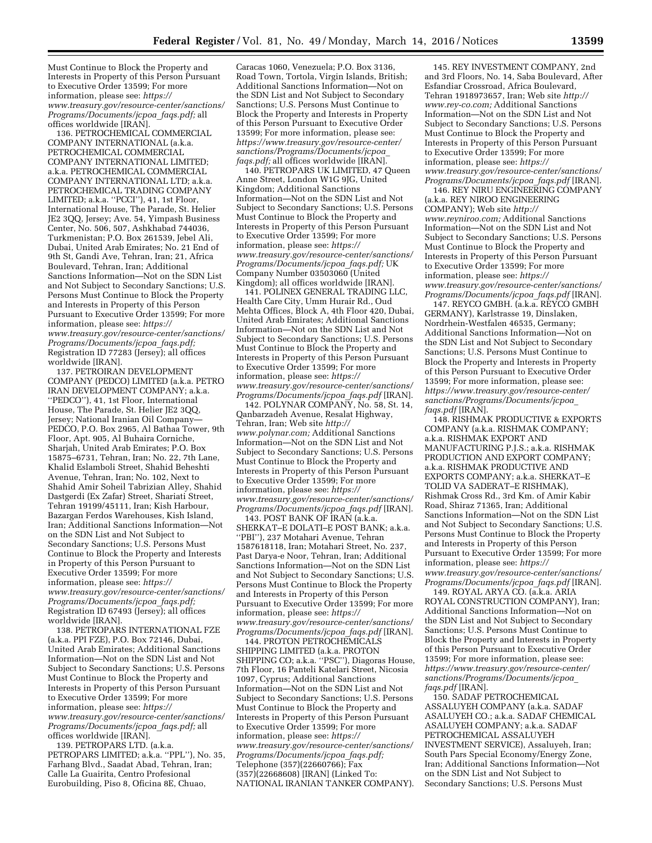Must Continue to Block the Property and Interests in Property of this Person Pursuant to Executive Order 13599; For more information, please see: *[https://](https://www.treasury.gov/resource-center/sanctions/Programs/Documents/jcpoa_faqs.pdf) [www.treasury.gov/resource-center/sanctions/](https://www.treasury.gov/resource-center/sanctions/Programs/Documents/jcpoa_faqs.pdf) [Programs/Documents/jcpoa](https://www.treasury.gov/resource-center/sanctions/Programs/Documents/jcpoa_faqs.pdf)*\_*faqs.pdf;* all offices worldwide [IRAN].

136. PETROCHEMICAL COMMERCIAL COMPANY INTERNATIONAL (a.k.a. PETROCHEMICAL COMMERCIAL COMPANY INTERNATIONAL LIMITED; a.k.a. PETROCHEMICAL COMMERCIAL COMPANY INTERNATIONAL LTD; a.k.a. PETROCHEMICAL TRADING COMPANY LIMITED; a.k.a. ''PCCI''), 41, 1st Floor, International House, The Parade, St. Helier JE2 3QQ, Jersey; Ave. 54, Yimpash Business Center, No. 506, 507, Ashkhabad 744036, Turkmenistan; P.O. Box 261539, Jebel Ali, Dubai, United Arab Emirates; No. 21 End of 9th St, Gandi Ave, Tehran, Iran; 21, Africa Boulevard, Tehran, Iran; Additional Sanctions Information—Not on the SDN List and Not Subject to Secondary Sanctions; U.S. Persons Must Continue to Block the Property and Interests in Property of this Person Pursuant to Executive Order 13599; For more information, please see: *[https://](https://www.treasury.gov/resource-center/sanctions/Programs/Documents/jcpoa_faqs.pdf) [www.treasury.gov/resource-center/sanctions/](https://www.treasury.gov/resource-center/sanctions/Programs/Documents/jcpoa_faqs.pdf) [Programs/Documents/jcpoa](https://www.treasury.gov/resource-center/sanctions/Programs/Documents/jcpoa_faqs.pdf)*\_*faqs.pdf;*  Registration ID 77283 (Jersey); all offices worldwide [IRAN].

137. PETROIRAN DEVELOPMENT COMPANY (PEDCO) LIMITED (a.k.a. PETRO IRAN DEVELOPMENT COMPANY; a.k.a. ''PEDCO''), 41, 1st Floor, International House, The Parade, St. Helier JE2 3QQ, Jersey; National Iranian Oil Company— PEDCO, P.O. Box 2965, Al Bathaa Tower, 9th Floor, Apt. 905, Al Buhaira Corniche, Sharjah, United Arab Emirates; P.O. Box 15875–6731, Tehran, Iran; No. 22, 7th Lane, Khalid Eslamboli Street, Shahid Beheshti Avenue, Tehran, Iran; No. 102, Next to Shahid Amir Soheil Tabrizian Alley, Shahid Dastgerdi (Ex Zafar) Street, Shariati Street, Tehran 19199/45111, Iran; Kish Harbour, Bazargan Ferdos Warehouses, Kish Island, Iran; Additional Sanctions Information—Not on the SDN List and Not Subject to Secondary Sanctions; U.S. Persons Must Continue to Block the Property and Interests in Property of this Person Pursuant to Executive Order 13599; For more information, please see: *[https://](https://www.treasury.gov/resource-center/sanctions/Programs/Documents/jcpoa_faqs.pdf) [www.treasury.gov/resource-center/sanctions/](https://www.treasury.gov/resource-center/sanctions/Programs/Documents/jcpoa_faqs.pdf) [Programs/Documents/jcpoa](https://www.treasury.gov/resource-center/sanctions/Programs/Documents/jcpoa_faqs.pdf)*\_*faqs.pdf;*  Registration ID 67493 (Jersey); all offices worldwide [IRAN].

138. PETROPARS INTERNATIONAL FZE (a.k.a. PPI FZE), P.O. Box 72146, Dubai, United Arab Emirates; Additional Sanctions Information—Not on the SDN List and Not Subject to Secondary Sanctions; U.S. Persons Must Continue to Block the Property and Interests in Property of this Person Pursuant to Executive Order 13599; For more information, please see: *[https://](https://www.treasury.gov/resource-center/sanctions/Programs/Documents/jcpoa_faqs.pdf) [www.treasury.gov/resource-center/sanctions/](https://www.treasury.gov/resource-center/sanctions/Programs/Documents/jcpoa_faqs.pdf) [Programs/Documents/jcpoa](https://www.treasury.gov/resource-center/sanctions/Programs/Documents/jcpoa_faqs.pdf)*\_*faqs.pdf;* all offices worldwide [IRAN].

139. PETROPARS LTD. (a.k.a. PETROPARS LIMITED; a.k.a. ''PPL''), No. 35, Farhang Blvd., Saadat Abad, Tehran, Iran; Calle La Guairita, Centro Profesional Eurobuilding, Piso 8, Oficina 8E, Chuao,

Caracas 1060, Venezuela; P.O. Box 3136, Road Town, Tortola, Virgin Islands, British; Additional Sanctions Information—Not on the SDN List and Not Subject to Secondary Sanctions; U.S. Persons Must Continue to Block the Property and Interests in Property of this Person Pursuant to Executive Order 13599; For more information, please see: *[https://www.treasury.gov/resource-center/](https://www.treasury.gov/resource-center/sanctions/Programs/Documents/jcpoa_faqs.pdf) [sanctions/Programs/Documents/jcpoa](https://www.treasury.gov/resource-center/sanctions/Programs/Documents/jcpoa_faqs.pdf)*\_ *faqs.pdf;* all offices worldwide [IRAN].

140. PETROPARS UK LIMITED, 47 Queen Anne Street, London W1G 9JG, United Kingdom; Additional Sanctions Information—Not on the SDN List and Not Subject to Secondary Sanctions; U.S. Persons Must Continue to Block the Property and Interests in Property of this Person Pursuant to Executive Order 13599; For more information, please see: *[https://](https://www.treasury.gov/resource-center/sanctions/Programs/Documents/jcpoa_faqs.pdf) [www.treasury.gov/resource-center/sanctions/](https://www.treasury.gov/resource-center/sanctions/Programs/Documents/jcpoa_faqs.pdf) [Programs/Documents/jcpoa](https://www.treasury.gov/resource-center/sanctions/Programs/Documents/jcpoa_faqs.pdf)*\_*faqs.pdf;* UK Company Number 03503060 (United Kingdom); all offices worldwide [IRAN].

141. POLINEX GENERAL TRADING LLC, Health Care City, Umm Hurair Rd., Oud Mehta Offices, Block A, 4th Floor 420, Dubai, United Arab Emirates; Additional Sanctions Information—Not on the SDN List and Not Subject to Secondary Sanctions; U.S. Persons Must Continue to Block the Property and Interests in Property of this Person Pursuant to Executive Order 13599; For more information, please see: *[https://](https://www.treasury.gov/resource-center/sanctions/Programs/Documents/jcpoa_faqs.pdf) [www.treasury.gov/resource-center/sanctions/](https://www.treasury.gov/resource-center/sanctions/Programs/Documents/jcpoa_faqs.pdf) [Programs/Documents/jcpoa](https://www.treasury.gov/resource-center/sanctions/Programs/Documents/jcpoa_faqs.pdf)*\_*faqs.pdf* [IRAN].

142. POLYNAR COMPANY, No. 58, St. 14, Qanbarzadeh Avenue, Resalat Highway, Tehran, Iran; Web site *[http://](http://www.polynar.com) [www.polynar.com;](http://www.polynar.com)* Additional Sanctions Information—Not on the SDN List and Not Subject to Secondary Sanctions; U.S. Persons Must Continue to Block the Property and Interests in Property of this Person Pursuant to Executive Order 13599; For more information, please see: *[https://](https://www.treasury.gov/resource-center/sanctions/Programs/Documents/jcpoa_faqs.pdf) [www.treasury.gov/resource-center/sanctions/](https://www.treasury.gov/resource-center/sanctions/Programs/Documents/jcpoa_faqs.pdf) [Programs/Documents/jcpoa](https://www.treasury.gov/resource-center/sanctions/Programs/Documents/jcpoa_faqs.pdf)*\_*faqs.pdf* [IRAN].

143. POST BANK OF IRAN (a.k.a. SHERKAT–E DOLATI–E POST BANK; a.k.a. ''PBI''), 237 Motahari Avenue, Tehran 1587618118, Iran; Motahari Street, No. 237, Past Darya-e Noor, Tehran, Iran; Additional Sanctions Information—Not on the SDN List and Not Subject to Secondary Sanctions; U.S. Persons Must Continue to Block the Property and Interests in Property of this Person Pursuant to Executive Order 13599; For more information, please see: *[https://](https://www.treasury.gov/resource-center/sanctions/Programs/Documents/jcpoa_faqs.pdf) [www.treasury.gov/resource-center/sanctions/](https://www.treasury.gov/resource-center/sanctions/Programs/Documents/jcpoa_faqs.pdf) [Programs/Documents/jcpoa](https://www.treasury.gov/resource-center/sanctions/Programs/Documents/jcpoa_faqs.pdf)*\_*faqs.pdf* [IRAN].

144. PROTON PETROCHEMICALS SHIPPING LIMITED (a.k.a. PROTON SHIPPING CO; a.k.a. ''PSC''), Diagoras House, 7th Floor, 16 Panteli Katelari Street, Nicosia 1097, Cyprus; Additional Sanctions Information—Not on the SDN List and Not Subject to Secondary Sanctions; U.S. Persons Must Continue to Block the Property and Interests in Property of this Person Pursuant to Executive Order 13599; For more information, please see: *[https://](https://www.treasury.gov/resource-center/sanctions/Programs/Documents/jcpoa_faqs.pdf) [www.treasury.gov/resource-center/sanctions/](https://www.treasury.gov/resource-center/sanctions/Programs/Documents/jcpoa_faqs.pdf) [Programs/Documents/jcpoa](https://www.treasury.gov/resource-center/sanctions/Programs/Documents/jcpoa_faqs.pdf)*\_*faqs.pdf;*  Telephone (357)(22660766); Fax (357)(22668608) [IRAN] (Linked To: NATIONAL IRANIAN TANKER COMPANY).

145. REY INVESTMENT COMPANY, 2nd and 3rd Floors, No. 14, Saba Boulevard, After Esfandiar Crossroad, Africa Boulevard, Tehran 1918973657, Iran; Web site *[http://](http://www.rey-co.com) [www.rey-co.com;](http://www.rey-co.com)* Additional Sanctions Information—Not on the SDN List and Not Subject to Secondary Sanctions; U.S. Persons Must Continue to Block the Property and Interests in Property of this Person Pursuant to Executive Order 13599; For more information, please see: *[https://](https://www.treasury.gov/resource-center/sanctions/Programs/Documents/jcpoa_faqs.pdf) [www.treasury.gov/resource-center/sanctions/](https://www.treasury.gov/resource-center/sanctions/Programs/Documents/jcpoa_faqs.pdf) [Programs/Documents/jcpoa](https://www.treasury.gov/resource-center/sanctions/Programs/Documents/jcpoa_faqs.pdf)*\_*faqs.pdf* [IRAN].

146. REY NIRU ENGINEERING COMPANY (a.k.a. REY NIROO ENGINEERING COMPANY); Web site *[http://](http://www.reyniroo.com) [www.reyniroo.com;](http://www.reyniroo.com)* Additional Sanctions Information—Not on the SDN List and Not Subject to Secondary Sanctions; U.S. Persons Must Continue to Block the Property and Interests in Property of this Person Pursuant to Executive Order 13599; For more information, please see: *[https://](https://www.treasury.gov/resource-center/sanctions/Programs/Documents/jcpoa_faqs.pdf) [www.treasury.gov/resource-center/sanctions/](https://www.treasury.gov/resource-center/sanctions/Programs/Documents/jcpoa_faqs.pdf) [Programs/Documents/jcpoa](https://www.treasury.gov/resource-center/sanctions/Programs/Documents/jcpoa_faqs.pdf)*\_*faqs.pdf* [IRAN].

147. REYCO GMBH. (a.k.a. REYCO GMBH GERMANY), Karlstrasse 19, Dinslaken, Nordrhein-Westfalen 46535, Germany; Additional Sanctions Information—Not on the SDN List and Not Subject to Secondary Sanctions; U.S. Persons Must Continue to Block the Property and Interests in Property of this Person Pursuant to Executive Order 13599; For more information, please see: *[https://www.treasury.gov/resource-center/](https://www.treasury.gov/resource-center/sanctions/Programs/Documents/jcpoa_faqs.pdf) [sanctions/Programs/Documents/jcpoa](https://www.treasury.gov/resource-center/sanctions/Programs/Documents/jcpoa_faqs.pdf)*\_ *[faqs.pdf](https://www.treasury.gov/resource-center/sanctions/Programs/Documents/jcpoa_faqs.pdf)* [IRAN].

148. RISHMAK PRODUCTIVE & EXPORTS COMPANY (a.k.a. RISHMAK COMPANY; a.k.a. RISHMAK EXPORT AND MANUFACTURING P.J.S.; a.k.a. RISHMAK PRODUCTION AND EXPORT COMPANY; a.k.a. RISHMAK PRODUCTIVE AND EXPORTS COMPANY; a.k.a. SHERKAT–E TOLID VA SADERAT–E RISHMAK), Rishmak Cross Rd., 3rd Km. of Amir Kabir Road, Shiraz 71365, Iran; Additional Sanctions Information—Not on the SDN List and Not Subject to Secondary Sanctions; U.S. Persons Must Continue to Block the Property and Interests in Property of this Person Pursuant to Executive Order 13599; For more information, please see: *[https://](https://www.treasury.gov/resource-center/sanctions/Programs/Documents/jcpoa_faqs.pdf) [www.treasury.gov/resource-center/sanctions/](https://www.treasury.gov/resource-center/sanctions/Programs/Documents/jcpoa_faqs.pdf) [Programs/Documents/jcpoa](https://www.treasury.gov/resource-center/sanctions/Programs/Documents/jcpoa_faqs.pdf)*\_*faqs.pdf* [IRAN].

149. ROYAL ARYA CO. (a.k.a. ARIA ROYAL CONSTRUCTION COMPANY), Iran; Additional Sanctions Information—Not on the SDN List and Not Subject to Secondary Sanctions; U.S. Persons Must Continue to Block the Property and Interests in Property of this Person Pursuant to Executive Order 13599; For more information, please see: *[https://www.treasury.gov/resource-center/](https://www.treasury.gov/resource-center/sanctions/Programs/Documents/jcpoa_faqs.pdf) [sanctions/Programs/Documents/jcpoa](https://www.treasury.gov/resource-center/sanctions/Programs/Documents/jcpoa_faqs.pdf)*\_ *[faqs.pdf](https://www.treasury.gov/resource-center/sanctions/Programs/Documents/jcpoa_faqs.pdf)* [IRAN].

150. SADAF PETROCHEMICAL ASSALUYEH COMPANY (a.k.a. SADAF ASALUYEH CO.; a.k.a. SADAF CHEMICAL ASALUYEH COMPANY; a.k.a. SADAF PETROCHEMICAL ASSALUYEH INVESTMENT SERVICE), Assaluyeh, Iran; South Pars Special Economy/Energy Zone, Iran; Additional Sanctions Information—Not on the SDN List and Not Subject to Secondary Sanctions; U.S. Persons Must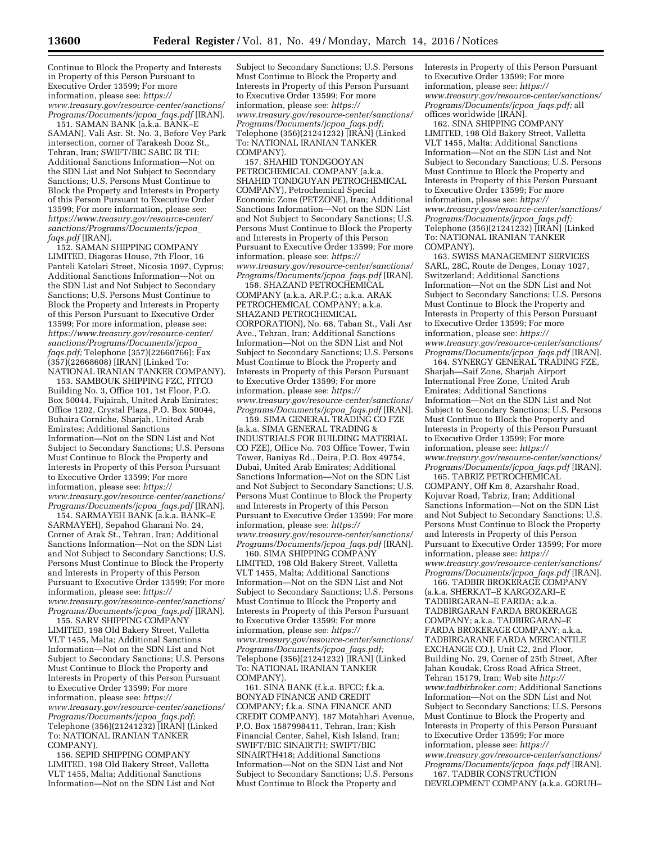Continue to Block the Property and Interests in Property of this Person Pursuant to Executive Order 13599; For more information, please see: *[https://](https://www.treasury.gov/resource-center/sanctions/Programs/Documents/jcpoa_faqs.pdf) [www.treasury.gov/resource-center/sanctions/](https://www.treasury.gov/resource-center/sanctions/Programs/Documents/jcpoa_faqs.pdf) [Programs/Documents/jcpoa](https://www.treasury.gov/resource-center/sanctions/Programs/Documents/jcpoa_faqs.pdf)*\_*faqs.pdf* [IRAN].

151. SAMAN BANK (a.k.a. BANK–E SAMAN), Vali Asr. St. No. 3, Before Vey Park intersection, corner of Tarakesh Dooz St., Tehran, Iran; SWIFT/BIC SABC IR TH; Additional Sanctions Information—Not on the SDN List and Not Subject to Secondary Sanctions; U.S. Persons Must Continue to Block the Property and Interests in Property of this Person Pursuant to Executive Order 13599; For more information, please see: *[https://www.treasury.gov/resource-center/](https://www.treasury.gov/resource-center/sanctions/Programs/Documents/jcpoa_faqs.pdf) [sanctions/Programs/Documents/jcpoa](https://www.treasury.gov/resource-center/sanctions/Programs/Documents/jcpoa_faqs.pdf)*\_ *[faqs.pdf](https://www.treasury.gov/resource-center/sanctions/Programs/Documents/jcpoa_faqs.pdf)* [IRAN].

152. SAMAN SHIPPING COMPANY LIMITED, Diagoras House, 7th Floor, 16 Panteli Katelari Street, Nicosia 1097, Cyprus; Additional Sanctions Information—Not on the SDN List and Not Subject to Secondary Sanctions; U.S. Persons Must Continue to Block the Property and Interests in Property of this Person Pursuant to Executive Order 13599; For more information, please see: *[https://www.treasury.gov/resource-center/](https://www.treasury.gov/resource-center/sanctions/Programs/Documents/jcpoa_faqs.pdf) [sanctions/Programs/Documents/jcpoa](https://www.treasury.gov/resource-center/sanctions/Programs/Documents/jcpoa_faqs.pdf)*\_ *[faqs.pdf;](https://www.treasury.gov/resource-center/sanctions/Programs/Documents/jcpoa_faqs.pdf)* Telephone (357)(22660766); Fax (357)(22668608) [IRAN] (Linked To: NATIONAL IRANIAN TANKER COMPANY).

153. SAMBOUK SHIPPING FZC, FITCO Building No. 3, Office 101, 1st Floor, P.O. Box 50044, Fujairah, United Arab Emirates; Office 1202, Crystal Plaza, P.O. Box 50044, Buhaira Corniche, Sharjah, United Arab Emirates; Additional Sanctions Information—Not on the SDN List and Not Subject to Secondary Sanctions; U.S. Persons Must Continue to Block the Property and Interests in Property of this Person Pursuant to Executive Order 13599; For more information, please see: *[https://](https://www.treasury.gov/resource-center/sanctions/Programs/Documents/jcpoa_faqs.pdf) [www.treasury.gov/resource-center/sanctions/](https://www.treasury.gov/resource-center/sanctions/Programs/Documents/jcpoa_faqs.pdf) [Programs/Documents/jcpoa](https://www.treasury.gov/resource-center/sanctions/Programs/Documents/jcpoa_faqs.pdf)*\_*faqs.pdf* [IRAN].

154. SARMAYEH BANK (a.k.a. BANK–E SARMAYEH), Sepahod Gharani No. 24, Corner of Arak St., Tehran, Iran; Additional Sanctions Information—Not on the SDN List and Not Subject to Secondary Sanctions; U.S. Persons Must Continue to Block the Property and Interests in Property of this Person Pursuant to Executive Order 13599; For more information, please see: *[https://](https://www.treasury.gov/resource-center/sanctions/Programs/Documents/jcpoa_faqs.pdf) [www.treasury.gov/resource-center/sanctions/](https://www.treasury.gov/resource-center/sanctions/Programs/Documents/jcpoa_faqs.pdf) [Programs/Documents/jcpoa](https://www.treasury.gov/resource-center/sanctions/Programs/Documents/jcpoa_faqs.pdf)*\_*faqs.pdf* [IRAN].

155. SARV SHIPPING COMPANY LIMITED, 198 Old Bakery Street, Valletta VLT 1455, Malta; Additional Sanctions Information—Not on the SDN List and Not Subject to Secondary Sanctions; U.S. Persons Must Continue to Block the Property and Interests in Property of this Person Pursuant to Executive Order 13599; For more information, please see: *[https://](https://www.treasury.gov/resource-center/sanctions/Programs/Documents/jcpoa_faqs.pdf) [www.treasury.gov/resource-center/sanctions/](https://www.treasury.gov/resource-center/sanctions/Programs/Documents/jcpoa_faqs.pdf) [Programs/Documents/jcpoa](https://www.treasury.gov/resource-center/sanctions/Programs/Documents/jcpoa_faqs.pdf)*\_*faqs.pdf;*  Telephone (356)(21241232) [IRAN] (Linked To: NATIONAL IRANIAN TANKER COMPANY).

156. SEPID SHIPPING COMPANY LIMITED, 198 Old Bakery Street, Valletta VLT 1455, Malta; Additional Sanctions Information—Not on the SDN List and Not

Subject to Secondary Sanctions; U.S. Persons Must Continue to Block the Property and Interests in Property of this Person Pursuant to Executive Order 13599; For more information, please see: *[https://](https://www.treasury.gov/resource-center/sanctions/Programs/Documents/jcpoa_faqs.pdf) [www.treasury.gov/resource-center/sanctions/](https://www.treasury.gov/resource-center/sanctions/Programs/Documents/jcpoa_faqs.pdf) [Programs/Documents/jcpoa](https://www.treasury.gov/resource-center/sanctions/Programs/Documents/jcpoa_faqs.pdf)*\_*faqs.pdf;*  Telephone (356)(21241232) [IRAN] (Linked To: NATIONAL IRANIAN TANKER COMPANY).

157. SHAHID TONDGOOYAN PETROCHEMICAL COMPANY (a.k.a. SHAHID TONDGUYAN PETROCHEMICAL COMPANY), Petrochemical Special Economic Zone (PETZONE), Iran; Additional Sanctions Information—Not on the SDN List and Not Subject to Secondary Sanctions; U.S. Persons Must Continue to Block the Property and Interests in Property of this Person Pursuant to Executive Order 13599; For more information, please see: *[https://](https://www.treasury.gov/resource-center/sanctions/Programs/Documents/jcpoa_faqs.pdf) [www.treasury.gov/resource-center/sanctions/](https://www.treasury.gov/resource-center/sanctions/Programs/Documents/jcpoa_faqs.pdf) [Programs/Documents/jcpoa](https://www.treasury.gov/resource-center/sanctions/Programs/Documents/jcpoa_faqs.pdf)*\_*faqs.pdf* [IRAN].

158. SHAZAND PETROCHEMICAL COMPANY (a.k.a. AR.P.C.; a.k.a. ARAK PETROCHEMICAL COMPANY; a.k.a. SHAZAND PETROCHEMICAL CORPORATION), No. 68, Taban St., Vali Asr Ave., Tehran, Iran; Additional Sanctions Information—Not on the SDN List and Not Subject to Secondary Sanctions; U.S. Persons Must Continue to Block the Property and Interests in Property of this Person Pursuant to Executive Order 13599; For more information, please see: *[https://](https://www.treasury.gov/resource-center/sanctions/Programs/Documents/jcpoa_faqs.pdf) [www.treasury.gov/resource-center/sanctions/](https://www.treasury.gov/resource-center/sanctions/Programs/Documents/jcpoa_faqs.pdf) [Programs/Documents/jcpoa](https://www.treasury.gov/resource-center/sanctions/Programs/Documents/jcpoa_faqs.pdf)*\_*faqs.pdf* [IRAN].

159. SIMA GENERAL TRADING CO FZE (a.k.a. SIMA GENERAL TRADING & INDUSTRIALS FOR BUILDING MATERIAL CO FZE), Office No. 703 Office Tower, Twin Tower, Baniyas Rd., Deira, P.O. Box 49754, Dubai, United Arab Emirates; Additional Sanctions Information—Not on the SDN List and Not Subject to Secondary Sanctions; U.S. Persons Must Continue to Block the Property and Interests in Property of this Person Pursuant to Executive Order 13599; For more information, please see: *[https://](https://www.treasury.gov/resource-center/sanctions/Programs/Documents/jcpoa_faqs.pdf) [www.treasury.gov/resource-center/sanctions/](https://www.treasury.gov/resource-center/sanctions/Programs/Documents/jcpoa_faqs.pdf) [Programs/Documents/jcpoa](https://www.treasury.gov/resource-center/sanctions/Programs/Documents/jcpoa_faqs.pdf)*\_*faqs.pdf* [IRAN].

160. SIMA SHIPPING COMPANY LIMITED, 198 Old Bakery Street, Valletta VLT 1455, Malta; Additional Sanctions Information—Not on the SDN List and Not Subject to Secondary Sanctions; U.S. Persons Must Continue to Block the Property and Interests in Property of this Person Pursuant to Executive Order 13599; For more information, please see: *[https://](https://www.treasury.gov/resource-center/sanctions/Programs/Documents/jcpoa_faqs.pdf) [www.treasury.gov/resource-center/sanctions/](https://www.treasury.gov/resource-center/sanctions/Programs/Documents/jcpoa_faqs.pdf) [Programs/Documents/jcpoa](https://www.treasury.gov/resource-center/sanctions/Programs/Documents/jcpoa_faqs.pdf)*\_*faqs.pdf;*  Telephone (356)(21241232) [IRAN] (Linked To: NATIONAL IRANIAN TANKER COMPANY).

161. SINA BANK (f.k.a. BFCC; f.k.a. BONYAD FINANCE AND CREDIT COMPANY; f.k.a. SINA FINANCE AND CREDIT COMPANY), 187 Motahhari Avenue, P.O. Box 1587998411, Tehran, Iran; Kish Financial Center, Sahel, Kish Island, Iran; SWIFT/BIC SINAIRTH; SWIFT/BIC SINAIRTH418; Additional Sanctions Information—Not on the SDN List and Not Subject to Secondary Sanctions; U.S. Persons Must Continue to Block the Property and

Interests in Property of this Person Pursuant to Executive Order 13599; For more information, please see: *[https://](https://www.treasury.gov/resource-center/sanctions/Programs/Documents/jcpoa_faqs.pdf) [www.treasury.gov/resource-center/sanctions/](https://www.treasury.gov/resource-center/sanctions/Programs/Documents/jcpoa_faqs.pdf) [Programs/Documents/jcpoa](https://www.treasury.gov/resource-center/sanctions/Programs/Documents/jcpoa_faqs.pdf)*\_*faqs.pdf;* all offices worldwide [IRAN].

162. SINA SHIPPING COMPANY LIMITED, 198 Old Bakery Street, Valletta VLT 1455, Malta; Additional Sanctions Information—Not on the SDN List and Not Subject to Secondary Sanctions; U.S. Persons Must Continue to Block the Property and Interests in Property of this Person Pursuant to Executive Order 13599; For more information, please see: *[https://](https://www.treasury.gov/resource-center/sanctions/Programs/Documents/jcpoa_faqs.pdf) [www.treasury.gov/resource-center/sanctions/](https://www.treasury.gov/resource-center/sanctions/Programs/Documents/jcpoa_faqs.pdf) [Programs/Documents/jcpoa](https://www.treasury.gov/resource-center/sanctions/Programs/Documents/jcpoa_faqs.pdf)*\_*faqs.pdf;*  Telephone (356)(21241232) [IRAN] (Linked To: NATIONAL IRANIAN TANKER COMPANY).

163. SWISS MANAGEMENT SERVICES SARL, 28C, Route de Denges, Lonay 1027, Switzerland; Additional Sanctions Information—Not on the SDN List and Not Subject to Secondary Sanctions; U.S. Persons Must Continue to Block the Property and Interests in Property of this Person Pursuant to Executive Order 13599; For more information, please see: *[https://](https://www.treasury.gov/resource-center/sanctions/Programs/Documents/jcpoa_faqs.pdf) [www.treasury.gov/resource-center/sanctions/](https://www.treasury.gov/resource-center/sanctions/Programs/Documents/jcpoa_faqs.pdf) [Programs/Documents/jcpoa](https://www.treasury.gov/resource-center/sanctions/Programs/Documents/jcpoa_faqs.pdf)*\_*faqs.pdf* [IRAN].

164. SYNERGY GENERAL TRADING FZE, Sharjah—Saif Zone, Sharjah Airport International Free Zone, United Arab Emirates; Additional Sanctions Information—Not on the SDN List and Not Subject to Secondary Sanctions; U.S. Persons Must Continue to Block the Property and Interests in Property of this Person Pursuant to Executive Order 13599; For more information, please see: *[https://](https://www.treasury.gov/resource-center/sanctions/Programs/Documents/jcpoa_faqs.pdf) [www.treasury.gov/resource-center/sanctions/](https://www.treasury.gov/resource-center/sanctions/Programs/Documents/jcpoa_faqs.pdf) [Programs/Documents/jcpoa](https://www.treasury.gov/resource-center/sanctions/Programs/Documents/jcpoa_faqs.pdf)*\_*faqs.pdf* [IRAN].

165. TABRIZ PETROCHEMICAL COMPANY, Off Km 8, Azarshahr Road, Kojuvar Road, Tabriz, Iran; Additional Sanctions Information—Not on the SDN List and Not Subject to Secondary Sanctions; U.S. Persons Must Continue to Block the Property and Interests in Property of this Person Pursuant to Executive Order 13599; For more information, please see: *[https://](https://www.treasury.gov/resource-center/sanctions/Programs/Documents/jcpoa_faqs.pdf) [www.treasury.gov/resource-center/sanctions/](https://www.treasury.gov/resource-center/sanctions/Programs/Documents/jcpoa_faqs.pdf) [Programs/Documents/jcpoa](https://www.treasury.gov/resource-center/sanctions/Programs/Documents/jcpoa_faqs.pdf)*\_*faqs.pdf* [IRAN].

166. TADBIR BROKERAGE COMPANY (a.k.a. SHERKAT–E KARGOZARI–E TADBIRGARAN–E FARDA; a.k.a. TADBIRGARAN FARDA BROKERAGE COMPANY; a.k.a. TADBIRGARAN–E FARDA BROKERAGE COMPANY; a.k.a. TADBIRGARANE FARDA MERCANTILE EXCHANGE CO.), Unit C2, 2nd Floor, Building No. 29, Corner of 25th Street, After Jahan Koudak, Cross Road Africa Street, Tehran 15179, Iran; Web site *[http://](http://www.tadbirbroker.com) [www.tadbirbroker.com;](http://www.tadbirbroker.com)* Additional Sanctions Information—Not on the SDN List and Not Subject to Secondary Sanctions; U.S. Persons Must Continue to Block the Property and Interests in Property of this Person Pursuant to Executive Order 13599; For more information, please see: *[https://](https://www.treasury.gov/resource-center/sanctions/Programs/Documents/jcpoa_faqs.pdf) [www.treasury.gov/resource-center/sanctions/](https://www.treasury.gov/resource-center/sanctions/Programs/Documents/jcpoa_faqs.pdf) [Programs/Documents/jcpoa](https://www.treasury.gov/resource-center/sanctions/Programs/Documents/jcpoa_faqs.pdf)*\_*faqs.pdf* [IRAN].

167. TADBIR CONSTRUCTION DEVELOPMENT COMPANY (a.k.a. GORUH–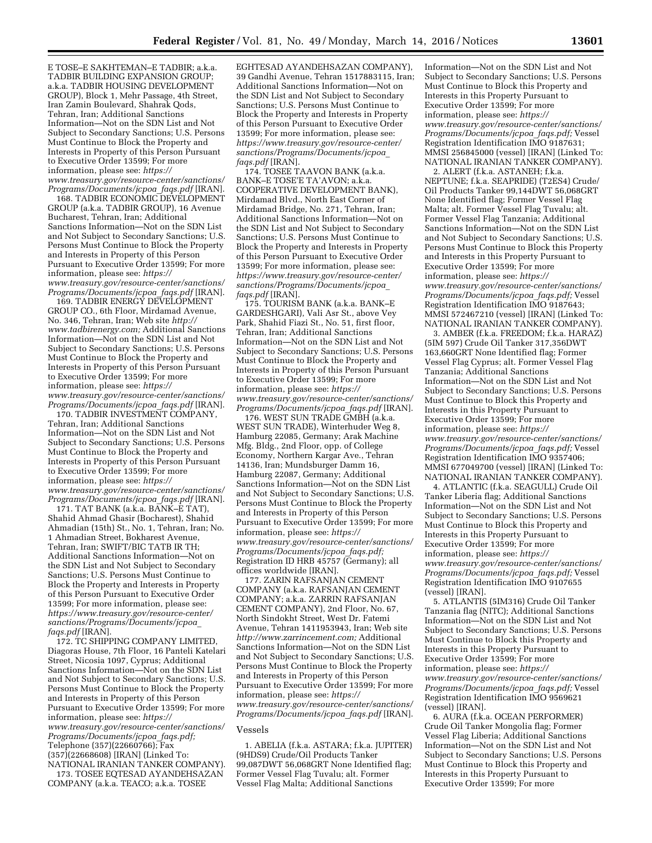E TOSE–E SAKHTEMAN–E TADBIR; a.k.a. TADBIR BUILDING EXPANSION GROUP; a.k.a. TADBIR HOUSING DEVELOPMENT GROUP), Block 1, Mehr Passage, 4th Street, Iran Zamin Boulevard, Shahrak Qods, Tehran, Iran; Additional Sanctions Information—Not on the SDN List and Not Subject to Secondary Sanctions; U.S. Persons Must Continue to Block the Property and Interests in Property of this Person Pursuant to Executive Order 13599; For more information, please see: *[https://](https://www.treasury.gov/resource-center/sanctions/Programs/Documents/jcpoa_faqs.pdf) [www.treasury.gov/resource-center/sanctions/](https://www.treasury.gov/resource-center/sanctions/Programs/Documents/jcpoa_faqs.pdf) [Programs/Documents/jcpoa](https://www.treasury.gov/resource-center/sanctions/Programs/Documents/jcpoa_faqs.pdf)*\_*faqs.pdf* [IRAN].

168. TADBIR ECONOMIC DEVELOPMENT GROUP (a.k.a. TADBIR GROUP), 16 Avenue Bucharest, Tehran, Iran; Additional Sanctions Information—Not on the SDN List and Not Subject to Secondary Sanctions; U.S. Persons Must Continue to Block the Property and Interests in Property of this Person Pursuant to Executive Order 13599; For more information, please see: *[https://](https://www.treasury.gov/resource-center/sanctions/Programs/Documents/jcpoa_faqs.pdf) [www.treasury.gov/resource-center/sanctions/](https://www.treasury.gov/resource-center/sanctions/Programs/Documents/jcpoa_faqs.pdf) [Programs/Documents/jcpoa](https://www.treasury.gov/resource-center/sanctions/Programs/Documents/jcpoa_faqs.pdf)*\_*faqs.pdf* [IRAN].

169. TADBIR ENERGY DEVELOPMENT GROUP CO., 6th Floor, Mirdamad Avenue, No. 346, Tehran, Iran; Web site *[http://](http://www.tadbirenergy.com) [www.tadbirenergy.com;](http://www.tadbirenergy.com)* Additional Sanctions Information—Not on the SDN List and Not Subject to Secondary Sanctions; U.S. Persons Must Continue to Block the Property and Interests in Property of this Person Pursuant to Executive Order 13599; For more information, please see: *[https://](https://www.treasury.gov/resource-center/sanctions/Programs/Documents/jcpoa_faqs.pdf) [www.treasury.gov/resource-center/sanctions/](https://www.treasury.gov/resource-center/sanctions/Programs/Documents/jcpoa_faqs.pdf) [Programs/Documents/jcpoa](https://www.treasury.gov/resource-center/sanctions/Programs/Documents/jcpoa_faqs.pdf)*\_*faqs.pdf* [IRAN].

170. TADBIR INVESTMENT COMPANY, Tehran, Iran; Additional Sanctions Information—Not on the SDN List and Not Subject to Secondary Sanctions; U.S. Persons Must Continue to Block the Property and Interests in Property of this Person Pursuant to Executive Order 13599; For more information, please see: *[https://](https://www.treasury.gov/resource-center/sanctions/Programs/Documents/jcpoa_faqs.pdf) [www.treasury.gov/resource-center/sanctions/](https://www.treasury.gov/resource-center/sanctions/Programs/Documents/jcpoa_faqs.pdf) [Programs/Documents/jcpoa](https://www.treasury.gov/resource-center/sanctions/Programs/Documents/jcpoa_faqs.pdf)*\_*faqs.pdf* [IRAN].

171. TAT BANK (a.k.a. BANK–E TAT), Shahid Ahmad Ghasir (Bocharest), Shahid Ahmadian (15th) St., No. 1, Tehran, Iran; No. 1 Ahmadian Street, Bokharest Avenue, Tehran, Iran; SWIFT/BIC TATB IR TH; Additional Sanctions Information—Not on the SDN List and Not Subject to Secondary Sanctions; U.S. Persons Must Continue to Block the Property and Interests in Property of this Person Pursuant to Executive Order 13599; For more information, please see: *[https://www.treasury.gov/resource-center/](https://www.treasury.gov/resource-center/sanctions/Programs/Documents/jcpoa_faqs.pdf) [sanctions/Programs/Documents/jcpoa](https://www.treasury.gov/resource-center/sanctions/Programs/Documents/jcpoa_faqs.pdf)*\_ *[faqs.pdf](https://www.treasury.gov/resource-center/sanctions/Programs/Documents/jcpoa_faqs.pdf)* [IRAN].

172. TC SHIPPING COMPANY LIMITED, Diagoras House, 7th Floor, 16 Panteli Katelari Street, Nicosia 1097, Cyprus; Additional Sanctions Information—Not on the SDN List and Not Subject to Secondary Sanctions; U.S. Persons Must Continue to Block the Property and Interests in Property of this Person Pursuant to Executive Order 13599; For more information, please see: *[https://](https://www.treasury.gov/resource-center/sanctions/Programs/Documents/jcpoa_faqs.pdf) [www.treasury.gov/resource-center/sanctions/](https://www.treasury.gov/resource-center/sanctions/Programs/Documents/jcpoa_faqs.pdf) [Programs/Documents/jcpoa](https://www.treasury.gov/resource-center/sanctions/Programs/Documents/jcpoa_faqs.pdf)*\_*faqs.pdf;*  Telephone (357)(22660766); Fax (357)(22668608) [IRAN] (Linked To: NATIONAL IRANIAN TANKER COMPANY). 173. TOSEE EQTESAD AYANDEHSAZAN

COMPANY (a.k.a. TEACO; a.k.a. TOSEE

EGHTESAD AYANDEHSAZAN COMPANY), 39 Gandhi Avenue, Tehran 1517883115, Iran; Additional Sanctions Information—Not on the SDN List and Not Subject to Secondary Sanctions; U.S. Persons Must Continue to Block the Property and Interests in Property of this Person Pursuant to Executive Order 13599; For more information, please see: *[https://www.treasury.gov/resource-center/](https://www.treasury.gov/resource-center/sanctions/Programs/Documents/jcpoa_faqs.pdf) [sanctions/Programs/Documents/jcpoa](https://www.treasury.gov/resource-center/sanctions/Programs/Documents/jcpoa_faqs.pdf)*\_ *[faqs.pdf](https://www.treasury.gov/resource-center/sanctions/Programs/Documents/jcpoa_faqs.pdf)* [IRAN].

174. TOSEE TAAVON BANK (a.k.a. BANK–E TOSE'E TA'AVON; a.k.a. COOPERATIVE DEVELOPMENT BANK), Mirdamad Blvd., North East Corner of Mirdamad Bridge, No. 271, Tehran, Iran; Additional Sanctions Information—Not on the SDN List and Not Subject to Secondary Sanctions; U.S. Persons Must Continue to Block the Property and Interests in Property of this Person Pursuant to Executive Order 13599; For more information, please see: *[https://www.treasury.gov/resource-center/](https://www.treasury.gov/resource-center/sanctions/Programs/Documents/jcpoa_faqs.pdf) [sanctions/Programs/Documents/jcpoa](https://www.treasury.gov/resource-center/sanctions/Programs/Documents/jcpoa_faqs.pdf)*\_ *[faqs.pdf](https://www.treasury.gov/resource-center/sanctions/Programs/Documents/jcpoa_faqs.pdf)* [IRAN].

175. TOURISM BANK (a.k.a. BANK–E GARDESHGARI), Vali Asr St., above Vey Park, Shahid Fiazi St., No. 51, first floor, Tehran, Iran; Additional Sanctions Information—Not on the SDN List and Not Subject to Secondary Sanctions; U.S. Persons Must Continue to Block the Property and Interests in Property of this Person Pursuant to Executive Order 13599; For more information, please see: *[https://](https://www.treasury.gov/resource-center/sanctions/Programs/Documents/jcpoa_faqs.pdf) [www.treasury.gov/resource-center/sanctions/](https://www.treasury.gov/resource-center/sanctions/Programs/Documents/jcpoa_faqs.pdf) [Programs/Documents/jcpoa](https://www.treasury.gov/resource-center/sanctions/Programs/Documents/jcpoa_faqs.pdf)*\_*faqs.pdf* [IRAN].

176. WEST SUN TRADE GMBH (a.k.a. WEST SUN TRADE), Winterhuder Weg 8, Hamburg 22085, Germany; Arak Machine Mfg. Bldg., 2nd Floor, opp. of College Economy, Northern Kargar Ave., Tehran 14136, Iran; Mundsburger Damm 16, Hamburg 22087, Germany; Additional Sanctions Information—Not on the SDN List and Not Subject to Secondary Sanctions; U.S. Persons Must Continue to Block the Property and Interests in Property of this Person Pursuant to Executive Order 13599; For more information, please see: *[https://](https://www.treasury.gov/resource-center/sanctions/Programs/Documents/jcpoa_faqs.pdf) [www.treasury.gov/resource-center/sanctions/](https://www.treasury.gov/resource-center/sanctions/Programs/Documents/jcpoa_faqs.pdf) [Programs/Documents/jcpoa](https://www.treasury.gov/resource-center/sanctions/Programs/Documents/jcpoa_faqs.pdf)*\_*faqs.pdf;*  Registration ID HRB 45757 (Germany); all offices worldwide [IRAN].

177. ZARIN RAFSANJAN CEMENT COMPANY (a.k.a. RAFSANJAN CEMENT COMPANY; a.k.a. ZARRIN RAFSANJAN CEMENT COMPANY), 2nd Floor, No. 67, North Sindokht Street, West Dr. Fatemi Avenue, Tehran 1411953943, Iran; Web site *[http://www.zarrincement.com;](http://www.zarrincement.com)* Additional Sanctions Information—Not on the SDN List and Not Subject to Secondary Sanctions; U.S. Persons Must Continue to Block the Property and Interests in Property of this Person Pursuant to Executive Order 13599; For more information, please see: *[https://](https://www.treasury.gov/resource-center/sanctions/Programs/Documents/jcpoa_faqs.pdf) [www.treasury.gov/resource-center/sanctions/](https://www.treasury.gov/resource-center/sanctions/Programs/Documents/jcpoa_faqs.pdf) [Programs/Documents/jcpoa](https://www.treasury.gov/resource-center/sanctions/Programs/Documents/jcpoa_faqs.pdf)*\_*faqs.pdf* [IRAN].

#### Vessels

1. ABELIA (f.k.a. ASTARA; f.k.a. JUPITER) (9HDS9) Crude/Oil Products Tanker 99,087DWT 56,068GRT None Identified flag; Former Vessel Flag Tuvalu; alt. Former Vessel Flag Malta; Additional Sanctions

Information—Not on the SDN List and Not Subject to Secondary Sanctions; U.S. Persons Must Continue to Block this Property and Interests in this Property Pursuant to Executive Order 13599; For more information, please see: *[https://](https://www.treasury.gov/resource-center/sanctions/Programs/Documents/jcpoa_faqs.pdf) [www.treasury.gov/resource-center/sanctions/](https://www.treasury.gov/resource-center/sanctions/Programs/Documents/jcpoa_faqs.pdf) [Programs/Documents/jcpoa](https://www.treasury.gov/resource-center/sanctions/Programs/Documents/jcpoa_faqs.pdf)*\_*faqs.pdf;* Vessel Registration Identification IMO 9187631; MMSI 256845000 (vessel) [IRAN] (Linked To: NATIONAL IRANIAN TANKER COMPANY).

2. ALERT (f.k.a. ASTANEH; f.k.a. NEPTUNE; f.k.a. SEAPRIDE) (T2ES4) Crude/ Oil Products Tanker 99,144DWT 56,068GRT None Identified flag; Former Vessel Flag Malta; alt. Former Vessel Flag Tuvalu; alt. Former Vessel Flag Tanzania; Additional Sanctions Information—Not on the SDN List and Not Subject to Secondary Sanctions; U.S. Persons Must Continue to Block this Property and Interests in this Property Pursuant to Executive Order 13599; For more information, please see: *[https://](https://www.treasury.gov/resource-center/sanctions/Programs/Documents/jcpoa_faqs.pdf) [www.treasury.gov/resource-center/sanctions/](https://www.treasury.gov/resource-center/sanctions/Programs/Documents/jcpoa_faqs.pdf) [Programs/Documents/jcpoa](https://www.treasury.gov/resource-center/sanctions/Programs/Documents/jcpoa_faqs.pdf)*\_*faqs.pdf;* Vessel Registration Identification IMO 9187643; MMSI 572467210 (vessel) [IRAN] (Linked To: NATIONAL IRANIAN TANKER COMPANY).

3. AMBER (f.k.a. FREEDOM; f.k.a. HARAZ) (5IM 597) Crude Oil Tanker 317,356DWT 163,660GRT None Identified flag; Former Vessel Flag Cyprus; alt. Former Vessel Flag Tanzania; Additional Sanctions Information—Not on the SDN List and Not Subject to Secondary Sanctions; U.S. Persons Must Continue to Block this Property and Interests in this Property Pursuant to Executive Order 13599; For more information, please see: *[https://](https://www.treasury.gov/resource-center/sanctions/Programs/Documents/jcpoa_faqs.pdf) [www.treasury.gov/resource-center/sanctions/](https://www.treasury.gov/resource-center/sanctions/Programs/Documents/jcpoa_faqs.pdf) [Programs/Documents/jcpoa](https://www.treasury.gov/resource-center/sanctions/Programs/Documents/jcpoa_faqs.pdf)*\_*faqs.pdf;* Vessel Registration Identification IMO 9357406; MMSI 677049700 (vessel) [IRAN] (Linked To: NATIONAL IRANIAN TANKER COMPANY).

4. ATLANTIC (f.k.a. SEAGULL) Crude Oil Tanker Liberia flag; Additional Sanctions Information—Not on the SDN List and Not Subject to Secondary Sanctions; U.S. Persons Must Continue to Block this Property and Interests in this Property Pursuant to Executive Order 13599; For more information, please see: *[https://](https://www.treasury.gov/resource-center/sanctions/Programs/Documents/jcpoa_faqs.pdf) [www.treasury.gov/resource-center/sanctions/](https://www.treasury.gov/resource-center/sanctions/Programs/Documents/jcpoa_faqs.pdf) [Programs/Documents/jcpoa](https://www.treasury.gov/resource-center/sanctions/Programs/Documents/jcpoa_faqs.pdf)*\_*faqs.pdf;* Vessel Registration Identification IMO 9107655 (vessel) [IRAN].

5. ATLANTIS (5IM316) Crude Oil Tanker Tanzania flag (NITC); Additional Sanctions Information—Not on the SDN List and Not Subject to Secondary Sanctions; U.S. Persons Must Continue to Block this Property and Interests in this Property Pursuant to Executive Order 13599; For more information, please see: *[https://](https://www.treasury.gov/resource-center/sanctions/Programs/Documents/jcpoa_faqs.pdf) [www.treasury.gov/resource-center/sanctions/](https://www.treasury.gov/resource-center/sanctions/Programs/Documents/jcpoa_faqs.pdf) [Programs/Documents/jcpoa](https://www.treasury.gov/resource-center/sanctions/Programs/Documents/jcpoa_faqs.pdf)*\_*faqs.pdf;* Vessel Registration Identification IMO 9569621 (vessel) [IRAN].

6. AURA (f.k.a. OCEAN PERFORMER) Crude Oil Tanker Mongolia flag; Former Vessel Flag Liberia; Additional Sanctions Information—Not on the SDN List and Not Subject to Secondary Sanctions; U.S. Persons Must Continue to Block this Property and Interests in this Property Pursuant to Executive Order 13599; For more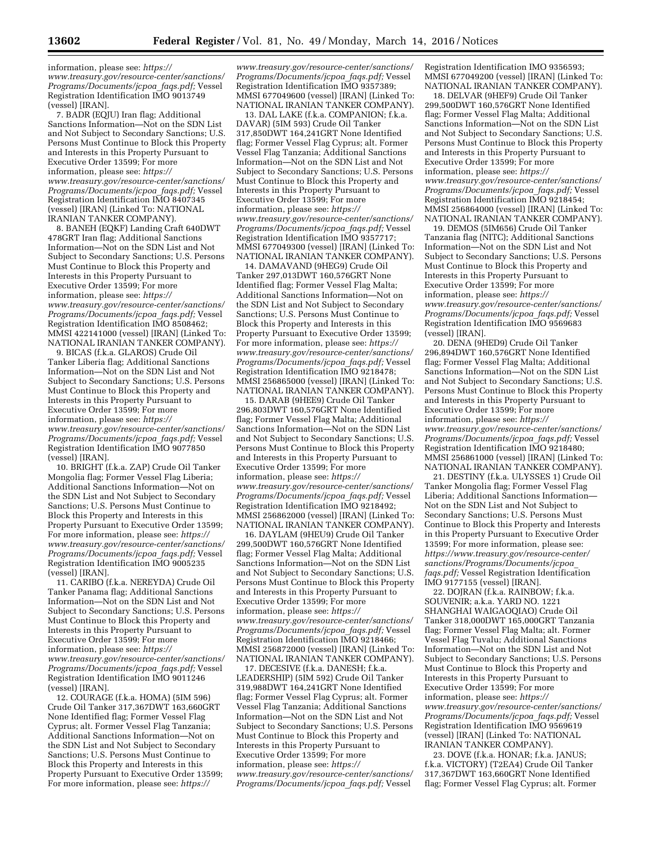information, please see: *[https://](https://www.treasury.gov/resource-center/sanctions/Programs/Documents/jcpoa_faqs.pdf) [www.treasury.gov/resource-center/sanctions/](https://www.treasury.gov/resource-center/sanctions/Programs/Documents/jcpoa_faqs.pdf) [Programs/Documents/jcpoa](https://www.treasury.gov/resource-center/sanctions/Programs/Documents/jcpoa_faqs.pdf)*\_*faqs.pdf;* Vessel Registration Identification IMO 9013749 (vessel) [IRAN].

7. BADR (EQJU) Iran flag; Additional Sanctions Information—Not on the SDN List and Not Subject to Secondary Sanctions; U.S. Persons Must Continue to Block this Property and Interests in this Property Pursuant to Executive Order 13599; For more information, please see: *[https://](https://www.treasury.gov/resource-center/sanctions/Programs/Documents/jcpoa_faqs.pdf) [www.treasury.gov/resource-center/sanctions/](https://www.treasury.gov/resource-center/sanctions/Programs/Documents/jcpoa_faqs.pdf) [Programs/Documents/jcpoa](https://www.treasury.gov/resource-center/sanctions/Programs/Documents/jcpoa_faqs.pdf)*\_*faqs.pdf;* Vessel Registration Identification IMO 8407345 (vessel) [IRAN] (Linked To: NATIONAL IRANIAN TANKER COMPANY).

8. BANEH (EQKF) Landing Craft 640DWT 478GRT Iran flag; Additional Sanctions Information—Not on the SDN List and Not Subject to Secondary Sanctions; U.S. Persons Must Continue to Block this Property and Interests in this Property Pursuant to Executive Order 13599; For more information, please see: *[https://](https://www.treasury.gov/resource-center/sanctions/Programs/Documents/jcpoa_faqs.pdf) [www.treasury.gov/resource-center/sanctions/](https://www.treasury.gov/resource-center/sanctions/Programs/Documents/jcpoa_faqs.pdf) [Programs/Documents/jcpoa](https://www.treasury.gov/resource-center/sanctions/Programs/Documents/jcpoa_faqs.pdf)*\_*faqs.pdf;* Vessel Registration Identification IMO 8508462; MMSI 422141000 (vessel) [IRAN] (Linked To: NATIONAL IRANIAN TANKER COMPANY).

9. BICAS (f.k.a. GLAROS) Crude Oil Tanker Liberia flag; Additional Sanctions Information—Not on the SDN List and Not Subject to Secondary Sanctions; U.S. Persons Must Continue to Block this Property and Interests in this Property Pursuant to Executive Order 13599; For more information, please see: *[https://](https://www.treasury.gov/resource-center/sanctions/Programs/Documents/jcpoa_faqs.pdf) [www.treasury.gov/resource-center/sanctions/](https://www.treasury.gov/resource-center/sanctions/Programs/Documents/jcpoa_faqs.pdf) [Programs/Documents/jcpoa](https://www.treasury.gov/resource-center/sanctions/Programs/Documents/jcpoa_faqs.pdf)*\_*faqs.pdf;* Vessel Registration Identification IMO 9077850 (vessel) [IRAN].

10. BRIGHT (f.k.a. ZAP) Crude Oil Tanker Mongolia flag; Former Vessel Flag Liberia; Additional Sanctions Information—Not on the SDN List and Not Subject to Secondary Sanctions; U.S. Persons Must Continue to Block this Property and Interests in this Property Pursuant to Executive Order 13599; For more information, please see: *[https://](https://www.treasury.gov/resource-center/sanctions/Programs/Documents/jcpoa_faqs.pdf) [www.treasury.gov/resource-center/sanctions/](https://www.treasury.gov/resource-center/sanctions/Programs/Documents/jcpoa_faqs.pdf) [Programs/Documents/jcpoa](https://www.treasury.gov/resource-center/sanctions/Programs/Documents/jcpoa_faqs.pdf)*\_*faqs.pdf;* Vessel Registration Identification IMO 9005235 (vessel) [IRAN].

11. CARIBO (f.k.a. NEREYDA) Crude Oil Tanker Panama flag; Additional Sanctions Information—Not on the SDN List and Not Subject to Secondary Sanctions; U.S. Persons Must Continue to Block this Property and Interests in this Property Pursuant to Executive Order 13599; For more information, please see: *[https://](https://www.treasury.gov/resource-center/sanctions/Programs/Documents/jcpoa_faqs.pdf) [www.treasury.gov/resource-center/sanctions/](https://www.treasury.gov/resource-center/sanctions/Programs/Documents/jcpoa_faqs.pdf) [Programs/Documents/jcpoa](https://www.treasury.gov/resource-center/sanctions/Programs/Documents/jcpoa_faqs.pdf)*\_*faqs.pdf;* Vessel Registration Identification IMO 9011246 (vessel) [IRAN].

12. COURAGE (f.k.a. HOMA) (5IM 596) Crude Oil Tanker 317,367DWT 163,660GRT None Identified flag; Former Vessel Flag Cyprus; alt. Former Vessel Flag Tanzania; Additional Sanctions Information—Not on the SDN List and Not Subject to Secondary Sanctions; U.S. Persons Must Continue to Block this Property and Interests in this Property Pursuant to Executive Order 13599; For more information, please see: *[https://](https://www.treasury.gov/resource-center/sanctions/Programs/Documents/jcpoa_faqs.pdf)*

*[www.treasury.gov/resource-center/sanctions/](https://www.treasury.gov/resource-center/sanctions/Programs/Documents/jcpoa_faqs.pdf) [Programs/Documents/jcpoa](https://www.treasury.gov/resource-center/sanctions/Programs/Documents/jcpoa_faqs.pdf)*\_*faqs.pdf;* Vessel Registration Identification IMO 9357389; MMSI 677049600 (vessel) [IRAN] (Linked To: NATIONAL IRANIAN TANKER COMPANY).

13. DAL LAKE (f.k.a. COMPANION; f.k.a. DAVAR) (5IM 593) Crude Oil Tanker 317,850DWT 164,241GRT None Identified flag; Former Vessel Flag Cyprus; alt. Former Vessel Flag Tanzania; Additional Sanctions Information—Not on the SDN List and Not Subject to Secondary Sanctions; U.S. Persons Must Continue to Block this Property and Interests in this Property Pursuant to Executive Order 13599; For more information, please see: *[https://](https://www.treasury.gov/resource-center/sanctions/Programs/Documents/jcpoa_faqs.pdf) [www.treasury.gov/resource-center/sanctions/](https://www.treasury.gov/resource-center/sanctions/Programs/Documents/jcpoa_faqs.pdf) [Programs/Documents/jcpoa](https://www.treasury.gov/resource-center/sanctions/Programs/Documents/jcpoa_faqs.pdf)*\_*faqs.pdf;* Vessel Registration Identification IMO 9357717; MMSI 677049300 (vessel) [IRAN] (Linked To: NATIONAL IRANIAN TANKER COMPANY).

14. DAMAVAND (9HEG9) Crude Oil Tanker 297,013DWT 160,576GRT None Identified flag; Former Vessel Flag Malta; Additional Sanctions Information—Not on the SDN List and Not Subject to Secondary Sanctions; U.S. Persons Must Continue to Block this Property and Interests in this Property Pursuant to Executive Order 13599; For more information, please see: *[https://](https://www.treasury.gov/resource-center/sanctions/Programs/Documents/jcpoa_faqs.pdf) [www.treasury.gov/resource-center/sanctions/](https://www.treasury.gov/resource-center/sanctions/Programs/Documents/jcpoa_faqs.pdf) [Programs/Documents/jcpoa](https://www.treasury.gov/resource-center/sanctions/Programs/Documents/jcpoa_faqs.pdf)*\_*faqs.pdf;* Vessel Registration Identification IMO 9218478; MMSI 256865000 (vessel) [IRAN] (Linked To: NATIONAL IRANIAN TANKER COMPANY).

15. DARAB (9HEE9) Crude Oil Tanker 296,803DWT 160,576GRT None Identified flag; Former Vessel Flag Malta; Additional Sanctions Information—Not on the SDN List and Not Subject to Secondary Sanctions; U.S. Persons Must Continue to Block this Property and Interests in this Property Pursuant to Executive Order 13599; For more information, please see: *[https://](https://www.treasury.gov/resource-center/sanctions/Programs/Documents/jcpoa_faqs.pdf) [www.treasury.gov/resource-center/sanctions/](https://www.treasury.gov/resource-center/sanctions/Programs/Documents/jcpoa_faqs.pdf) [Programs/Documents/jcpoa](https://www.treasury.gov/resource-center/sanctions/Programs/Documents/jcpoa_faqs.pdf)*\_*faqs.pdf;* Vessel Registration Identification IMO 9218492; MMSI 256862000 (vessel) [IRAN] (Linked To: NATIONAL IRANIAN TANKER COMPANY).

16. DAYLAM (9HEU9) Crude Oil Tanker 299,500DWT 160,576GRT None Identified flag; Former Vessel Flag Malta; Additional Sanctions Information—Not on the SDN List and Not Subject to Secondary Sanctions; U.S. Persons Must Continue to Block this Property and Interests in this Property Pursuant to Executive Order 13599; For more information, please see: *[https://](https://www.treasury.gov/resource-center/sanctions/Programs/Documents/jcpoa_faqs.pdf) [www.treasury.gov/resource-center/sanctions/](https://www.treasury.gov/resource-center/sanctions/Programs/Documents/jcpoa_faqs.pdf) [Programs/Documents/jcpoa](https://www.treasury.gov/resource-center/sanctions/Programs/Documents/jcpoa_faqs.pdf)*\_*faqs.pdf;* Vessel Registration Identification IMO 9218466; MMSI 256872000 (vessel) [IRAN] (Linked To: NATIONAL IRANIAN TANKER COMPANY).

17. DECESIVE (f.k.a. DANESH; f.k.a. LEADERSHIP) (5IM 592) Crude Oil Tanker 319,988DWT 164,241GRT None Identified flag; Former Vessel Flag Cyprus; alt. Former Vessel Flag Tanzania; Additional Sanctions Information—Not on the SDN List and Not Subject to Secondary Sanctions; U.S. Persons Must Continue to Block this Property and Interests in this Property Pursuant to Executive Order 13599; For more information, please see: *[https://](https://www.treasury.gov/resource-center/sanctions/Programs/Documents/jcpoa_faqs.pdf) [www.treasury.gov/resource-center/sanctions/](https://www.treasury.gov/resource-center/sanctions/Programs/Documents/jcpoa_faqs.pdf) [Programs/Documents/jcpoa](https://www.treasury.gov/resource-center/sanctions/Programs/Documents/jcpoa_faqs.pdf)*\_*faqs.pdf;* Vessel

Registration Identification IMO 9356593; MMSI 677049200 (vessel) [IRAN] (Linked To: NATIONAL IRANIAN TANKER COMPANY).

18. DELVAR (9HEF9) Crude Oil Tanker 299,500DWT 160,576GRT None Identified flag; Former Vessel Flag Malta; Additional Sanctions Information—Not on the SDN List and Not Subject to Secondary Sanctions; U.S. Persons Must Continue to Block this Property and Interests in this Property Pursuant to Executive Order 13599; For more information, please see: *[https://](https://www.treasury.gov/resource-center/sanctions/Programs/Documents/jcpoa_faqs.pdf) [www.treasury.gov/resource-center/sanctions/](https://www.treasury.gov/resource-center/sanctions/Programs/Documents/jcpoa_faqs.pdf) [Programs/Documents/jcpoa](https://www.treasury.gov/resource-center/sanctions/Programs/Documents/jcpoa_faqs.pdf)*\_*faqs.pdf;* Vessel Registration Identification IMO 9218454; MMSI 256864000 (vessel) [IRAN] (Linked To: NATIONAL IRANIAN TANKER COMPANY).

19. DEMOS (5IM656) Crude Oil Tanker Tanzania flag (NITC); Additional Sanctions Information—Not on the SDN List and Not Subject to Secondary Sanctions; U.S. Persons Must Continue to Block this Property and Interests in this Property Pursuant to Executive Order 13599; For more information, please see: *[https://](https://www.treasury.gov/resource-center/sanctions/Programs/Documents/jcpoa_faqs.pdf) [www.treasury.gov/resource-center/sanctions/](https://www.treasury.gov/resource-center/sanctions/Programs/Documents/jcpoa_faqs.pdf) [Programs/Documents/jcpoa](https://www.treasury.gov/resource-center/sanctions/Programs/Documents/jcpoa_faqs.pdf)*\_*faqs.pdf;* Vessel Registration Identification IMO 9569683 (vessel) [IRAN].

20. DENA (9HED9) Crude Oil Tanker 296,894DWT 160,576GRT None Identified flag; Former Vessel Flag Malta; Additional Sanctions Information—Not on the SDN List and Not Subject to Secondary Sanctions; U.S. Persons Must Continue to Block this Property and Interests in this Property Pursuant to Executive Order 13599; For more information, please see: *[https://](https://www.treasury.gov/resource-center/sanctions/Programs/Documents/jcpoa_faqs.pdf) [www.treasury.gov/resource-center/sanctions/](https://www.treasury.gov/resource-center/sanctions/Programs/Documents/jcpoa_faqs.pdf) [Programs/Documents/jcpoa](https://www.treasury.gov/resource-center/sanctions/Programs/Documents/jcpoa_faqs.pdf)*\_*faqs.pdf;* Vessel Registration Identification IMO 9218480; MMSI 256861000 (vessel) [IRAN] (Linked To: NATIONAL IRANIAN TANKER COMPANY).

21. DESTINY (f.k.a. ULYSSES 1) Crude Oil Tanker Mongolia flag; Former Vessel Flag Liberia; Additional Sanctions Information— Not on the SDN List and Not Subject to Secondary Sanctions; U.S. Persons Must Continue to Block this Property and Interests in this Property Pursuant to Executive Order 13599; For more information, please see: *[https://www.treasury.gov/resource-center/](https://www.treasury.gov/resource-center/sanctions/Programs/Documents/jcpoa_faqs.pdf) [sanctions/Programs/Documents/jcpoa](https://www.treasury.gov/resource-center/sanctions/Programs/Documents/jcpoa_faqs.pdf)*\_ *[faqs.pdf;](https://www.treasury.gov/resource-center/sanctions/Programs/Documents/jcpoa_faqs.pdf)* Vessel Registration Identification IMO 9177155 (vessel) [IRAN].

22. DOJRAN (f.k.a. RAINBOW; f.k.a. SOUVENIR; a.k.a. YARD NO. 1221 SHANGHAI WAIGAOQIAO) Crude Oil Tanker 318,000DWT 165,000GRT Tanzania flag; Former Vessel Flag Malta; alt. Former Vessel Flag Tuvalu; Additional Sanctions Information—Not on the SDN List and Not Subject to Secondary Sanctions; U.S. Persons Must Continue to Block this Property and Interests in this Property Pursuant to Executive Order 13599; For more information, please see: *[https://](https://www.treasury.gov/resource-center/sanctions/Programs/Documents/jcpoa_faqs.pdf) [www.treasury.gov/resource-center/sanctions/](https://www.treasury.gov/resource-center/sanctions/Programs/Documents/jcpoa_faqs.pdf) [Programs/Documents/jcpoa](https://www.treasury.gov/resource-center/sanctions/Programs/Documents/jcpoa_faqs.pdf)*\_*faqs.pdf;* Vessel Registration Identification IMO 9569619 (vessel) [IRAN] (Linked To: NATIONAL IRANIAN TANKER COMPANY).

23. DOVE (f.k.a. HONAR; f.k.a. JANUS; f.k.a. VICTORY) (T2EA4) Crude Oil Tanker 317,367DWT 163,660GRT None Identified flag; Former Vessel Flag Cyprus; alt. Former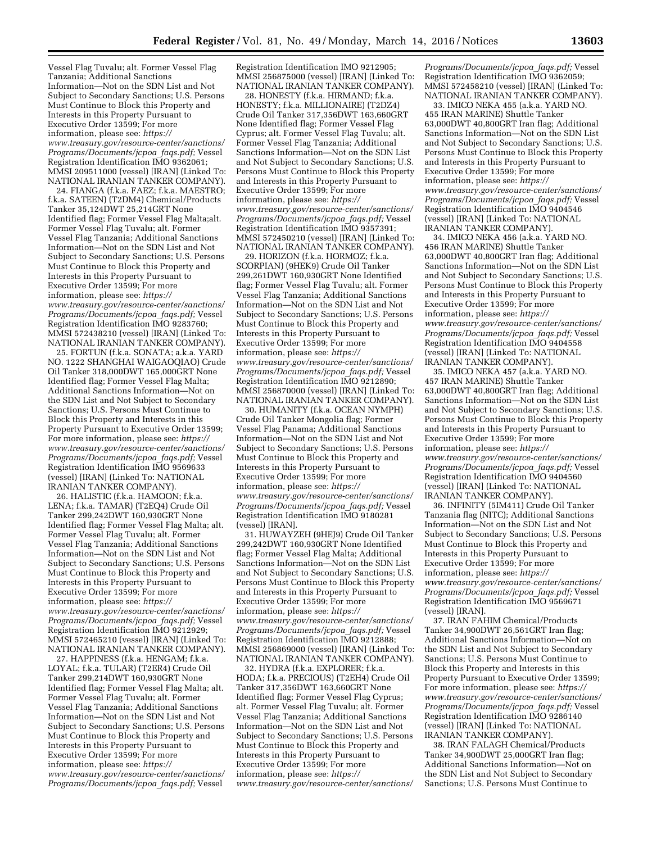Vessel Flag Tuvalu; alt. Former Vessel Flag Tanzania; Additional Sanctions Information—Not on the SDN List and Not Subject to Secondary Sanctions; U.S. Persons Must Continue to Block this Property and Interests in this Property Pursuant to Executive Order 13599; For more information, please see: *[https://](https://www.treasury.gov/resource-center/sanctions/Programs/Documents/jcpoa_faqs.pdf) [www.treasury.gov/resource-center/sanctions/](https://www.treasury.gov/resource-center/sanctions/Programs/Documents/jcpoa_faqs.pdf) [Programs/Documents/jcpoa](https://www.treasury.gov/resource-center/sanctions/Programs/Documents/jcpoa_faqs.pdf)*\_*faqs.pdf;* Vessel Registration Identification IMO 9362061; MMSI 209511000 (vessel) [IRAN] (Linked To: NATIONAL IRANIAN TANKER COMPANY).

24. FIANGA (f.k.a. FAEZ; f.k.a. MAESTRO; f.k.a. SATEEN) (T2DM4) Chemical/Products Tanker 35,124DWT 25,214GRT None Identified flag; Former Vessel Flag Malta;alt. Former Vessel Flag Tuvalu; alt. Former Vessel Flag Tanzania; Additional Sanctions Information—Not on the SDN List and Not Subject to Secondary Sanctions; U.S. Persons Must Continue to Block this Property and Interests in this Property Pursuant to Executive Order 13599; For more information, please see: *[https://](https://www.treasury.gov/resource-center/sanctions/Programs/Documents/jcpoa_faqs.pdf) [www.treasury.gov/resource-center/sanctions/](https://www.treasury.gov/resource-center/sanctions/Programs/Documents/jcpoa_faqs.pdf) [Programs/Documents/jcpoa](https://www.treasury.gov/resource-center/sanctions/Programs/Documents/jcpoa_faqs.pdf)*\_*faqs.pdf;* Vessel Registration Identification IMO 9283760; MMSI 572438210 (vessel) [IRAN] (Linked To: NATIONAL IRANIAN TANKER COMPANY).

25. FORTUN (f.k.a. SONATA; a.k.a. YARD NO. 1222 SHANGHAI WAIGAOQIAO) Crude Oil Tanker 318,000DWT 165,000GRT None Identified flag; Former Vessel Flag Malta; Additional Sanctions Information—Not on the SDN List and Not Subject to Secondary Sanctions; U.S. Persons Must Continue to Block this Property and Interests in this Property Pursuant to Executive Order 13599; For more information, please see: *[https://](https://www.treasury.gov/resource-center/sanctions/Programs/Documents/jcpoa_faqs.pdf) [www.treasury.gov/resource-center/sanctions/](https://www.treasury.gov/resource-center/sanctions/Programs/Documents/jcpoa_faqs.pdf) [Programs/Documents/jcpoa](https://www.treasury.gov/resource-center/sanctions/Programs/Documents/jcpoa_faqs.pdf)*\_*faqs.pdf;* Vessel Registration Identification IMO 9569633 (vessel) [IRAN] (Linked To: NATIONAL IRANIAN TANKER COMPANY).

26. HALISTIC (f.k.a. HAMOON; f.k.a. LENA; f.k.a. TAMAR) (T2EQ4) Crude Oil Tanker 299,242DWT 160,930GRT None Identified flag; Former Vessel Flag Malta; alt. Former Vessel Flag Tuvalu; alt. Former Vessel Flag Tanzania; Additional Sanctions Information—Not on the SDN List and Not Subject to Secondary Sanctions; U.S. Persons Must Continue to Block this Property and Interests in this Property Pursuant to Executive Order 13599; For more information, please see: *[https://](https://www.treasury.gov/resource-center/sanctions/Programs/Documents/jcpoa_faqs.pdf) [www.treasury.gov/resource-center/sanctions/](https://www.treasury.gov/resource-center/sanctions/Programs/Documents/jcpoa_faqs.pdf) [Programs/Documents/jcpoa](https://www.treasury.gov/resource-center/sanctions/Programs/Documents/jcpoa_faqs.pdf)*\_*faqs.pdf;* Vessel Registration Identification IMO 9212929; MMSI 572465210 (vessel) [IRAN] (Linked To: NATIONAL IRANIAN TANKER COMPANY).

27. HAPPINESS (f.k.a. HENGAM; f.k.a. LOYAL; f.k.a. TULAR) (T2ER4) Crude Oil Tanker 299,214DWT 160,930GRT None Identified flag; Former Vessel Flag Malta; alt. Former Vessel Flag Tuvalu; alt. Former Vessel Flag Tanzania; Additional Sanctions Information—Not on the SDN List and Not Subject to Secondary Sanctions; U.S. Persons Must Continue to Block this Property and Interests in this Property Pursuant to Executive Order 13599; For more information, please see: *[https://](https://www.treasury.gov/resource-center/sanctions/Programs/Documents/jcpoa_faqs.pdf) [www.treasury.gov/resource-center/sanctions/](https://www.treasury.gov/resource-center/sanctions/Programs/Documents/jcpoa_faqs.pdf) [Programs/Documents/jcpoa](https://www.treasury.gov/resource-center/sanctions/Programs/Documents/jcpoa_faqs.pdf)*\_*faqs.pdf;* Vessel

Registration Identification IMO 9212905; MMSI 256875000 (vessel) [IRAN] (Linked To: NATIONAL IRANIAN TANKER COMPANY).

28. HONESTY (f.k.a. HIRMAND; f.k.a. HONESTY; f.k.a. MILLIONAIRE) (T2DZ4) Crude Oil Tanker 317,356DWT 163,660GRT None Identified flag; Former Vessel Flag Cyprus; alt. Former Vessel Flag Tuvalu; alt. Former Vessel Flag Tanzania; Additional Sanctions Information—Not on the SDN List and Not Subject to Secondary Sanctions; U.S. Persons Must Continue to Block this Property and Interests in this Property Pursuant to Executive Order 13599; For more information, please see: *[https://](https://www.treasury.gov/resource-center/sanctions/Programs/Documents/jcpoa_faqs.pdf) [www.treasury.gov/resource-center/sanctions/](https://www.treasury.gov/resource-center/sanctions/Programs/Documents/jcpoa_faqs.pdf) [Programs/Documents/jcpoa](https://www.treasury.gov/resource-center/sanctions/Programs/Documents/jcpoa_faqs.pdf)*\_*faqs.pdf;* Vessel Registration Identification IMO 9357391; MMSI 572450210 (vessel) [IRAN] (Linked To: NATIONAL IRANIAN TANKER COMPANY).

29. HORIZON (f.k.a. HORMOZ; f.k.a. SCORPIAN) (9HEK9) Crude Oil Tanker 299,261DWT 160,930GRT None Identified flag; Former Vessel Flag Tuvalu; alt. Former Vessel Flag Tanzania; Additional Sanctions Information—Not on the SDN List and Not Subject to Secondary Sanctions; U.S. Persons Must Continue to Block this Property and Interests in this Property Pursuant to Executive Order 13599; For more information, please see: *[https://](https://www.treasury.gov/resource-center/sanctions/Programs/Documents/jcpoa_faqs.pdf) [www.treasury.gov/resource-center/sanctions/](https://www.treasury.gov/resource-center/sanctions/Programs/Documents/jcpoa_faqs.pdf) [Programs/Documents/jcpoa](https://www.treasury.gov/resource-center/sanctions/Programs/Documents/jcpoa_faqs.pdf)*\_*faqs.pdf;* Vessel Registration Identification IMO 9212890; MMSI 256870000 (vessel) [IRAN] (Linked To: NATIONAL IRANIAN TANKER COMPANY).

30. HUMANITY (f.k.a. OCEAN NYMPH) Crude Oil Tanker Mongolia flag; Former Vessel Flag Panama; Additional Sanctions Information—Not on the SDN List and Not Subject to Secondary Sanctions; U.S. Persons Must Continue to Block this Property and Interests in this Property Pursuant to Executive Order 13599; For more information, please see: *[https://](https://www.treasury.gov/resource-center/sanctions/Programs/Documents/jcpoa_faqs.pdf) [www.treasury.gov/resource-center/sanctions/](https://www.treasury.gov/resource-center/sanctions/Programs/Documents/jcpoa_faqs.pdf) [Programs/Documents/jcpoa](https://www.treasury.gov/resource-center/sanctions/Programs/Documents/jcpoa_faqs.pdf)*\_*faqs.pdf;* Vessel Registration Identification IMO 9180281 (vessel) [IRAN].

31. HUWAYZEH (9HEJ9) Crude Oil Tanker 299,242DWT 160,930GRT None Identified flag; Former Vessel Flag Malta; Additional Sanctions Information—Not on the SDN List and Not Subject to Secondary Sanctions; U.S. Persons Must Continue to Block this Property and Interests in this Property Pursuant to Executive Order 13599; For more information, please see: *[https://](https://www.treasury.gov/resource-center/sanctions/Programs/Documents/jcpoa_faqs.pdf) [www.treasury.gov/resource-center/sanctions/](https://www.treasury.gov/resource-center/sanctions/Programs/Documents/jcpoa_faqs.pdf) [Programs/Documents/jcpoa](https://www.treasury.gov/resource-center/sanctions/Programs/Documents/jcpoa_faqs.pdf)*\_*faqs.pdf;* Vessel Registration Identification IMO 9212888; MMSI 256869000 (vessel) [IRAN] (Linked To: NATIONAL IRANIAN TANKER COMPANY).

32. HYDRA (f.k.a. EXPLORER; f.k.a. HODA; f.k.a. PRECIOUS) (T2EH4) Crude Oil Tanker 317,356DWT 163,660GRT None Identified flag; Former Vessel Flag Cyprus; alt. Former Vessel Flag Tuvalu; alt. Former Vessel Flag Tanzania; Additional Sanctions Information—Not on the SDN List and Not Subject to Secondary Sanctions; U.S. Persons Must Continue to Block this Property and Interests in this Property Pursuant to Executive Order 13599; For more information, please see: *[https://](https://www.treasury.gov/resource-center/sanctions/Programs/Documents/jcpoa_faqs.pdf) [www.treasury.gov/resource-center/sanctions/](https://www.treasury.gov/resource-center/sanctions/Programs/Documents/jcpoa_faqs.pdf)*

*[Programs/Documents/jcpoa](https://www.treasury.gov/resource-center/sanctions/Programs/Documents/jcpoa_faqs.pdf)*\_*faqs.pdf;* Vessel Registration Identification IMO 9362059; MMSI 572458210 (vessel) [IRAN] (Linked To: NATIONAL IRANIAN TANKER COMPANY).

33. IMICO NEKA 455 (a.k.a. YARD NO. 455 IRAN MARINE) Shuttle Tanker 63,000DWT 40,800GRT Iran flag; Additional Sanctions Information—Not on the SDN List and Not Subject to Secondary Sanctions; U.S. Persons Must Continue to Block this Property and Interests in this Property Pursuant to Executive Order 13599; For more information, please see: *[https://](https://www.treasury.gov/resource-center/sanctions/Programs/Documents/jcpoa_faqs.pdf) [www.treasury.gov/resource-center/sanctions/](https://www.treasury.gov/resource-center/sanctions/Programs/Documents/jcpoa_faqs.pdf) [Programs/Documents/jcpoa](https://www.treasury.gov/resource-center/sanctions/Programs/Documents/jcpoa_faqs.pdf)*\_*faqs.pdf;* Vessel Registration Identification IMO 9404546 (vessel) [IRAN] (Linked To: NATIONAL IRANIAN TANKER COMPANY).

34. IMICO NEKA 456 (a.k.a. YARD NO. 456 IRAN MARINE) Shuttle Tanker 63,000DWT 40,800GRT Iran flag; Additional Sanctions Information—Not on the SDN List and Not Subject to Secondary Sanctions; U.S. Persons Must Continue to Block this Property and Interests in this Property Pursuant to Executive Order 13599; For more information, please see: *[https://](https://www.treasury.gov/resource-center/sanctions/Programs/Documents/jcpoa_faqs.pdf) [www.treasury.gov/resource-center/sanctions/](https://www.treasury.gov/resource-center/sanctions/Programs/Documents/jcpoa_faqs.pdf) [Programs/Documents/jcpoa](https://www.treasury.gov/resource-center/sanctions/Programs/Documents/jcpoa_faqs.pdf)*\_*faqs.pdf;* Vessel Registration Identification IMO 9404558 (vessel) [IRAN] (Linked To: NATIONAL IRANIAN TANKER COMPANY).

35. IMICO NEKA 457 (a.k.a. YARD NO. 457 IRAN MARINE) Shuttle Tanker 63,000DWT 40,800GRT Iran flag; Additional Sanctions Information—Not on the SDN List and Not Subject to Secondary Sanctions; U.S. Persons Must Continue to Block this Property and Interests in this Property Pursuant to Executive Order 13599; For more information, please see: *[https://](https://www.treasury.gov/resource-center/sanctions/Programs/Documents/jcpoa_faqs.pdf) [www.treasury.gov/resource-center/sanctions/](https://www.treasury.gov/resource-center/sanctions/Programs/Documents/jcpoa_faqs.pdf) [Programs/Documents/jcpoa](https://www.treasury.gov/resource-center/sanctions/Programs/Documents/jcpoa_faqs.pdf)*\_*faqs.pdf;* Vessel Registration Identification IMO 9404560 (vessel) [IRAN] (Linked To: NATIONAL IRANIAN TANKER COMPANY).

36. INFINITY (5IM411) Crude Oil Tanker Tanzania flag (NITC); Additional Sanctions Information—Not on the SDN List and Not Subject to Secondary Sanctions; U.S. Persons Must Continue to Block this Property and Interests in this Property Pursuant to Executive Order 13599; For more information, please see: *[https://](https://www.treasury.gov/resource-center/sanctions/Programs/Documents/jcpoa_faqs.pdf) [www.treasury.gov/resource-center/sanctions/](https://www.treasury.gov/resource-center/sanctions/Programs/Documents/jcpoa_faqs.pdf) [Programs/Documents/jcpoa](https://www.treasury.gov/resource-center/sanctions/Programs/Documents/jcpoa_faqs.pdf)*\_*faqs.pdf;* Vessel Registration Identification IMO 9569671 (vessel) [IRAN].

37. IRAN FAHIM Chemical/Products Tanker 34,900DWT 26,561GRT Iran flag; Additional Sanctions Information—Not on the SDN List and Not Subject to Secondary Sanctions; U.S. Persons Must Continue to Block this Property and Interests in this Property Pursuant to Executive Order 13599; For more information, please see: *[https://](https://www.treasury.gov/resource-center/sanctions/Programs/Documents/jcpoa_faqs.pdf) [www.treasury.gov/resource-center/sanctions/](https://www.treasury.gov/resource-center/sanctions/Programs/Documents/jcpoa_faqs.pdf) [Programs/Documents/jcpoa](https://www.treasury.gov/resource-center/sanctions/Programs/Documents/jcpoa_faqs.pdf)*\_*faqs.pdf;* Vessel Registration Identification IMO 9286140 (vessel) [IRAN] (Linked To: NATIONAL IRANIAN TANKER COMPANY).

38. IRAN FALAGH Chemical/Products Tanker 34,900DWT 25,000GRT Iran flag; Additional Sanctions Information—Not on the SDN List and Not Subject to Secondary Sanctions; U.S. Persons Must Continue to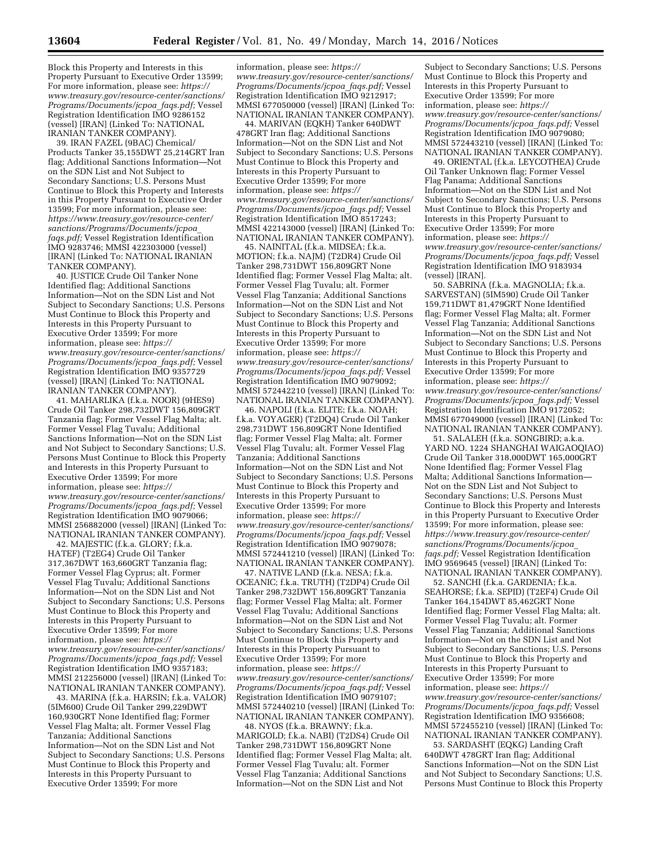Block this Property and Interests in this Property Pursuant to Executive Order 13599; For more information, please see: *[https://](https://www.treasury.gov/resource-center/sanctions/Programs/Documents/jcpoa_faqs.pdf) [www.treasury.gov/resource-center/sanctions/](https://www.treasury.gov/resource-center/sanctions/Programs/Documents/jcpoa_faqs.pdf) [Programs/Documents/jcpoa](https://www.treasury.gov/resource-center/sanctions/Programs/Documents/jcpoa_faqs.pdf)*\_*faqs.pdf;* Vessel Registration Identification IMO 9286152 (vessel) [IRAN] (Linked To: NATIONAL IRANIAN TANKER COMPANY).

39. IRAN FAZEL (9BAC) Chemical/ Products Tanker 35,155DWT 25,214GRT Iran flag; Additional Sanctions Information—Not on the SDN List and Not Subject to Secondary Sanctions; U.S. Persons Must Continue to Block this Property and Interests in this Property Pursuant to Executive Order 13599; For more information, please see: *[https://www.treasury.gov/resource-center/](https://www.treasury.gov/resource-center/sanctions/Programs/Documents/jcpoa_faqs.pdf) [sanctions/Programs/Documents/jcpoa](https://www.treasury.gov/resource-center/sanctions/Programs/Documents/jcpoa_faqs.pdf)*\_ *[faqs.pdf;](https://www.treasury.gov/resource-center/sanctions/Programs/Documents/jcpoa_faqs.pdf)* Vessel Registration Identification IMO 9283746; MMSI 422303000 (vessel) [IRAN] (Linked To: NATIONAL IRANIAN TANKER COMPANY).

40. JUSTICE Crude Oil Tanker None Identified flag; Additional Sanctions Information—Not on the SDN List and Not Subject to Secondary Sanctions; U.S. Persons Must Continue to Block this Property and Interests in this Property Pursuant to Executive Order 13599; For more information, please see: *[https://](https://www.treasury.gov/resource-center/sanctions/Programs/Documents/jcpoa_faqs.pdf) [www.treasury.gov/resource-center/sanctions/](https://www.treasury.gov/resource-center/sanctions/Programs/Documents/jcpoa_faqs.pdf) [Programs/Documents/jcpoa](https://www.treasury.gov/resource-center/sanctions/Programs/Documents/jcpoa_faqs.pdf)*\_*faqs.pdf;* Vessel Registration Identification IMO 9357729 (vessel) [IRAN] (Linked To: NATIONAL IRANIAN TANKER COMPANY).

41. MAHARLIKA (f.k.a. NOOR) (9HES9) Crude Oil Tanker 298,732DWT 156,809GRT Tanzania flag; Former Vessel Flag Malta; alt. Former Vessel Flag Tuvalu; Additional Sanctions Information—Not on the SDN List and Not Subject to Secondary Sanctions; U.S. Persons Must Continue to Block this Property and Interests in this Property Pursuant to Executive Order 13599; For more information, please see: *[https://](https://www.treasury.gov/resource-center/sanctions/Programs/Documents/jcpoa_faqs.pdf) [www.treasury.gov/resource-center/sanctions/](https://www.treasury.gov/resource-center/sanctions/Programs/Documents/jcpoa_faqs.pdf) [Programs/Documents/jcpoa](https://www.treasury.gov/resource-center/sanctions/Programs/Documents/jcpoa_faqs.pdf)*\_*faqs.pdf;* Vessel Registration Identification IMO 9079066; MMSI 256882000 (vessel) [IRAN] (Linked To: NATIONAL IRANIAN TANKER COMPANY).

42. MAJESTIC (f.k.a. GLORY; f.k.a. HATEF) (T2EG4) Crude Oil Tanker 317,367DWT 163,660GRT Tanzania flag; Former Vessel Flag Cyprus; alt. Former Vessel Flag Tuvalu; Additional Sanctions Information—Not on the SDN List and Not Subject to Secondary Sanctions; U.S. Persons Must Continue to Block this Property and Interests in this Property Pursuant to Executive Order 13599; For more information, please see: *[https://](https://www.treasury.gov/resource-center/sanctions/Programs/Documents/jcpoa_faqs.pdf) [www.treasury.gov/resource-center/sanctions/](https://www.treasury.gov/resource-center/sanctions/Programs/Documents/jcpoa_faqs.pdf) [Programs/Documents/jcpoa](https://www.treasury.gov/resource-center/sanctions/Programs/Documents/jcpoa_faqs.pdf)*\_*faqs.pdf;* Vessel Registration Identification IMO 9357183; MMSI 212256000 (vessel) [IRAN] (Linked To: NATIONAL IRANIAN TANKER COMPANY).

43. MARINA (f.k.a. HARSIN; f.k.a. VALOR) (5IM600) Crude Oil Tanker 299,229DWT 160,930GRT None Identified flag; Former Vessel Flag Malta; alt. Former Vessel Flag Tanzania; Additional Sanctions Information—Not on the SDN List and Not Subject to Secondary Sanctions; U.S. Persons Must Continue to Block this Property and Interests in this Property Pursuant to Executive Order 13599; For more

information, please see: *[https://](https://www.treasury.gov/resource-center/sanctions/Programs/Documents/jcpoa_faqs.pdf) [www.treasury.gov/resource-center/sanctions/](https://www.treasury.gov/resource-center/sanctions/Programs/Documents/jcpoa_faqs.pdf) [Programs/Documents/jcpoa](https://www.treasury.gov/resource-center/sanctions/Programs/Documents/jcpoa_faqs.pdf)*\_*faqs.pdf;* Vessel Registration Identification IMO 9212917; MMSI 677050000 (vessel) [IRAN] (Linked To: NATIONAL IRANIAN TANKER COMPANY).

44. MARIVAN (EQKH) Tanker 640DWT 478GRT Iran flag; Additional Sanctions Information—Not on the SDN List and Not Subject to Secondary Sanctions; U.S. Persons Must Continue to Block this Property and Interests in this Property Pursuant to Executive Order 13599; For more information, please see: *[https://](https://www.treasury.gov/resource-center/sanctions/Programs/Documents/jcpoa_faqs.pdf) [www.treasury.gov/resource-center/sanctions/](https://www.treasury.gov/resource-center/sanctions/Programs/Documents/jcpoa_faqs.pdf) [Programs/Documents/jcpoa](https://www.treasury.gov/resource-center/sanctions/Programs/Documents/jcpoa_faqs.pdf)*\_*faqs.pdf;* Vessel Registration Identification IMO 8517243; MMSI 422143000 (vessel) [IRAN] (Linked To: NATIONAL IRANIAN TANKER COMPANY).

45. NAINITAL (f.k.a. MIDSEA; f.k.a. MOTION; f.k.a. NAJM) (T2DR4) Crude Oil Tanker 298,731DWT 156,809GRT None Identified flag; Former Vessel Flag Malta; alt. Former Vessel Flag Tuvalu; alt. Former Vessel Flag Tanzania; Additional Sanctions Information—Not on the SDN List and Not Subject to Secondary Sanctions; U.S. Persons Must Continue to Block this Property and Interests in this Property Pursuant to Executive Order 13599; For more information, please see: *[https://](https://www.treasury.gov/resource-center/sanctions/Programs/Documents/jcpoa_faqs.pdf) [www.treasury.gov/resource-center/sanctions/](https://www.treasury.gov/resource-center/sanctions/Programs/Documents/jcpoa_faqs.pdf) [Programs/Documents/jcpoa](https://www.treasury.gov/resource-center/sanctions/Programs/Documents/jcpoa_faqs.pdf)*\_*faqs.pdf;* Vessel Registration Identification IMO 9079092; MMSI 572442210 (vessel) [IRAN] (Linked To: NATIONAL IRANIAN TANKER COMPANY).

46. NAPOLI (f.k.a. ELITE; f.k.a. NOAH; f.k.a. VOYAGER) (T2DQ4) Crude Oil Tanker 298,731DWT 156,809GRT None Identified flag; Former Vessel Flag Malta; alt. Former Vessel Flag Tuvalu; alt. Former Vessel Flag Tanzania; Additional Sanctions Information—Not on the SDN List and Not Subject to Secondary Sanctions; U.S. Persons Must Continue to Block this Property and Interests in this Property Pursuant to Executive Order 13599; For more information, please see: *[https://](https://www.treasury.gov/resource-center/sanctions/Programs/Documents/jcpoa_faqs.pdf) [www.treasury.gov/resource-center/sanctions/](https://www.treasury.gov/resource-center/sanctions/Programs/Documents/jcpoa_faqs.pdf) [Programs/Documents/jcpoa](https://www.treasury.gov/resource-center/sanctions/Programs/Documents/jcpoa_faqs.pdf)*\_*faqs.pdf;* Vessel Registration Identification IMO 9079078; MMSI 572441210 (vessel) [IRAN] (Linked To: NATIONAL IRANIAN TANKER COMPANY).

47. NATIVE LAND (f.k.a. NESA; f.k.a. OCEANIC; f.k.a. TRUTH) (T2DP4) Crude Oil Tanker 298,732DWT 156,809GRT Tanzania flag; Former Vessel Flag Malta; alt. Former Vessel Flag Tuvalu; Additional Sanctions Information—Not on the SDN List and Not Subject to Secondary Sanctions; U.S. Persons Must Continue to Block this Property and Interests in this Property Pursuant to Executive Order 13599; For more information, please see: *[https://](https://www.treasury.gov/resource-center/sanctions/Programs/Documents/jcpoa_faqs.pdf) [www.treasury.gov/resource-center/sanctions/](https://www.treasury.gov/resource-center/sanctions/Programs/Documents/jcpoa_faqs.pdf) [Programs/Documents/jcpoa](https://www.treasury.gov/resource-center/sanctions/Programs/Documents/jcpoa_faqs.pdf)*\_*faqs.pdf;* Vessel Registration Identification IMO 9079107; MMSI 572440210 (vessel) [IRAN] (Linked To: NATIONAL IRANIAN TANKER COMPANY).

48. NYOS (f.k.a. BRAWNY; f.k.a. MARIGOLD; f.k.a. NABI) (T2DS4) Crude Oil Tanker 298,731DWT 156,809GRT None Identified flag; Former Vessel Flag Malta; alt. Former Vessel Flag Tuvalu; alt. Former Vessel Flag Tanzania; Additional Sanctions Information—Not on the SDN List and Not

Subject to Secondary Sanctions; U.S. Persons Must Continue to Block this Property and Interests in this Property Pursuant to Executive Order 13599; For more information, please see: *[https://](https://www.treasury.gov/resource-center/sanctions/Programs/Documents/jcpoa_faqs.pdf) [www.treasury.gov/resource-center/sanctions/](https://www.treasury.gov/resource-center/sanctions/Programs/Documents/jcpoa_faqs.pdf) [Programs/Documents/jcpoa](https://www.treasury.gov/resource-center/sanctions/Programs/Documents/jcpoa_faqs.pdf)*\_*faqs.pdf;* Vessel Registration Identification IMO 9079080; MMSI 572443210 (vessel) [IRAN] (Linked To: NATIONAL IRANIAN TANKER COMPANY).

49. ORIENTAL (f.k.a. LEYCOTHEA) Crude Oil Tanker Unknown flag; Former Vessel Flag Panama; Additional Sanctions Information—Not on the SDN List and Not Subject to Secondary Sanctions; U.S. Persons Must Continue to Block this Property and Interests in this Property Pursuant to Executive Order 13599; For more information, please see: *[https://](https://www.treasury.gov/resource-center/sanctions/Programs/Documents/jcpoa_faqs.pdf) [www.treasury.gov/resource-center/sanctions/](https://www.treasury.gov/resource-center/sanctions/Programs/Documents/jcpoa_faqs.pdf) [Programs/Documents/jcpoa](https://www.treasury.gov/resource-center/sanctions/Programs/Documents/jcpoa_faqs.pdf)*\_*faqs.pdf;* Vessel Registration Identification IMO 9183934 (vessel) [IRAN].

50. SABRINA (f.k.a. MAGNOLIA; f.k.a. SARVESTAN) (5IM590) Crude Oil Tanker 159,711DWT 81,479GRT None Identified flag; Former Vessel Flag Malta; alt. Former Vessel Flag Tanzania; Additional Sanctions Information—Not on the SDN List and Not Subject to Secondary Sanctions; U.S. Persons Must Continue to Block this Property and Interests in this Property Pursuant to Executive Order 13599; For more information, please see: *[https://](https://www.treasury.gov/resource-center/sanctions/Programs/Documents/jcpoa_faqs.pdf) [www.treasury.gov/resource-center/sanctions/](https://www.treasury.gov/resource-center/sanctions/Programs/Documents/jcpoa_faqs.pdf) [Programs/Documents/jcpoa](https://www.treasury.gov/resource-center/sanctions/Programs/Documents/jcpoa_faqs.pdf)*\_*faqs.pdf;* Vessel Registration Identification IMO 9172052; MMSI 677049000 (vessel) [IRAN] (Linked To: NATIONAL IRANIAN TANKER COMPANY).

51. SALALEH (f.k.a. SONGBIRD; a.k.a. YARD NO. 1224 SHANGHAI WAIGAOQIAO) Crude Oil Tanker 318,000DWT 165,000GRT None Identified flag; Former Vessel Flag Malta; Additional Sanctions Information— Not on the SDN List and Not Subject to Secondary Sanctions; U.S. Persons Must Continue to Block this Property and Interests in this Property Pursuant to Executive Order 13599; For more information, please see: *[https://www.treasury.gov/resource-center/](https://www.treasury.gov/resource-center/sanctions/Programs/Documents/jcpoa_faqs.pdf) [sanctions/Programs/Documents/jcpoa](https://www.treasury.gov/resource-center/sanctions/Programs/Documents/jcpoa_faqs.pdf)*\_ *[faqs.pdf;](https://www.treasury.gov/resource-center/sanctions/Programs/Documents/jcpoa_faqs.pdf)* Vessel Registration Identification IMO 9569645 (vessel) [IRAN] (Linked To: NATIONAL IRANIAN TANKER COMPANY).

52. SANCHI (f.k.a. GARDENIA; f.k.a. SEAHORSE; f.k.a. SEPID) (T2EF4) Crude Oil Tanker 164,154DWT 85,462GRT None Identified flag; Former Vessel Flag Malta; alt. Former Vessel Flag Tuvalu; alt. Former Vessel Flag Tanzania; Additional Sanctions Information—Not on the SDN List and Not Subject to Secondary Sanctions; U.S. Persons Must Continue to Block this Property and Interests in this Property Pursuant to Executive Order 13599; For more information, please see: *[https://](https://www.treasury.gov/resource-center/sanctions/Programs/Documents/jcpoa_faqs.pdf) [www.treasury.gov/resource-center/sanctions/](https://www.treasury.gov/resource-center/sanctions/Programs/Documents/jcpoa_faqs.pdf) [Programs/Documents/jcpoa](https://www.treasury.gov/resource-center/sanctions/Programs/Documents/jcpoa_faqs.pdf)*\_*faqs.pdf;* Vessel Registration Identification IMO 9356608; MMSI 572455210 (vessel) [IRAN] (Linked To: NATIONAL IRANIAN TANKER COMPANY).

53. SARDASHT (EQKG) Landing Craft 640DWT 478GRT Iran flag; Additional Sanctions Information—Not on the SDN List and Not Subject to Secondary Sanctions; U.S. Persons Must Continue to Block this Property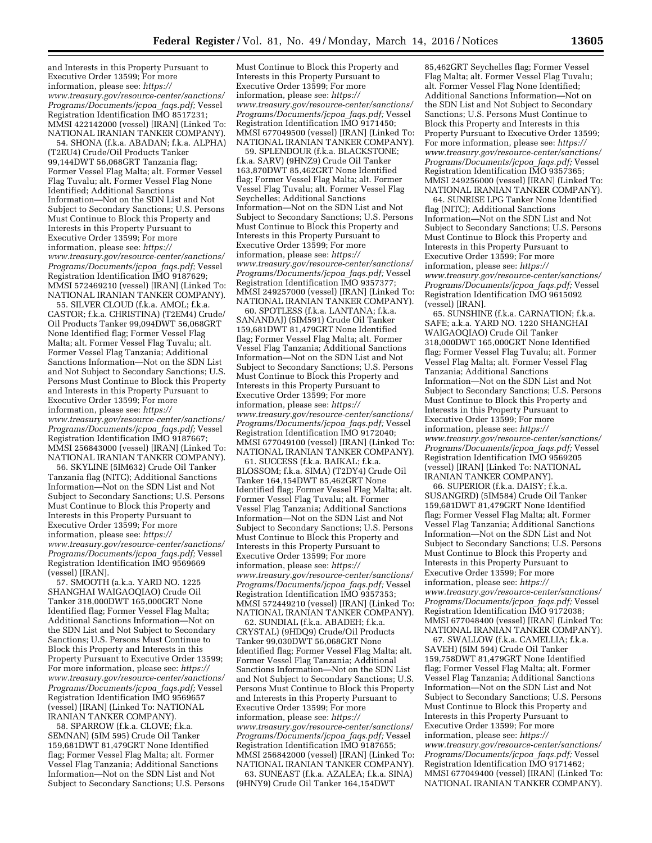and Interests in this Property Pursuant to Executive Order 13599; For more information, please see: *[https://](https://www.treasury.gov/resource-center/sanctions/Programs/Documents/jcpoa_faqs.pdf) [www.treasury.gov/resource-center/sanctions/](https://www.treasury.gov/resource-center/sanctions/Programs/Documents/jcpoa_faqs.pdf) [Programs/Documents/jcpoa](https://www.treasury.gov/resource-center/sanctions/Programs/Documents/jcpoa_faqs.pdf)*\_*faqs.pdf;* Vessel Registration Identification IMO 8517231; MMSI 422142000 (vessel) [IRAN] (Linked To: NATIONAL IRANIAN TANKER COMPANY).

54. SHONA (f.k.a. ABADAN; f.k.a. ALPHA) (T2EU4) Crude/Oil Products Tanker 99,144DWT 56,068GRT Tanzania flag; Former Vessel Flag Malta; alt. Former Vessel Flag Tuvalu; alt. Former Vessel Flag None Identified; Additional Sanctions Information—Not on the SDN List and Not Subject to Secondary Sanctions; U.S. Persons Must Continue to Block this Property and Interests in this Property Pursuant to Executive Order 13599; For more information, please see: *[https://](https://www.treasury.gov/resource-center/sanctions/Programs/Documents/jcpoa_faqs.pdf) [www.treasury.gov/resource-center/sanctions/](https://www.treasury.gov/resource-center/sanctions/Programs/Documents/jcpoa_faqs.pdf) [Programs/Documents/jcpoa](https://www.treasury.gov/resource-center/sanctions/Programs/Documents/jcpoa_faqs.pdf)*\_*faqs.pdf;* Vessel Registration Identification IMO 9187629; MMSI 572469210 (vessel) [IRAN] (Linked To: NATIONAL IRANIAN TANKER COMPANY).

55. SILVER CLOUD (f.k.a. AMOL; f.k.a. CASTOR; f.k.a. CHRISTINA) (T2EM4) Crude/ Oil Products Tanker 99,094DWT 56,068GRT None Identified flag; Former Vessel Flag Malta; alt. Former Vessel Flag Tuvalu; alt. Former Vessel Flag Tanzania; Additional Sanctions Information—Not on the SDN List and Not Subject to Secondary Sanctions; U.S. Persons Must Continue to Block this Property and Interests in this Property Pursuant to Executive Order 13599; For more information, please see: *[https://](https://www.treasury.gov/resource-center/sanctions/Programs/Documents/jcpoa_faqs.pdf) [www.treasury.gov/resource-center/sanctions/](https://www.treasury.gov/resource-center/sanctions/Programs/Documents/jcpoa_faqs.pdf) [Programs/Documents/jcpoa](https://www.treasury.gov/resource-center/sanctions/Programs/Documents/jcpoa_faqs.pdf)*\_*faqs.pdf;* Vessel Registration Identification IMO 9187667; MMSI 256843000 (vessel) [IRAN] (Linked To: NATIONAL IRANIAN TANKER COMPANY).

56. SKYLINE (5IM632) Crude Oil Tanker Tanzania flag (NITC); Additional Sanctions Information—Not on the SDN List and Not Subject to Secondary Sanctions; U.S. Persons Must Continue to Block this Property and Interests in this Property Pursuant to Executive Order 13599; For more information, please see: *[https://](https://www.treasury.gov/resource-center/sanctions/Programs/Documents/jcpoa_faqs.pdf) [www.treasury.gov/resource-center/sanctions/](https://www.treasury.gov/resource-center/sanctions/Programs/Documents/jcpoa_faqs.pdf) [Programs/Documents/jcpoa](https://www.treasury.gov/resource-center/sanctions/Programs/Documents/jcpoa_faqs.pdf)*\_*faqs.pdf;* Vessel Registration Identification IMO 9569669 (vessel) [IRAN].

57. SMOOTH (a.k.a. YARD NO. 1225 SHANGHAI WAIGAOQIAO) Crude Oil Tanker 318,000DWT 165,000GRT None Identified flag; Former Vessel Flag Malta; Additional Sanctions Information—Not on the SDN List and Not Subject to Secondary Sanctions; U.S. Persons Must Continue to Block this Property and Interests in this Property Pursuant to Executive Order 13599; For more information, please see: *[https://](https://www.treasury.gov/resource-center/sanctions/Programs/Documents/jcpoa_faqs.pdf) [www.treasury.gov/resource-center/sanctions/](https://www.treasury.gov/resource-center/sanctions/Programs/Documents/jcpoa_faqs.pdf) [Programs/Documents/jcpoa](https://www.treasury.gov/resource-center/sanctions/Programs/Documents/jcpoa_faqs.pdf)*\_*faqs.pdf;* Vessel Registration Identification IMO 9569657 (vessel) [IRAN] (Linked To: NATIONAL IRANIAN TANKER COMPANY).

58. SPARROW (f.k.a. CLOVE; f.k.a. SEMNAN) (5IM 595) Crude Oil Tanker 159,681DWT 81,479GRT None Identified flag; Former Vessel Flag Malta; alt. Former Vessel Flag Tanzania; Additional Sanctions Information—Not on the SDN List and Not Subject to Secondary Sanctions; U.S. Persons

Must Continue to Block this Property and Interests in this Property Pursuant to Executive Order 13599; For more information, please see: *[https://](https://www.treasury.gov/resource-center/sanctions/Programs/Documents/jcpoa_faqs.pdf) [www.treasury.gov/resource-center/sanctions/](https://www.treasury.gov/resource-center/sanctions/Programs/Documents/jcpoa_faqs.pdf) [Programs/Documents/jcpoa](https://www.treasury.gov/resource-center/sanctions/Programs/Documents/jcpoa_faqs.pdf)*\_*faqs.pdf;* Vessel Registration Identification IMO 9171450; MMSI 677049500 (vessel) [IRAN] (Linked To: NATIONAL IRANIAN TANKER COMPANY).

59. SPLENDOUR (f.k.a. BLACKSTONE; f.k.a. SARV) (9HNZ9) Crude Oil Tanker 163,870DWT 85,462GRT None Identified flag; Former Vessel Flag Malta; alt. Former Vessel Flag Tuvalu; alt. Former Vessel Flag Seychelles; Additional Sanctions Information—Not on the SDN List and Not Subject to Secondary Sanctions; U.S. Persons Must Continue to Block this Property and Interests in this Property Pursuant to Executive Order 13599; For more information, please see: *[https://](https://www.treasury.gov/resource-center/sanctions/Programs/Documents/jcpoa_faqs.pdf) [www.treasury.gov/resource-center/sanctions/](https://www.treasury.gov/resource-center/sanctions/Programs/Documents/jcpoa_faqs.pdf) [Programs/Documents/jcpoa](https://www.treasury.gov/resource-center/sanctions/Programs/Documents/jcpoa_faqs.pdf)*\_*faqs.pdf;* Vessel Registration Identification IMO 9357377; MMSI 249257000 (vessel) [IRAN] (Linked To: NATIONAL IRANIAN TANKER COMPANY).

60. SPOTLESS (f.k.a. LANTANA; f.k.a. SANANDAJ) (5IM591) Crude Oil Tanker 159,681DWT 81,479GRT None Identified flag; Former Vessel Flag Malta; alt. Former Vessel Flag Tanzania; Additional Sanctions Information—Not on the SDN List and Not Subject to Secondary Sanctions; U.S. Persons Must Continue to Block this Property and Interests in this Property Pursuant to Executive Order 13599; For more information, please see: *[https://](https://www.treasury.gov/resource-center/sanctions/Programs/Documents/jcpoa_faqs.pdf) [www.treasury.gov/resource-center/sanctions/](https://www.treasury.gov/resource-center/sanctions/Programs/Documents/jcpoa_faqs.pdf) [Programs/Documents/jcpoa](https://www.treasury.gov/resource-center/sanctions/Programs/Documents/jcpoa_faqs.pdf)*\_*faqs.pdf;* Vessel Registration Identification IMO 9172040; MMSI 677049100 (vessel) [IRAN] (Linked To: NATIONAL IRANIAN TANKER COMPANY).

61. SUCCESS (f.k.a. BAIKAL; f.k.a. BLOSSOM; f.k.a. SIMA) (T2DY4) Crude Oil Tanker 164,154DWT 85,462GRT None Identified flag; Former Vessel Flag Malta; alt. Former Vessel Flag Tuvalu; alt. Former Vessel Flag Tanzania; Additional Sanctions Information—Not on the SDN List and Not Subject to Secondary Sanctions; U.S. Persons Must Continue to Block this Property and Interests in this Property Pursuant to Executive Order 13599; For more information, please see: *[https://](https://www.treasury.gov/resource-center/sanctions/Programs/Documents/jcpoa_faqs.pdf) [www.treasury.gov/resource-center/sanctions/](https://www.treasury.gov/resource-center/sanctions/Programs/Documents/jcpoa_faqs.pdf) [Programs/Documents/jcpoa](https://www.treasury.gov/resource-center/sanctions/Programs/Documents/jcpoa_faqs.pdf)*\_*faqs.pdf;* Vessel Registration Identification IMO 9357353; MMSI 572449210 (vessel) [IRAN] (Linked To: NATIONAL IRANIAN TANKER COMPANY).

62. SUNDIAL (f.k.a. ABADEH; f.k.a. CRYSTAL) (9HDQ9) Crude/Oil Products Tanker 99,030DWT 56,068GRT None Identified flag; Former Vessel Flag Malta; alt. Former Vessel Flag Tanzania; Additional Sanctions Information—Not on the SDN List and Not Subject to Secondary Sanctions; U.S. Persons Must Continue to Block this Property and Interests in this Property Pursuant to Executive Order 13599; For more information, please see: *[https://](https://www.treasury.gov/resource-center/sanctions/Programs/Documents/jcpoa_faqs.pdf) [www.treasury.gov/resource-center/sanctions/](https://www.treasury.gov/resource-center/sanctions/Programs/Documents/jcpoa_faqs.pdf) [Programs/Documents/jcpoa](https://www.treasury.gov/resource-center/sanctions/Programs/Documents/jcpoa_faqs.pdf)*\_*faqs.pdf;* Vessel Registration Identification IMO 9187655; MMSI 256842000 (vessel) [IRAN] (Linked To: NATIONAL IRANIAN TANKER COMPANY).

63. SUNEAST (f.k.a. AZALEA; f.k.a. SINA) (9HNY9) Crude Oil Tanker 164,154DWT

85,462GRT Seychelles flag; Former Vessel Flag Malta; alt. Former Vessel Flag Tuvalu; alt. Former Vessel Flag None Identified; Additional Sanctions Information—Not on the SDN List and Not Subject to Secondary Sanctions; U.S. Persons Must Continue to Block this Property and Interests in this Property Pursuant to Executive Order 13599; For more information, please see: *[https://](https://www.treasury.gov/resource-center/sanctions/Programs/Documents/jcpoa_faqs.pdf) [www.treasury.gov/resource-center/sanctions/](https://www.treasury.gov/resource-center/sanctions/Programs/Documents/jcpoa_faqs.pdf) [Programs/Documents/jcpoa](https://www.treasury.gov/resource-center/sanctions/Programs/Documents/jcpoa_faqs.pdf)*\_*faqs.pdf;* Vessel Registration Identification IMO 9357365; MMSI 249256000 (vessel) [IRAN] (Linked To: NATIONAL IRANIAN TANKER COMPANY).

64. SUNRISE LPG Tanker None Identified flag (NITC); Additional Sanctions Information—Not on the SDN List and Not Subject to Secondary Sanctions; U.S. Persons Must Continue to Block this Property and Interests in this Property Pursuant to Executive Order 13599; For more information, please see: *[https://](https://www.treasury.gov/resource-center/sanctions/Programs/Documents/jcpoa_faqs.pdf) [www.treasury.gov/resource-center/sanctions/](https://www.treasury.gov/resource-center/sanctions/Programs/Documents/jcpoa_faqs.pdf) [Programs/Documents/jcpoa](https://www.treasury.gov/resource-center/sanctions/Programs/Documents/jcpoa_faqs.pdf)*\_*faqs.pdf;* Vessel Registration Identification IMO 9615092 (vessel) [IRAN].

65. SUNSHINE (f.k.a. CARNATION; f.k.a. SAFE; a.k.a. YARD NO. 1220 SHANGHAI WAIGAOQIAO) Crude Oil Tanker 318,000DWT 165,000GRT None Identified flag; Former Vessel Flag Tuvalu; alt. Former Vessel Flag Malta; alt. Former Vessel Flag Tanzania; Additional Sanctions Information—Not on the SDN List and Not Subject to Secondary Sanctions; U.S. Persons Must Continue to Block this Property and Interests in this Property Pursuant to Executive Order 13599; For more information, please see: *[https://](https://www.treasury.gov/resource-center/sanctions/Programs/Documents/jcpoa_faqs.pdf) [www.treasury.gov/resource-center/sanctions/](https://www.treasury.gov/resource-center/sanctions/Programs/Documents/jcpoa_faqs.pdf) [Programs/Documents/jcpoa](https://www.treasury.gov/resource-center/sanctions/Programs/Documents/jcpoa_faqs.pdf)*\_*faqs.pdf;* Vessel Registration Identification IMO 9569205 (vessel) [IRAN] (Linked To: NATIONAL IRANIAN TANKER COMPANY).

66. SUPERIOR (f.k.a. DAISY; f.k.a. SUSANGIRD) (5IM584) Crude Oil Tanker 159,681DWT 81,479GRT None Identified flag; Former Vessel Flag Malta; alt. Former Vessel Flag Tanzania; Additional Sanctions Information—Not on the SDN List and Not Subject to Secondary Sanctions; U.S. Persons Must Continue to Block this Property and Interests in this Property Pursuant to Executive Order 13599; For more information, please see: *[https://](https://www.treasury.gov/resource-center/sanctions/Programs/Documents/jcpoa_faqs.pdf) [www.treasury.gov/resource-center/sanctions/](https://www.treasury.gov/resource-center/sanctions/Programs/Documents/jcpoa_faqs.pdf) [Programs/Documents/jcpoa](https://www.treasury.gov/resource-center/sanctions/Programs/Documents/jcpoa_faqs.pdf)*\_*faqs.pdf;* Vessel Registration Identification IMO 9172038; MMSI 677048400 (vessel) [IRAN] (Linked To: NATIONAL IRANIAN TANKER COMPANY).

67. SWALLOW (f.k.a. CAMELLIA; f.k.a. SAVEH) (5IM 594) Crude Oil Tanker 159,758DWT 81,479GRT None Identified flag; Former Vessel Flag Malta; alt. Former Vessel Flag Tanzania; Additional Sanctions Information—Not on the SDN List and Not Subject to Secondary Sanctions; U.S. Persons Must Continue to Block this Property and Interests in this Property Pursuant to Executive Order 13599; For more information, please see: *[https://](https://www.treasury.gov/resource-center/sanctions/Programs/Documents/jcpoa_faqs.pdf) [www.treasury.gov/resource-center/sanctions/](https://www.treasury.gov/resource-center/sanctions/Programs/Documents/jcpoa_faqs.pdf) [Programs/Documents/jcpoa](https://www.treasury.gov/resource-center/sanctions/Programs/Documents/jcpoa_faqs.pdf)*\_*faqs.pdf;* Vessel Registration Identification IMO 9171462; MMSI 677049400 (vessel) [IRAN] (Linked To: NATIONAL IRANIAN TANKER COMPANY).